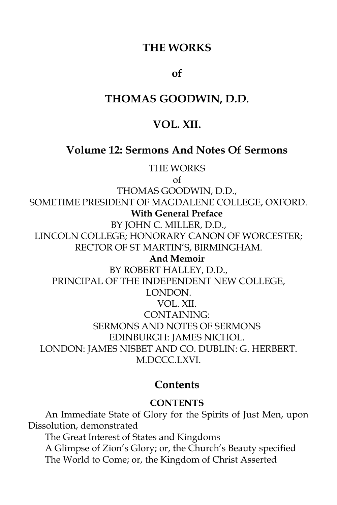### **THE WORKS**

#### **of**

### **THOMAS GOODWIN, D.D.**

## **VOL. XII.**

#### **Volume 12: Sermons And Notes Of Sermons**

THE WORKS

of

THOMAS GOODWIN, D.D.,

SOMETIME PRESIDENT OF MAGDALENE COLLEGE, OXFORD.

#### **With General Preface**

BY JOHN C. MILLER, D.D., LINCOLN COLLEGE; HONORARY CANON OF WORCESTER; RECTOR OF ST MARTIN'S, BIRMINGHAM.

**And Memoir**

BY ROBERT HALLEY, D.D., PRINCIPAL OF THE INDEPENDENT NEW COLLEGE, LONDON. VOL. XII. CONTAINING: SERMONS AND NOTES OF SERMONS EDINBURGH: JAMES NICHOL. LONDON: JAMES NISBET AND CO. DUBLIN: G. HERBERT. M.DCCC.LXVI.

#### **Contents**

#### **CONTENTS**

An Immediate State of Glory for the Spirits of Just Men, upon Dissolution, demonstrated The Great Interest of States and Kingdoms A Glimpse of Zion's Glory; or, the Church's Beauty specified The World to Come; or, the Kingdom of Christ Asserted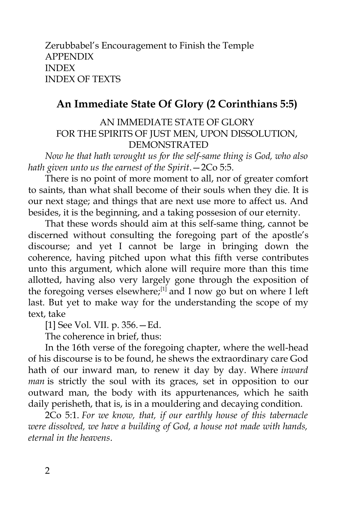Zerubbabel's Encouragement to Finish the Temple APPENDIX INDEX INDEX OF TEXTS

# **An Immediate State Of Glory (2 Corinthians 5:5)**

AN IMMEDIATE STATE OF GLORY FOR THE SPIRITS OF JUST MEN, UPON DISSOLUTION, DEMONSTRATED

*Now he that hath wrought us for the self-same thing is God, who also hath given unto us the earnest of the Spirit*.—2Co 5:5.

There is no point of more moment to all, nor of greater comfort to saints, than what shall become of their souls when they die. It is our next stage; and things that are next use more to affect us. And besides, it is the beginning, and a taking possesion of our eternity.

That these words should aim at this self-same thing, cannot be discerned without consulting the foregoing part of the apostle's discourse; and yet I cannot be large in bringing down the coherence, having pitched upon what this fifth verse contributes unto this argument, which alone will require more than this time allotted, having also very largely gone through the exposition of the foregoing verses elsewhere;<sup>[1]</sup> and I now go but on where I left last. But yet to make way for the understanding the scope of my text, take

[1] See Vol. VII. p. 356.—Ed.

The coherence in brief, thus:

In the 16th verse of the foregoing chapter, where the well-head of his discourse is to be found, he shews the extraordinary care God hath of our inward man, to renew it day by day. Where *inward man* is strictly the soul with its graces, set in opposition to our outward man, the body with its appurtenances, which he saith daily perisheth, that is, is in a mouldering and decaying condition.

2Co 5:1. *For we know, that, if our earthly house of this tabernacle were dissolved, we have a building of God, a house not made with hands, eternal in the heavens*.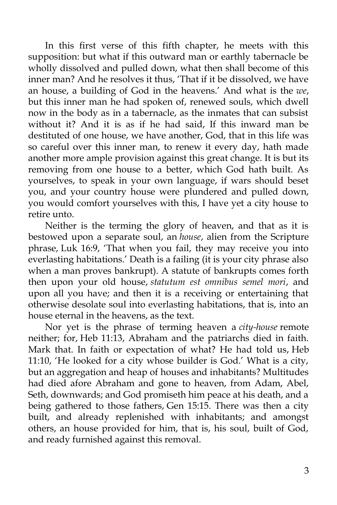In this first verse of this fifth chapter, he meets with this supposition: but what if this outward man or earthly tabernacle be wholly dissolved and pulled down, what then shall become of this inner man? And he resolves it thus, 'That if it be dissolved, we have an house, a building of God in the heavens.' And what is the *we*, but this inner man he had spoken of, renewed souls, which dwell now in the body as in a tabernacle, as the inmates that can subsist without it? And it is as if he had said, If this inward man be destituted of one house, we have another, God, that in this life was so careful over this inner man, to renew it every day, hath made another more ample provision against this great change. It is but its removing from one house to a better, which God hath built. As yourselves, to speak in your own language, if wars should beset you, and your country house were plundered and pulled down, you would comfort yourselves with this, I have yet a city house to retire unto.

Neither is the terming the glory of heaven, and that as it is bestowed upon a separate soul, an *house*, alien from the Scripture phrase, Luk 16:9, 'That when you fail, they may receive you into everlasting habitations.' Death is a failing (it is your city phrase also when a man proves bankrupt). A statute of bankrupts comes forth then upon your old house, *statutum est omnibus semel mori*, and upon all you have; and then it is a receiving or entertaining that otherwise desolate soul into everlasting habitations, that is, into an house eternal in the heavens, as the text.

Nor yet is the phrase of terming heaven a *city-house* remote neither; for, Heb 11:13, Abraham and the patriarchs died in faith. Mark that. In faith or expectation of what? He had told us, Heb 11:10, 'He looked for a city whose builder is God.' What is a city, but an aggregation and heap of houses and inhabitants? Multitudes had died afore Abraham and gone to heaven, from Adam, Abel, Seth, downwards; and God promiseth him peace at his death, and a being gathered to those fathers, Gen 15:15. There was then a city built, and already replenished with inhabitants; and amongst others, an house provided for him, that is, his soul, built of God, and ready furnished against this removal.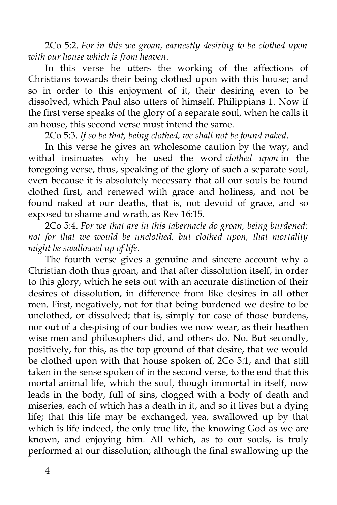2Co 5:2. *For in this we groan, earnestly desiring to be clothed upon with our house which is from heaven*.

In this verse he utters the working of the affections of Christians towards their being clothed upon with this house; and so in order to this enjoyment of it, their desiring even to be dissolved, which Paul also utters of himself, Philippians 1. Now if the first verse speaks of the glory of a separate soul, when he calls it an house, this second verse must intend the same.

2Co 5:3. *If so be that, being clothed, we shall not be found naked*.

In this verse he gives an wholesome caution by the way, and withal insinuates why he used the word *clothed upon* in the foregoing verse, thus, speaking of the glory of such a separate soul, even because it is absolutely necessary that all our souls be found clothed first, and renewed with grace and holiness, and not be found naked at our deaths, that is, not devoid of grace, and so exposed to shame and wrath, as Rev 16:15.

2Co 5:4. *For we that are in this tabernacle do groan, being burdened: not for that we would be unclothed, but clothed upon, that mortality might be swallowed up of life*.

The fourth verse gives a genuine and sincere account why a Christian doth thus groan, and that after dissolution itself, in order to this glory, which he sets out with an accurate distinction of their desires of dissolution, in difference from like desires in all other men. First, negatively, not for that being burdened we desire to be unclothed, or dissolved; that is, simply for case of those burdens, nor out of a despising of our bodies we now wear, as their heathen wise men and philosophers did, and others do. No. But secondly, positively, for this, as the top ground of that desire, that we would be clothed upon with that house spoken of, 2Co 5:1, and that still taken in the sense spoken of in the second verse, to the end that this mortal animal life, which the soul, though immortal in itself, now leads in the body, full of sins, clogged with a body of death and miseries, each of which has a death in it, and so it lives but a dying life; that this life may be exchanged, yea, swallowed up by that which is life indeed, the only true life, the knowing God as we are known, and enjoying him. All which, as to our souls, is truly performed at our dissolution; although the final swallowing up the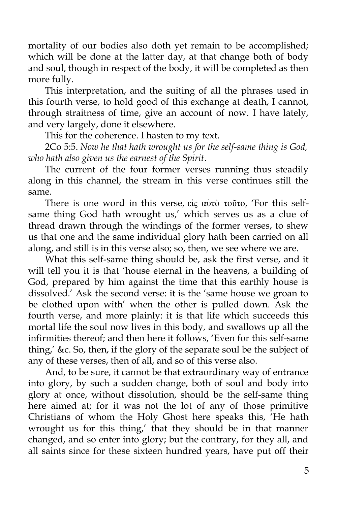mortality of our bodies also doth yet remain to be accomplished; which will be done at the latter day, at that change both of body and soul, though in respect of the body, it will be completed as then more fully.

This interpretation, and the suiting of all the phrases used in this fourth verse, to hold good of this exchange at death, I cannot, through straitness of time, give an account of now. I have lately, and very largely, done it elsewhere.

This for the coherence. I hasten to my text.

2Co 5:5. *Now he that hath wrought us for the self-same thing is God, who hath also given us the earnest of the Spirit*.

The current of the four former verses running thus steadily along in this channel, the stream in this verse continues still the same.

There is one word in this verse, εἰς αὐτὸ τοῦτο, 'For this selfsame thing God hath wrought us,' which serves us as a clue of thread drawn through the windings of the former verses, to shew us that one and the same individual glory hath been carried on all along, and still is in this verse also; so, then, we see where we are.

What this self-same thing should be, ask the first verse, and it will tell you it is that 'house eternal in the heavens, a building of God, prepared by him against the time that this earthly house is dissolved.' Ask the second verse: it is the 'same house we groan to be clothed upon with' when the other is pulled down. Ask the fourth verse, and more plainly: it is that life which succeeds this mortal life the soul now lives in this body, and swallows up all the infirmities thereof; and then here it follows, 'Even for this self-same thing,' &c. So, then, if the glory of the separate soul be the subject of any of these verses, then of all, and so of this verse also.

And, to be sure, it cannot be that extraordinary way of entrance into glory, by such a sudden change, both of soul and body into glory at once, without dissolution, should be the self-same thing here aimed at; for it was not the lot of any of those primitive Christians of whom the Holy Ghost here speaks this, 'He hath wrought us for this thing,' that they should be in that manner changed, and so enter into glory; but the contrary, for they all, and all saints since for these sixteen hundred years, have put off their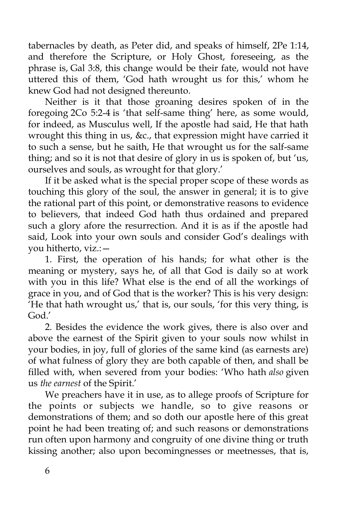tabernacles by death, as Peter did, and speaks of himself, 2Pe 1:14, and therefore the Scripture, or Holy Ghost, foreseeing, as the phrase is, Gal 3:8, this change would be their fate, would not have uttered this of them, 'God hath wrought us for this,' whom he knew God had not designed thereunto.

Neither is it that those groaning desires spoken of in the foregoing 2Co 5:2-4 is 'that self-same thing' here, as some would, for indeed, as Musculus well, If the apostle had said, He that hath wrought this thing in us, &c., that expression might have carried it to such a sense, but he saith, He that wrought us for the salf-same thing; and so it is not that desire of glory in us is spoken of, but 'us, ourselves and souls, as wrought for that glory.'

If it be asked what is the special proper scope of these words as touching this glory of the soul, the answer in general; it is to give the rational part of this point, or demonstrative reasons to evidence to believers, that indeed God hath thus ordained and prepared such a glory afore the resurrection. And it is as if the apostle had said, Look into your own souls and consider God's dealings with you hitherto, viz.:—

1. First, the operation of his hands; for what other is the meaning or mystery, says he, of all that God is daily so at work with you in this life? What else is the end of all the workings of grace in you, and of God that is the worker? This is his very design: 'He that hath wrought us,' that is, our souls, 'for this very thing, is God.'

2. Besides the evidence the work gives, there is also over and above the earnest of the Spirit given to your souls now whilst in your bodies, in joy, full of glories of the same kind (as earnests are) of what fulness of glory they are both capable of then, and shall be filled with, when severed from your bodies: 'Who hath *also* given us *the earnest* of the Spirit.'

We preachers have it in use, as to allege proofs of Scripture for the points or subjects we handle, so to give reasons or demonstrations of them; and so doth our apostle here of this great point he had been treating of; and such reasons or demonstrations run often upon harmony and congruity of one divine thing or truth kissing another; also upon becomingnesses or meetnesses, that is,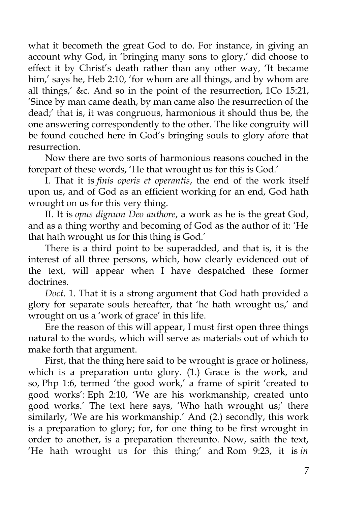what it becometh the great God to do. For instance, in giving an account why God, in 'bringing many sons to glory,' did choose to effect it by Christ's death rather than any other way, 'It became him,' says he, Heb 2:10, 'for whom are all things, and by whom are all things,' &c. And so in the point of the resurrection, 1Co 15:21, 'Since by man came death, by man came also the resurrection of the dead;' that is, it was congruous, harmonious it should thus be, the one answering correspondently to the other. The like congruity will be found couched here in God's bringing souls to glory afore that resurrection.

Now there are two sorts of harmonious reasons couched in the forepart of these words, 'He that wrought us for this is God.'

I. That it is *finis operis et operantis*, the end of the work itself upon us, and of God as an efficient working for an end, God hath wrought on us for this very thing.

II. It is *opus dignum Deo authore*, a work as he is the great God, and as a thing worthy and becoming of God as the author of it: 'He that hath wrought us for this thing is God.'

There is a third point to be superadded, and that is, it is the interest of all three persons, which, how clearly evidenced out of the text, will appear when I have despatched these former doctrines.

*Doct*. 1. That it is a strong argument that God hath provided a glory for separate souls hereafter, that 'he hath wrought us,' and wrought on us a 'work of grace' in this life.

Ere the reason of this will appear, I must first open three things natural to the words, which will serve as materials out of which to make forth that argument.

First, that the thing here said to be wrought is grace or holiness, which is a preparation unto glory. (1.) Grace is the work, and so, Php 1:6, termed 'the good work,' a frame of spirit 'created to good works': Eph 2:10, 'We are his workmanship, created unto good works.' The text here says, 'Who hath wrought us;' there similarly, 'We are his workmanship.' And (2.) secondly, this work is a preparation to glory; for, for one thing to be first wrought in order to another, is a preparation thereunto. Now, saith the text, 'He hath wrought us for this thing;' and Rom 9:23, it is *in*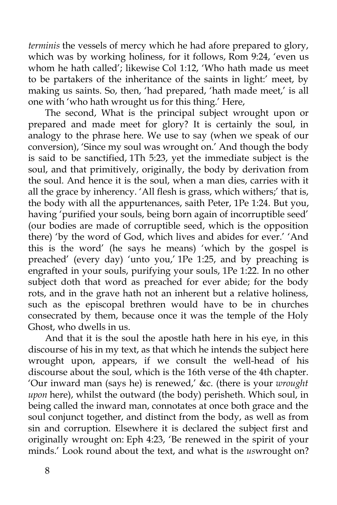*terminis* the vessels of mercy which he had afore prepared to glory, which was by working holiness, for it follows, Rom 9:24, 'even us whom he hath called'; likewise Col 1:12, 'Who hath made us meet to be partakers of the inheritance of the saints in light:' meet, by making us saints. So, then, 'had prepared, 'hath made meet,' is all one with 'who hath wrought us for this thing.' Here,

The second, What is the principal subject wrought upon or prepared and made meet for glory? It is certainly the soul, in analogy to the phrase here. We use to say (when we speak of our conversion), 'Since my soul was wrought on.' And though the body is said to be sanctified, 1Th 5:23, yet the immediate subject is the soul, and that primitively, originally, the body by derivation from the soul. And hence it is the soul, when a man dies, carries with it all the grace by inherency. 'All flesh is grass, which withers;' that is, the body with all the appurtenances, saith Peter, 1Pe 1:24. But you, having 'purified your souls, being born again of incorruptible seed' (our bodies are made of corruptible seed, which is the opposition there) 'by the word of God, which lives and abides for ever.' 'And this is the word' (he says he means) 'which by the gospel is preached' (every day) 'unto you,' 1Pe 1:25, and by preaching is engrafted in your souls, purifying your souls, 1Pe 1:22. In no other subject doth that word as preached for ever abide; for the body rots, and in the grave hath not an inherent but a relative holiness, such as the episcopal brethren would have to be in churches consecrated by them, because once it was the temple of the Holy Ghost, who dwells in us.

And that it is the soul the apostle hath here in his eye, in this discourse of his in my text, as that which he intends the subject here wrought upon, appears, if we consult the well-head of his discourse about the soul, which is the 16th verse of the 4th chapter. 'Our inward man (says he) is renewed,' &c. (there is your *wrought upon* here), whilst the outward (the body) perisheth. Which soul, in being called the inward man, connotates at once both grace and the soul conjunct together, and distinct from the body, as well as from sin and corruption. Elsewhere it is declared the subject first and originally wrought on: Eph 4:23, 'Be renewed in the spirit of your minds.' Look round about the text, and what is the *us*wrought on?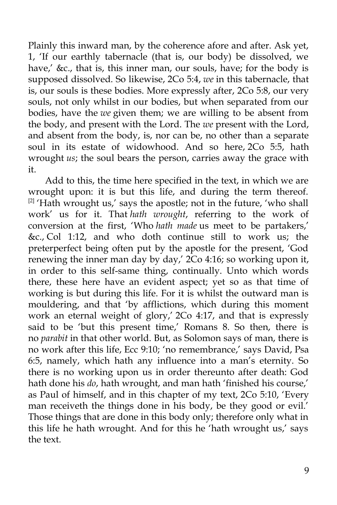Plainly this inward man, by the coherence afore and after. Ask yet, 1, 'If our earthly tabernacle (that is, our body) be dissolved, we have,' &c., that is, this inner man, our souls, have; for the body is supposed dissolved. So likewise, 2Co 5:4, *we* in this tabernacle, that is, our souls is these bodies. More expressly after, 2Co 5:8, our very souls, not only whilst in our bodies, but when separated from our bodies, have the *we* given them; we are willing to be absent from the body, and present with the Lord. The *we* present with the Lord, and absent from the body, is, nor can be, no other than a separate soul in its estate of widowhood. And so here, 2Co 5:5, hath wrought *us*; the soul bears the person, carries away the grace with it.

Add to this, the time here specified in the text, in which we are wrought upon: it is but this life, and during the term thereof.  $[2]$  'Hath wrought us,' says the apostle; not in the future, 'who shall work' us for it. That *hath wrought*, referring to the work of conversion at the first, 'Who *hath made* us meet to be partakers,' &c., Col 1:12, and who doth continue still to work us; the preterperfect being often put by the apostle for the present, 'God renewing the inner man day by day,' 2Co 4:16; so working upon it, in order to this self-same thing, continually. Unto which words there, these here have an evident aspect; yet so as that time of working is but during this life. For it is whilst the outward man is mouldering, and that 'by afflictions, which during this moment work an eternal weight of glory,' 2Co 4:17, and that is expressly said to be 'but this present time,' Romans 8. So then, there is no *parabit* in that other world. But, as Solomon says of man, there is no work after this life, Ecc 9:10; 'no remembrance,' says David, Psa 6:5, namely, which hath any influence into a man's eternity. So there is no working upon us in order thereunto after death: God hath done his *do*, hath wrought, and man hath 'finished his course,' as Paul of himself, and in this chapter of my text, 2Co 5:10, 'Every man receiveth the things done in his body, be they good or evil.' Those things that are done in this body only; therefore only what in this life he hath wrought. And for this he 'hath wrought us,' says the text.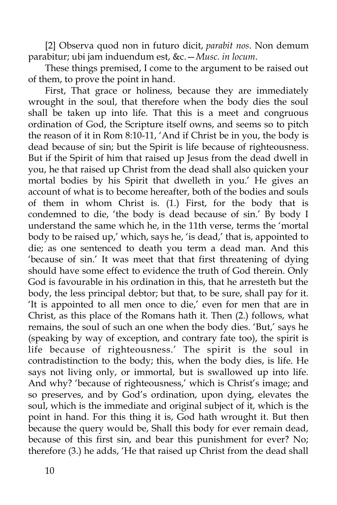[2] Observa quod non in futuro dicit, *parabit nos*. Non demum parabitur; ubi jam induendum est, &c.—*Musc. in locum*.

These things premised, I come to the argument to be raised out of them, to prove the point in hand.

First, That grace or holiness, because they are immediately wrought in the soul, that therefore when the body dies the soul shall be taken up into life. That this is a meet and congruous ordination of God, the Scripture itself owns, and seems so to pitch the reason of it in Rom 8:10-11, 'And if Christ be in you, the body is dead because of sin; but the Spirit is life because of righteousness. But if the Spirit of him that raised up Jesus from the dead dwell in you, he that raised up Christ from the dead shall also quicken your mortal bodies by his Spirit that dwelleth in you.' He gives an account of what is to become hereafter, both of the bodies and souls of them in whom Christ is. (1.) First, for the body that is condemned to die, 'the body is dead because of sin.' By body I understand the same which he, in the 11th verse, terms the 'mortal body to be raised up,' which, says he, 'is dead,' that is, appointed to die; as one sentenced to death you term a dead man. And this 'because of sin.' It was meet that that first threatening of dying should have some effect to evidence the truth of God therein. Only God is favourable in his ordination in this, that he arresteth but the body, the less principal debtor; but that, to be sure, shall pay for it. 'It is appointed to all men once to die,' even for men that are in Christ, as this place of the Romans hath it. Then (2.) follows, what remains, the soul of such an one when the body dies. 'But,' says he (speaking by way of exception, and contrary fate too), the spirit is life because of righteousness.' The spirit is the soul in contradistinction to the body; this, when the body dies, is life. He says not living only, or immortal, but is swallowed up into life. And why? 'because of righteousness,' which is Christ's image; and so preserves, and by God's ordination, upon dying, elevates the soul, which is the immediate and original subject of it, which is the point in hand. For this thing it is, God hath wrought it. But then because the query would be, Shall this body for ever remain dead, because of this first sin, and bear this punishment for ever? No; therefore (3.) he adds, 'He that raised up Christ from the dead shall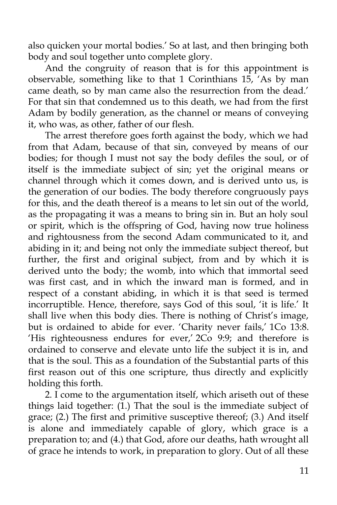also quicken your mortal bodies.' So at last, and then bringing both body and soul together unto complete glory.

And the congruity of reason that is for this appointment is observable, something like to that 1 Corinthians 15, 'As by man came death, so by man came also the resurrection from the dead.' For that sin that condemned us to this death, we had from the first Adam by bodily generation, as the channel or means of conveying it, who was, as other, father of our flesh.

The arrest therefore goes forth against the body, which we had from that Adam, because of that sin, conveyed by means of our bodies; for though I must not say the body defiles the soul, or of itself is the immediate subject of sin; yet the original means or channel through which it comes down, and is derived unto us, is the generation of our bodies. The body therefore congruously pays for this, and the death thereof is a means to let sin out of the world, as the propagating it was a means to bring sin in. But an holy soul or spirit, which is the offspring of God, having now true holiness and rightousness from the second Adam communicated to it, and abiding in it; and being not only the immediate subject thereof, but further, the first and original subject, from and by which it is derived unto the body; the womb, into which that immortal seed was first cast, and in which the inward man is formed, and in respect of a constant abiding, in which it is that seed is termed incorruptible. Hence, therefore, says God of this soul, 'it is life.' It shall live when this body dies. There is nothing of Christ's image, but is ordained to abide for ever. 'Charity never fails,' 1Co 13:8. 'His righteousness endures for ever,' 2Co 9:9; and therefore is ordained to conserve and elevate unto life the subject it is in, and that is the soul. This as a foundation of the Substantial parts of this first reason out of this one scripture, thus directly and explicitly holding this forth.

2. I come to the argumentation itself, which ariseth out of these things laid together: (1.) That the soul is the immediate subject of grace; (2.) The first and primitive susceptive thereof; (3.) And itself is alone and immediately capable of glory, which grace is a preparation to; and (4.) that God, afore our deaths, hath wrought all of grace he intends to work, in preparation to glory. Out of all these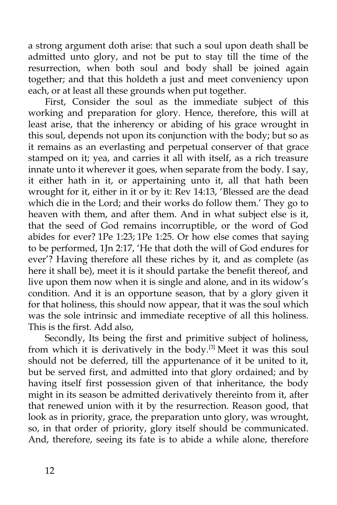a strong argument doth arise: that such a soul upon death shall be admitted unto glory, and not be put to stay till the time of the resurrection, when both soul and body shall be joined again together; and that this holdeth a just and meet conveniency upon each, or at least all these grounds when put together.

First, Consider the soul as the immediate subject of this working and preparation for glory. Hence, therefore, this will at least arise, that the inherency or abiding of his grace wrought in this soul, depends not upon its conjunction with the body; but so as it remains as an everlasting and perpetual conserver of that grace stamped on it; yea, and carries it all with itself, as a rich treasure innate unto it wherever it goes, when separate from the body. I say, it either hath in it, or appertaining unto it, all that hath been wrought for it, either in it or by it: Rev 14:13, 'Blessed are the dead which die in the Lord; and their works do follow them.' They go to heaven with them, and after them. And in what subject else is it, that the seed of God remains incorruptible, or the word of God abides for ever? 1Pe 1:23; 1Pe 1:25. Or how else comes that saying to be performed, 1Jn 2:17, 'He that doth the will of God endures for ever'? Having therefore all these riches by it, and as complete (as here it shall be), meet it is it should partake the benefit thereof, and live upon them now when it is single and alone, and in its widow's condition. And it is an opportune season, that by a glory given it for that holiness, this should now appear, that it was the soul which was the sole intrinsic and immediate receptive of all this holiness. This is the first. Add also,

Secondly, Its being the first and primitive subject of holiness, from which it is derivatively in the body.<sup>[3]</sup> Meet it was this soul should not be deferred, till the appurtenance of it be united to it, but be served first, and admitted into that glory ordained; and by having itself first possession given of that inheritance, the body might in its season be admitted derivatively thereinto from it, after that renewed union with it by the resurrection. Reason good, that look as in priority, grace, the preparation unto glory, was wrought, so, in that order of priority, glory itself should be communicated. And, therefore, seeing its fate is to abide a while alone, therefore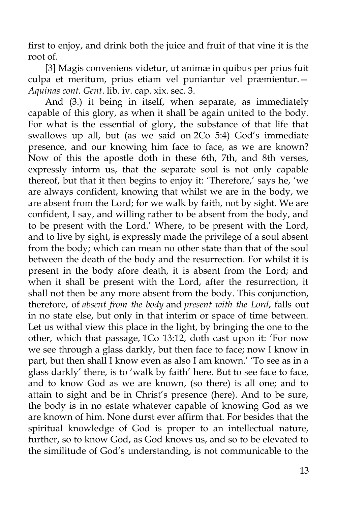first to enjoy, and drink both the juice and fruit of that vine it is the root of.

[3] Magis conveniens videtur, ut animæ in quibus per prius fuit culpa et meritum, prius etiam vel puniantur vel præmientur.— *Aquinas cont. Gent*. lib. iv. cap. xix. sec. 3.

And (3.) it being in itself, when separate, as immediately capable of this glory, as when it shall be again united to the body. For what is the essential of glory, the substance of that life that swallows up all, but (as we said on 2Co 5:4) God's immediate presence, and our knowing him face to face, as we are known? Now of this the apostle doth in these 6th, 7th, and 8th verses, expressly inform us, that the separate soul is not only capable thereof, but that it then begins to enjoy it: 'Therefore,' says he, 'we are always confident, knowing that whilst we are in the body, we are absent from the Lord; for we walk by faith, not by sight. We are confident, I say, and willing rather to be absent from the body, and to be present with the Lord.' Where, to be present with the Lord, and to live by sight, is expressly made the privilege of a soul absent from the body; which can mean no other state than that of the soul between the death of the body and the resurrection. For whilst it is present in the body afore death, it is absent from the Lord; and when it shall be present with the Lord, after the resurrection, it shall not then be any more absent from the body. This conjunction, therefore, of *absent from the body* and *present with the Lord*, falls out in no state else, but only in that interim or space of time between. Let us withal view this place in the light, by bringing the one to the other, which that passage, 1Co 13:12, doth cast upon it: 'For now we see through a glass darkly, but then face to face; now I know in part, but then shall I know even as also I am known.' 'To see as in a glass darkly' there, is to 'walk by faith' here. But to see face to face, and to know God as we are known, (so there) is all one; and to attain to sight and be in Christ's presence (here). And to be sure, the body is in no estate whatever capable of knowing God as we are known of him. None durst ever affirm that. For besides that the spiritual knowledge of God is proper to an intellectual nature, further, so to know God, as God knows us, and so to be elevated to the similitude of God's understanding, is not communicable to the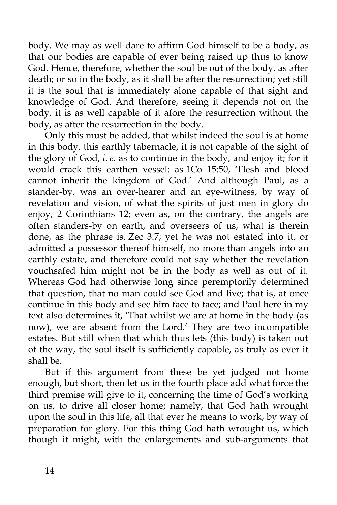body. We may as well dare to affirm God himself to be a body, as that our bodies are capable of ever being raised up thus to know God. Hence, therefore, whether the soul be out of the body, as after death; or so in the body, as it shall be after the resurrection; yet still it is the soul that is immediately alone capable of that sight and knowledge of God. And therefore, seeing it depends not on the body, it is as well capable of it afore the resurrection without the body, as after the resurrection in the body.

Only this must be added, that whilst indeed the soul is at home in this body, this earthly tabernacle, it is not capable of the sight of the glory of God, *i*. *e*. as to continue in the body, and enjoy it; for it would crack this earthen vessel: as 1Co 15:50, 'Flesh and blood cannot inherit the kingdom of God.' And although Paul, as a stander-by, was an over-hearer and an eye-witness, by way of revelation and vision, of what the spirits of just men in glory do enjoy, 2 Corinthians 12; even as, on the contrary, the angels are often standers-by on earth, and overseers of us, what is therein done, as the phrase is, Zec 3:7; yet he was not estated into it, or admitted a possessor thereof himself, no more than angels into an earthly estate, and therefore could not say whether the revelation vouchsafed him might not be in the body as well as out of it. Whereas God had otherwise long since peremptorily determined that question, that no man could see God and live; that is, at once continue in this body and see him face to face; and Paul here in my text also determines it, 'That whilst we are at home in the body (as now), we are absent from the Lord.' They are two incompatible estates. But still when that which thus lets (this body) is taken out of the way, the soul itself is sufficiently capable, as truly as ever it shall be.

But if this argument from these be yet judged not home enough, but short, then let us in the fourth place add what force the third premise will give to it, concerning the time of God's working on us, to drive all closer home; namely, that God hath wrought upon the soul in this life, all that ever he means to work, by way of preparation for glory. For this thing God hath wrought us, which though it might, with the enlargements and sub-arguments that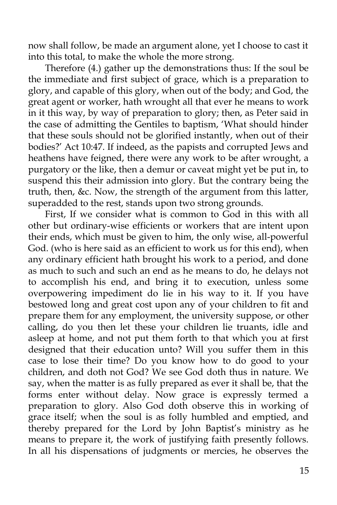now shall follow, be made an argument alone, yet I choose to cast it into this total, to make the whole the more strong.

Therefore (4.) gather up the demonstrations thus: If the soul be the immediate and first subject of grace, which is a preparation to glory, and capable of this glory, when out of the body; and God, the great agent or worker, hath wrought all that ever he means to work in it this way, by way of preparation to glory; then, as Peter said in the case of admitting the Gentiles to baptism, 'What should hinder that these souls should not be glorified instantly, when out of their bodies?' Act 10:47. If indeed, as the papists and corrupted Jews and heathens have feigned, there were any work to be after wrought, a purgatory or the like, then a demur or caveat might yet be put in, to suspend this their admission into glory. But the contrary being the truth, then, &c. Now, the strength of the argument from this latter, superadded to the rest, stands upon two strong grounds.

First, If we consider what is common to God in this with all other but ordinary-wise efficients or workers that are intent upon their ends, which must be given to him, the only wise, all-powerful God. (who is here said as an efficient to work us for this end), when any ordinary efficient hath brought his work to a period, and done as much to such and such an end as he means to do, he delays not to accomplish his end, and bring it to execution, unless some overpowering impediment do lie in his way to it. If you have bestowed long and great cost upon any of your children to fit and prepare them for any employment, the university suppose, or other calling, do you then let these your children lie truants, idle and asleep at home, and not put them forth to that which you at first designed that their education unto? Will you suffer them in this case to lose their time? Do you know how to do good to your children, and doth not God? We see God doth thus in nature. We say, when the matter is as fully prepared as ever it shall be, that the forms enter without delay. Now grace is expressly termed a preparation to glory. Also God doth observe this in working of grace itself; when the soul is as folly humbled and emptied, and thereby prepared for the Lord by John Baptist's ministry as he means to prepare it, the work of justifying faith presently follows. In all his dispensations of judgments or mercies, he observes the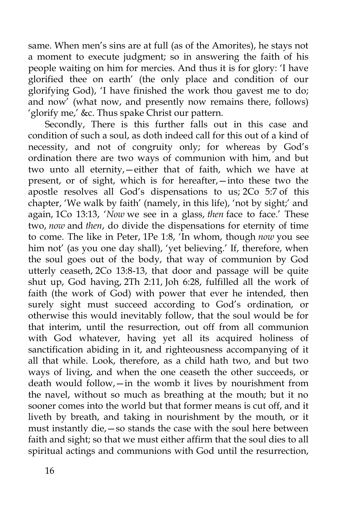same. When men's sins are at full (as of the Amorites), he stays not a moment to execute judgment; so in answering the faith of his people waiting on him for mercies. And thus it is for glory: 'I have glorified thee on earth' (the only place and condition of our glorifying God), 'I have finished the work thou gavest me to do; and now' (what now, and presently now remains there, follows) 'glorify me,' &c. Thus spake Christ our pattern.

Secondly, There is this further falls out in this case and condition of such a soul, as doth indeed call for this out of a kind of necessity, and not of congruity only; for whereas by God's ordination there are two ways of communion with him, and but two unto all eternity,—either that of faith, which we have at present, or of sight, which is for hereafter,—into these two the apostle resolves all God's dispensations to us; 2Co 5:7 of this chapter, 'We walk by faith' (namely, in this life), 'not by sight;' and again, 1Co 13:13, '*Now* we see in a glass, *then* face to face.' These two, *now* and *then*, do divide the dispensations for eternity of time to come. The like in Peter, 1Pe 1:8, 'In whom, though *now* you see him not' (as you one day shall), 'yet believing.' If, therefore, when the soul goes out of the body, that way of communion by God utterly ceaseth, 2Co 13:8-13, that door and passage will be quite shut up, God having, 2Th 2:11, Joh 6:28, fulfilled all the work of faith (the work of God) with power that ever he intended, then surely sight must succeed according to God's ordination, or otherwise this would inevitably follow, that the soul would be for that interim, until the resurrection, out off from all communion with God whatever, having yet all its acquired holiness of sanctification abiding in it, and righteousness accompanying of it all that while. Look, therefore, as a child hath two, and but two ways of living, and when the one ceaseth the other succeeds, or death would follow,—in the womb it lives by nourishment from the navel, without so much as breathing at the mouth; but it no sooner comes into the world but that former means is cut off, and it liveth by breath, and taking in nourishment by the mouth, or it must instantly die,—so stands the case with the soul here between faith and sight; so that we must either affirm that the soul dies to all spiritual actings and communions with God until the resurrection,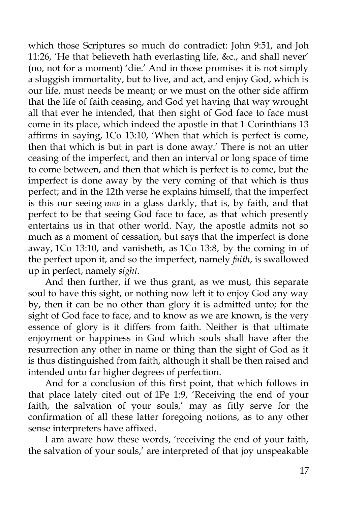which those Scriptures so much do contradict: John 9:51, and Joh 11:26, 'He that believeth hath everlasting life, &c., and shall never' (no, not for a moment) 'die.' And in those promises it is not simply a sluggish immortality, but to live, and act, and enjoy God, which is our life, must needs be meant; or we must on the other side affirm that the life of faith ceasing, and God yet having that way wrought all that ever he intended, that then sight of God face to face must come in its place, which indeed the apostle in that 1 Corinthians 13 affirms in saying, 1Co 13:10, 'When that which is perfect is come, then that which is but in part is done away.' There is not an utter ceasing of the imperfect, and then an interval or long space of time to come between, and then that which is perfect is to come, but the imperfect is done away by the very coming of that which is thus perfect; and in the 12th verse he explains himself, that the imperfect is this our seeing *now* in a glass darkly, that is, by faith, and that perfect to be that seeing God face to face, as that which presently entertains us in that other world. Nay, the apostle admits not so much as a moment of cessation, but says that the imperfect is done away, 1Co 13:10, and vanisheth, as 1Co 13:8, by the coming in of the perfect upon it, and so the imperfect, namely *faith*, is swallowed up in perfect, namely *sight*.

And then further, if we thus grant, as we must, this separate soul to have this sight, or nothing now left it to enjoy God any way by, then it can be no other than glory it is admitted unto; for the sight of God face to face, and to know as we are known, is the very essence of glory is it differs from faith. Neither is that ultimate enjoyment or happiness in God which souls shall have after the resurrection any other in name or thing than the sight of God as it is thus distinguished from faith, although it shall be then raised and intended unto far higher degrees of perfection.

And for a conclusion of this first point, that which follows in that place lately cited out of 1Pe 1:9, 'Receiving the end of your faith, the salvation of your souls,' may as fitly serve for the confirmation of all these latter foregoing notions, as to any other sense interpreters have affixed.

I am aware how these words, 'receiving the end of your faith, the salvation of your souls,' are interpreted of that joy unspeakable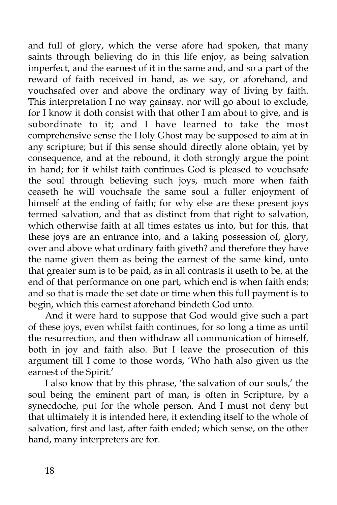and full of glory, which the verse afore had spoken, that many saints through believing do in this life enjoy, as being salvation imperfect, and the earnest of it in the same and, and so a part of the reward of faith received in hand, as we say, or aforehand, and vouchsafed over and above the ordinary way of living by faith. This interpretation I no way gainsay, nor will go about to exclude, for I know it doth consist with that other I am about to give, and is subordinate to it; and I have learned to take the most comprehensive sense the Holy Ghost may be supposed to aim at in any scripture; but if this sense should directly alone obtain, yet by consequence, and at the rebound, it doth strongly argue the point in hand; for if whilst faith continues God is pleased to vouchsafe the soul through believing such joys, much more when faith ceaseth he will vouchsafe the same soul a fuller enjoyment of himself at the ending of faith; for why else are these present joys termed salvation, and that as distinct from that right to salvation, which otherwise faith at all times estates us into, but for this, that these joys are an entrance into, and a taking possession of, glory, over and above what ordinary faith giveth? and therefore they have the name given them as being the earnest of the same kind, unto that greater sum is to be paid, as in all contrasts it useth to be, at the end of that performance on one part, which end is when faith ends; and so that is made the set date or time when this full payment is to begin, which this earnest aforehand bindeth God unto.

And it were hard to suppose that God would give such a part of these joys, even whilst faith continues, for so long a time as until the resurrection, and then withdraw all communication of himself, both in joy and faith also. But I leave the prosecution of this argument till I come to those words, 'Who hath also given us the earnest of the Spirit.'

I also know that by this phrase, 'the salvation of our souls,' the soul being the eminent part of man, is often in Scripture, by a synecdoche, put for the whole person. And I must not deny but that ultimately it is intended here, it extending itself to the whole of salvation, first and last, after faith ended; which sense, on the other hand, many interpreters are for.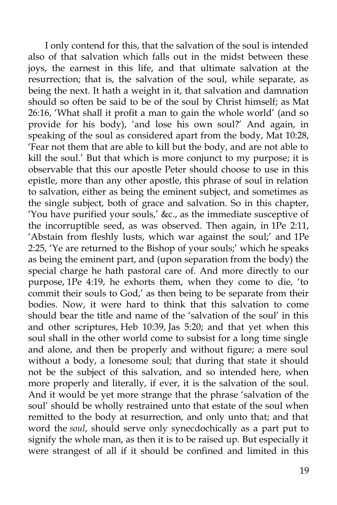I only contend for this, that the salvation of the soul is intended also of that salvation which falls out in the midst between these joys, the earnest in this life, and that ultimate salvation at the resurrection; that is, the salvation of the soul, while separate, as being the next. It hath a weight in it, that salvation and damnation should so often be said to be of the soul by Christ himself; as Mat 26:16, 'What shall it profit a man to gain the whole world' (and so provide for his body), 'and lose his own soul?' And again, in speaking of the soul as considered apart from the body, Mat 10:28, 'Fear not them that are able to kill but the body, and are not able to kill the soul.' But that which is more conjunct to my purpose; it is observable that this our apostle Peter should choose to use in this epistle, more than any other apostle, this phrase of soul in relation to salvation, either as being the eminent subject, and sometimes as the single subject, both of grace and salvation. So in this chapter, 'You have purified your souls,' &c., as the immediate susceptive of the incorruptible seed, as was observed. Then again, in 1Pe 2:11, 'Abstain from fleshly lusts, which war against the soul;' and 1Pe 2:25, 'Ye are returned to the Bishop of your souls;' which he speaks as being the eminent part, and (upon separation from the body) the special charge he hath pastoral care of. And more directly to our purpose, 1Pe 4:19, he exhorts them, when they come to die, 'to commit their souls to God,' as then being to be separate from their bodies. Now, it were hard to think that this salvation to come should bear the title and name of the 'salvation of the soul' in this and other scriptures, Heb 10:39, Jas 5:20; and that yet when this soul shall in the other world come to subsist for a long time single and alone, and then be properly and without figure; a mere soul without a body, a lonesome soul; that during that state it should not be the subject of this salvation, and so intended here, when more properly and literally, if ever, it is the salvation of the soul. And it would be yet more strange that the phrase 'salvation of the soul' should be wholly restrained unto that estate of the soul when remitted to the body at resurrection, and only unto that; and that word the *soul*, should serve only synecdochically as a part put to signify the whole man, as then it is to be raised up. But especially it were strangest of all if it should be confined and limited in this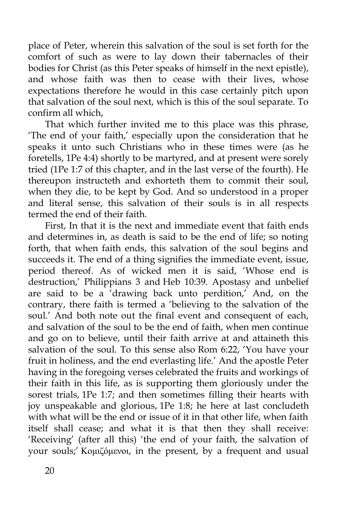place of Peter, wherein this salvation of the soul is set forth for the comfort of such as were to lay down their tabernacles of their bodies for Christ (as this Peter speaks of himself in the next epistle), and whose faith was then to cease with their lives, whose expectations therefore he would in this case certainly pitch upon that salvation of the soul next, which is this of the soul separate. To confirm all which,

That which further invited me to this place was this phrase, 'The end of your faith,' especially upon the consideration that he speaks it unto such Christians who in these times were (as he foretells, 1Pe 4:4) shortly to be martyred, and at present were sorely tried (1Pe 1:7 of this chapter, and in the last verse of the fourth). He thereupon instructeth and exhorteth them to commit their soul, when they die, to be kept by God. And so understood in a proper and literal sense, this salvation of their souls is in all respects termed the end of their faith.

First, In that it is the next and immediate event that faith ends and determines in, as death is said to be the end of life; so noting forth, that when faith ends, this salvation of the soul begins and succeeds it. The end of a thing signifies the immediate event, issue, period thereof. As of wicked men it is said, 'Whose end is destruction,' Philippians 3 and Heb 10:39. Apostasy and unbelief are said to be a 'drawing back unto perdition,' And, on the contrary, there faith is termed a 'believing to the salvation of the soul.' And both note out the final event and consequent of each, and salvation of the soul to be the end of faith, when men continue and go on to believe, until their faith arrive at and attaineth this salvation of the soul. To this sense also Rom 6:22, 'You have your fruit in holiness, and the end everlasting life.' And the apostle Peter having in the foregoing verses celebrated the fruits and workings of their faith in this life, as is supporting them gloriously under the sorest trials, 1Pe 1:7; and then sometimes filling their hearts with joy unspeakable and glorious, 1Pe 1:8; he here at last concludeth with what will be the end or issue of it in that other life, when faith itself shall cease; and what it is that then they shall receive: 'Receiving' (after all this) 'the end of your faith, the salvation of your souls;' Κομιζόμενοι, in the present, by a frequent and usual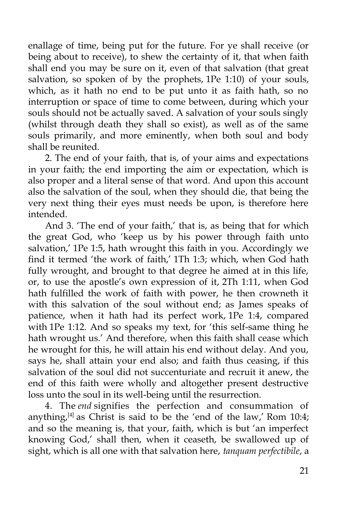enallage of time, being put for the future. For ye shall receive (or being about to receive), to shew the certainty of it, that when faith shall end you may be sure on it, even of that salvation (that great salvation, so spoken of by the prophets, 1Pe 1:10) of your souls, which, as it hath no end to be put unto it as faith hath, so no interruption or space of time to come between, during which your souls should not be actually saved. A salvation of your souls singly (whilst through death they shall so exist), as well as of the same souls primarily, and more eminently, when both soul and body shall be reunited.

2. The end of your faith, that is, of your aims and expectations in your faith; the end importing the aim or expectation, which is also proper and a literal sense of that word. And upon this account also the salvation of the soul, when they should die, that being the very next thing their eyes must needs be upon, is therefore here intended.

And 3. 'The end of your faith,' that is, as being that for which the great God, who 'keep us by his power through faith unto salvation,' 1Pe 1:5, hath wrought this faith in you. Accordingly we find it termed 'the work of faith,' 1Th 1:3; which, when God hath fully wrought, and brought to that degree he aimed at in this life, or, to use the apostle's own expression of it, 2Th 1:11, when God hath fulfilled the work of faith with power, he then crowneth it with this salvation of the soul without end; as James speaks of patience, when it hath had its perfect work, 1Pe 1:4, compared with 1Pe 1:12. And so speaks my text, for 'this self-same thing he hath wrought us.' And therefore, when this faith shall cease which he wrought for this, he will attain his end without delay. And you, says he, shall attain your end also; and faith thus ceasing, if this salvation of the soul did not succenturiate and recruit it anew, the end of this faith were wholly and altogether present destructive loss unto the soul in its well-being until the resurrection.

4. The *end* signifies the perfection and consummation of anything, $[4]$  as Christ is said to be the 'end of the law,' Rom 10:4; and so the meaning is, that your, faith, which is but 'an imperfect knowing God,' shall then, when it ceaseth, be swallowed up of sight, which is all one with that salvation here, *tanquam perfectibile*, a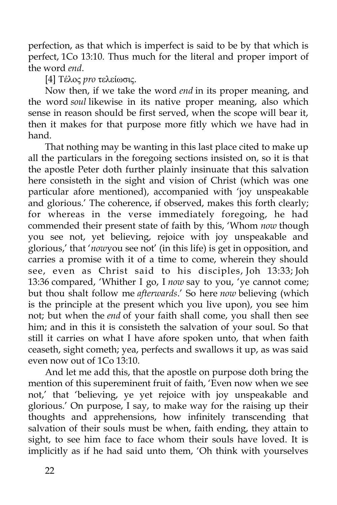perfection, as that which is imperfect is said to be by that which is perfect, 1Co 13:10. Thus much for the literal and proper import of the word *end*.

[4] Τέλος *pro* τελείωσις.

Now then, if we take the word *end* in its proper meaning, and the word *soul* likewise in its native proper meaning, also which sense in reason should be first served, when the scope will bear it, then it makes for that purpose more fitly which we have had in hand.

That nothing may be wanting in this last place cited to make up all the particulars in the foregoing sections insisted on, so it is that the apostle Peter doth further plainly insinuate that this salvation here consisteth in the sight and vision of Christ (which was one particular afore mentioned), accompanied with 'joy unspeakable and glorious.' The coherence, if observed, makes this forth clearly; for whereas in the verse immediately foregoing, he had commended their present state of faith by this, 'Whom *now* though you see not, yet believing, rejoice with joy unspeakable and glorious,' that '*now*you see not' (in this life) is get in opposition, and carries a promise with it of a time to come, wherein they should see, even as Christ said to his disciples, Joh 13:33; Joh 13:36 compared, 'Whither I go, I *now* say to you, 'ye cannot come; but thou shalt follow me *afterwards*.' So here *now* believing (which is the principle at the present which you live upon), you see him not; but when the *end* of your faith shall come, you shall then see him; and in this it is consisteth the salvation of your soul. So that still it carries on what I have afore spoken unto, that when faith ceaseth, sight cometh; yea, perfects and swallows it up, as was said even now out of 1Co 13:10.

And let me add this, that the apostle on purpose doth bring the mention of this supereminent fruit of faith, 'Even now when we see not,' that 'believing, ye yet rejoice with joy unspeakable and glorious.' On purpose, I say, to make way for the raising up their thoughts and apprehensions, how infinitely transcending that salvation of their souls must be when, faith ending, they attain to sight, to see him face to face whom their souls have loved. It is implicitly as if he had said unto them, 'Oh think with yourselves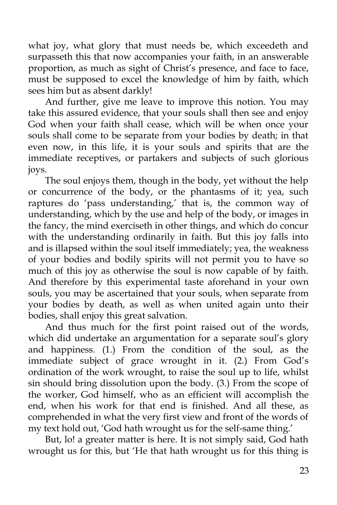what joy, what glory that must needs be, which exceedeth and surpasseth this that now accompanies your faith, in an answerable proportion, as much as sight of Christ's presence, and face to face, must be supposed to excel the knowledge of him by faith, which sees him but as absent darkly!

And further, give me leave to improve this notion. You may take this assured evidence, that your souls shall then see and enjoy God when your faith shall cease, which will be when once your souls shall come to be separate from your bodies by death; in that even now, in this life, it is your souls and spirits that are the immediate receptives, or partakers and subjects of such glorious joys.

The soul enjoys them, though in the body, yet without the help or concurrence of the body, or the phantasms of it; yea, such raptures do 'pass understanding,' that is, the common way of understanding, which by the use and help of the body, or images in the fancy, the mind exerciseth in other things, and which do concur with the understanding ordinarily in faith. But this joy falls into and is illapsed within the soul itself immediately; yea, the weakness of your bodies and bodily spirits will not permit you to have so much of this joy as otherwise the soul is now capable of by faith. And therefore by this experimental taste aforehand in your own souls, you may be ascertained that your souls, when separate from your bodies by death, as well as when united again unto their bodies, shall enjoy this great salvation.

And thus much for the first point raised out of the words, which did undertake an argumentation for a separate soul's glory and happiness. (1.) From the condition of the soul, as the immediate subject of grace wrought in it. (2.) From God's ordination of the work wrought, to raise the soul up to life, whilst sin should bring dissolution upon the body. (3.) From the scope of the worker, God himself, who as an efficient will accomplish the end, when his work for that end is finished. And all these, as comprehended in what the very first view and front of the words of my text hold out, 'God hath wrought us for the self-same thing.'

But, lo! a greater matter is here. It is not simply said, God hath wrought us for this, but 'He that hath wrought us for this thing is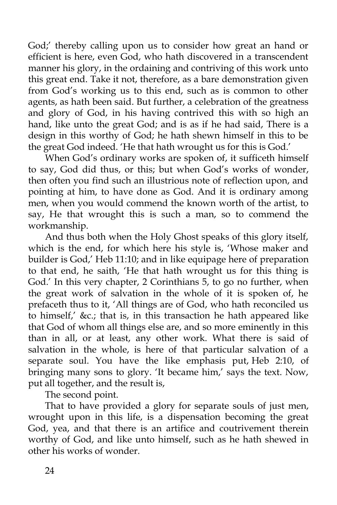God;' thereby calling upon us to consider how great an hand or efficient is here, even God, who hath discovered in a transcendent manner his glory, in the ordaining and contriving of this work unto this great end. Take it not, therefore, as a bare demonstration given from God's working us to this end, such as is common to other agents, as hath been said. But further, a celebration of the greatness and glory of God, in his having contrived this with so high an hand, like unto the great God; and is as if he had said, There is a design in this worthy of God; he hath shewn himself in this to be the great God indeed. 'He that hath wrought us for this is God.'

When God's ordinary works are spoken of, it sufficeth himself to say, God did thus, or this; but when God's works of wonder, then often you find such an illustrious note of reflection upon, and pointing at him, to have done as God. And it is ordinary among men, when you would commend the known worth of the artist, to say, He that wrought this is such a man, so to commend the workmanship.

And thus both when the Holy Ghost speaks of this glory itself, which is the end, for which here his style is, 'Whose maker and builder is God,' Heb 11:10; and in like equipage here of preparation to that end, he saith, 'He that hath wrought us for this thing is God.' In this very chapter, 2 Corinthians 5, to go no further, when the great work of salvation in the whole of it is spoken of, he prefaceth thus to it, 'All things are of God, who hath reconciled us to himself,' &c.; that is, in this transaction he hath appeared like that God of whom all things else are, and so more eminently in this than in all, or at least, any other work. What there is said of salvation in the whole, is here of that particular salvation of a separate soul. You have the like emphasis put, Heb 2:10, of bringing many sons to glory. 'It became him,' says the text. Now, put all together, and the result is,

The second point.

That to have provided a glory for separate souls of just men, wrought upon in this life, is a dispensation becoming the great God, yea, and that there is an artifice and coutrivement therein worthy of God, and like unto himself, such as he hath shewed in other his works of wonder.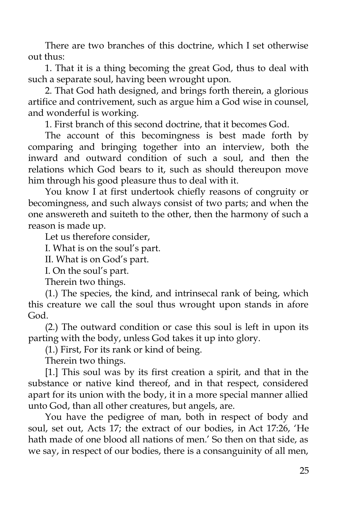There are two branches of this doctrine, which I set otherwise out thus:

1. That it is a thing becoming the great God, thus to deal with such a separate soul, having been wrought upon.

2. That God hath designed, and brings forth therein, a glorious artifice and contrivement, such as argue him a God wise in counsel, and wonderful is working.

1. First branch of this second doctrine, that it becomes God.

The account of this becomingness is best made forth by comparing and bringing together into an interview, both the inward and outward condition of such a soul, and then the relations which God bears to it, such as should thereupon move him through his good pleasure thus to deal with it.

You know I at first undertook chiefly reasons of congruity or becomingness, and such always consist of two parts; and when the one answereth and suiteth to the other, then the harmony of such a reason is made up.

Let us therefore consider,

I. What is on the soul's part.

II. What is on God's part.

I. On the soul's part.

Therein two things.

(1.) The species, the kind, and intrinsecal rank of being, which this creature we call the soul thus wrought upon stands in afore God.

(2.) The outward condition or case this soul is left in upon its parting with the body, unless God takes it up into glory.

(1.) First, For its rank or kind of being.

Therein two things.

[1.] This soul was by its first creation a spirit, and that in the substance or native kind thereof, and in that respect, considered apart for its union with the body, it in a more special manner allied unto God, than all other creatures, but angels, are.

You have the pedigree of man, both in respect of body and soul, set out, Acts 17; the extract of our bodies, in Act 17:26, 'He hath made of one blood all nations of men.' So then on that side, as we say, in respect of our bodies, there is a consanguinity of all men,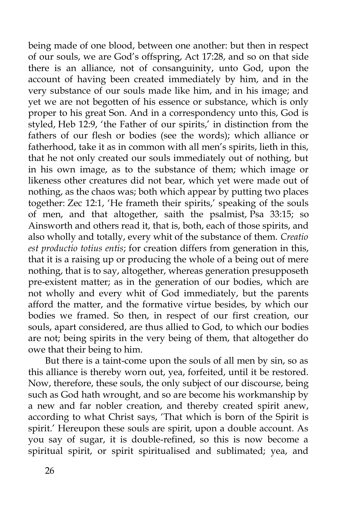being made of one blood, between one another: but then in respect of our souls, we are God's offspring, Act 17:28, and so on that side there is an alliance, not of consanguinity, unto God, upon the account of having been created immediately by him, and in the very substance of our souls made like him, and in his image; and yet we are not begotten of his essence or substance, which is only proper to his great Son. And in a correspondency unto this, God is styled, Heb 12:9, 'the Father of our spirits,' in distinction from the fathers of our flesh or bodies (see the words); which alliance or fatherhood, take it as in common with all men's spirits, lieth in this, that he not only created our souls immediately out of nothing, but in his own image, as to the substance of them; which image or likeness other creatures did not bear, which yet were made out of nothing, as the chaos was; both which appear by putting two places together: Zec 12:1, 'He frameth their spirits,' speaking of the souls of men, and that altogether, saith the psalmist, Psa 33:15; so Ainsworth and others read it, that is, both, each of those spirits, and also wholly and totally, every whit of the substance of them. *Creatio est productio totius entis*; for creation differs from generation in this, that it is a raising up or producing the whole of a being out of mere nothing, that is to say, altogether, whereas generation presupposeth pre-existent matter; as in the generation of our bodies, which are not wholly and every whit of God immediately, but the parents afford the matter, and the formative virtue besides, by which our bodies we framed. So then, in respect of our first creation, our souls, apart considered, are thus allied to God, to which our bodies are not; being spirits in the very being of them, that altogether do owe that their being to him.

But there is a taint-come upon the souls of all men by sin, so as this alliance is thereby worn out, yea, forfeited, until it be restored. Now, therefore, these souls, the only subject of our discourse, being such as God hath wrought, and so are become his workmanship by a new and far nobler creation, and thereby created spirit anew, according to what Christ says, 'That which is born of the Spirit is spirit.' Hereupon these souls are spirit, upon a double account. As you say of sugar, it is double-refined, so this is now become a spiritual spirit, or spirit spiritualised and sublimated; yea, and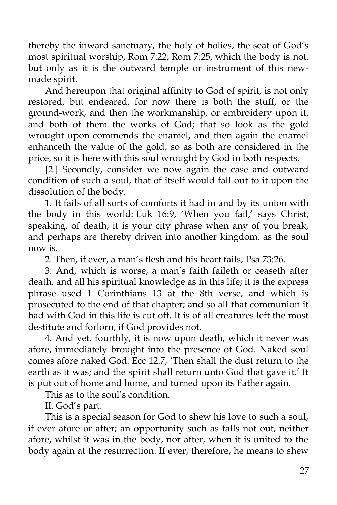thereby the inward sanctuary, the holy of holies, the seat of God's most spiritual worship, Rom 7:22; Rom 7:25, which the body is not, but only as it is the outward temple or instrument of this newmade spirit.

And hereupon that original affinity to God of spirit, is not only restored, but endeared, for now there is both the stuff, or the ground-work, and then the workmanship, or embroidery upon it, and both of them the works of God; that so look as the gold wrought upon commends the enamel, and then again the enamel enhanceth the value of the gold, so as both are considered in the price, so it is here with this soul wrought by God in both respects.

[2.] Secondly, consider we now again the case and outward condition of such a soul, that of itself would fall out to it upon the dissolution of the body.

1. It fails of all sorts of comforts it had in and by its union with the body in this world: Luk 16:9, 'When you fail,' says Christ, speaking, of death; it is your city phrase when any of you break, and perhaps are thereby driven into another kingdom, as the soul now is.

2. Then, if ever, a man's flesh and his heart fails, Psa 73:26.

3. And, which is worse, a man's faith faileth or ceaseth after death, and all his spiritual knowledge as in this life; it is the express phrase used 1 Corinthians 13 at the 8th verse, and which is prosecuted to the end of that chapter; and so all that communion it had with God in this life is cut off. It is of all creatures left the most destitute and forlorn, if God provides not.

4. And yet, fourthly, it is now upon death, which it never was afore, immediately brought into the presence of God. Naked soul comes afore naked God: Ecc 12:7, 'Then shall the dust return to the earth as it was; and the spirit shall return unto God that gave it.' It is put out of home and home, and turned upon its Father again.

This as to the soul's condition.

II. God's part.

This is a special season for God to shew his love to such a soul, if ever afore or after; an opportunity such as falls not out, neither afore, whilst it was in the body, nor after, when it is united to the body again at the resurrection. If ever, therefore, he means to shew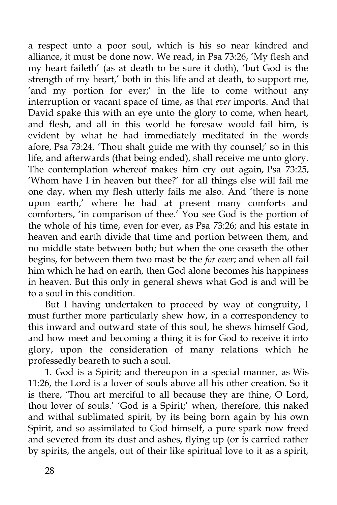a respect unto a poor soul, which is his so near kindred and alliance, it must be done now. We read, in Psa 73:26, 'My flesh and my heart faileth' (as at death to be sure it doth), 'but God is the strength of my heart,' both in this life and at death, to support me, 'and my portion for ever;' in the life to come without any interruption or vacant space of time, as that *ever* imports. And that David spake this with an eye unto the glory to come, when heart, and flesh, and all in this world he foresaw would fail him, is evident by what he had immediately meditated in the words afore, Psa 73:24, 'Thou shalt guide me with thy counsel;' so in this life, and afterwards (that being ended), shall receive me unto glory. The contemplation whereof makes him cry out again, Psa 73:25, 'Whom have I in heaven but thee?' for all things else will fail me one day, when my flesh utterly fails me also. And 'there is none upon earth,' where he had at present many comforts and comforters, 'in comparison of thee.' You see God is the portion of the whole of his time, even for ever, as Psa 73:26; and his estate in heaven and earth divide that time and portion between them, and no middle state between both; but when the one ceaseth the other begins, for between them two mast be the *for ever*; and when all fail him which he had on earth, then God alone becomes his happiness in heaven. But this only in general shews what God is and will be to a soul in this condition.

But I having undertaken to proceed by way of congruity, I must further more particularly shew how, in a correspondency to this inward and outward state of this soul, he shews himself God, and how meet and becoming a thing it is for God to receive it into glory, upon the consideration of many relations which he professedly beareth to such a soul.

1. God is a Spirit; and thereupon in a special manner, as Wis 11:26, the Lord is a lover of souls above all his other creation. So it is there, 'Thou art merciful to all because they are thine, O Lord, thou lover of souls.' 'God is a Spirit;' when, therefore, this naked and withal sublimated spirit, by its being born again by his own Spirit, and so assimilated to God himself, a pure spark now freed and severed from its dust and ashes, flying up (or is carried rather by spirits, the angels, out of their like spiritual love to it as a spirit,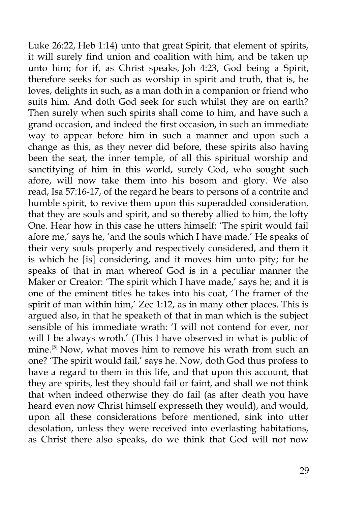Luke 26:22, Heb 1:14) unto that great Spirit, that element of spirits, it will surely find union and coalition with him, and be taken up unto him; for if, as Christ speaks, Joh 4:23, God being a Spirit, therefore seeks for such as worship in spirit and truth, that is, he loves, delights in such, as a man doth in a companion or friend who suits him. And doth God seek for such whilst they are on earth? Then surely when such spirits shall come to him, and have such a grand occasion, and indeed the first occasion, in such an immediate way to appear before him in such a manner and upon such a change as this, as they never did before, these spirits also having been the seat, the inner temple, of all this spiritual worship and sanctifying of him in this world, surely God, who sought such afore, will now take them into his bosom and glory. We also read, Isa 57:16-17, of the regard he bears to persons of a contrite and humble spirit, to revive them upon this superadded consideration, that they are souls and spirit, and so thereby allied to him, the lofty One. Hear how in this case he utters himself: 'The spirit would fail afore me,' says he, 'and the souls which I have made.' He speaks of their very souls properly and respectively considered, and them it is which he [is] considering, and it moves him unto pity; for he speaks of that in man whereof God is in a peculiar manner the Maker or Creator: 'The spirit which I have made,' says he; and it is one of the eminent titles he takes into his coat, 'The framer of the spirit of man within him,' Zec 1:12, as in many other places. This is argued also, in that he speaketh of that in man which is the subject sensible of his immediate wrath: 'I will not contend for ever, nor will I be always wroth.' (This I have observed in what is public of mine.[5] Now, what moves him to remove his wrath from such an one? 'The spirit would fail,' says he. Now, doth God thus profess to have a regard to them in this life, and that upon this account, that they are spirits, lest they should fail or faint, and shall we not think that when indeed otherwise they do fail (as after death you have heard even now Christ himself expresseth they would), and would, upon all these considerations before mentioned, sink into utter desolation, unless they were received into everlasting habitations, as Christ there also speaks, do we think that God will not now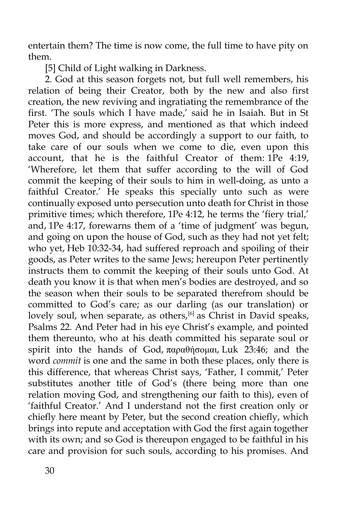entertain them? The time is now come, the full time to have pity on them.

[5] Child of Light walking in Darkness.

2. God at this season forgets not, but full well remembers, his relation of being their Creator, both by the new and also first creation, the new reviving and ingratiating the remembrance of the first. 'The souls which I have made,' said he in Isaiah. But in St Peter this is more express, and mentioned as that which indeed moves God, and should be accordingly a support to our faith, to take care of our souls when we come to die, even upon this account, that he is the faithful Creator of them: 1Pe 4:19, 'Wherefore, let them that suffer according to the will of God commit the keeping of their souls to him in well-doing, as unto a faithful Creator.' He speaks this specially unto such as were continually exposed unto persecution unto death for Christ in those primitive times; which therefore, 1Pe 4:12, he terms the 'fiery trial,' and, 1Pe 4:17, forewarns them of a 'time of judgment' was begun, and going on upon the house of God, such as they had not yet felt; who yet, Heb 10:32-34, had suffered reproach and spoiling of their goods, as Peter writes to the same Jews; hereupon Peter pertinently instructs them to commit the keeping of their souls unto God. At death you know it is that when men's bodies are destroyed, and so the season when their souls to be separated therefrom should be committed to God's care; as our darling (as our translation) or lovely soul, when separate, as others,  $\left[6\right]$  as Christ in David speaks, Psalms 22. And Peter had in his eye Christ's example, and pointed them thereunto, who at his death committed his separate soul or spirit into the hands of God, παραθήσομαι, Luk 23:46; and the word *commit* is one and the same in both these places, only there is this difference, that whereas Christ says, 'Father, I commit,' Peter substitutes another title of God's (there being more than one relation moving God, and strengthening our faith to this), even of 'faithful Creator.' And I understand not the first creation only or chiefly here meant by Peter, but the second creation chiefly, which brings into repute and acceptation with God the first again together with its own; and so God is thereupon engaged to be faithful in his care and provision for such souls, according to his promises. And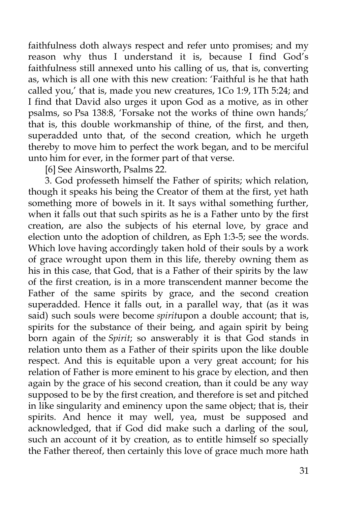faithfulness doth always respect and refer unto promises; and my reason why thus I understand it is, because I find God's faithfulness still annexed unto his calling of us, that is, converting as, which is all one with this new creation: 'Faithful is he that hath called you,' that is, made you new creatures, 1Co 1:9, 1Th 5:24; and I find that David also urges it upon God as a motive, as in other psalms, so Psa 138:8, 'Forsake not the works of thine own hands;' that is, this double workmanship of thine, of the first, and then, superadded unto that, of the second creation, which he urgeth thereby to move him to perfect the work began, and to be merciful unto him for ever, in the former part of that verse.

[6] See Ainsworth, Psalms 22.

3. God professeth himself the Father of spirits; which relation, though it speaks his being the Creator of them at the first, yet hath something more of bowels in it. It says withal something further, when it falls out that such spirits as he is a Father unto by the first creation, are also the subjects of his eternal love, by grace and election unto the adoption of children, as Eph 1:3-5; see the words. Which love having accordingly taken hold of their souls by a work of grace wrought upon them in this life, thereby owning them as his in this case, that God, that is a Father of their spirits by the law of the first creation, is in a more transcendent manner become the Father of the same spirits by grace, and the second creation superadded. Hence it falls out, in a parallel way, that (as it was said) such souls were become *spirit*upon a double account; that is, spirits for the substance of their being, and again spirit by being born again of the *Spirit*; so answerably it is that God stands in relation unto them as a Father of their spirits upon the like double respect. And this is equitable upon a very great account; for his relation of Father is more eminent to his grace by election, and then again by the grace of his second creation, than it could be any way supposed to be by the first creation, and therefore is set and pitched in like singularity and eminency upon the same object; that is, their spirits. And hence it may well, yea, must be supposed and acknowledged, that if God did make such a darling of the soul, such an account of it by creation, as to entitle himself so specially the Father thereof, then certainly this love of grace much more hath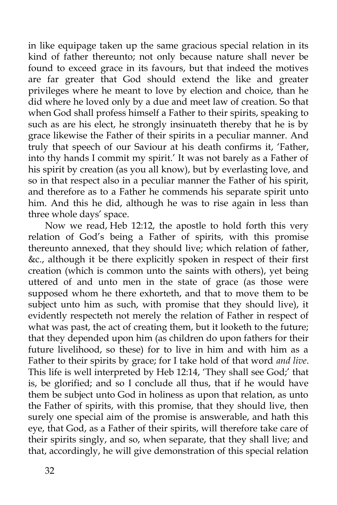in like equipage taken up the same gracious special relation in its kind of father thereunto; not only because nature shall never be found to exceed grace in its favours, but that indeed the motives are far greater that God should extend the like and greater privileges where he meant to love by election and choice, than he did where he loved only by a due and meet law of creation. So that when God shall profess himself a Father to their spirits, speaking to such as are his elect, he strongly insinuateth thereby that he is by grace likewise the Father of their spirits in a peculiar manner. And truly that speech of our Saviour at his death confirms it, 'Father, into thy hands I commit my spirit.' It was not barely as a Father of his spirit by creation (as you all know), but by everlasting love, and so in that respect also in a peculiar manner the Father of his spirit, and therefore as to a Father he commends his separate spirit unto him. And this he did, although he was to rise again in less than three whole days' space.

Now we read, Heb 12:12, the apostle to hold forth this very relation of God's being a Father of spirits, with this promise thereunto annexed, that they should live; which relation of father, &c., although it be there explicitly spoken in respect of their first creation (which is common unto the saints with others), yet being uttered of and unto men in the state of grace (as those were supposed whom he there exhorteth, and that to move them to be subject unto him as such, with promise that they should live), it evidently respecteth not merely the relation of Father in respect of what was past, the act of creating them, but it looketh to the future; that they depended upon him (as children do upon fathers for their future livelihood, so these) for to live in him and with him as a Father to their spirits by grace; for I take hold of that word *and live*. This life is well interpreted by Heb 12:14, 'They shall see God;' that is, be glorified; and so I conclude all thus, that if he would have them be subject unto God in holiness as upon that relation, as unto the Father of spirits, with this promise, that they should live, then surely one special aim of the promise is answerable, and hath this eye, that God, as a Father of their spirits, will therefore take care of their spirits singly, and so, when separate, that they shall live; and that, accordingly, he will give demonstration of this special relation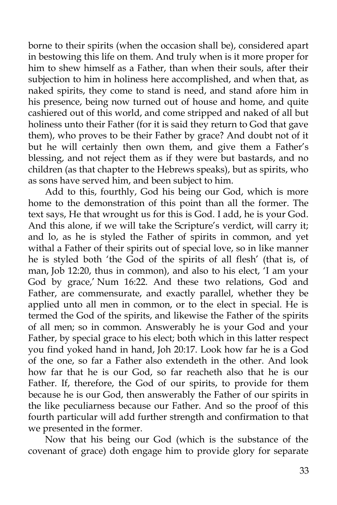borne to their spirits (when the occasion shall be), considered apart in bestowing this life on them. And truly when is it more proper for him to shew himself as a Father, than when their souls, after their subjection to him in holiness here accomplished, and when that, as naked spirits, they come to stand is need, and stand afore him in his presence, being now turned out of house and home, and quite cashiered out of this world, and come stripped and naked of all but holiness unto their Father (for it is said they return to God that gave them), who proves to be their Father by grace? And doubt not of it but he will certainly then own them, and give them a Father's blessing, and not reject them as if they were but bastards, and no children (as that chapter to the Hebrews speaks), but as spirits, who as sons have served him, and been subject to him.

Add to this, fourthly, God his being our God, which is more home to the demonstration of this point than all the former. The text says, He that wrought us for this is God. I add, he is your God. And this alone, if we will take the Scripture's verdict, will carry it; and lo, as he is styled the Father of spirits in common, and yet withal a Father of their spirits out of special love, so in like manner he is styled both 'the God of the spirits of all flesh' (that is, of man, Job 12:20, thus in common), and also to his elect, 'I am your God by grace,' Num 16:22. And these two relations, God and Father, are commensurate, and exactly parallel, whether they be applied unto all men in common, or to the elect in special. He is termed the God of the spirits, and likewise the Father of the spirits of all men; so in common. Answerably he is your God and your Father, by special grace to his elect; both which in this latter respect you find yoked hand in hand, Joh 20:17. Look how far he is a God of the one, so far a Father also extendeth in the other. And look how far that he is our God, so far reacheth also that he is our Father. If, therefore, the God of our spirits, to provide for them because he is our God, then answerably the Father of our spirits in the like peculiarness because our Father. And so the proof of this fourth particular will add further strength and confirmation to that we presented in the former.

Now that his being our God (which is the substance of the covenant of grace) doth engage him to provide glory for separate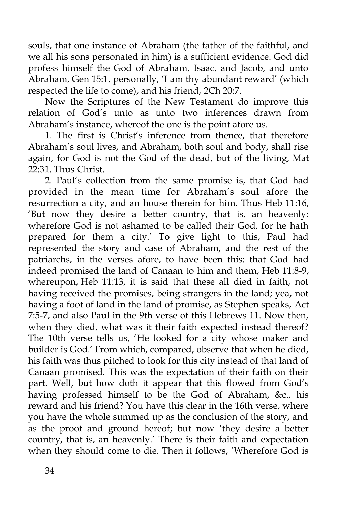souls, that one instance of Abraham (the father of the faithful, and we all his sons personated in him) is a sufficient evidence. God did profess himself the God of Abraham, Isaac, and Jacob, and unto Abraham, Gen 15:1, personally, 'I am thy abundant reward' (which respected the life to come), and his friend, 2Ch 20:7.

Now the Scriptures of the New Testament do improve this relation of God's unto as unto two inferences drawn from Abraham's instance, whereof the one is the point afore us.

1. The first is Christ's inference from thence, that therefore Abraham's soul lives, and Abraham, both soul and body, shall rise again, for God is not the God of the dead, but of the living, Mat 22:31. Thus Christ.

2. Paul's collection from the same promise is, that God had provided in the mean time for Abraham's soul afore the resurrection a city, and an house therein for him. Thus Heb 11:16, 'But now they desire a better country, that is, an heavenly: wherefore God is not ashamed to be called their God, for he hath prepared for them a city.' To give light to this, Paul had represented the story and case of Abraham, and the rest of the patriarchs, in the verses afore, to have been this: that God had indeed promised the land of Canaan to him and them, Heb 11:8-9, whereupon, Heb 11:13, it is said that these all died in faith, not having received the promises, being strangers in the land; yea, not having a foot of land in the land of promise, as Stephen speaks, Act 7:5-7, and also Paul in the 9th verse of this Hebrews 11. Now then, when they died, what was it their faith expected instead thereof? The 10th verse tells us, 'He looked for a city whose maker and builder is God.' From which, compared, observe that when he died, his faith was thus pitched to look for this city instead of that land of Canaan promised. This was the expectation of their faith on their part. Well, but how doth it appear that this flowed from God's having professed himself to be the God of Abraham, &c., his reward and his friend? You have this clear in the 16th verse, where you have the whole summed up as the conclusion of the story, and as the proof and ground hereof; but now 'they desire a better country, that is, an heavenly.' There is their faith and expectation when they should come to die. Then it follows, 'Wherefore God is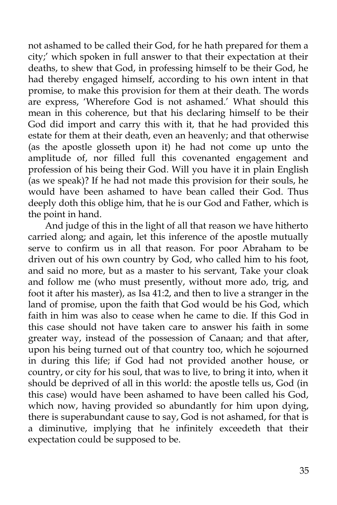not ashamed to be called their God, for he hath prepared for them a city;' which spoken in full answer to that their expectation at their deaths, to shew that God, in professing himself to be their God, he had thereby engaged himself, according to his own intent in that promise, to make this provision for them at their death. The words are express, 'Wherefore God is not ashamed.' What should this mean in this coherence, but that his declaring himself to be their God did import and carry this with it, that he had provided this estate for them at their death, even an heavenly; and that otherwise (as the apostle glosseth upon it) he had not come up unto the amplitude of, nor filled full this covenanted engagement and profession of his being their God. Will you have it in plain English (as we speak)? If he had not made this provision for their souls, he would have been ashamed to have bean called their God. Thus deeply doth this oblige him, that he is our God and Father, which is the point in hand.

And judge of this in the light of all that reason we have hitherto carried along; and again, let this inference of the apostle mutually serve to confirm us in all that reason. For poor Abraham to be driven out of his own country by God, who called him to his foot, and said no more, but as a master to his servant, Take your cloak and follow me (who must presently, without more ado, trig, and foot it after his master), as Isa 41:2, and then to live a stranger in the land of promise, upon the faith that God would be his God, which faith in him was also to cease when he came to die. If this God in this case should not have taken care to answer his faith in some greater way, instead of the possession of Canaan; and that after, upon his being turned out of that country too, which he sojourned in during this life; if God had not provided another house, or country, or city for his soul, that was to live, to bring it into, when it should be deprived of all in this world: the apostle tells us, God (in this case) would have been ashamed to have been called his God, which now, having provided so abundantly for him upon dying, there is superabundant cause to say, God is not ashamed, for that is a diminutive, implying that he infinitely exceedeth that their expectation could be supposed to be.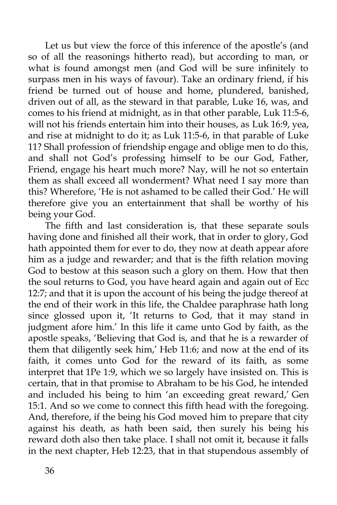Let us but view the force of this inference of the apostle's (and so of all the reasonings hitherto read), but according to man, or what is found amongst men (and God will be sure infinitely to surpass men in his ways of favour). Take an ordinary friend, if his friend be turned out of house and home, plundered, banished, driven out of all, as the steward in that parable, Luke 16, was, and comes to his friend at midnight, as in that other parable, Luk 11:5-6, will not his friends entertain him into their houses, as Luk 16:9, yea, and rise at midnight to do it; as Luk 11:5-6, in that parable of Luke 11? Shall profession of friendship engage and oblige men to do this, and shall not God's professing himself to be our God, Father, Friend, engage his heart much more? Nay, will he not so entertain them as shall exceed all wonderment? What need I say more than this? Wherefore, 'He is not ashamed to be called their God.' He will therefore give you an entertainment that shall be worthy of his being your God.

The fifth and last consideration is, that these separate souls having done and finished all their work, that in order to glory, God hath appointed them for ever to do, they now at death appear afore him as a judge and rewarder; and that is the fifth relation moving God to bestow at this season such a glory on them. How that then the soul returns to God, you have heard again and again out of Ecc 12:7; and that it is upon the account of his being the judge thereof at the end of their work in this life, the Chaldee paraphrase hath long since glossed upon it, 'It returns to God, that it may stand in judgment afore him.' In this life it came unto God by faith, as the apostle speaks, 'Believing that God is, and that he is a rewarder of them that diligently seek him,' Heb 11:6; and now at the end of its faith, it comes unto God for the reward of its faith, as some interpret that 1Pe 1:9, which we so largely have insisted on. This is certain, that in that promise to Abraham to be his God, he intended and included his being to him 'an exceeding great reward,' Gen 15:1. And so we come to connect this fifth head with the foregoing. And, therefore, if the being his God moved him to prepare that city against his death, as hath been said, then surely his being his reward doth also then take place. I shall not omit it, because it falls in the next chapter, Heb 12:23, that in that stupendous assembly of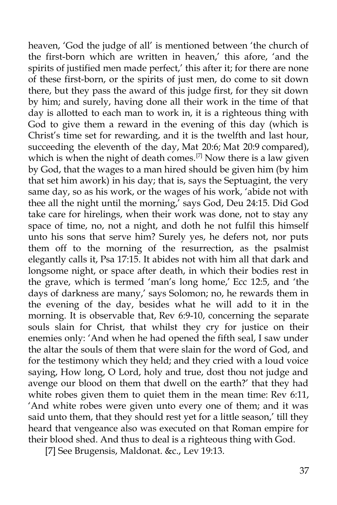heaven, 'God the judge of all' is mentioned between 'the church of the first-born which are written in heaven,' this afore, 'and the spirits of justified men made perfect,' this after it; for there are none of these first-born, or the spirits of just men, do come to sit down there, but they pass the award of this judge first, for they sit down by him; and surely, having done all their work in the time of that day is allotted to each man to work in, it is a righteous thing with God to give them a reward in the evening of this day (which is Christ's time set for rewarding, and it is the twelfth and last hour, succeeding the eleventh of the day, Mat 20:6; Mat 20:9 compared), which is when the night of death comes.<sup>[7]</sup> Now there is a law given by God, that the wages to a man hired should be given him (by him that set him awork) in his day; that is, says the Septuagint, the very same day, so as his work, or the wages of his work, 'abide not with thee all the night until the morning,' says God, Deu 24:15. Did God take care for hirelings, when their work was done, not to stay any space of time, no, not a night, and doth he not fulfil this himself unto his sons that serve him? Surely yes, he defers not, nor puts them off to the morning of the resurrection, as the psalmist elegantly calls it, Psa 17:15. It abides not with him all that dark and longsome night, or space after death, in which their bodies rest in the grave, which is termed 'man's long home,' Ecc 12:5, and 'the days of darkness are many,' says Solomon; no, he rewards them in the evening of the day, besides what he will add to it in the morning. It is observable that, Rev 6:9-10, concerning the separate souls slain for Christ, that whilst they cry for justice on their enemies only: 'And when he had opened the fifth seal, I saw under the altar the souls of them that were slain for the word of God, and for the testimony which they held; and they cried with a loud voice saying, How long, O Lord, holy and true, dost thou not judge and avenge our blood on them that dwell on the earth?' that they had white robes given them to quiet them in the mean time: Rev 6:11, 'And white robes were given unto every one of them; and it was said unto them, that they should rest yet for a little season,' till they heard that vengeance also was executed on that Roman empire for their blood shed. And thus to deal is a righteous thing with God.

[7] See Brugensis, Maldonat. &c., Lev 19:13.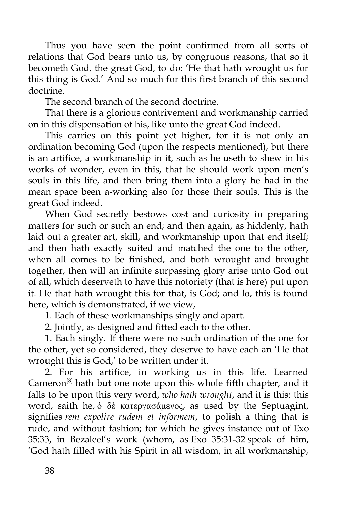Thus you have seen the point confirmed from all sorts of relations that God bears unto us, by congruous reasons, that so it becometh God, the great God, to do: 'He that hath wrought us for this thing is God.' And so much for this first branch of this second doctrine.

The second branch of the second doctrine.

That there is a glorious contrivement and workmanship carried on in this dispensation of his, like unto the great God indeed.

This carries on this point yet higher, for it is not only an ordination becoming God (upon the respects mentioned), but there is an artifice, a workmanship in it, such as he useth to shew in his works of wonder, even in this, that he should work upon men's souls in this life, and then bring them into a glory he had in the mean space been a-working also for those their souls. This is the great God indeed.

When God secretly bestows cost and curiosity in preparing matters for such or such an end; and then again, as hiddenly, hath laid out a greater art, skill, and workmanship upon that end itself; and then hath exactly suited and matched the one to the other, when all comes to be finished, and both wrought and brought together, then will an infinite surpassing glory arise unto God out of all, which deserveth to have this notoriety (that is here) put upon it. He that hath wrought this for that, is God; and lo, this is found here, which is demonstrated, if we view,

1. Each of these workmanships singly and apart.

2. Jointly, as designed and fitted each to the other.

1. Each singly. If there were no such ordination of the one for the other, yet so considered, they deserve to have each an 'He that wrought this is God,' to be written under it.

2. For his artifice, in working us in this life. Learned Cameron<sup>[8]</sup> hath but one note upon this whole fifth chapter, and it falls to be upon this very word, *who hath wrought*, and it is this: this word, saith he, ὁ δὲ κατεργασάμενος, as used by the Septuagint, signifies *rem expolire rudem et informem*, to polish a thing that is rude, and without fashion; for which he gives instance out of Exo 35:33, in Bezaleel's work (whom, as Exo 35:31-32 speak of him, 'God hath filled with his Spirit in all wisdom, in all workmanship,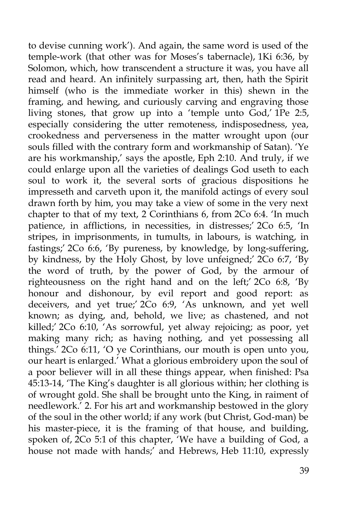to devise cunning work'). And again, the same word is used of the temple-work (that other was for Moses's tabernacle), 1Ki 6:36, by Solomon, which, how transcendent a structure it was, you have all read and heard. An infinitely surpassing art, then, hath the Spirit himself (who is the immediate worker in this) shewn in the framing, and hewing, and curiously carving and engraving those living stones, that grow up into a 'temple unto God,' 1Pe 2:5, especially considering the utter remoteness, indisposedness, yea, crookedness and perverseness in the matter wrought upon (our souls filled with the contrary form and workmanship of Satan). 'Ye are his workmanship,' says the apostle, Eph 2:10. And truly, if we could enlarge upon all the varieties of dealings God useth to each soul to work it, the several sorts of gracious dispositions he impresseth and carveth upon it, the manifold actings of every soul drawn forth by him, you may take a view of some in the very next chapter to that of my text, 2 Corinthians 6, from 2Co 6:4. 'In much patience, in afflictions, in necessities, in distresses;' 2Co 6:5, 'In stripes, in imprisonments, in tumults, in labours, is watching, in fastings;' 2Co 6:6, 'By pureness, by knowledge, by long-suffering, by kindness, by the Holy Ghost, by love unfeigned;' 2Co 6:7, 'By the word of truth, by the power of God, by the armour of righteousness on the right hand and on the left;' 2Co 6:8, 'By honour and dishonour, by evil report and good report: as deceivers, and yet true;' 2Co 6:9, 'As unknown, and yet well known; as dying, and, behold, we live; as chastened, and not killed; 2Co 6:10, As sorrowful, yet alway rejoicing; as poor, yet making many rich; as having nothing, and yet possessing all things.' 2Co 6:11, 'O ye Corinthians, our mouth is open unto you, our heart is enlarged.' What a glorious embroidery upon the soul of a poor believer will in all these things appear, when finished: Psa 45:13-14, 'The King's daughter is all glorious within; her clothing is of wrought gold. She shall be brought unto the King, in raiment of needlework.' 2. For his art and workmanship bestowed in the glory of the soul in the other world; if any work (but Christ, God-man) be his master-piece, it is the framing of that house, and building, spoken of, 2Co 5:1 of this chapter, 'We have a building of God, a house not made with hands;<sup>'</sup> and Hebrews, Heb 11:10, expressly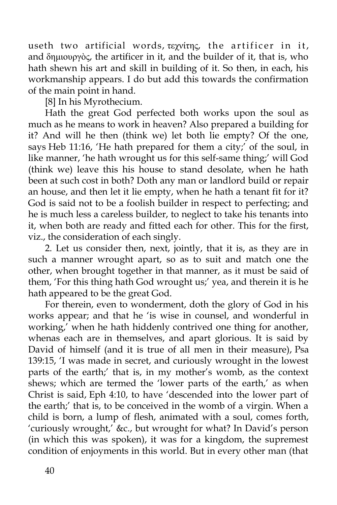useth two artificial words, τεχνίτης, the artificer in it, and δημιουργὸς, the artificer in it, and the builder of it, that is, who hath shewn his art and skill in building of it. So then, in each, his workmanship appears. I do but add this towards the confirmation of the main point in hand.

[8] In his Myrothecium.

Hath the great God perfected both works upon the soul as much as he means to work in heaven? Also prepared a building for it? And will he then (think we) let both lie empty? Of the one, says Heb 11:16, 'He hath prepared for them a city;' of the soul, in like manner, 'he hath wrought us for this self-same thing;' will God (think we) leave this his house to stand desolate, when he hath been at such cost in both? Doth any man or landlord build or repair an house, and then let it lie empty, when he hath a tenant fit for it? God is said not to be a foolish builder in respect to perfecting; and he is much less a careless builder, to neglect to take his tenants into it, when both are ready and fitted each for other. This for the first, viz., the consideration of each singly.

2. Let us consider then, next, jointly, that it is, as they are in such a manner wrought apart, so as to suit and match one the other, when brought together in that manner, as it must be said of them, 'For this thing hath God wrought us;' yea, and therein it is he hath appeared to be the great God.

For therein, even to wonderment, doth the glory of God in his works appear; and that he 'is wise in counsel, and wonderful in working,' when he hath hiddenly contrived one thing for another, whenas each are in themselves, and apart glorious. It is said by David of himself (and it is true of all men in their measure), Psa 139:15, 'I was made in secret, and curiously wrought in the lowest parts of the earth;' that is, in my mother's womb, as the context shews; which are termed the 'lower parts of the earth,' as when Christ is said, Eph 4:10, to have 'descended into the lower part of the earth;' that is, to be conceived in the womb of a virgin. When a child is born, a lump of flesh, animated with a soul, comes forth, 'curiously wrought,' &c., but wrought for what? In David's person (in which this was spoken), it was for a kingdom, the supremest condition of enjoyments in this world. But in every other man (that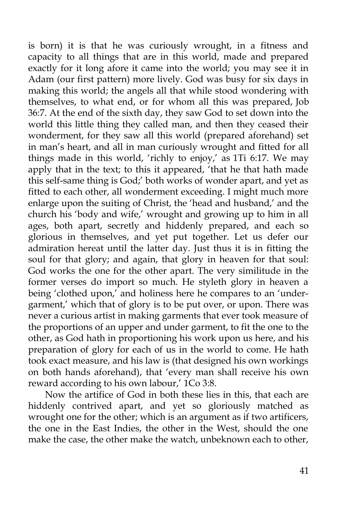is born) it is that he was curiously wrought, in a fitness and capacity to all things that are in this world, made and prepared exactly for it long afore it came into the world; you may see it in Adam (our first pattern) more lively. God was busy for six days in making this world; the angels all that while stood wondering with themselves, to what end, or for whom all this was prepared, Job 36:7. At the end of the sixth day, they saw God to set down into the world this little thing they called man, and then they ceased their wonderment, for they saw all this world (prepared aforehand) set in man's heart, and all in man curiously wrought and fitted for all things made in this world, 'richly to enjoy,' as 1Ti 6:17. We may apply that in the text; to this it appeared, 'that he that hath made this self-same thing is God;' both works of wonder apart, and yet as fitted to each other, all wonderment exceeding. I might much more enlarge upon the suiting of Christ, the 'head and husband,' and the church his 'body and wife,' wrought and growing up to him in all ages, both apart, secretly and hiddenly prepared, and each so glorious in themselves, and yet put together. Let us defer our admiration hereat until the latter day. Just thus it is in fitting the soul for that glory; and again, that glory in heaven for that soul: God works the one for the other apart. The very similitude in the former verses do import so much. He styleth glory in heaven a being 'clothed upon,' and holiness here he compares to an 'undergarment,' which that of glory is to be put over, or upon. There was never a curious artist in making garments that ever took measure of the proportions of an upper and under garment, to fit the one to the other, as God hath in proportioning his work upon us here, and his preparation of glory for each of us in the world to come. He hath took exact measure, and his law is (that designed his own workings on both hands aforehand), that 'every man shall receive his own reward according to his own labour,' 1Co 3:8.

Now the artifice of God in both these lies in this, that each are hiddenly contrived apart, and yet so gloriously matched as wrought one for the other; which is an argument as if two artificers, the one in the East Indies, the other in the West, should the one make the case, the other make the watch, unbeknown each to other,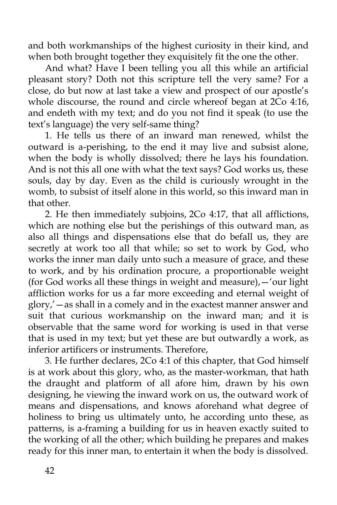and both workmanships of the highest curiosity in their kind, and when both brought together they exquisitely fit the one the other.

And what? Have I been telling you all this while an artificial pleasant story? Doth not this scripture tell the very same? For a close, do but now at last take a view and prospect of our apostle's whole discourse, the round and circle whereof began at 2Co 4:16, and endeth with my text; and do you not find it speak (to use the text's language) the very self-same thing?

1. He tells us there of an inward man renewed, whilst the outward is a-perishing, to the end it may live and subsist alone, when the body is wholly dissolved; there he lays his foundation. And is not this all one with what the text says? God works us, these souls, day by day. Even as the child is curiously wrought in the womb, to subsist of itself alone in this world, so this inward man in that other.

2. He then immediately subjoins, 2Co 4:17, that all afflictions, which are nothing else but the perishings of this outward man, as also all things and dispensations else that do befall us, they are secretly at work too all that while; so set to work by God, who works the inner man daily unto such a measure of grace, and these to work, and by his ordination procure, a proportionable weight (for God works all these things in weight and measure),—'our light affliction works for us a far more exceeding and eternal weight of glory,'—as shall in a comely and in the exactest manner answer and suit that curious workmanship on the inward man; and it is observable that the same word for working is used in that verse that is used in my text; but yet these are but outwardly a work, as inferior artificers or instruments. Therefore,

3. He further declares, 2Co 4:1 of this chapter, that God himself is at work about this glory, who, as the master-workman, that hath the draught and platform of all afore him, drawn by his own designing, he viewing the inward work on us, the outward work of means and dispensations, and knows aforehand what degree of holiness to bring us ultimately unto, he according unto these, as patterns, is a-framing a building for us in heaven exactly suited to the working of all the other; which building he prepares and makes ready for this inner man, to entertain it when the body is dissolved.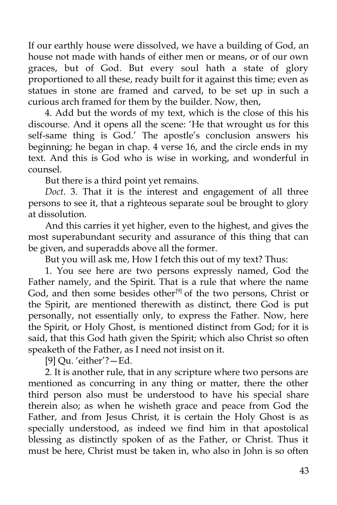If our earthly house were dissolved, we have a building of God, an house not made with hands of either men or means, or of our own graces, but of God. But every soul hath a state of glory proportioned to all these, ready built for it against this time; even as statues in stone are framed and carved, to be set up in such a curious arch framed for them by the builder. Now, then,

4. Add but the words of my text, which is the close of this his discourse. And it opens all the scene: 'He that wrought us for this self-same thing is God.' The apostle's conclusion answers his beginning; he began in chap. 4 verse 16, and the circle ends in my text. And this is God who is wise in working, and wonderful in counsel.

But there is a third point yet remains.

*Doct*. 3. That it is the interest and engagement of all three persons to see it, that a righteous separate soul be brought to glory at dissolution.

And this carries it yet higher, even to the highest, and gives the most superabundant security and assurance of this thing that can be given, and superadds above all the former.

But you will ask me, How I fetch this out of my text? Thus:

1. You see here are two persons expressly named, God the Father namely, and the Spirit. That is a rule that where the name God, and then some besides other<sup>[9]</sup> of the two persons, Christ or the Spirit, are mentioned therewith as distinct, there God is put personally, not essentially only, to express the Father. Now, here the Spirit, or Holy Ghost, is mentioned distinct from God; for it is said, that this God hath given the Spirit; which also Christ so often speaketh of the Father, as I need not insist on it.

[9] Qu. 'either'?—Ed.

2. It is another rule, that in any scripture where two persons are mentioned as concurring in any thing or matter, there the other third person also must be understood to have his special share therein also; as when he wisheth grace and peace from God the Father, and from Jesus Christ, it is certain the Holy Ghost is as specially understood, as indeed we find him in that apostolical blessing as distinctly spoken of as the Father, or Christ. Thus it must be here, Christ must be taken in, who also in John is so often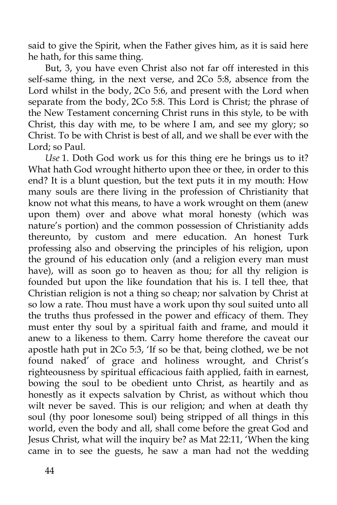said to give the Spirit, when the Father gives him, as it is said here he hath, for this same thing.

But, 3, you have even Christ also not far off interested in this self-same thing, in the next verse, and 2Co 5:8, absence from the Lord whilst in the body, 2Co 5:6, and present with the Lord when separate from the body, 2Co 5:8. This Lord is Christ; the phrase of the New Testament concerning Christ runs in this style, to be with Christ, this day with me, to be where I am, and see my glory; so Christ. To be with Christ is best of all, and we shall be ever with the Lord; so Paul.

*Use* 1. Doth God work us for this thing ere he brings us to it? What hath God wrought hitherto upon thee or thee, in order to this end? It is a blunt question, but the text puts it in my mouth: How many souls are there living in the profession of Christianity that know not what this means, to have a work wrought on them (anew upon them) over and above what moral honesty (which was nature's portion) and the common possession of Christianity adds thereunto, by custom and mere education. An honest Turk professing also and observing the principles of his religion, upon the ground of his education only (and a religion every man must have), will as soon go to heaven as thou; for all thy religion is founded but upon the like foundation that his is. I tell thee, that Christian religion is not a thing so cheap; nor salvation by Christ at so low a rate. Thou must have a work upon thy soul suited unto all the truths thus professed in the power and efficacy of them. They must enter thy soul by a spiritual faith and frame, and mould it anew to a likeness to them. Carry home therefore the caveat our apostle hath put in 2Co 5:3, 'If so be that, being clothed, we be not found naked' of grace and holiness wrought, and Christ's righteousness by spiritual efficacious faith applied, faith in earnest, bowing the soul to be obedient unto Christ, as heartily and as honestly as it expects salvation by Christ, as without which thou wilt never be saved. This is our religion; and when at death thy soul (thy poor lonesome soul) being stripped of all things in this world, even the body and all, shall come before the great God and Jesus Christ, what will the inquiry be? as Mat 22:11, 'When the king came in to see the guests, he saw a man had not the wedding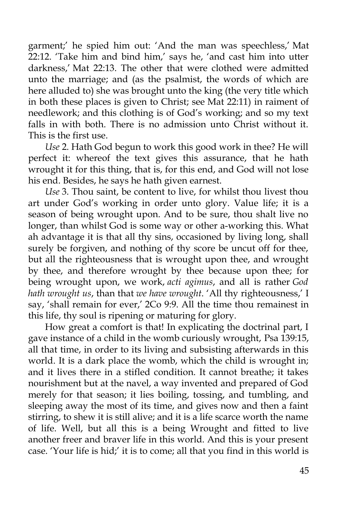garment;' he spied him out: 'And the man was speechless,' Mat 22:12. 'Take him and bind him,' says he, 'and cast him into utter darkness,' Mat 22:13. The other that were clothed were admitted unto the marriage; and (as the psalmist, the words of which are here alluded to) she was brought unto the king (the very title which in both these places is given to Christ; see Mat 22:11) in raiment of needlework; and this clothing is of God's working; and so my text falls in with both. There is no admission unto Christ without it. This is the first use.

*Use* 2. Hath God begun to work this good work in thee? He will perfect it: whereof the text gives this assurance, that he hath wrought it for this thing, that is, for this end, and God will not lose his end. Besides, he says he hath given earnest.

*Use* 3. Thou saint, be content to live, for whilst thou livest thou art under God's working in order unto glory. Value life; it is a season of being wrought upon. And to be sure, thou shalt live no longer, than whilst God is some way or other a-working this. What ah advantage it is that all thy sins, occasioned by living long, shall surely be forgiven, and nothing of thy score be uncut off for thee, but all the righteousness that is wrought upon thee, and wrought by thee, and therefore wrought by thee because upon thee; for being wrought upon, we work, *acti agimus*, and all is rather *God hath wrought us*, than that *we have wrought*. 'All thy righteousness,' I say, 'shall remain for ever,' 2Co 9:9. All the time thou remainest in this life, thy soul is ripening or maturing for glory.

How great a comfort is that! In explicating the doctrinal part, I gave instance of a child in the womb curiously wrought, Psa 139:15, all that time, in order to its living and subsisting afterwards in this world. It is a dark place the womb, which the child is wrought in; and it lives there in a stifled condition. It cannot breathe; it takes nourishment but at the navel, a way invented and prepared of God merely for that season; it lies boiling, tossing, and tumbling, and sleeping away the most of its time, and gives now and then a faint stirring, to shew it is still alive; and it is a life scarce worth the name of life. Well, but all this is a being Wrought and fitted to live another freer and braver life in this world. And this is your present case. 'Your life is hid;' it is to come; all that you find in this world is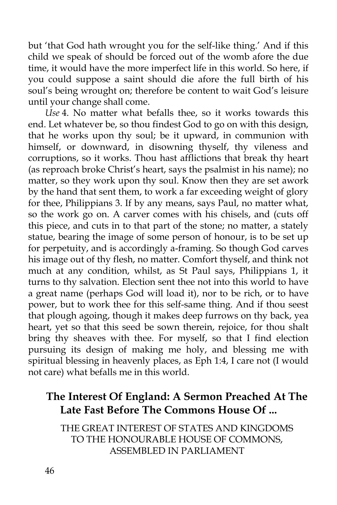but 'that God hath wrought you for the self-like thing.' And if this child we speak of should be forced out of the womb afore the due time, it would have the more imperfect life in this world. So here, if you could suppose a saint should die afore the full birth of his soul's being wrought on; therefore be content to wait God's leisure until your change shall come.

*Use* 4. No matter what befalls thee, so it works towards this end. Let whatever be, so thou findest God to go on with this design, that he works upon thy soul; be it upward, in communion with himself, or downward, in disowning thyself, thy vileness and corruptions, so it works. Thou hast afflictions that break thy heart (as reproach broke Christ's heart, says the psalmist in his name); no matter, so they work upon thy soul. Know then they are set awork by the hand that sent them, to work a far exceeding weight of glory for thee, Philippians 3. If by any means, says Paul, no matter what, so the work go on. A carver comes with his chisels, and (cuts off this piece, and cuts in to that part of the stone; no matter, a stately statue, bearing the image of some person of honour, is to be set up for perpetuity, and is accordingly a-framing. So though God carves his image out of thy flesh, no matter. Comfort thyself, and think not much at any condition, whilst, as St Paul says, Philippians 1, it turns to thy salvation. Election sent thee not into this world to have a great name (perhaps God will load it), nor to be rich, or to have power, but to work thee for this self-same thing. And if thou seest that plough agoing, though it makes deep furrows on thy back, yea heart, yet so that this seed be sown therein, rejoice, for thou shalt bring thy sheaves with thee. For myself, so that I find election pursuing its design of making me holy, and blessing me with spiritual blessing in heavenly places, as Eph 1:4, I care not (I would not care) what befalls me in this world.

## **The Interest Of England: A Sermon Preached At The Late Fast Before The Commons House Of ...**

THE GREAT INTEREST OF STATES AND KINGDOMS TO THE HONOURABLE HOUSE OF COMMONS, ASSEMBLED IN PARLIAMENT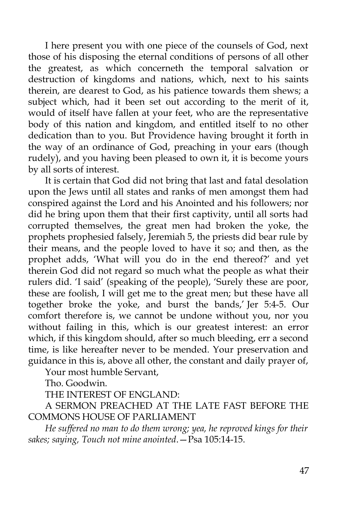I here present you with one piece of the counsels of God, next those of his disposing the eternal conditions of persons of all other the greatest, as which concerneth the temporal salvation or destruction of kingdoms and nations, which, next to his saints therein, are dearest to God, as his patience towards them shews; a subject which, had it been set out according to the merit of it, would of itself have fallen at your feet, who are the representative body of this nation and kingdom, and entitled itself to no other dedication than to you. But Providence having brought it forth in the way of an ordinance of God, preaching in your ears (though rudely), and you having been pleased to own it, it is become yours by all sorts of interest.

It is certain that God did not bring that last and fatal desolation upon the Jews until all states and ranks of men amongst them had conspired against the Lord and his Anointed and his followers; nor did he bring upon them that their first captivity, until all sorts had corrupted themselves, the great men had broken the yoke, the prophets prophesied falsely, Jeremiah 5, the priests did bear rule by their means, and the people loved to have it so; and then, as the prophet adds, 'What will you do in the end thereof?' and yet therein God did not regard so much what the people as what their rulers did. 'I said' (speaking of the people), 'Surely these are poor, these are foolish, I will get me to the great men; but these have all together broke the yoke, and burst the bands,' Jer 5:4-5. Our comfort therefore is, we cannot be undone without you, nor you without failing in this, which is our greatest interest: an error which, if this kingdom should, after so much bleeding, err a second time, is like hereafter never to be mended. Your preservation and guidance in this is, above all other, the constant and daily prayer of,

Your most humble Servant,

Tho. Goodwin.

THE INTEREST OF ENGLAND:

A SERMON PREACHED AT THE LATE FAST BEFORE THE COMMONS HOUSE OF PARLIAMENT

*He suffered no man to do them wrong; yea, he reproved kings for their sakes; saying, Touch not mine anointed*.—Psa 105:14-15.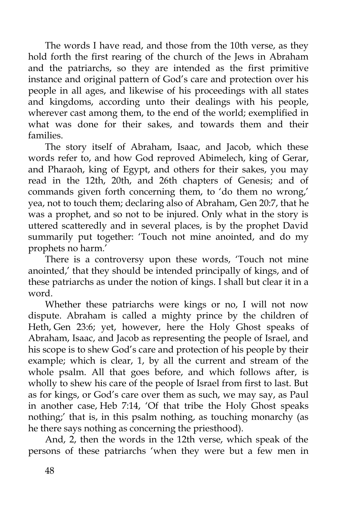The words I have read, and those from the 10th verse, as they hold forth the first rearing of the church of the Jews in Abraham and the patriarchs, so they are intended as the first primitive instance and original pattern of God's care and protection over his people in all ages, and likewise of his proceedings with all states and kingdoms, according unto their dealings with his people, wherever cast among them, to the end of the world; exemplified in what was done for their sakes, and towards them and their families.

The story itself of Abraham, Isaac, and Jacob, which these words refer to, and how God reproved Abimelech, king of Gerar, and Pharaoh, king of Egypt, and others for their sakes, you may read in the 12th, 20th, and 26th chapters of Genesis; and of commands given forth concerning them, to 'do them no wrong,' yea, not to touch them; declaring also of Abraham, Gen 20:7, that he was a prophet, and so not to be injured. Only what in the story is uttered scatteredly and in several places, is by the prophet David summarily put together: 'Touch not mine anointed, and do my prophets no harm.'

There is a controversy upon these words, 'Touch not mine anointed,' that they should be intended principally of kings, and of these patriarchs as under the notion of kings. I shall but clear it in a word.

Whether these patriarchs were kings or no, I will not now dispute. Abraham is called a mighty prince by the children of Heth, Gen 23:6; yet, however, here the Holy Ghost speaks of Abraham, Isaac, and Jacob as representing the people of Israel, and his scope is to shew God's care and protection of his people by their example; which is clear, 1, by all the current and stream of the whole psalm. All that goes before, and which follows after, is wholly to shew his care of the people of Israel from first to last. But as for kings, or God's care over them as such, we may say, as Paul in another case, Heb 7:14, 'Of that tribe the Holy Ghost speaks nothing;' that is, in this psalm nothing, as touching monarchy (as he there says nothing as concerning the priesthood).

And, 2, then the words in the 12th verse, which speak of the persons of these patriarchs 'when they were but a few men in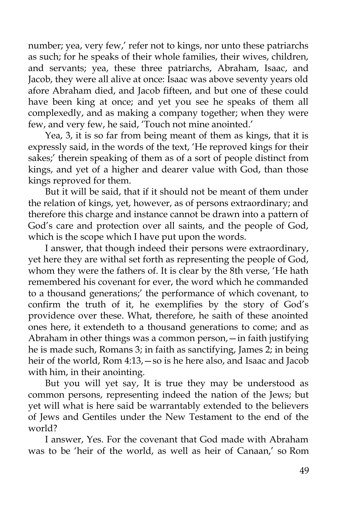number; yea, very few,' refer not to kings, nor unto these patriarchs as such; for he speaks of their whole families, their wives, children, and servants; yea, these three patriarchs, Abraham, Isaac, and Jacob, they were all alive at once: Isaac was above seventy years old afore Abraham died, and Jacob fifteen, and but one of these could have been king at once; and yet you see he speaks of them all complexedly, and as making a company together; when they were few, and very few, he said, 'Touch not mine anointed.'

Yea, 3, it is so far from being meant of them as kings, that it is expressly said, in the words of the text, 'He reproved kings for their sakes;' therein speaking of them as of a sort of people distinct from kings, and yet of a higher and dearer value with God, than those kings reproved for them.

But it will be said, that if it should not be meant of them under the relation of kings, yet, however, as of persons extraordinary; and therefore this charge and instance cannot be drawn into a pattern of God's care and protection over all saints, and the people of God, which is the scope which I have put upon the words.

I answer, that though indeed their persons were extraordinary, yet here they are withal set forth as representing the people of God, whom they were the fathers of. It is clear by the 8th verse, 'He hath remembered his covenant for ever, the word which he commanded to a thousand generations;' the performance of which covenant, to confirm the truth of it, he exemplifies by the story of God's providence over these. What, therefore, he saith of these anointed ones here, it extendeth to a thousand generations to come; and as Abraham in other things was a common person,—in faith justifying he is made such, Romans 3; in faith as sanctifying, James 2; in being heir of the world, Rom 4:13, – so is he here also, and Isaac and Jacob with him, in their anointing.

But you will yet say, It is true they may be understood as common persons, representing indeed the nation of the Jews; but yet will what is here said be warrantably extended to the believers of Jews and Gentiles under the New Testament to the end of the world?

I answer, Yes. For the covenant that God made with Abraham was to be 'heir of the world, as well as heir of Canaan,' so Rom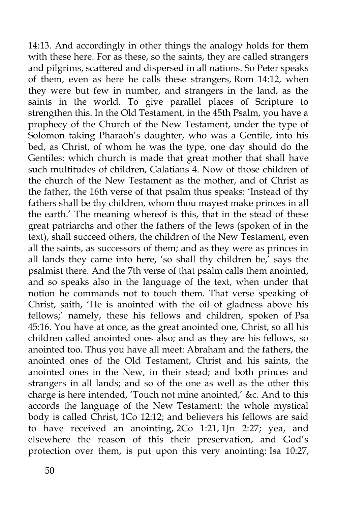14:13. And accordingly in other things the analogy holds for them with these here. For as these, so the saints, they are called strangers and pilgrims, scattered and dispersed in all nations. So Peter speaks of them, even as here he calls these strangers, Rom 14:12, when they were but few in number, and strangers in the land, as the saints in the world. To give parallel places of Scripture to strengthen this. In the Old Testament, in the 45th Psalm, you have a prophecy of the Church of the New Testament, under the type of Solomon taking Pharaoh's daughter, who was a Gentile, into his bed, as Christ, of whom he was the type, one day should do the Gentiles: which church is made that great mother that shall have such multitudes of children, Galatians 4. Now of those children of the church of the New Testament as the mother, and of Christ as the father, the 16th verse of that psalm thus speaks: 'Instead of thy fathers shall be thy children, whom thou mayest make princes in all the earth.' The meaning whereof is this, that in the stead of these great patriarchs and other the fathers of the Jews (spoken of in the text), shall succeed others, the children of the New Testament, even all the saints, as successors of them; and as they were as princes in all lands they came into here, 'so shall thy children be,' says the psalmist there. And the 7th verse of that psalm calls them anointed, and so speaks also in the language of the text, when under that notion he commands not to touch them. That verse speaking of Christ, saith, 'He is anointed with the oil of gladness above his fellows;' namely, these his fellows and children, spoken of Psa 45:16. You have at once, as the great anointed one, Christ, so all his children called anointed ones also; and as they are his fellows, so anointed too. Thus you have all meet: Abraham and the fathers, the anointed ones of the Old Testament, Christ and his saints, the anointed ones in the New, in their stead; and both princes and strangers in all lands; and so of the one as well as the other this charge is here intended, 'Touch not mine anointed,' &c. And to this accords the language of the New Testament: the whole mystical body is called Christ, 1Co 12:12; and believers his fellows are said to have received an anointing, 2Co 1:21, 1Jn 2:27; yea, and elsewhere the reason of this their preservation, and God's protection over them, is put upon this very anointing: Isa 10:27,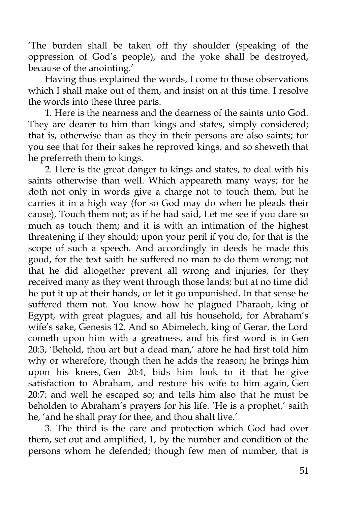'The burden shall be taken off thy shoulder (speaking of the oppression of God's people), and the yoke shall be destroyed, because of the anointing.'

Having thus explained the words, I come to those observations which I shall make out of them, and insist on at this time. I resolve the words into these three parts.

1. Here is the nearness and the dearness of the saints unto God. They are dearer to him than kings and states, simply considered; that is, otherwise than as they in their persons are also saints; for you see that for their sakes he reproved kings, and so sheweth that he preferreth them to kings.

2. Here is the great danger to kings and states, to deal with his saints otherwise than well. Which appeareth many ways; for he doth not only in words give a charge not to touch them, but he carries it in a high way (for so God may do when he pleads their cause), Touch them not; as if he had said, Let me see if you dare so much as touch them; and it is with an intimation of the highest threatening if they should; upon your peril if you do; for that is the scope of such a speech. And accordingly in deeds he made this good, for the text saith he suffered no man to do them wrong; not that he did altogether prevent all wrong and injuries, for they received many as they went through those lands; but at no time did he put it up at their hands, or let it go unpunished. In that sense he suffered them not. You know how he plagued Pharaoh, king of Egypt, with great plagues, and all his household, for Abraham's wife's sake, Genesis 12. And so Abimelech, king of Gerar, the Lord cometh upon him with a greatness, and his first word is in Gen 20:3, 'Behold, thou art but a dead man,' afore he had first told him why or wherefore, though then he adds the reason; he brings him upon his knees, Gen 20:4, bids him look to it that he give satisfaction to Abraham, and restore his wife to him again, Gen 20:7; and well he escaped so; and tells him also that he must be beholden to Abraham's prayers for his life. 'He is a prophet,' saith he, 'and he shall pray for thee, and thou shalt live.'

3. The third is the care and protection which God had over them, set out and amplified, 1, by the number and condition of the persons whom he defended; though few men of number, that is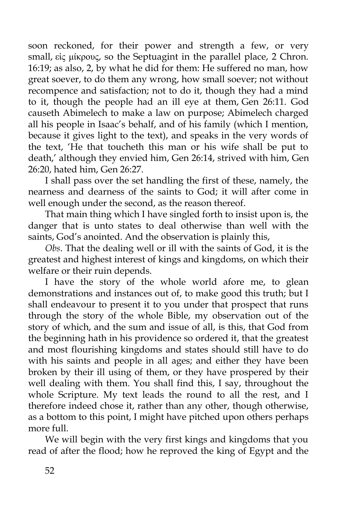soon reckoned, for their power and strength a few, or very small, εἰς μίκρους, so the Septuagint in the parallel place, 2 Chron. 16:19; as also, 2, by what he did for them: He suffered no man, how great soever, to do them any wrong, how small soever; not without recompence and satisfaction; not to do it, though they had a mind to it, though the people had an ill eye at them, Gen 26:11. God causeth Abimelech to make a law on purpose; Abimelech charged all his people in Isaac's behalf, and of his family (which I mention, because it gives light to the text), and speaks in the very words of the text, 'He that toucheth this man or his wife shall be put to death,' although they envied him, Gen 26:14, strived with him, Gen 26:20, hated him, Gen 26:27.

I shall pass over the set handling the first of these, namely, the nearness and dearness of the saints to God; it will after come in well enough under the second, as the reason thereof.

That main thing which I have singled forth to insist upon is, the danger that is unto states to deal otherwise than well with the saints, God's anointed. And the observation is plainly this,

*Obs*. That the dealing well or ill with the saints of God, it is the greatest and highest interest of kings and kingdoms, on which their welfare or their ruin depends.

I have the story of the whole world afore me, to glean demonstrations and instances out of, to make good this truth; but I shall endeavour to present it to you under that prospect that runs through the story of the whole Bible, my observation out of the story of which, and the sum and issue of all, is this, that God from the beginning hath in his providence so ordered it, that the greatest and most flourishing kingdoms and states should still have to do with his saints and people in all ages; and either they have been broken by their ill using of them, or they have prospered by their well dealing with them. You shall find this, I say, throughout the whole Scripture. My text leads the round to all the rest, and I therefore indeed chose it, rather than any other, though otherwise, as a bottom to this point, I might have pitched upon others perhaps more full.

We will begin with the very first kings and kingdoms that you read of after the flood; how he reproved the king of Egypt and the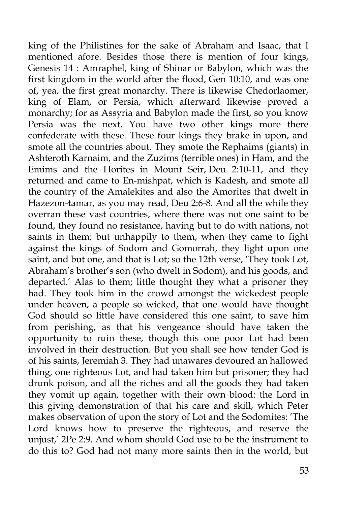king of the Philistines for the sake of Abraham and Isaac, that I mentioned afore. Besides those there is mention of four kings, Genesis 14 : Amraphel, king of Shinar or Babylon, which was the first kingdom in the world after the flood, Gen 10:10, and was one of, yea, the first great monarchy. There is likewise Chedorlaomer, king of Elam, or Persia, which afterward likewise proved a monarchy; for as Assyria and Babylon made the first, so you know Persia was the next. You have two other kings more there confederate with these. These four kings they brake in upon, and smote all the countries about. They smote the Rephaims (giants) in Ashteroth Karnaim, and the Zuzims (terrible ones) in Ham, and the Emims and the Horites in Mount Seir, Deu 2:10-11, and they returned and came to En-mishpat, which is Kadesh, and smote all the country of the Amalekites and also the Amorites that dwelt in Hazezon-tamar, as you may read, Deu 2:6-8. And all the while they overran these vast countries, where there was not one saint to be found, they found no resistance, having but to do with nations, not saints in them; but unhappily to them, when they came to fight against the kings of Sodom and Gomorrah, they light upon one saint, and but one, and that is Lot; so the 12th verse, 'They took Lot, Abraham's brother's son (who dwelt in Sodom), and his goods, and departed.' Alas to them; little thought they what a prisoner they had. They took him in the crowd amongst the wickedest people under heaven, a people so wicked, that one would have thought God should so little have considered this one saint, to save him from perishing, as that his vengeance should have taken the opportunity to ruin these, though this one poor Lot had been involved in their destruction. But you shall see how tender God is of his saints, Jeremiah 3. They had unawares devoured an hallowed thing, one righteous Lot, and had taken him but prisoner; they had drunk poison, and all the riches and all the goods they had taken they vomit up again, together with their own blood: the Lord in this giving demonstration of that his care and skill, which Peter makes observation of upon the story of Lot and the Sodomites: 'The Lord knows how to preserve the righteous, and reserve the unjust,' 2Pe 2:9. And whom should God use to be the instrument to do this to? God had not many more saints then in the world, but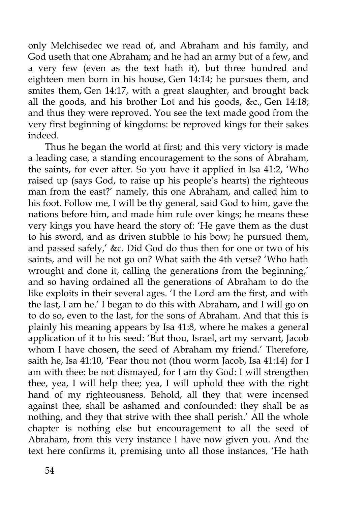only Melchisedec we read of, and Abraham and his family, and God useth that one Abraham; and he had an army but of a few, and a very few (even as the text hath it), but three hundred and eighteen men born in his house, Gen 14:14; he pursues them, and smites them, Gen 14:17, with a great slaughter, and brought back all the goods, and his brother Lot and his goods, &c., Gen 14:18; and thus they were reproved. You see the text made good from the very first beginning of kingdoms: be reproved kings for their sakes indeed.

Thus he began the world at first; and this very victory is made a leading case, a standing encouragement to the sons of Abraham, the saints, for ever after. So you have it applied in Isa 41:2, 'Who raised up (says God, to raise up his people's hearts) the righteous man from the east?' namely, this one Abraham, and called him to his foot. Follow me, I will be thy general, said God to him, gave the nations before him, and made him rule over kings; he means these very kings you have heard the story of: 'He gave them as the dust to his sword, and as driven stubble to his bow; he pursued them, and passed safely,' &c. Did God do thus then for one or two of his saints, and will he not go on? What saith the 4th verse? 'Who hath wrought and done it, calling the generations from the beginning,' and so having ordained all the generations of Abraham to do the like exploits in their several ages. 'I the Lord am the first, and with the last, I am he.' I began to do this with Abraham, and I will go on to do so, even to the last, for the sons of Abraham. And that this is plainly his meaning appears by Isa 41:8, where he makes a general application of it to his seed: 'But thou, Israel, art my servant, Jacob whom I have chosen, the seed of Abraham my friend.' Therefore, saith he, Isa 41:10, 'Fear thou not (thou worm Jacob, Isa 41:14) for I am with thee: be not dismayed, for I am thy God: I will strengthen thee, yea, I will help thee; yea, I will uphold thee with the right hand of my righteousness. Behold, all they that were incensed against thee, shall be ashamed and confounded: they shall be as nothing, and they that strive with thee shall perish.' All the whole chapter is nothing else but encouragement to all the seed of Abraham, from this very instance I have now given you. And the text here confirms it, premising unto all those instances, 'He hath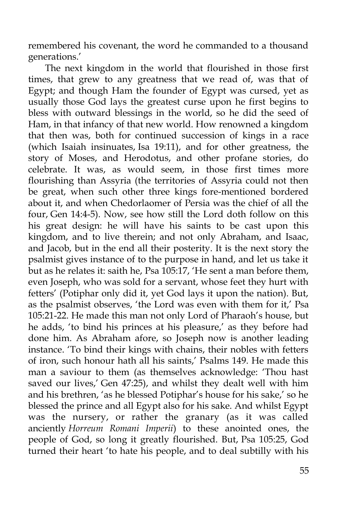remembered his covenant, the word he commanded to a thousand generations.'

The next kingdom in the world that flourished in those first times, that grew to any greatness that we read of, was that of Egypt; and though Ham the founder of Egypt was cursed, yet as usually those God lays the greatest curse upon he first begins to bless with outward blessings in the world, so he did the seed of Ham, in that infancy of that new world. How renowned a kingdom that then was, both for continued succession of kings in a race (which Isaiah insinuates, Isa 19:11), and for other greatness, the story of Moses, and Herodotus, and other profane stories, do celebrate. It was, as would seem, in those first times more flourishing than Assyria (the territories of Assyria could not then be great, when such other three kings fore-mentioned bordered about it, and when Chedorlaomer of Persia was the chief of all the four, Gen 14:4-5). Now, see how still the Lord doth follow on this his great design: he will have his saints to be cast upon this kingdom, and to live therein; and not only Abraham, and Isaac, and Jacob, but in the end all their posterity. It is the next story the psalmist gives instance of to the purpose in hand, and let us take it but as he relates it: saith he, Psa 105:17, 'He sent a man before them, even Joseph, who was sold for a servant, whose feet they hurt with fetters' (Potiphar only did it, yet God lays it upon the nation). But, as the psalmist observes, 'the Lord was even with them for it,' Psa 105:21-22. He made this man not only Lord of Pharaoh's house, but he adds, 'to bind his princes at his pleasure,' as they before had done him. As Abraham afore, so Joseph now is another leading instance. 'To bind their kings with chains, their nobles with fetters of iron, such honour hath all his saints,' Psalms 149. He made this man a saviour to them (as themselves acknowledge: 'Thou hast saved our lives,' Gen 47:25), and whilst they dealt well with him and his brethren, 'as he blessed Potiphar's house for his sake,' so he blessed the prince and all Egypt also for his sake. And whilst Egypt was the nursery, or rather the granary (as it was called anciently *Horreum Romani Imperii*) to these anointed ones, the people of God, so long it greatly flourished. But, Psa 105:25, God turned their heart 'to hate his people, and to deal subtilly with his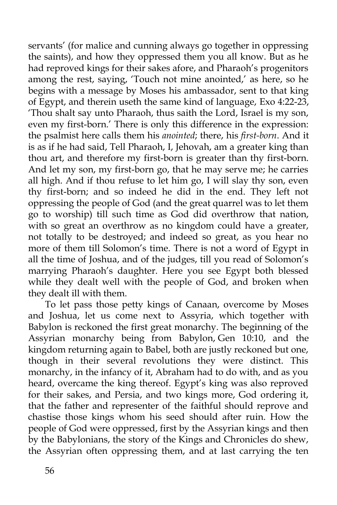servants' (for malice and cunning always go together in oppressing the saints), and how they oppressed them you all know. But as he had reproved kings for their sakes afore, and Pharaoh's progenitors among the rest, saying, 'Touch not mine anointed,' as here, so he begins with a message by Moses his ambassador, sent to that king of Egypt, and therein useth the same kind of language, Exo 4:22-23, 'Thou shalt say unto Pharaoh, thus saith the Lord, Israel is my son, even my first-born.' There is only this difference in the expression: the psalmist here calls them his *anointed*; there, his *first-born*. And it is as if he had said, Tell Pharaoh, I, Jehovah, am a greater king than thou art, and therefore my first-born is greater than thy first-born. And let my son, my first-born go, that he may serve me; he carries all high. And if thou refuse to let him go, I will slay thy son, even thy first-born; and so indeed he did in the end. They left not oppressing the people of God (and the great quarrel was to let them go to worship) till such time as God did overthrow that nation, with so great an overthrow as no kingdom could have a greater, not totally to be destroyed; and indeed so great, as you hear no more of them till Solomon's time. There is not a word of Egypt in all the time of Joshua, and of the judges, till you read of Solomon's marrying Pharaoh's daughter. Here you see Egypt both blessed while they dealt well with the people of God, and broken when they dealt ill with them.

To let pass those petty kings of Canaan, overcome by Moses and Joshua, let us come next to Assyria, which together with Babylon is reckoned the first great monarchy. The beginning of the Assyrian monarchy being from Babylon, Gen 10:10, and the kingdom returning again to Babel, both are justly reckoned but one, though in their several revolutions they were distinct. This monarchy, in the infancy of it, Abraham had to do with, and as you heard, overcame the king thereof. Egypt's king was also reproved for their sakes, and Persia, and two kings more, God ordering it, that the father and representer of the faithful should reprove and chastise those kings whom his seed should after ruin. How the people of God were oppressed, first by the Assyrian kings and then by the Babylonians, the story of the Kings and Chronicles do shew, the Assyrian often oppressing them, and at last carrying the ten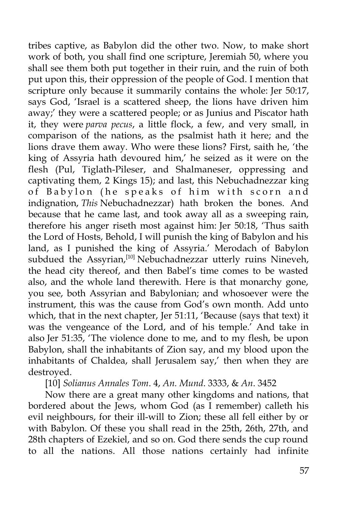tribes captive, as Babylon did the other two. Now, to make short work of both, you shall find one scripture, Jeremiah 50, where you shall see them both put together in their ruin, and the ruin of both put upon this, their oppression of the people of God. I mention that scripture only because it summarily contains the whole: Jer 50:17, says God, 'Israel is a scattered sheep, the lions have driven him away;' they were a scattered people; or as Junius and Piscator hath it, they were *parva pecus*, a little flock, a few, and very small, in comparison of the nations, as the psalmist hath it here; and the lions drave them away. Who were these lions? First, saith he, 'the king of Assyria hath devoured him,' he seized as it were on the flesh (Pul, Tiglath-Pileser, and Shalmaneser, oppressing and captivating them, 2 Kings 15); and last, this Nebuchadnezzar king of Babylon (he speaks of him with scorn and indignation, *This* Nebuchadnezzar) hath broken the bones. And because that he came last, and took away all as a sweeping rain, therefore his anger riseth most against him: Jer 50:18, 'Thus saith the Lord of Hosts, Behold, I will punish the king of Babylon and his land, as I punished the king of Assyria.' Merodach of Babylon subdued the Assyrian,<sup>[10]</sup> Nebuchadnezzar utterly ruins Nineveh, the head city thereof, and then Babel's time comes to be wasted also, and the whole land therewith. Here is that monarchy gone, you see, both Assyrian and Babylonian; and whosoever were the instrument, this was the cause from God's own month. Add unto which, that in the next chapter, Jer 51:11, 'Because (says that text) it was the vengeance of the Lord, and of his temple.' And take in also Jer 51:35, 'The violence done to me, and to my flesh, be upon Babylon, shall the inhabitants of Zion say, and my blood upon the inhabitants of Chaldea, shall Jerusalem say,' then when they are destroyed.

[10] *Solianus Annales Tom*. 4, *An. Mund*. 3333, & *An*. 3452

Now there are a great many other kingdoms and nations, that bordered about the Jews, whom God (as I remember) calleth his evil neighbours, for their ill-will to Zion; these all fell either by or with Babylon. Of these you shall read in the 25th, 26th, 27th, and 28th chapters of Ezekiel, and so on. God there sends the cup round to all the nations. All those nations certainly had infinite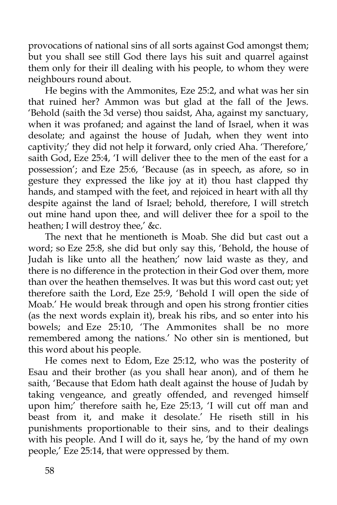provocations of national sins of all sorts against God amongst them; but you shall see still God there lays his suit and quarrel against them only for their ill dealing with his people, to whom they were neighbours round about.

He begins with the Ammonites, Eze 25:2, and what was her sin that ruined her? Ammon was but glad at the fall of the Jews. 'Behold (saith the 3d verse) thou saidst, Aha, against my sanctuary, when it was profaned; and against the land of Israel, when it was desolate; and against the house of Judah, when they went into captivity;' they did not help it forward, only cried Aha. 'Therefore,' saith God, Eze 25:4, 'I will deliver thee to the men of the east for a possession'; and Eze 25:6, 'Because (as in speech, as afore, so in gesture they expressed the like joy at it) thou hast clapped thy hands, and stamped with the feet, and rejoiced in heart with all thy despite against the land of Israel; behold, therefore, I will stretch out mine hand upon thee, and will deliver thee for a spoil to the heathen; I will destroy thee,' &c.

The next that he mentioneth is Moab. She did but cast out a word; so Eze 25:8, she did but only say this, 'Behold, the house of Judah is like unto all the heathen;' now laid waste as they, and there is no difference in the protection in their God over them, more than over the heathen themselves. It was but this word cast out; yet therefore saith the Lord, Eze 25:9, 'Behold I will open the side of Moab.' He would break through and open his strong frontier cities (as the next words explain it), break his ribs, and so enter into his bowels; and Eze 25:10, 'The Ammonites shall be no more remembered among the nations.' No other sin is mentioned, but this word about his people.

He comes next to Edom, Eze 25:12, who was the posterity of Esau and their brother (as you shall hear anon), and of them he saith, 'Because that Edom hath dealt against the house of Judah by taking vengeance, and greatly offended, and revenged himself upon him;' therefore saith he, Eze 25:13, 'I will cut off man and beast from it, and make it desolate.' He riseth still in his punishments proportionable to their sins, and to their dealings with his people. And I will do it, says he, 'by the hand of my own people,' Eze 25:14, that were oppressed by them.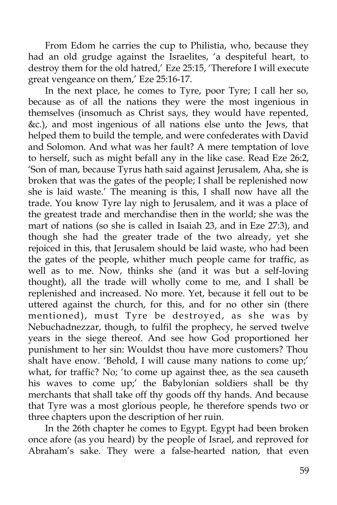From Edom he carries the cup to Philistia, who, because they had an old grudge against the Israelites, 'a despiteful heart, to destroy them for the old hatred,' Eze 25:15, 'Therefore I will execute great vengeance on them,' Eze 25:16-17.

In the next place, he comes to Tyre, poor Tyre; I call her so, because as of all the nations they were the most ingenious in themselves (insomuch as Christ says, they would have repented, &c.), and most ingenious of all nations else unto the Jews, that helped them to build the temple, and were confederates with David and Solomon. And what was her fault? A mere temptation of love to herself, such as might befall any in the like case. Read Eze 26:2, 'Son of man, because Tyrus hath said against Jerusalem, Aha, she is broken that was the gates of the people; I shall be replenished now she is laid waste.' The meaning is this, I shall now have all the trade. You know Tyre lay nigh to Jerusalem, and it was a place of the greatest trade and merchandise then in the world; she was the mart of nations (so she is called in Isaiah 23, and in Eze 27:3), and though she had the greater trade of the two already, yet she rejoiced in this, that Jerusalem should be laid waste, who had been the gates of the people, whither much people came for traffic, as well as to me. Now, thinks she (and it was but a self-loving thought), all the trade will wholly come to me, and I shall be replenished and increased. No more. Yet, because it fell out to be uttered against the church, for this, and for no other sin (there mentioned), must Tyre be destroyed, as she was by Nebuchadnezzar, though, to fulfil the prophecy, he served twelve years in the siege thereof. And see how God proportioned her punishment to her sin: Wouldst thou have more customers? Thou shalt have enow. 'Behold, I will cause many nations to come up;' what, for traffic? No; 'to come up against thee, as the sea causeth his waves to come up;' the Babylonian soldiers shall be thy merchants that shall take off thy goods off thy hands. And because that Tyre was a most glorious people, he therefore spends two or three chapters upon the description of her ruin.

In the 26th chapter he comes to Egypt. Egypt had been broken once afore (as you heard) by the people of Israel, and reproved for Abraham's sake. They were a false-hearted nation, that even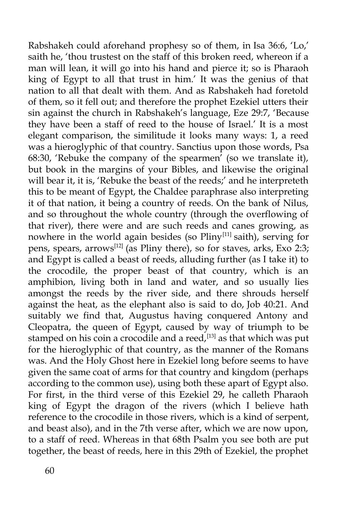Rabshakeh could aforehand prophesy so of them, in Isa 36:6, 'Lo,' saith he, 'thou trustest on the staff of this broken reed, whereon if a man will lean, it will go into his hand and pierce it; so is Pharaoh king of Egypt to all that trust in him.' It was the genius of that nation to all that dealt with them. And as Rabshakeh had foretold of them, so it fell out; and therefore the prophet Ezekiel utters their sin against the church in Rabshakeh's language, Eze 29:7, 'Because they have been a staff of reed to the house of Israel.' It is a most elegant comparison, the similitude it looks many ways: 1, a reed was a hieroglyphic of that country. Sanctius upon those words, Psa 68:30, 'Rebuke the company of the spearmen' (so we translate it), but book in the margins of your Bibles, and likewise the original will bear it, it is, 'Rebuke the beast of the reeds;' and he interpreteth this to be meant of Egypt, the Chaldee paraphrase also interpreting it of that nation, it being a country of reeds. On the bank of Nilus, and so throughout the whole country (through the overflowing of that river), there were and are such reeds and canes growing, as nowhere in the world again besides (so  $\text{Pliny}^{[11]}$  saith), serving for pens, spears, arrows<sup>[12]</sup> (as Pliny there), so for staves, arks, Exo 2:3; and Egypt is called a beast of reeds, alluding further (as I take it) to the crocodile, the proper beast of that country, which is an amphibion, living both in land and water, and so usually lies amongst the reeds by the river side, and there shrouds herself against the heat, as the elephant also is said to do, Job 40:21. And suitably we find that, Augustus having conquered Antony and Cleopatra, the queen of Egypt, caused by way of triumph to be stamped on his coin a crocodile and a reed,  $[13]$  as that which was put for the hieroglyphic of that country, as the manner of the Romans was. And the Holy Ghost here in Ezekiel long before seems to have given the same coat of arms for that country and kingdom (perhaps according to the common use), using both these apart of Egypt also. For first, in the third verse of this Ezekiel 29, he calleth Pharaoh king of Egypt the dragon of the rivers (which I believe hath reference to the crocodile in those rivers, which is a kind of serpent, and beast also), and in the 7th verse after, which we are now upon, to a staff of reed. Whereas in that 68th Psalm you see both are put together, the beast of reeds, here in this 29th of Ezekiel, the prophet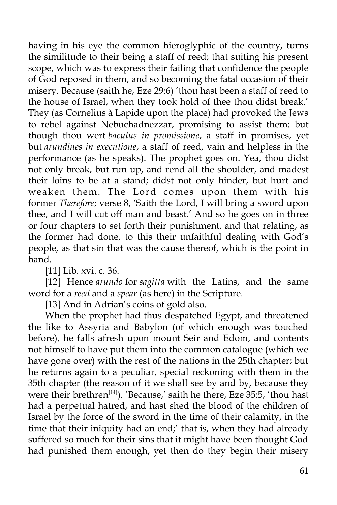having in his eye the common hieroglyphic of the country, turns the similitude to their being a staff of reed; that suiting his present scope, which was to express their failing that confidence the people of God reposed in them, and so becoming the fatal occasion of their misery. Because (saith he, Eze 29:6) 'thou hast been a staff of reed to the house of Israel, when they took hold of thee thou didst break.' They (as Cornelius à Lapide upon the place) had provoked the Jews to rebel against Nebuchadnezzar, promising to assist them: but though thou wert *baculus in promissione*, a staff in promises, yet but *arundines in executione*, a staff of reed, vain and helpless in the performance (as he speaks). The prophet goes on. Yea, thou didst not only break, but run up, and rend all the shoulder, and madest their loins to be at a stand; didst not only hinder, but hurt and weaken them. The Lord comes upon them with his former *Therefore*; verse 8, 'Saith the Lord, I will bring a sword upon thee, and I will cut off man and beast.' And so he goes on in three or four chapters to set forth their punishment, and that relating, as the former had done, to this their unfaithful dealing with God's people, as that sin that was the cause thereof, which is the point in hand.

[11] Lib. xvi. c. 36.

[12] Hence *arundo* for *sagitta* with the Latins, and the same word for a *reed* and a *spear* (as here) in the Scripture.

[13] And in Adrian's coins of gold also.

When the prophet had thus despatched Egypt, and threatened the like to Assyria and Babylon (of which enough was touched before), he falls afresh upon mount Seir and Edom, and contents not himself to have put them into the common catalogue (which we have gone over) with the rest of the nations in the 25th chapter; but he returns again to a peculiar, special reckoning with them in the 35th chapter (the reason of it we shall see by and by, because they were their brethren<sup>[14]</sup>). 'Because,' saith he there, Eze 35:5, 'thou hast had a perpetual hatred, and hast shed the blood of the children of Israel by the force of the sword in the time of their calamity, in the time that their iniquity had an end;' that is, when they had already suffered so much for their sins that it might have been thought God had punished them enough, yet then do they begin their misery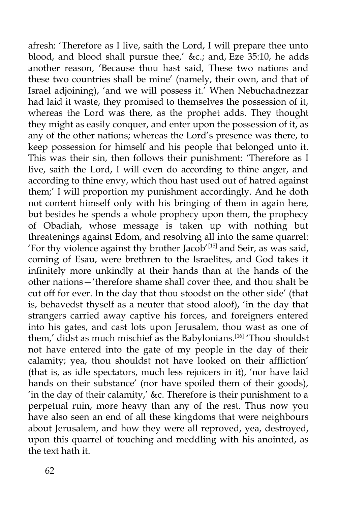afresh: 'Therefore as I live, saith the Lord, I will prepare thee unto blood, and blood shall pursue thee,' &c.; and, Eze 35:10, he adds another reason, 'Because thou hast said, These two nations and these two countries shall be mine' (namely, their own, and that of Israel adjoining), 'and we will possess it.' When Nebuchadnezzar had laid it waste, they promised to themselves the possession of it, whereas the Lord was there, as the prophet adds. They thought they might as easily conquer, and enter upon the possession of it, as any of the other nations; whereas the Lord's presence was there, to keep possession for himself and his people that belonged unto it. This was their sin, then follows their punishment: 'Therefore as I live, saith the Lord, I will even do according to thine anger, and according to thine envy, which thou hast used out of hatred against them;' I will proportion my punishment accordingly. And he doth not content himself only with his bringing of them in again here, but besides he spends a whole prophecy upon them, the prophecy of Obadiah, whose message is taken up with nothing but threatenings against Edom, and resolving all into the same quarrel: 'For thy violence against thy brother Jacob'<sup>[15]</sup> and Seir, as was said, coming of Esau, were brethren to the Israelites, and God takes it infinitely more unkindly at their hands than at the hands of the other nations—'therefore shame shall cover thee, and thou shalt be cut off for ever. In the day that thou stoodst on the other side' (that is, behavedst thyself as a neuter that stood aloof), 'in the day that strangers carried away captive his forces, and foreigners entered into his gates, and cast lots upon Jerusalem, thou wast as one of them,' didst as much mischief as the Babylonians.<sup>[16]</sup> 'Thou shouldst not have entered into the gate of my people in the day of their calamity; yea, thou shouldst not have looked on their affliction' (that is, as idle spectators, much less rejoicers in it), 'nor have laid hands on their substance' (nor have spoiled them of their goods), 'in the day of their calamity,' &c. Therefore is their punishment to a perpetual ruin, more heavy than any of the rest. Thus now you have also seen an end of all these kingdoms that were neighbours about Jerusalem, and how they were all reproved, yea, destroyed, upon this quarrel of touching and meddling with his anointed, as the text hath it.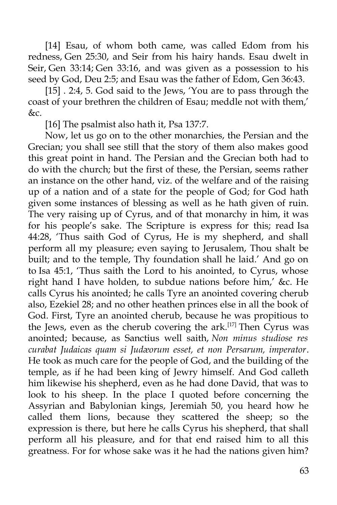[14] Esau, of whom both came, was called Edom from his redness, Gen 25:30, and Seir from his hairy hands. Esau dwelt in Seir, Gen 33:14; Gen 33:16, and was given as a possession to his seed by God, Deu 2:5; and Esau was the father of Edom, Gen 36:43.

[15] . 2:4, 5. God said to the Jews, 'You are to pass through the coast of your brethren the children of Esau; meddle not with them,' &c.

[16] The psalmist also hath it, Psa 137:7.

Now, let us go on to the other monarchies, the Persian and the Grecian; you shall see still that the story of them also makes good this great point in hand. The Persian and the Grecian both had to do with the church; but the first of these, the Persian, seems rather an instance on the other hand, viz. of the welfare and of the raising up of a nation and of a state for the people of God; for God hath given some instances of blessing as well as he hath given of ruin. The very raising up of Cyrus, and of that monarchy in him, it was for his people's sake. The Scripture is express for this; read Isa 44:28, 'Thus saith God of Cyrus, He is my shepherd, and shall perform all my pleasure; even saying to Jerusalem, Thou shalt be built; and to the temple, Thy foundation shall he laid.' And go on to Isa 45:1, 'Thus saith the Lord to his anointed, to Cyrus, whose right hand I have holden, to subdue nations before him,' &c. He calls Cyrus his anointed; he calls Tyre an anointed covering cherub also, Ezekiel 28; and no other heathen princes else in all the book of God. First, Tyre an anointed cherub, because he was propitious to the Jews, even as the cherub covering the ark.<sup>[17]</sup> Then Cyrus was anointed; because, as Sanctius well saith, *Non minus studiose res curabat Judaicas quam si Judæorum esset, et non Persarum, imperator*. He took as much care for the people of God, and the building of the temple, as if he had been king of Jewry himself. And God calleth him likewise his shepherd, even as he had done David, that was to look to his sheep. In the place I quoted before concerning the Assyrian and Babylonian kings, Jeremiah 50, you heard how he called them lions, because they scattered the sheep; so the expression is there, but here he calls Cyrus his shepherd, that shall perform all his pleasure, and for that end raised him to all this greatness. For for whose sake was it he had the nations given him?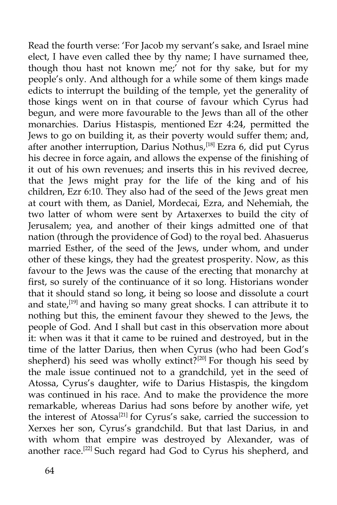Read the fourth verse: 'For Jacob my servant's sake, and Israel mine elect, I have even called thee by thy name; I have surnamed thee, though thou hast not known me;' not for thy sake, but for my people's only. And although for a while some of them kings made edicts to interrupt the building of the temple, yet the generality of those kings went on in that course of favour which Cyrus had begun, and were more favourable to the Jews than all of the other monarchies. Darius Histaspis, mentioned Ezr 4:24, permitted the Jews to go on building it, as their poverty would suffer them; and, after another interruption, Darius Nothus,<sup>[18]</sup> Ezra 6, did put Cyrus his decree in force again, and allows the expense of the finishing of it out of his own revenues; and inserts this in his revived decree, that the Jews might pray for the life of the king and of his children, Ezr 6:10. They also had of the seed of the Jews great men at court with them, as Daniel, Mordecai, Ezra, and Nehemiah, the two latter of whom were sent by Artaxerxes to build the city of Jerusalem; yea, and another of their kings admitted one of that nation (through the providence of God) to the royal bed. Ahasuerus married Esther, of the seed of the Jews, under whom, and under other of these kings, they had the greatest prosperity. Now, as this favour to the Jews was the cause of the erecting that monarchy at first, so surely of the continuance of it so long. Historians wonder that it should stand so long, it being so loose and dissolute a court and state,<sup>[19]</sup> and having so many great shocks. I can attribute it to nothing but this, the eminent favour they shewed to the Jews, the people of God. And I shall but cast in this observation more about it: when was it that it came to be ruined and destroyed, but in the time of the latter Darius, then when Cyrus (who had been God's shepherd) his seed was wholly extinct?<sup>[20]</sup> For though his seed by the male issue continued not to a grandchild, yet in the seed of Atossa, Cyrus's daughter, wife to Darius Histaspis, the kingdom was continued in his race. And to make the providence the more remarkable, whereas Darius had sons before by another wife, yet the interest of Atossa<sup>[21]</sup> for Cyrus's sake, carried the succession to Xerxes her son, Cyrus's grandchild. But that last Darius, in and with whom that empire was destroyed by Alexander, was of another race.[22] Such regard had God to Cyrus his shepherd, and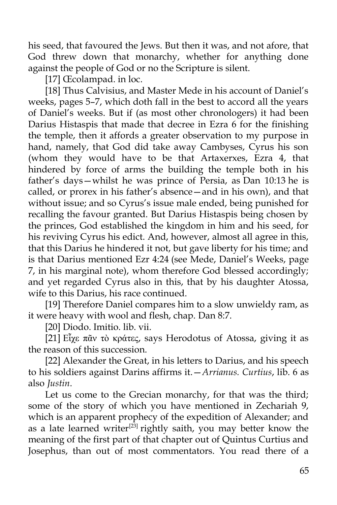his seed, that favoured the Jews. But then it was, and not afore, that God threw down that monarchy, whether for anything done against the people of God or no the Scripture is silent.

[17] Œcolampad. in loc.

[18] Thus Calvisius, and Master Mede in his account of Daniel's weeks, pages 5–7, which doth fall in the best to accord all the years of Daniel's weeks. But if (as most other chronologers) it had been Darius Histaspis that made that decree in Ezra 6 for the finishing the temple, then it affords a greater observation to my purpose in hand, namely, that God did take away Cambyses, Cyrus his son (whom they would have to be that Artaxerxes, Ezra 4, that hindered by force of arms the building the temple both in his father's days—whilst he was prince of Persia, as Dan 10:13 he is called, or prorex in his father's absence—and in his own), and that without issue; and so Cyrus's issue male ended, being punished for recalling the favour granted. But Darius Histaspis being chosen by the princes, God established the kingdom in him and his seed, for his reviving Cyrus his edict. And, however, almost all agree in this, that this Darius he hindered it not, but gave liberty for his time; and is that Darius mentioned Ezr 4:24 (see Mede, Daniel's Weeks, page 7, in his marginal note), whom therefore God blessed accordingly; and yet regarded Cyrus also in this, that by his daughter Atossa, wife to this Darius, his race continued.

[19] Therefore Daniel compares him to a slow unwieldy ram, as it were heavy with wool and flesh, chap. Dan 8:7.

[20] Diodo. Imitio. lib. vii.

[21] Εἶχε πᾶν τὸ κράτες, says Herodotus of Atossa, giving it as the reason of this succession.

[22] Alexander the Great, in his letters to Darius, and his speech to his soldiers against Darins affirms it.—*Arrianus. Curtius*, lib. 6 as also *Justin*.

Let us come to the Grecian monarchy, for that was the third; some of the story of which you have mentioned in Zechariah 9, which is an apparent prophecy of the expedition of Alexander; and as a late learned writer<sup>[23]</sup> rightly saith, you may better know the meaning of the first part of that chapter out of Quintus Curtius and Josephus, than out of most commentators. You read there of a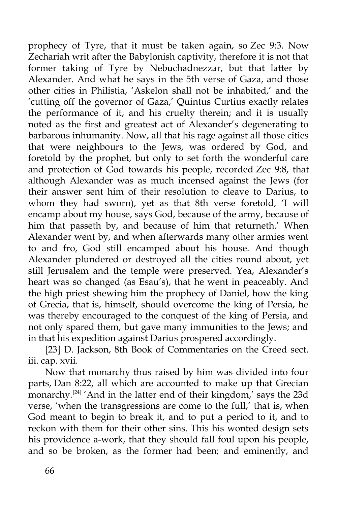prophecy of Tyre, that it must be taken again, so Zec 9:3. Now Zechariah writ after the Babylonish captivity, therefore it is not that former taking of Tyre by Nebuchadnezzar, but that latter by Alexander. And what he says in the 5th verse of Gaza, and those other cities in Philistia, 'Askelon shall not be inhabited,' and the 'cutting off the governor of Gaza,' Quintus Curtius exactly relates the performance of it, and his cruelty therein; and it is usually noted as the first and greatest act of Alexander's degenerating to barbarous inhumanity. Now, all that his rage against all those cities that were neighbours to the Jews, was ordered by God, and foretold by the prophet, but only to set forth the wonderful care and protection of God towards his people, recorded Zec 9:8, that although Alexander was as much incensed against the Jews (for their answer sent him of their resolution to cleave to Darius, to whom they had sworn), yet as that 8th verse foretold, 'I will encamp about my house, says God, because of the army, because of him that passeth by, and because of him that returneth.' When Alexander went by, and when afterwards many other armies went to and fro, God still encamped about his house. And though Alexander plundered or destroyed all the cities round about, yet still Jerusalem and the temple were preserved. Yea, Alexander's heart was so changed (as Esau's), that he went in peaceably. And the high priest shewing him the prophecy of Daniel, how the king of Grecia, that is, himself, should overcome the king of Persia, he was thereby encouraged to the conquest of the king of Persia, and not only spared them, but gave many immunities to the Jews; and in that his expedition against Darius prospered accordingly.

[23] D. Jackson, 8th Book of Commentaries on the Creed sect. iii. cap. xvii.

Now that monarchy thus raised by him was divided into four parts, Dan 8:22, all which are accounted to make up that Grecian monarchy.<sup>[24]</sup> 'And in the latter end of their kingdom,' says the 23d verse, 'when the transgressions are come to the full,' that is, when God meant to begin to break it, and to put a period to it, and to reckon with them for their other sins. This his wonted design sets his providence a-work, that they should fall foul upon his people, and so be broken, as the former had been; and eminently, and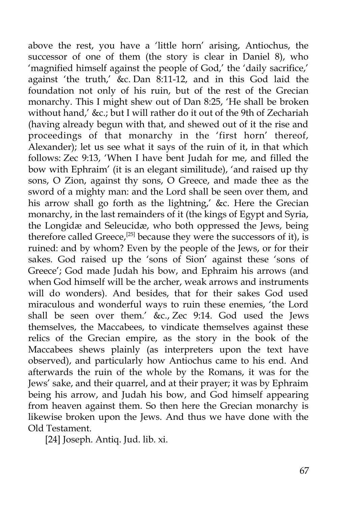above the rest, you have a 'little horn' arising, Antiochus, the successor of one of them (the story is clear in Daniel 8), who 'magnified himself against the people of God,' the 'daily sacrifice,' against 'the truth,' &c. Dan 8:11-12, and in this God laid the foundation not only of his ruin, but of the rest of the Grecian monarchy. This I might shew out of Dan 8:25, 'He shall be broken without hand,' &c.; but I will rather do it out of the 9th of Zechariah (having already begun with that, and shewed out of it the rise and proceedings of that monarchy in the 'first horn' thereof, Alexander); let us see what it says of the ruin of it, in that which follows: Zec 9:13, 'When I have bent Judah for me, and filled the bow with Ephraim' (it is an elegant similitude), 'and raised up thy sons, O Zion, against thy sons, O Greece, and made thee as the sword of a mighty man: and the Lord shall be seen over them, and his arrow shall go forth as the lightning,' &c. Here the Grecian monarchy, in the last remainders of it (the kings of Egypt and Syria, the Longidæ and Seleucidæ, who both oppressed the Jews, being therefore called Greece,<sup>[25]</sup> because they were the successors of it), is ruined: and by whom? Even by the people of the Jews, or for their sakes. God raised up the 'sons of Sion' against these 'sons of Greece'; God made Judah his bow, and Ephraim his arrows (and when God himself will be the archer, weak arrows and instruments will do wonders). And besides, that for their sakes God used miraculous and wonderful ways to ruin these enemies, 'the Lord shall be seen over them.' &c., Zec 9:14. God used the Jews themselves, the Maccabees, to vindicate themselves against these relics of the Grecian empire, as the story in the book of the Maccabees shews plainly (as interpreters upon the text have observed), and particularly how Antiochus came to his end. And afterwards the ruin of the whole by the Romans, it was for the Jews' sake, and their quarrel, and at their prayer; it was by Ephraim being his arrow, and Judah his bow, and God himself appearing from heaven against them. So then here the Grecian monarchy is likewise broken upon the Jews. And thus we have done with the Old Testament.

[24] Joseph. Antiq. Jud. lib. xi.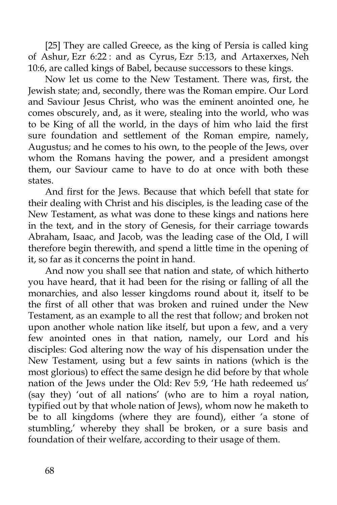[25] They are called Greece, as the king of Persia is called king of Ashur, Ezr 6:22 : and as Cyrus, Ezr 5:13, and Artaxerxes, Neh 10:6, are called kings of Babel, because successors to these kings.

Now let us come to the New Testament. There was, first, the Jewish state; and, secondly, there was the Roman empire. Our Lord and Saviour Jesus Christ, who was the eminent anointed one, he comes obscurely, and, as it were, stealing into the world, who was to be King of all the world, in the days of him who laid the first sure foundation and settlement of the Roman empire, namely, Augustus; and he comes to his own, to the people of the Jews, over whom the Romans having the power, and a president amongst them, our Saviour came to have to do at once with both these states.

And first for the Jews. Because that which befell that state for their dealing with Christ and his disciples, is the leading case of the New Testament, as what was done to these kings and nations here in the text, and in the story of Genesis, for their carriage towards Abraham, Isaac, and Jacob, was the leading case of the Old, I will therefore begin therewith, and spend a little time in the opening of it, so far as it concerns the point in hand.

And now you shall see that nation and state, of which hitherto you have heard, that it had been for the rising or falling of all the monarchies, and also lesser kingdoms round about it, itself to be the first of all other that was broken and ruined under the New Testament, as an example to all the rest that follow; and broken not upon another whole nation like itself, but upon a few, and a very few anointed ones in that nation, namely, our Lord and his disciples: God altering now the way of his dispensation under the New Testament, using but a few saints in nations (which is the most glorious) to effect the same design he did before by that whole nation of the Jews under the Old: Rev 5:9, 'He hath redeemed us' (say they) 'out of all nations' (who are to him a royal nation, typified out by that whole nation of Jews), whom now he maketh to be to all kingdoms (where they are found), either 'a stone of stumbling,' whereby they shall be broken, or a sure basis and foundation of their welfare, according to their usage of them.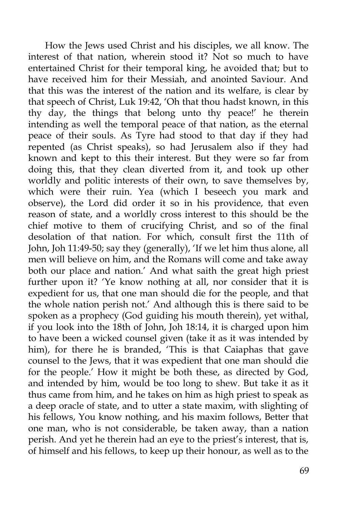How the Jews used Christ and his disciples, we all know. The interest of that nation, wherein stood it? Not so much to have entertained Christ for their temporal king, he avoided that; but to have received him for their Messiah, and anointed Saviour. And that this was the interest of the nation and its welfare, is clear by that speech of Christ, Luk 19:42, 'Oh that thou hadst known, in this thy day, the things that belong unto thy peace!' he therein intending as well the temporal peace of that nation, as the eternal peace of their souls. As Tyre had stood to that day if they had repented (as Christ speaks), so had Jerusalem also if they had known and kept to this their interest. But they were so far from doing this, that they clean diverted from it, and took up other worldly and politic interests of their own, to save themselves by, which were their ruin. Yea (which I beseech you mark and observe), the Lord did order it so in his providence, that even reason of state, and a worldly cross interest to this should be the chief motive to them of crucifying Christ, and so of the final desolation of that nation. For which, consult first the 11th of John, Joh 11:49-50; say they (generally), 'If we let him thus alone, all men will believe on him, and the Romans will come and take away both our place and nation.' And what saith the great high priest further upon it? 'Ye know nothing at all, nor consider that it is expedient for us, that one man should die for the people, and that the whole nation perish not.' And although this is there said to be spoken as a prophecy (God guiding his mouth therein), yet withal, if you look into the 18th of John, Joh 18:14, it is charged upon him to have been a wicked counsel given (take it as it was intended by him), for there he is branded, 'This is that Caiaphas that gave counsel to the Jews, that it was expedient that one man should die for the people.' How it might be both these, as directed by God, and intended by him, would be too long to shew. But take it as it thus came from him, and he takes on him as high priest to speak as a deep oracle of state, and to utter a state maxim, with slighting of his fellows, You know nothing, and his maxim follows, Better that one man, who is not considerable, be taken away, than a nation perish. And yet he therein had an eye to the priest's interest, that is, of himself and his fellows, to keep up their honour, as well as to the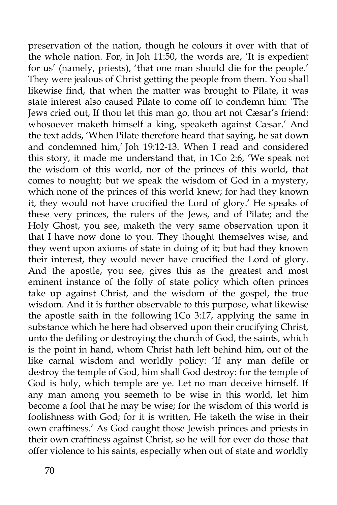preservation of the nation, though he colours it over with that of the whole nation. For, in Joh 11:50, the words are, 'It is expedient for us' (namely, priests), 'that one man should die for the people.' They were jealous of Christ getting the people from them. You shall likewise find, that when the matter was brought to Pilate, it was state interest also caused Pilate to come off to condemn him: 'The Jews cried out, If thou let this man go, thou art not Cæsar's friend: whosoever maketh himself a king, speaketh against Cæsar.' And the text adds, 'When Pilate therefore heard that saying, he sat down and condemned him,' Joh 19:12-13. When I read and considered this story, it made me understand that, in 1Co 2:6, 'We speak not the wisdom of this world, nor of the princes of this world, that comes to nought; but we speak the wisdom of God in a mystery, which none of the princes of this world knew; for had they known it, they would not have crucified the Lord of glory.' He speaks of these very princes, the rulers of the Jews, and of Pilate; and the Holy Ghost, you see, maketh the very same observation upon it that I have now done to you. They thought themselves wise, and they went upon axioms of state in doing of it; but had they known their interest, they would never have crucified the Lord of glory. And the apostle, you see, gives this as the greatest and most eminent instance of the folly of state policy which often princes take up against Christ, and the wisdom of the gospel, the true wisdom. And it is further observable to this purpose, what likewise the apostle saith in the following 1Co 3:17, applying the same in substance which he here had observed upon their crucifying Christ, unto the defiling or destroying the church of God, the saints, which is the point in hand, whom Christ hath left behind him, out of the like carnal wisdom and worldly policy: 'If any man defile or destroy the temple of God, him shall God destroy: for the temple of God is holy, which temple are ye. Let no man deceive himself. If any man among you seemeth to be wise in this world, let him become a fool that he may be wise; for the wisdom of this world is foolishness with God; for it is written, He taketh the wise in their own craftiness.' As God caught those Jewish princes and priests in their own craftiness against Christ, so he will for ever do those that offer violence to his saints, especially when out of state and worldly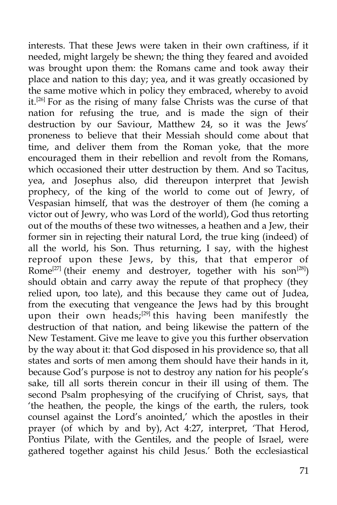interests. That these Jews were taken in their own craftiness, if it needed, might largely be shewn; the thing they feared and avoided was brought upon them: the Romans came and took away their place and nation to this day; yea, and it was greatly occasioned by the same motive which in policy they embraced, whereby to avoid it.<sup>[26]</sup> For as the rising of many false Christs was the curse of that nation for refusing the true, and is made the sign of their destruction by our Saviour, Matthew 24, so it was the Jews' proneness to believe that their Messiah should come about that time, and deliver them from the Roman yoke, that the more encouraged them in their rebellion and revolt from the Romans, which occasioned their utter destruction by them. And so Tacitus, yea, and Josephus also, did thereupon interpret that Jewish prophecy, of the king of the world to come out of Jewry, of Vespasian himself, that was the destroyer of them (he coming a victor out of Jewry, who was Lord of the world), God thus retorting out of the mouths of these two witnesses, a heathen and a Jew, their former sin in rejecting their natural Lord, the true king (indeed) of all the world, his Son. Thus returning, I say, with the highest reproof upon these Jews, by this, that that emperor of Rome<sup>[27]</sup> (their enemy and destroyer, together with his son<sup>[28]</sup>) should obtain and carry away the repute of that prophecy (they relied upon, too late), and this because they came out of Judea, from the executing that vengeance the Jews had by this brought upon their own heads;<sup>[29]</sup> this having been manifestly the destruction of that nation, and being likewise the pattern of the New Testament. Give me leave to give you this further observation by the way about it: that God disposed in his providence so, that all states and sorts of men among them should have their hands in it, because God's purpose is not to destroy any nation for his people's sake, till all sorts therein concur in their ill using of them. The second Psalm prophesying of the crucifying of Christ, says, that 'the heathen, the people, the kings of the earth, the rulers, took counsel against the Lord's anointed,' which the apostles in their prayer (of which by and by), Act 4:27, interpret, 'That Herod, Pontius Pilate, with the Gentiles, and the people of Israel, were gathered together against his child Jesus.' Both the ecclesiastical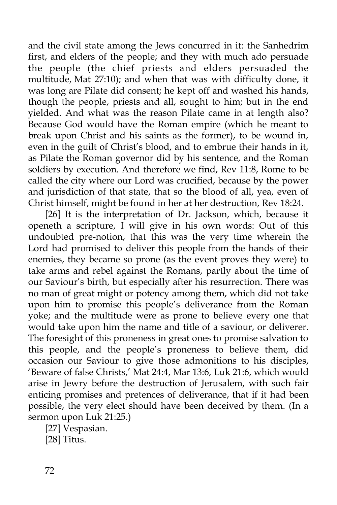and the civil state among the Jews concurred in it: the Sanhedrim first, and elders of the people; and they with much ado persuade the people (the chief priests and elders persuaded the multitude, Mat 27:10); and when that was with difficulty done, it was long are Pilate did consent; he kept off and washed his hands, though the people, priests and all, sought to him; but in the end yielded. And what was the reason Pilate came in at length also? Because God would have the Roman empire (which he meant to break upon Christ and his saints as the former), to be wound in, even in the guilt of Christ's blood, and to embrue their hands in it, as Pilate the Roman governor did by his sentence, and the Roman soldiers by execution. And therefore we find, Rev 11:8, Rome to be called the city where our Lord was crucified, because by the power and jurisdiction of that state, that so the blood of all, yea, even of Christ himself, might be found in her at her destruction, Rev 18:24.

[26] It is the interpretation of Dr. Jackson, which, because it openeth a scripture, I will give in his own words: Out of this undoubted pre-notion, that this was the very time wherein the Lord had promised to deliver this people from the hands of their enemies, they became so prone (as the event proves they were) to take arms and rebel against the Romans, partly about the time of our Saviour's birth, but especially after his resurrection. There was no man of great might or potency among them, which did not take upon him to promise this people's deliverance from the Roman yoke; and the multitude were as prone to believe every one that would take upon him the name and title of a saviour, or deliverer. The foresight of this proneness in great ones to promise salvation to this people, and the people's proneness to believe them, did occasion our Saviour to give those admonitions to his disciples, 'Beware of false Christs,' Mat 24:4, Mar 13:6, Luk 21:6, which would arise in Jewry before the destruction of Jerusalem, with such fair enticing promises and pretences of deliverance, that if it had been possible, the very elect should have been deceived by them. (In a sermon upon Luk 21:25.)

[27] Vespasian. [28] Titus.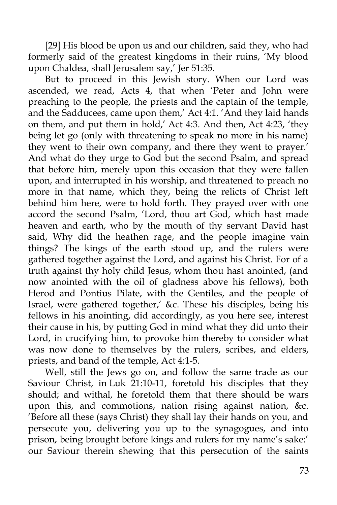[29] His blood be upon us and our children, said they, who had formerly said of the greatest kingdoms in their ruins, 'My blood upon Chaldea, shall Jerusalem say,' Jer 51:35.

But to proceed in this Jewish story. When our Lord was ascended, we read, Acts 4, that when 'Peter and John were preaching to the people, the priests and the captain of the temple, and the Sadducees, came upon them,' Act 4:1. 'And they laid hands on them, and put them in hold,' Act 4:3. And then, Act 4:23, 'they being let go (only with threatening to speak no more in his name) they went to their own company, and there they went to prayer.' And what do they urge to God but the second Psalm, and spread that before him, merely upon this occasion that they were fallen upon, and interrupted in his worship, and threatened to preach no more in that name, which they, being the relicts of Christ left behind him here, were to hold forth. They prayed over with one accord the second Psalm, 'Lord, thou art God, which hast made heaven and earth, who by the mouth of thy servant David hast said, Why did the heathen rage, and the people imagine vain things? The kings of the earth stood up, and the rulers were gathered together against the Lord, and against his Christ. For of a truth against thy holy child Jesus, whom thou hast anointed, (and now anointed with the oil of gladness above his fellows), both Herod and Pontius Pilate, with the Gentiles, and the people of Israel, were gathered together,' &c. These his disciples, being his fellows in his anointing, did accordingly, as you here see, interest their cause in his, by putting God in mind what they did unto their Lord, in crucifying him, to provoke him thereby to consider what was now done to themselves by the rulers, scribes, and elders, priests, and band of the temple, Act 4:1-5.

Well, still the Jews go on, and follow the same trade as our Saviour Christ, in Luk 21:10-11, foretold his disciples that they should; and withal, he foretold them that there should be wars upon this, and commotions, nation rising against nation, &c. 'Before all these (says Christ) they shall lay their hands on you, and persecute you, delivering you up to the synagogues, and into prison, being brought before kings and rulers for my name's sake:' our Saviour therein shewing that this persecution of the saints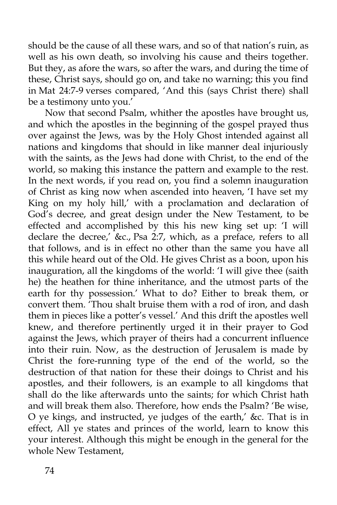should be the cause of all these wars, and so of that nation's ruin, as well as his own death, so involving his cause and theirs together. But they, as afore the wars, so after the wars, and during the time of these, Christ says, should go on, and take no warning; this you find in Mat 24:7-9 verses compared, 'And this (says Christ there) shall be a testimony unto you.'

Now that second Psalm, whither the apostles have brought us, and which the apostles in the beginning of the gospel prayed thus over against the Jews, was by the Holy Ghost intended against all nations and kingdoms that should in like manner deal injuriously with the saints, as the Jews had done with Christ, to the end of the world, so making this instance the pattern and example to the rest. In the next words, if you read on, you find a solemn inauguration of Christ as king now when ascended into heaven, 'I have set my King on my holy hill,' with a proclamation and declaration of God's decree, and great design under the New Testament, to be effected and accomplished by this his new king set up: 'I will declare the decree,' &c., Psa 2:7, which, as a preface, refers to all that follows, and is in effect no other than the same you have all this while heard out of the Old. He gives Christ as a boon, upon his inauguration, all the kingdoms of the world: 'I will give thee (saith he) the heathen for thine inheritance, and the utmost parts of the earth for thy possession.' What to do? Either to break them, or convert them. 'Thou shalt bruise them with a rod of iron, and dash them in pieces like a potter's vessel.' And this drift the apostles well knew, and therefore pertinently urged it in their prayer to God against the Jews, which prayer of theirs had a concurrent influence into their ruin. Now, as the destruction of Jerusalem is made by Christ the fore-running type of the end of the world, so the destruction of that nation for these their doings to Christ and his apostles, and their followers, is an example to all kingdoms that shall do the like afterwards unto the saints; for which Christ hath and will break them also. Therefore, how ends the Psalm? 'Be wise, O ye kings, and instructed, ye judges of the earth,' &c. That is in effect, All ye states and princes of the world, learn to know this your interest. Although this might be enough in the general for the whole New Testament,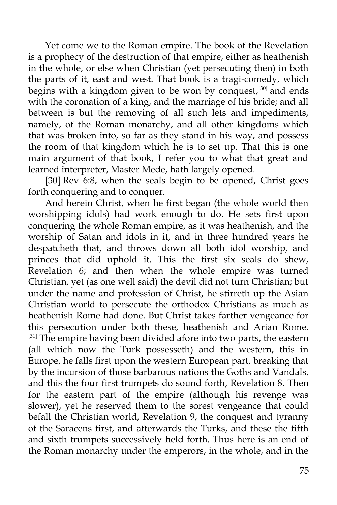Yet come we to the Roman empire. The book of the Revelation is a prophecy of the destruction of that empire, either as heathenish in the whole, or else when Christian (yet persecuting then) in both the parts of it, east and west. That book is a tragi-comedy, which begins with a kingdom given to be won by conquest, $[30]$  and ends with the coronation of a king, and the marriage of his bride; and all between is but the removing of all such lets and impediments, namely, of the Roman monarchy, and all other kingdoms which that was broken into, so far as they stand in his way, and possess the room of that kingdom which he is to set up. That this is one main argument of that book, I refer you to what that great and learned interpreter, Master Mede, hath largely opened.

[30] Rev 6:8, when the seals begin to be opened, Christ goes forth conquering and to conquer.

And herein Christ, when he first began (the whole world then worshipping idols) had work enough to do. He sets first upon conquering the whole Roman empire, as it was heathenish, and the worship of Satan and idols in it, and in three hundred years he despatcheth that, and throws down all both idol worship, and princes that did uphold it. This the first six seals do shew, Revelation 6; and then when the whole empire was turned Christian, yet (as one well said) the devil did not turn Christian; but under the name and profession of Christ, he stirreth up the Asian Christian world to persecute the orthodox Christians as much as heathenish Rome had done. But Christ takes farther vengeance for this persecution under both these, heathenish and Arian Rome. [31] The empire having been divided afore into two parts, the eastern (all which now the Turk possesseth) and the western, this in Europe, he falls first upon the western European part, breaking that by the incursion of those barbarous nations the Goths and Vandals, and this the four first trumpets do sound forth, Revelation 8. Then for the eastern part of the empire (although his revenge was slower), yet he reserved them to the sorest vengeance that could befall the Christian world, Revelation 9, the conquest and tyranny of the Saracens first, and afterwards the Turks, and these the fifth and sixth trumpets successively held forth. Thus here is an end of the Roman monarchy under the emperors, in the whole, and in the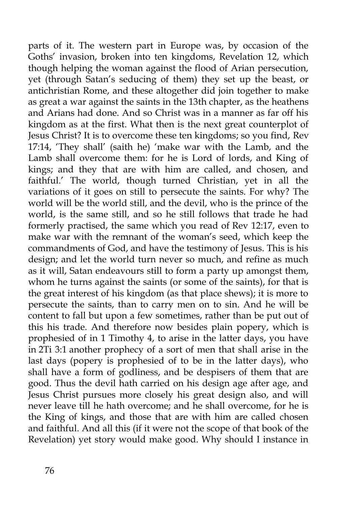parts of it. The western part in Europe was, by occasion of the Goths' invasion, broken into ten kingdoms, Revelation 12, which though helping the woman against the flood of Arian persecution, yet (through Satan's seducing of them) they set up the beast, or antichristian Rome, and these altogether did join together to make as great a war against the saints in the 13th chapter, as the heathens and Arians had done. And so Christ was in a manner as far off his kingdom as at the first. What then is the next great counterplot of Jesus Christ? It is to overcome these ten kingdoms; so you find, Rev 17:14, 'They shall' (saith he) 'make war with the Lamb, and the Lamb shall overcome them: for he is Lord of lords, and King of kings; and they that are with him are called, and chosen, and faithful.' The world, though turned Christian, yet in all the variations of it goes on still to persecute the saints. For why? The world will be the world still, and the devil, who is the prince of the world, is the same still, and so he still follows that trade he had formerly practised, the same which you read of Rev 12:17, even to make war with the remnant of the woman's seed, which keep the commandments of God, and have the testimony of Jesus. This is his design; and let the world turn never so much, and refine as much as it will, Satan endeavours still to form a party up amongst them, whom he turns against the saints (or some of the saints), for that is the great interest of his kingdom (as that place shews); it is more to persecute the saints, than to carry men on to sin. And he will be content to fall but upon a few sometimes, rather than be put out of this his trade. And therefore now besides plain popery, which is prophesied of in 1 Timothy 4, to arise in the latter days, you have in 2Ti 3:1 another prophecy of a sort of men that shall arise in the last days (popery is prophesied of to be in the latter days), who shall have a form of godliness, and be despisers of them that are good. Thus the devil hath carried on his design age after age, and Jesus Christ pursues more closely his great design also, and will never leave till he hath overcome; and he shall overcome, for he is the King of kings, and those that are with him are called chosen and faithful. And all this (if it were not the scope of that book of the Revelation) yet story would make good. Why should I instance in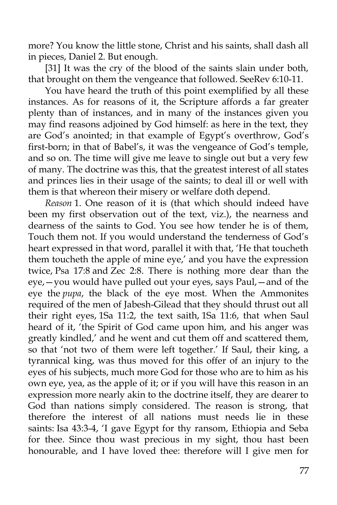more? You know the little stone, Christ and his saints, shall dash all in pieces, Daniel 2. But enough.

[31] It was the cry of the blood of the saints slain under both, that brought on them the vengeance that followed. SeeRev 6:10-11.

You have heard the truth of this point exemplified by all these instances. As for reasons of it, the Scripture affords a far greater plenty than of instances, and in many of the instances given you may find reasons adjoined by God himself: as here in the text, they are God's anointed; in that example of Egypt's overthrow, God's first-born; in that of Babel's, it was the vengeance of God's temple, and so on. The time will give me leave to single out but a very few of many. The doctrine was this, that the greatest interest of all states and princes lies in their usage of the saints; to deal ill or well with them is that whereon their misery or welfare doth depend.

*Reason* 1. One reason of it is (that which should indeed have been my first observation out of the text, viz.), the nearness and dearness of the saints to God. You see how tender he is of them, Touch them not. If you would understand the tenderness of God's heart expressed in that word, parallel it with that, 'He that toucheth them toucheth the apple of mine eye,' and you have the expression twice, Psa 17:8 and Zec 2:8. There is nothing more dear than the eye,—you would have pulled out your eyes, says Paul,—and of the eye the *pupa*, the black of the eye most. When the Ammonites required of the men of Jabesh-Gilead that they should thrust out all their right eyes, 1Sa 11:2, the text saith, 1Sa 11:6, that when Saul heard of it, 'the Spirit of God came upon him, and his anger was greatly kindled,' and he went and cut them off and scattered them, so that 'not two of them were left together.' If Saul, their king, a tyrannical king, was thus moved for this offer of an injury to the eyes of his subjects, much more God for those who are to him as his own eye, yea, as the apple of it; or if you will have this reason in an expression more nearly akin to the doctrine itself, they are dearer to God than nations simply considered. The reason is strong, that therefore the interest of all nations must needs lie in these saints: Isa 43:3-4, 'I gave Egypt for thy ransom, Ethiopia and Seba for thee. Since thou wast precious in my sight, thou hast been honourable, and I have loved thee: therefore will I give men for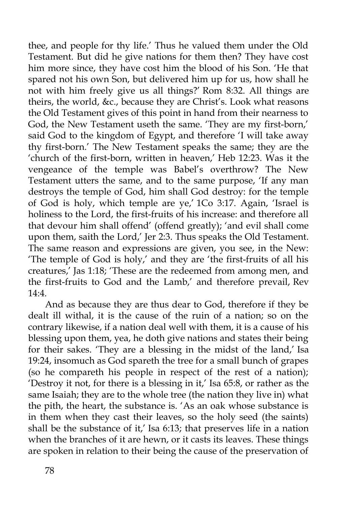thee, and people for thy life.' Thus he valued them under the Old Testament. But did he give nations for them then? They have cost him more since, they have cost him the blood of his Son. 'He that spared not his own Son, but delivered him up for us, how shall he not with him freely give us all things?' Rom 8:32. All things are theirs, the world, &c., because they are Christ's. Look what reasons the Old Testament gives of this point in hand from their nearness to God, the New Testament useth the same. 'They are my first-born,' said God to the kingdom of Egypt, and therefore 'I will take away thy first-born.' The New Testament speaks the same; they are the 'church of the first-born, written in heaven,' Heb 12:23. Was it the vengeance of the temple was Babel's overthrow? The New Testament utters the same, and to the same purpose, 'If any man destroys the temple of God, him shall God destroy: for the temple of God is holy, which temple are ye,' 1Co 3:17. Again, 'Israel is holiness to the Lord, the first-fruits of his increase: and therefore all that devour him shall offend' (offend greatly); 'and evil shall come upon them, saith the Lord,' Jer 2:3. Thus speaks the Old Testament. The same reason and expressions are given, you see, in the New: 'The temple of God is holy,' and they are 'the first-fruits of all his creatures,' Jas 1:18; 'These are the redeemed from among men, and the first-fruits to God and the Lamb,' and therefore prevail, Rev  $14:4.$ 

And as because they are thus dear to God, therefore if they be dealt ill withal, it is the cause of the ruin of a nation; so on the contrary likewise, if a nation deal well with them, it is a cause of his blessing upon them, yea, he doth give nations and states their being for their sakes. 'They are a blessing in the midst of the land,' Isa 19:24, insomuch as God spareth the tree for a small bunch of grapes (so he compareth his people in respect of the rest of a nation); 'Destroy it not, for there is a blessing in it,' Isa 65:8, or rather as the same Isaiah; they are to the whole tree (the nation they live in) what the pith, the heart, the substance is. 'As an oak whose substance is in them when they cast their leaves, so the holy seed (the saints) shall be the substance of it,' Isa 6:13; that preserves life in a nation when the branches of it are hewn, or it casts its leaves. These things are spoken in relation to their being the cause of the preservation of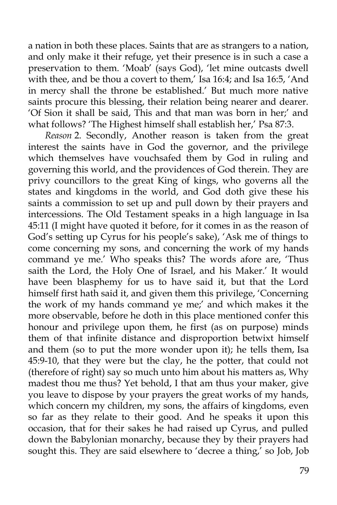a nation in both these places. Saints that are as strangers to a nation, and only make it their refuge, yet their presence is in such a case a preservation to them. 'Moab' (says God), 'let mine outcasts dwell with thee, and be thou a covert to them,' Isa 16:4; and Isa 16:5, 'And in mercy shall the throne be established.' But much more native saints procure this blessing, their relation being nearer and dearer. 'Of Sion it shall be said, This and that man was born in her;' and what follows? 'The Highest himself shall establish her,' Psa 87:3.

*Reason* 2. Secondly, Another reason is taken from the great interest the saints have in God the governor, and the privilege which themselves have vouchsafed them by God in ruling and governing this world, and the providences of God therein. They are privy councillors to the great King of kings, who governs all the states and kingdoms in the world, and God doth give these his saints a commission to set up and pull down by their prayers and intercessions. The Old Testament speaks in a high language in Isa 45:11 (I might have quoted it before, for it comes in as the reason of God's setting up Cyrus for his people's sake), 'Ask me of things to come concerning my sons, and concerning the work of my hands command ye me.' Who speaks this? The words afore are, 'Thus saith the Lord, the Holy One of Israel, and his Maker.' It would have been blasphemy for us to have said it, but that the Lord himself first hath said it, and given them this privilege, 'Concerning the work of my hands command ye me;' and which makes it the more observable, before he doth in this place mentioned confer this honour and privilege upon them, he first (as on purpose) minds them of that infinite distance and disproportion betwixt himself and them (so to put the more wonder upon it); he tells them, Isa 45:9-10, that they were but the clay, he the potter, that could not (therefore of right) say so much unto him about his matters as, Why madest thou me thus? Yet behold, I that am thus your maker, give you leave to dispose by your prayers the great works of my hands, which concern my children, my sons, the affairs of kingdoms, even so far as they relate to their good. And he speaks it upon this occasion, that for their sakes he had raised up Cyrus, and pulled down the Babylonian monarchy, because they by their prayers had sought this. They are said elsewhere to 'decree a thing,' so Job, Job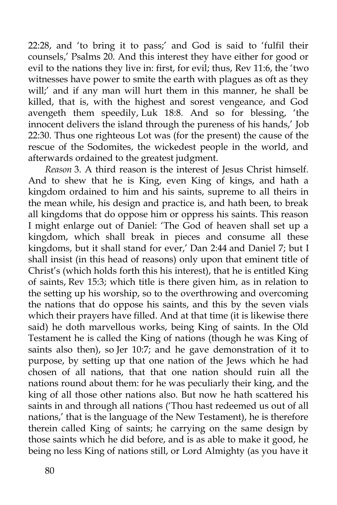22:28, and 'to bring it to pass;' and God is said to 'fulfil their counsels,' Psalms 20. And this interest they have either for good or evil to the nations they live in: first, for evil; thus, Rev 11:6, the 'two witnesses have power to smite the earth with plagues as oft as they will;' and if any man will hurt them in this manner, he shall be killed, that is, with the highest and sorest vengeance, and God avengeth them speedily, Luk 18:8. And so for blessing, 'the innocent delivers the island through the pureness of his hands,' Job 22:30. Thus one righteous Lot was (for the present) the cause of the rescue of the Sodomites, the wickedest people in the world, and afterwards ordained to the greatest judgment.

*Reason* 3. A third reason is the interest of Jesus Christ himself. And to shew that he is King, even King of kings, and hath a kingdom ordained to him and his saints, supreme to all theirs in the mean while, his design and practice is, and hath been, to break all kingdoms that do oppose him or oppress his saints. This reason I might enlarge out of Daniel: 'The God of heaven shall set up a kingdom, which shall break in pieces and consume all these kingdoms, but it shall stand for ever,' Dan 2:44 and Daniel 7; but I shall insist (in this head of reasons) only upon that eminent title of Christ's (which holds forth this his interest), that he is entitled King of saints, Rev 15:3; which title is there given him, as in relation to the setting up his worship, so to the overthrowing and overcoming the nations that do oppose his saints, and this by the seven vials which their prayers have filled. And at that time (it is likewise there said) he doth marvellous works, being King of saints. In the Old Testament he is called the King of nations (though he was King of saints also then), so Jer 10:7; and he gave demonstration of it to purpose, by setting up that one nation of the Jews which he had chosen of all nations, that that one nation should ruin all the nations round about them: for he was peculiarly their king, and the king of all those other nations also. But now he hath scattered his saints in and through all nations ('Thou hast redeemed us out of all nations,' that is the language of the New Testament), he is therefore therein called King of saints; he carrying on the same design by those saints which he did before, and is as able to make it good, he being no less King of nations still, or Lord Almighty (as you have it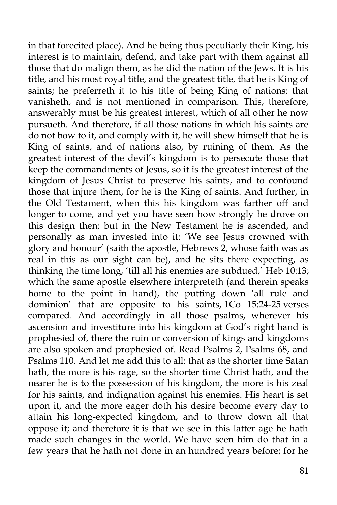in that forecited place). And he being thus peculiarly their King, his interest is to maintain, defend, and take part with them against all those that do malign them, as he did the nation of the Jews. It is his title, and his most royal title, and the greatest title, that he is King of saints; he preferreth it to his title of being King of nations; that vanisheth, and is not mentioned in comparison. This, therefore, answerably must be his greatest interest, which of all other he now pursueth. And therefore, if all those nations in which his saints are do not bow to it, and comply with it, he will shew himself that he is King of saints, and of nations also, by ruining of them. As the greatest interest of the devil's kingdom is to persecute those that keep the commandments of Jesus, so it is the greatest interest of the kingdom of Jesus Christ to preserve his saints, and to confound those that injure them, for he is the King of saints. And further, in the Old Testament, when this his kingdom was farther off and longer to come, and yet you have seen how strongly he drove on this design then; but in the New Testament he is ascended, and personally as man invested into it: 'We see Jesus crowned with glory and honour' (saith the apostle, Hebrews 2, whose faith was as real in this as our sight can be), and he sits there expecting, as thinking the time long, 'till all his enemies are subdued,' Heb 10:13; which the same apostle elsewhere interpreteth (and therein speaks home to the point in hand), the putting down 'all rule and dominion' that are opposite to his saints, 1Co 15:24-25 verses compared. And accordingly in all those psalms, wherever his ascension and investiture into his kingdom at God's right hand is prophesied of, there the ruin or conversion of kings and kingdoms are also spoken and prophesied of. Read Psalms  $\check{2}$ , Psalms  $\check{68}$ , and Psalms 110. And let me add this to all: that as the shorter time Satan hath, the more is his rage, so the shorter time Christ hath, and the nearer he is to the possession of his kingdom, the more is his zeal for his saints, and indignation against his enemies. His heart is set upon it, and the more eager doth his desire become every day to attain his long-expected kingdom, and to throw down all that oppose it; and therefore it is that we see in this latter age he hath made such changes in the world. We have seen him do that in a few years that he hath not done in an hundred years before; for he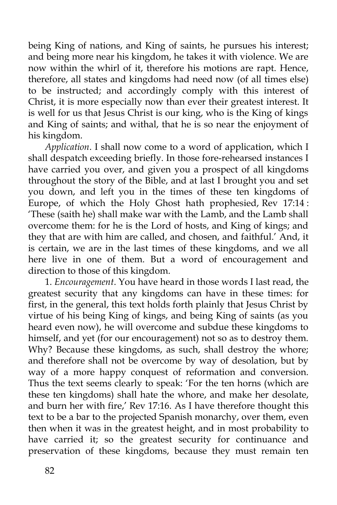being King of nations, and King of saints, he pursues his interest; and being more near his kingdom, he takes it with violence. We are now within the whirl of it, therefore his motions are rapt. Hence, therefore, all states and kingdoms had need now (of all times else) to be instructed; and accordingly comply with this interest of Christ, it is more especially now than ever their greatest interest. It is well for us that Jesus Christ is our king, who is the King of kings and King of saints; and withal, that he is so near the enjoyment of his kingdom.

*Application*. I shall now come to a word of application, which I shall despatch exceeding briefly. In those fore-rehearsed instances I have carried you over, and given you a prospect of all kingdoms throughout the story of the Bible, and at last I brought you and set you down, and left you in the times of these ten kingdoms of Europe, of which the Holy Ghost hath prophesied, Rev 17:14 : 'These (saith he) shall make war with the Lamb, and the Lamb shall overcome them: for he is the Lord of hosts, and King of kings; and they that are with him are called, and chosen, and faithful.' And, it is certain, we are in the last times of these kingdoms, and we all here live in one of them. But a word of encouragement and direction to those of this kingdom.

1. *Encouragement*. You have heard in those words I last read, the greatest security that any kingdoms can have in these times: for first, in the general, this text holds forth plainly that Jesus Christ by virtue of his being King of kings, and being King of saints (as you heard even now), he will overcome and subdue these kingdoms to himself, and yet (for our encouragement) not so as to destroy them. Why? Because these kingdoms, as such, shall destroy the whore; and therefore shall not be overcome by way of desolation, but by way of a more happy conquest of reformation and conversion. Thus the text seems clearly to speak: 'For the ten horns (which are these ten kingdoms) shall hate the whore, and make her desolate, and burn her with fire,' Rev 17:16. As I have therefore thought this text to be a bar to the projected Spanish monarchy, over them, even then when it was in the greatest height, and in most probability to have carried it; so the greatest security for continuance and preservation of these kingdoms, because they must remain ten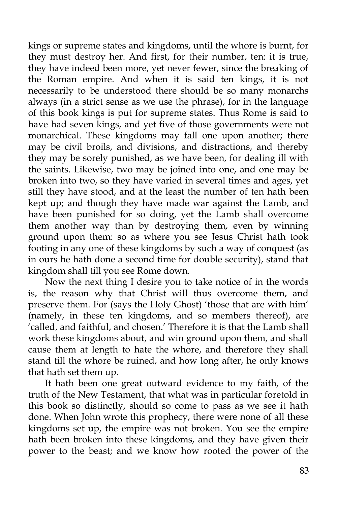kings or supreme states and kingdoms, until the whore is burnt, for they must destroy her. And first, for their number, ten: it is true, they have indeed been more, yet never fewer, since the breaking of the Roman empire. And when it is said ten kings, it is not necessarily to be understood there should be so many monarchs always (in a strict sense as we use the phrase), for in the language of this book kings is put for supreme states. Thus Rome is said to have had seven kings, and yet five of those governments were not monarchical. These kingdoms may fall one upon another; there may be civil broils, and divisions, and distractions, and thereby they may be sorely punished, as we have been, for dealing ill with the saints. Likewise, two may be joined into one, and one may be broken into two, so they have varied in several times and ages, yet still they have stood, and at the least the number of ten hath been kept up; and though they have made war against the Lamb, and have been punished for so doing, yet the Lamb shall overcome them another way than by destroying them, even by winning ground upon them: so as where you see Jesus Christ hath took footing in any one of these kingdoms by such a way of conquest (as in ours he hath done a second time for double security), stand that kingdom shall till you see Rome down.

Now the next thing I desire you to take notice of in the words is, the reason why that Christ will thus overcome them, and preserve them. For (says the Holy Ghost) 'those that are with him' (namely, in these ten kingdoms, and so members thereof), are 'called, and faithful, and chosen.' Therefore it is that the Lamb shall work these kingdoms about, and win ground upon them, and shall cause them at length to hate the whore, and therefore they shall stand till the whore be ruined, and how long after, he only knows that hath set them up.

It hath been one great outward evidence to my faith, of the truth of the New Testament, that what was in particular foretold in this book so distinctly, should so come to pass as we see it hath done. When John wrote this prophecy, there were none of all these kingdoms set up, the empire was not broken. You see the empire hath been broken into these kingdoms, and they have given their power to the beast; and we know how rooted the power of the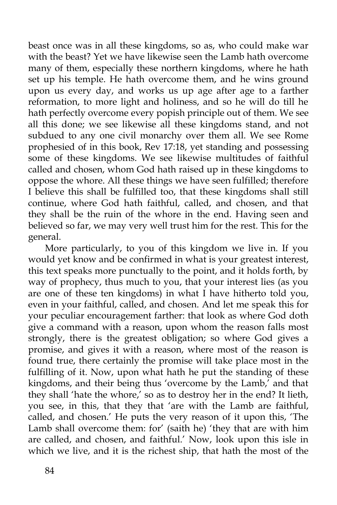beast once was in all these kingdoms, so as, who could make war with the beast? Yet we have likewise seen the Lamb hath overcome many of them, especially these northern kingdoms, where he hath set up his temple. He hath overcome them, and he wins ground upon us every day, and works us up age after age to a farther reformation, to more light and holiness, and so he will do till he hath perfectly overcome every popish principle out of them. We see all this done; we see likewise all these kingdoms stand, and not subdued to any one civil monarchy over them all. We see Rome prophesied of in this book, Rev 17:18, yet standing and possessing some of these kingdoms. We see likewise multitudes of faithful called and chosen, whom God hath raised up in these kingdoms to oppose the whore. All these things we have seen fulfilled; therefore I believe this shall be fulfilled too, that these kingdoms shall still continue, where God hath faithful, called, and chosen, and that they shall be the ruin of the whore in the end. Having seen and believed so far, we may very well trust him for the rest. This for the general.

More particularly, to you of this kingdom we live in. If you would yet know and be confirmed in what is your greatest interest, this text speaks more punctually to the point, and it holds forth, by way of prophecy, thus much to you, that your interest lies (as you are one of these ten kingdoms) in what I have hitherto told you, even in your faithful, called, and chosen. And let me speak this for your peculiar encouragement farther: that look as where God doth give a command with a reason, upon whom the reason falls most strongly, there is the greatest obligation; so where God gives a promise, and gives it with a reason, where most of the reason is found true, there certainly the promise will take place most in the fulfilling of it. Now, upon what hath he put the standing of these kingdoms, and their being thus 'overcome by the Lamb,' and that they shall 'hate the whore,' so as to destroy her in the end? It lieth, you see, in this, that they that 'are with the Lamb are faithful, called, and chosen.' He puts the very reason of it upon this, 'The Lamb shall overcome them: for' (saith he) 'they that are with him are called, and chosen, and faithful.' Now, look upon this isle in which we live, and it is the richest ship, that hath the most of the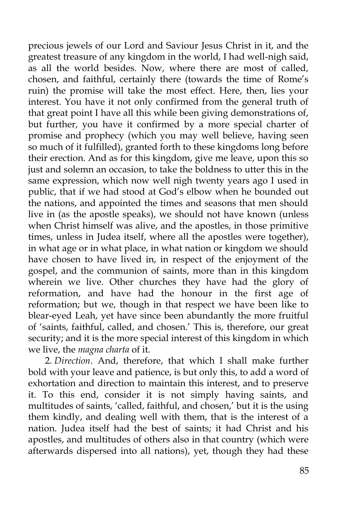precious jewels of our Lord and Saviour Jesus Christ in it, and the greatest treasure of any kingdom in the world, I had well-nigh said, as all the world besides. Now, where there are most of called, chosen, and faithful, certainly there (towards the time of Rome's ruin) the promise will take the most effect. Here, then, lies your interest. You have it not only confirmed from the general truth of that great point I have all this while been giving demonstrations of, but further, you have it confirmed by a more special charter of promise and prophecy (which you may well believe, having seen so much of it fulfilled), granted forth to these kingdoms long before their erection. And as for this kingdom, give me leave, upon this so just and solemn an occasion, to take the boldness to utter this in the same expression, which now well nigh twenty years ago I used in public, that if we had stood at God's elbow when he bounded out the nations, and appointed the times and seasons that men should live in (as the apostle speaks), we should not have known (unless when Christ himself was alive, and the apostles, in those primitive times, unless in Judea itself, where all the apostles were together), in what age or in what place, in what nation or kingdom we should have chosen to have lived in, in respect of the enjoyment of the gospel, and the communion of saints, more than in this kingdom wherein we live. Other churches they have had the glory of reformation, and have had the honour in the first age of reformation; but we, though in that respect we have been like to blear-eyed Leah, yet have since been abundantly the more fruitful of 'saints, faithful, called, and chosen.' This is, therefore, our great security; and it is the more special interest of this kingdom in which we live, the *magna charta* of it.

2. *Direction*. And, therefore, that which I shall make further bold with your leave and patience, is but only this, to add a word of exhortation and direction to maintain this interest, and to preserve it. To this end, consider it is not simply having saints, and multitudes of saints, 'called, faithful, and chosen,' but it is the using them kindly, and dealing well with them, that is the interest of a nation. Judea itself had the best of saints; it had Christ and his apostles, and multitudes of others also in that country (which were afterwards dispersed into all nations), yet, though they had these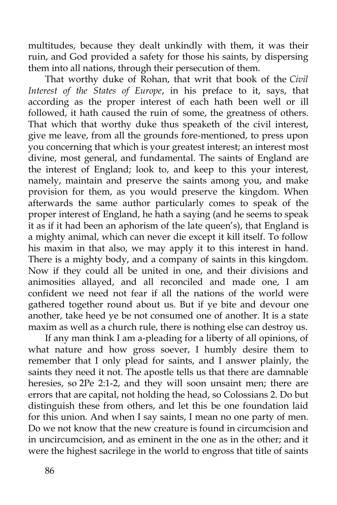multitudes, because they dealt unkindly with them, it was their ruin, and God provided a safety for those his saints, by dispersing them into all nations, through their persecution of them.

That worthy duke of Rohan, that writ that book of the *Civil Interest of the States of Europe*, in his preface to it, says, that according as the proper interest of each hath been well or ill followed, it hath caused the ruin of some, the greatness of others. That which that worthy duke thus speaketh of the civil interest, give me leave, from all the grounds fore-mentioned, to press upon you concerning that which is your greatest interest; an interest most divine, most general, and fundamental. The saints of England are the interest of England; look to, and keep to this your interest, namely, maintain and preserve the saints among you, and make provision for them, as you would preserve the kingdom. When afterwards the same author particularly comes to speak of the proper interest of England, he hath a saying (and he seems to speak it as if it had been an aphorism of the late queen's), that England is a mighty animal, which can never die except it kill itself. To follow his maxim in that also, we may apply it to this interest in hand. There is a mighty body, and a company of saints in this kingdom. Now if they could all be united in one, and their divisions and animosities allayed, and all reconciled and made one, I am confident we need not fear if all the nations of the world were gathered together round about us. But if ye bite and devour one another, take heed ye be not consumed one of another. It is a state maxim as well as a church rule, there is nothing else can destroy us.

If any man think I am a-pleading for a liberty of all opinions, of what nature and how gross soever, I humbly desire them to remember that I only plead for saints, and I answer plainly, the saints they need it not. The apostle tells us that there are damnable heresies, so 2Pe 2:1-2, and they will soon unsaint men; there are errors that are capital, not holding the head, so Colossians 2. Do but distinguish these from others, and let this be one foundation laid for this union. And when I say saints, I mean no one party of men. Do we not know that the new creature is found in circumcision and in uncircumcision, and as eminent in the one as in the other; and it were the highest sacrilege in the world to engross that title of saints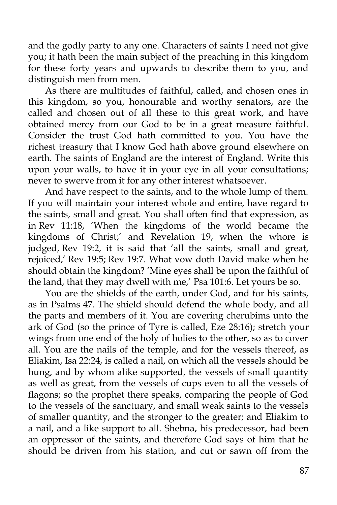and the godly party to any one. Characters of saints I need not give you; it hath been the main subject of the preaching in this kingdom for these forty years and upwards to describe them to you, and distinguish men from men.

As there are multitudes of faithful, called, and chosen ones in this kingdom, so you, honourable and worthy senators, are the called and chosen out of all these to this great work, and have obtained mercy from our God to be in a great measure faithful. Consider the trust God hath committed to you. You have the richest treasury that I know God hath above ground elsewhere on earth. The saints of England are the interest of England. Write this upon your walls, to have it in your eye in all your consultations; never to swerve from it for any other interest whatsoever.

And have respect to the saints, and to the whole lump of them. If you will maintain your interest whole and entire, have regard to the saints, small and great. You shall often find that expression, as in Rev 11:18, 'When the kingdoms of the world became the kingdoms of Christ;' and Revelation 19, when the whore is judged, Rev 19:2, it is said that 'all the saints, small and great, rejoiced,' Rev 19:5; Rev 19:7. What vow doth David make when he should obtain the kingdom? 'Mine eyes shall be upon the faithful of the land, that they may dwell with me,' Psa 101:6. Let yours be so.

You are the shields of the earth, under God, and for his saints, as in Psalms 47. The shield should defend the whole body, and all the parts and members of it. You are covering cherubims unto the ark of God (so the prince of Tyre is called, Eze 28:16); stretch your wings from one end of the holy of holies to the other, so as to cover all. You are the nails of the temple, and for the vessels thereof, as Eliakim, Isa 22:24, is called a nail, on which all the vessels should be hung, and by whom alike supported, the vessels of small quantity as well as great, from the vessels of cups even to all the vessels of flagons; so the prophet there speaks, comparing the people of God to the vessels of the sanctuary, and small weak saints to the vessels of smaller quantity, and the stronger to the greater; and Eliakim to a nail, and a like support to all. Shebna, his predecessor, had been an oppressor of the saints, and therefore God says of him that he should be driven from his station, and cut or sawn off from the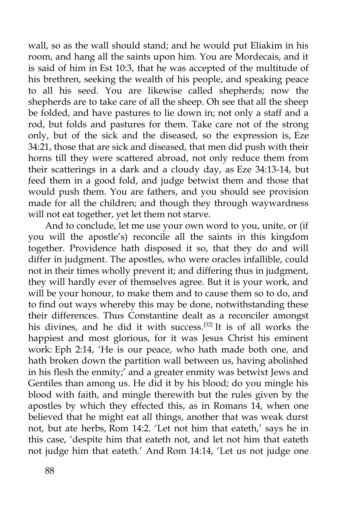wall, so as the wall should stand; and he would put Eliakim in his room, and hang all the saints upon him. You are Mordecais, and it is said of him in Est 10:3, that he was accepted of the multitude of his brethren, seeking the wealth of his people, and speaking peace to all his seed. You are likewise called shepherds; now the shepherds are to take care of all the sheep. Oh see that all the sheep be folded, and have pastures to lie down in; not only a staff and a rod, but folds and pastures for them. Take care not of the strong only, but of the sick and the diseased, so the expression is, Eze 34:21, those that are sick and diseased, that men did push with their horns till they were scattered abroad, not only reduce them from their scatterings in a dark and a cloudy day, as Eze 34:13-14, but feed them in a good fold, and judge betwixt them and those that would push them. You are fathers, and you should see provision made for all the children; and though they through waywardness will not eat together, yet let them not starve.

And to conclude, let me use your own word to you, unite, or (if you will the apostle's) reconcile all the saints in this kingdom together. Providence hath disposed it so, that they do and will differ in judgment. The apostles, who were oracles infallible, could not in their times wholly prevent it; and differing thus in judgment, they will hardly ever of themselves agree. But it is your work, and will be your honour, to make them and to cause them so to do, and to find out ways whereby this may be done, notwithstanding these their differences. Thus Constantine dealt as a reconciler amongst his divines, and he did it with success.<sup>[32]</sup> It is of all works the happiest and most glorious, for it was Jesus Christ his eminent work: Eph 2:14, 'He is our peace, who hath made both one, and hath broken down the partition wall between us, having abolished in his flesh the enmity;' and a greater enmity was betwixt Jews and Gentiles than among us. He did it by his blood; do you mingle his blood with faith, and mingle therewith but the rules given by the apostles by which they effected this, as in Romans 14, when one believed that he might eat all things, another that was weak durst not, but ate herbs, Rom 14:2. 'Let not him that eateth,' says he in this case, 'despite him that eateth not, and let not him that eateth not judge him that eateth.' And Rom 14:14, 'Let us not judge one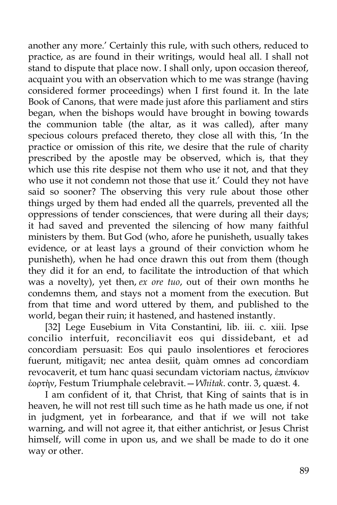another any more.' Certainly this rule, with such others, reduced to practice, as are found in their writings, would heal all. I shall not stand to dispute that place now. I shall only, upon occasion thereof, acquaint you with an observation which to me was strange (having considered former proceedings) when I first found it. In the late Book of Canons, that were made just afore this parliament and stirs began, when the bishops would have brought in bowing towards the communion table (the altar, as it was called), after many specious colours prefaced thereto, they close all with this, 'In the practice or omission of this rite, we desire that the rule of charity prescribed by the apostle may be observed, which is, that they which use this rite despise not them who use it not, and that they who use it not condemn not those that use it.' Could they not have said so sooner? The observing this very rule about those other things urged by them had ended all the quarrels, prevented all the oppressions of tender consciences, that were during all their days; it had saved and prevented the silencing of how many faithful ministers by them. But God (who, afore he punisheth, usually takes evidence, or at least lays a ground of their conviction whom he punisheth), when he had once drawn this out from them (though they did it for an end, to facilitate the introduction of that which was a novelty), yet then, *ex ore tuo*, out of their own months he condemns them, and stays not a moment from the execution. But from that time and word uttered by them, and published to the world, began their ruin; it hastened, and hastened instantly.

[32] Lege Eusebium in Vita Constantini, lib. iii. c. xiii. Ipse concilio interfuit, reconciliavit eos qui dissidebant, et ad concordiam persuasit: Eos qui paulo insolentiores et ferociores fuerunt, mitigavit; nec antea desiit, quàm omnes ad concordiam revocaverit, et tum hanc quasi secundam victoriam nactus, ἐπινίκιον ἑορτὴν, Festum Triumphale celebravit.—*Whitak*. contr. 3, quæst. 4.

I am confident of it, that Christ, that King of saints that is in heaven, he will not rest till such time as he hath made us one, if not in judgment, yet in forbearance, and that if we will not take warning, and will not agree it, that either antichrist, or Jesus Christ himself, will come in upon us, and we shall be made to do it one way or other.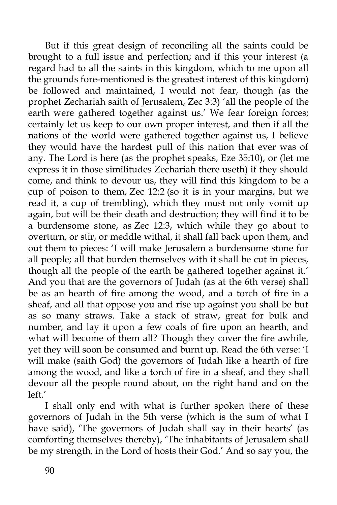But if this great design of reconciling all the saints could be brought to a full issue and perfection; and if this your interest (a regard had to all the saints in this kingdom, which to me upon all the grounds fore-mentioned is the greatest interest of this kingdom) be followed and maintained, I would not fear, though (as the prophet Zechariah saith of Jerusalem, Zec 3:3) 'all the people of the earth were gathered together against us.' We fear foreign forces; certainly let us keep to our own proper interest, and then if all the nations of the world were gathered together against us, I believe they would have the hardest pull of this nation that ever was of any. The Lord is here (as the prophet speaks, Eze 35:10), or (let me express it in those similitudes Zechariah there useth) if they should come, and think to devour us, they will find this kingdom to be a cup of poison to them, Zec 12:2 (so it is in your margins, but we read it, a cup of trembling), which they must not only vomit up again, but will be their death and destruction; they will find it to be a burdensome stone, as Zec 12:3, which while they go about to overturn, or stir, or meddle withal, it shall fall back upon them, and out them to pieces: 'I will make Jerusalem a burdensome stone for all people; all that burden themselves with it shall be cut in pieces, though all the people of the earth be gathered together against it.' And you that are the governors of Judah (as at the 6th verse) shall be as an hearth of fire among the wood, and a torch of fire in a sheaf, and all that oppose you and rise up against you shall be but as so many straws. Take a stack of straw, great for bulk and number, and lay it upon a few coals of fire upon an hearth, and what will become of them all? Though they cover the fire awhile, yet they will soon be consumed and burnt up. Read the 6th verse: 'I will make (saith God) the governors of Judah like a hearth of fire among the wood, and like a torch of fire in a sheaf, and they shall devour all the people round about, on the right hand and on the left.'

I shall only end with what is further spoken there of these governors of Judah in the 5th verse (which is the sum of what I have said), 'The governors of Judah shall say in their hearts' (as comforting themselves thereby), 'The inhabitants of Jerusalem shall be my strength, in the Lord of hosts their God.' And so say you, the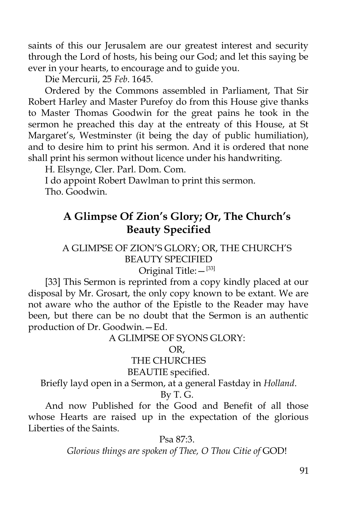saints of this our Jerusalem are our greatest interest and security through the Lord of hosts, his being our God; and let this saying be ever in your hearts, to encourage and to guide you.

Die Mercurii, 25 *Feb*. 1645.

Ordered by the Commons assembled in Parliament, That Sir Robert Harley and Master Purefoy do from this House give thanks to Master Thomas Goodwin for the great pains he took in the sermon he preached this day at the entreaty of this House, at St Margaret's, Westminster (it being the day of public humiliation), and to desire him to print his sermon. And it is ordered that none shall print his sermon without licence under his handwriting.

H. Elsynge, Cler. Parl. Dom. Com.

I do appoint Robert Dawlman to print this sermon. Tho. Goodwin.

# **A Glimpse Of Zion's Glory; Or, The Church's Beauty Specified**

### A GLIMPSE OF ZION'S GLORY; OR, THE CHURCH'S BEAUTY SPECIFIED Original Title: $-$ <sup>[33]</sup>

[33] This Sermon is reprinted from a copy kindly placed at our disposal by Mr. Grosart, the only copy known to be extant. We are not aware who the author of the Epistle to the Reader may have been, but there can be no doubt that the Sermon is an authentic production of Dr. Goodwin.—Ed.

A GLIMPSE OF SYONS GLORY:

OR,

## THE CHURCHES

#### BEAUTIE specified.

Briefly layd open in a Sermon, at a general Fastday in *Holland*.

By T. G.

And now Published for the Good and Benefit of all those whose Hearts are raised up in the expectation of the glorious Liberties of the Saints.

Psa 87:3.

*Glorious things are spoken of Thee, O Thou Citie of* GOD!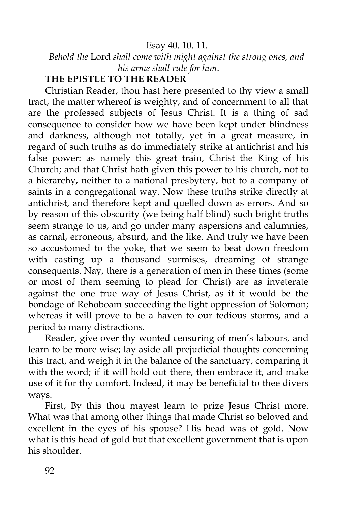#### Esay 40. 10. 11.

*Behold the* Lord *shall come with might against the strong ones, and his arme shall rule for him*.

#### **THE EPISTLE TO THE READER**

Christian Reader, thou hast here presented to thy view a small tract, the matter whereof is weighty, and of concernment to all that are the professed subjects of Jesus Christ. It is a thing of sad consequence to consider how we have been kept under blindness and darkness, although not totally, yet in a great measure, in regard of such truths as do immediately strike at antichrist and his false power: as namely this great train, Christ the King of his Church; and that Christ hath given this power to his church, not to a hierarchy, neither to a national presbytery, but to a company of saints in a congregational way. Now these truths strike directly at antichrist, and therefore kept and quelled down as errors. And so by reason of this obscurity (we being half blind) such bright truths seem strange to us, and go under many aspersions and calumnies, as carnal, erroneous, absurd, and the like. And truly we have been so accustomed to the yoke, that we seem to beat down freedom with casting up a thousand surmises, dreaming of strange consequents. Nay, there is a generation of men in these times (some or most of them seeming to plead for Christ) are as inveterate against the one true way of Jesus Christ, as if it would be the bondage of Rehoboam succeeding the light oppression of Solomon; whereas it will prove to be a haven to our tedious storms, and a period to many distractions.

Reader, give over thy wonted censuring of men's labours, and learn to be more wise; lay aside all prejudicial thoughts concerning this tract, and weigh it in the balance of the sanctuary, comparing it with the word; if it will hold out there, then embrace it, and make use of it for thy comfort. Indeed, it may be beneficial to thee divers ways.

First, By this thou mayest learn to prize Jesus Christ more. What was that among other things that made Christ so beloved and excellent in the eyes of his spouse? His head was of gold. Now what is this head of gold but that excellent government that is upon his shoulder.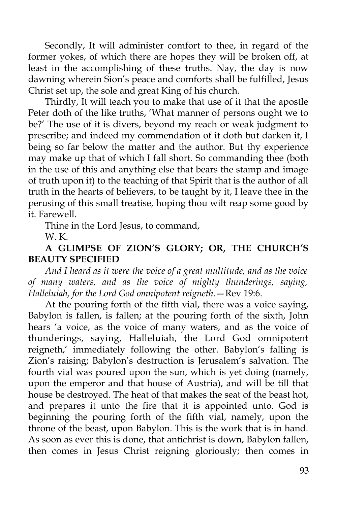Secondly, It will administer comfort to thee, in regard of the former yokes, of which there are hopes they will be broken off, at least in the accomplishing of these truths. Nay, the day is now dawning wherein Sion's peace and comforts shall be fulfilled, Jesus Christ set up, the sole and great King of his church.

Thirdly, It will teach you to make that use of it that the apostle Peter doth of the like truths, 'What manner of persons ought we to be?' The use of it is divers, beyond my reach or weak judgment to prescribe; and indeed my commendation of it doth but darken it, I being so far below the matter and the author. But thy experience may make up that of which I fall short. So commanding thee (both in the use of this and anything else that bears the stamp and image of truth upon it) to the teaching of that Spirit that is the author of all truth in the hearts of believers, to be taught by it, I leave thee in the perusing of this small treatise, hoping thou wilt reap some good by it. Farewell.

Thine in the Lord Jesus, to command,

W. K.

# **A GLIMPSE OF ZION'S GLORY; OR, THE CHURCH'S BEAUTY SPECIFIED**

*And I heard as it were the voice of a great multitude, and as the voice of many waters, and as the voice of mighty thunderings, saying, Halleluiah, for the Lord God omnipotent reigneth*.—Rev 19:6.

At the pouring forth of the fifth vial, there was a voice saying, Babylon is fallen, is fallen; at the pouring forth of the sixth, John hears 'a voice, as the voice of many waters, and as the voice of thunderings, saying, Halleluiah, the Lord God omnipotent reigneth,' immediately following the other. Babylon's falling is Zion's raising; Babylon's destruction is Jerusalem's salvation. The fourth vial was poured upon the sun, which is yet doing (namely, upon the emperor and that house of Austria), and will be till that house be destroyed. The heat of that makes the seat of the beast hot, and prepares it unto the fire that it is appointed unto. God is beginning the pouring forth of the fifth vial, namely, upon the throne of the beast, upon Babylon. This is the work that is in hand. As soon as ever this is done, that antichrist is down, Babylon fallen, then comes in Jesus Christ reigning gloriously; then comes in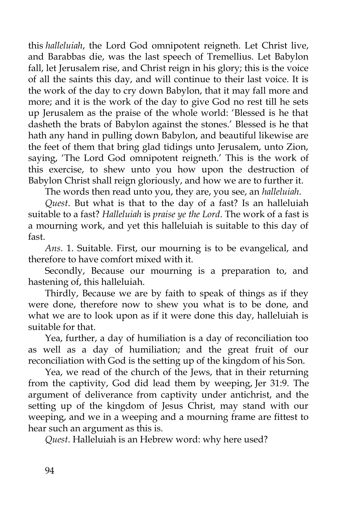this *halleluiah*, the Lord God omnipotent reigneth. Let Christ live, and Barabbas die, was the last speech of Tremellius. Let Babylon fall, let Jerusalem rise, and Christ reign in his glory; this is the voice of all the saints this day, and will continue to their last voice. It is the work of the day to cry down Babylon, that it may fall more and more; and it is the work of the day to give God no rest till he sets up Jerusalem as the praise of the whole world: 'Blessed is he that dasheth the brats of Babylon against the stones.' Blessed is he that hath any hand in pulling down Babylon, and beautiful likewise are the feet of them that bring glad tidings unto Jerusalem, unto Zion, saying, 'The Lord God omnipotent reigneth.' This is the work of this exercise, to shew unto you how upon the destruction of Babylon Christ shall reign gloriously, and how we are to further it.

The words then read unto you, they are, you see, an *halleluiah*.

*Quest*. But what is that to the day of a fast? Is an halleluiah suitable to a fast? *Halleluiah* is *praise ye the Lord*. The work of a fast is a mourning work, and yet this halleluiah is suitable to this day of fast.

*Ans*. 1. Suitable. First, our mourning is to be evangelical, and therefore to have comfort mixed with it.

Secondly, Because our mourning is a preparation to, and hastening of, this halleluiah.

Thirdly, Because we are by faith to speak of things as if they were done, therefore now to shew you what is to be done, and what we are to look upon as if it were done this day, halleluiah is suitable for that.

Yea, further, a day of humiliation is a day of reconciliation too as well as a day of humiliation; and the great fruit of our reconciliation with God is the setting up of the kingdom of his Son.

Yea, we read of the church of the Jews, that in their returning from the captivity, God did lead them by weeping, Jer 31:9. The argument of deliverance from captivity under antichrist, and the setting up of the kingdom of Jesus Christ, may stand with our weeping, and we in a weeping and a mourning frame are fittest to hear such an argument as this is.

*Quest*. Halleluiah is an Hebrew word: why here used?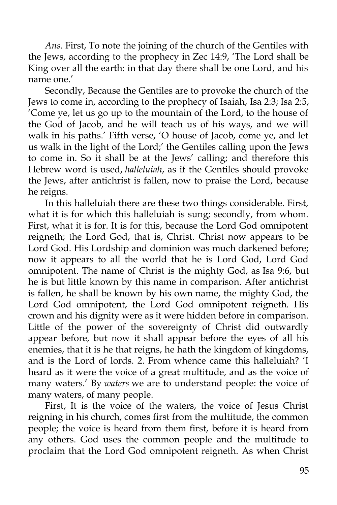*Ans*. First, To note the joining of the church of the Gentiles with the Jews, according to the prophecy in Zec 14:9, 'The Lord shall be King over all the earth: in that day there shall be one Lord, and his name one.'

Secondly, Because the Gentiles are to provoke the church of the Jews to come in, according to the prophecy of Isaiah, Isa 2:3; Isa 2:5, 'Come ye, let us go up to the mountain of the Lord, to the house of the God of Jacob, and he will teach us of his ways, and we will walk in his paths.' Fifth verse, 'O house of Jacob, come ye, and let us walk in the light of the Lord;' the Gentiles calling upon the Jews to come in. So it shall be at the Jews' calling; and therefore this Hebrew word is used, *halleluiah*, as if the Gentiles should provoke the Jews, after antichrist is fallen, now to praise the Lord, because he reigns.

In this halleluiah there are these two things considerable. First, what it is for which this halleluiah is sung; secondly, from whom. First, what it is for. It is for this, because the Lord God omnipotent reigneth; the Lord God, that is, Christ. Christ now appears to be Lord God. His Lordship and dominion was much darkened before; now it appears to all the world that he is Lord God, Lord God omnipotent. The name of Christ is the mighty God, as Isa 9:6, but he is but little known by this name in comparison. After antichrist is fallen, he shall be known by his own name, the mighty God, the Lord God omnipotent, the Lord God omnipotent reigneth. His crown and his dignity were as it were hidden before in comparison. Little of the power of the sovereignty of Christ did outwardly appear before, but now it shall appear before the eyes of all his enemies, that it is he that reigns, he hath the kingdom of kingdoms, and is the Lord of lords. 2. From whence came this halleluiah? 'I heard as it were the voice of a great multitude, and as the voice of many waters.' By *waters* we are to understand people: the voice of many waters, of many people.

First, It is the voice of the waters, the voice of Jesus Christ reigning in his church, comes first from the multitude, the common people; the voice is heard from them first, before it is heard from any others. God uses the common people and the multitude to proclaim that the Lord God omnipotent reigneth. As when Christ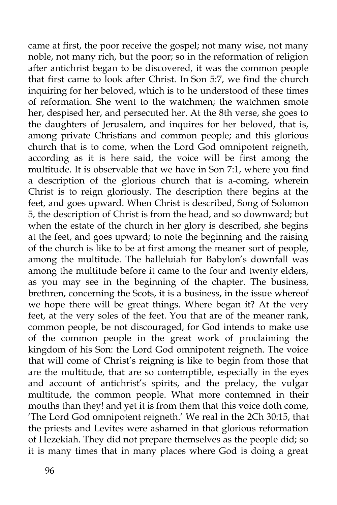came at first, the poor receive the gospel; not many wise, not many noble, not many rich, but the poor; so in the reformation of religion after antichrist began to be discovered, it was the common people that first came to look after Christ. In Son 5:7, we find the church inquiring for her beloved, which is to he understood of these times of reformation. She went to the watchmen; the watchmen smote her, despised her, and persecuted her. At the 8th verse, she goes to the daughters of Jerusalem, and inquires for her beloved, that is, among private Christians and common people; and this glorious church that is to come, when the Lord God omnipotent reigneth, according as it is here said, the voice will be first among the multitude. It is observable that we have in Son 7:1, where you find a description of the glorious church that is a-coming, wherein Christ is to reign gloriously. The description there begins at the feet, and goes upward. When Christ is described, Song of Solomon 5, the description of Christ is from the head, and so downward; but when the estate of the church in her glory is described, she begins at the feet, and goes upward; to note the beginning and the raising of the church is like to be at first among the meaner sort of people, among the multitude. The halleluiah for Babylon's downfall was among the multitude before it came to the four and twenty elders, as you may see in the beginning of the chapter. The business, brethren, concerning the Scots, it is a business, in the issue whereof we hope there will be great things. Where began it? At the very feet, at the very soles of the feet. You that are of the meaner rank, common people, be not discouraged, for God intends to make use of the common people in the great work of proclaiming the kingdom of his Son: the Lord God omnipotent reigneth. The voice that will come of Christ's reigning is like to begin from those that are the multitude, that are so contemptible, especially in the eyes and account of antichrist's spirits, and the prelacy, the vulgar multitude, the common people. What more contemned in their mouths than they! and yet it is from them that this voice doth come, 'The Lord God omnipotent reigneth.' We real in the 2Ch 30:15, that the priests and Levites were ashamed in that glorious reformation of Hezekiah. They did not prepare themselves as the people did; so it is many times that in many places where God is doing a great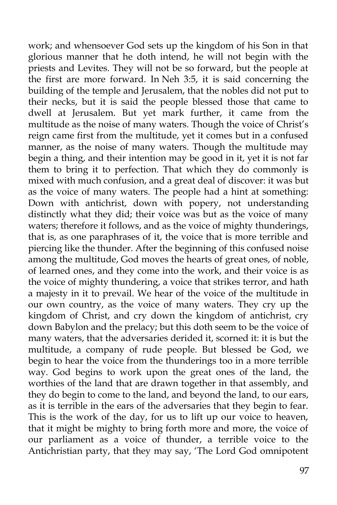work; and whensoever God sets up the kingdom of his Son in that glorious manner that he doth intend, he will not begin with the priests and Levites. They will not be so forward, but the people at the first are more forward. In Neh 3:5, it is said concerning the building of the temple and Jerusalem, that the nobles did not put to their necks, but it is said the people blessed those that came to dwell at Jerusalem. But yet mark further, it came from the multitude as the noise of many waters. Though the voice of Christ's reign came first from the multitude, yet it comes but in a confused manner, as the noise of many waters. Though the multitude may begin a thing, and their intention may be good in it, yet it is not far them to bring it to perfection. That which they do commonly is mixed with much confusion, and a great deal of discover: it was but as the voice of many waters. The people had a hint at something: Down with antichrist, down with popery, not understanding distinctly what they did; their voice was but as the voice of many waters; therefore it follows, and as the voice of mighty thunderings, that is, as one paraphrases of it, the voice that is more terrible and piercing like the thunder. After the beginning of this confused noise among the multitude, God moves the hearts of great ones, of noble, of learned ones, and they come into the work, and their voice is as the voice of mighty thundering, a voice that strikes terror, and hath a majesty in it to prevail. We hear of the voice of the multitude in our own country, as the voice of many waters. They cry up the kingdom of Christ, and cry down the kingdom of antichrist, cry down Babylon and the prelacy; but this doth seem to be the voice of many waters, that the adversaries derided it, scorned it: it is but the multitude, a company of rude people. But blessed be God, we begin to hear the voice from the thunderings too in a more terrible way. God begins to work upon the great ones of the land, the worthies of the land that are drawn together in that assembly, and they do begin to come to the land, and beyond the land, to our ears, as it is terrible in the ears of the adversaries that they begin to fear. This is the work of the day, for us to lift up our voice to heaven, that it might be mighty to bring forth more and more, the voice of our parliament as a voice of thunder, a terrible voice to the Antichristian party, that they may say, 'The Lord God omnipotent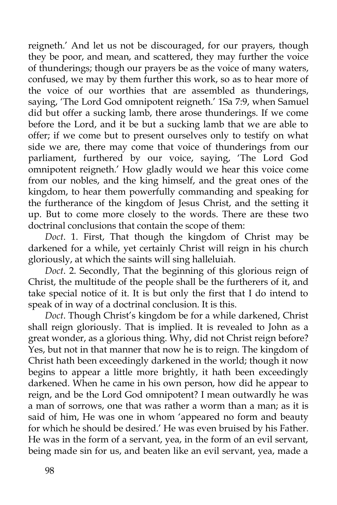reigneth.' And let us not be discouraged, for our prayers, though they be poor, and mean, and scattered, they may further the voice of thunderings; though our prayers be as the voice of many waters, confused, we may by them further this work, so as to hear more of the voice of our worthies that are assembled as thunderings, saying, 'The Lord God omnipotent reigneth.' 1Sa 7:9, when Samuel did but offer a sucking lamb, there arose thunderings. If we come before the Lord, and it be but a sucking lamb that we are able to offer; if we come but to present ourselves only to testify on what side we are, there may come that voice of thunderings from our parliament, furthered by our voice, saying, 'The Lord God omnipotent reigneth.' How gladly would we hear this voice come from our nobles, and the king himself, and the great ones of the kingdom, to hear them powerfully commanding and speaking for the furtherance of the kingdom of Jesus Christ, and the setting it up. But to come more closely to the words. There are these two doctrinal conclusions that contain the scope of them:

*Doct*. 1. First, That though the kingdom of Christ may be darkened for a while, yet certainly Christ will reign in his church gloriously, at which the saints will sing halleluiah.

*Doct*. 2. Secondly, That the beginning of this glorious reign of Christ, the multitude of the people shall be the furtherers of it, and take special notice of it. It is but only the first that I do intend to speak of in way of a doctrinal conclusion. It is this.

*Doct*. Though Christ's kingdom be for a while darkened, Christ shall reign gloriously. That is implied. It is revealed to John as a great wonder, as a glorious thing. Why, did not Christ reign before? Yes, but not in that manner that now he is to reign. The kingdom of Christ hath been exceedingly darkened in the world; though it now begins to appear a little more brightly, it hath been exceedingly darkened. When he came in his own person, how did he appear to reign, and be the Lord God omnipotent? I mean outwardly he was a man of sorrows, one that was rather a worm than a man; as it is said of him, He was one in whom 'appeared no form and beauty for which he should be desired.' He was even bruised by his Father. He was in the form of a servant, yea, in the form of an evil servant, being made sin for us, and beaten like an evil servant, yea, made a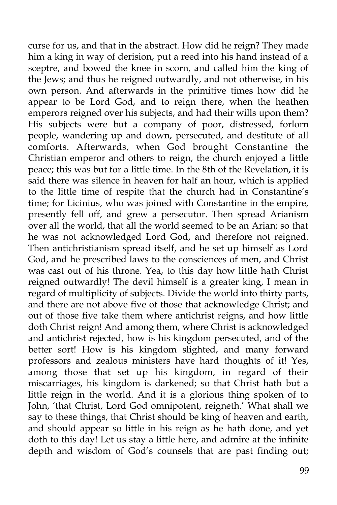curse for us, and that in the abstract. How did he reign? They made him a king in way of derision, put a reed into his hand instead of a sceptre, and bowed the knee in scorn, and called him the king of the Jews; and thus he reigned outwardly, and not otherwise, in his own person. And afterwards in the primitive times how did he appear to be Lord God, and to reign there, when the heathen emperors reigned over his subjects, and had their wills upon them? His subjects were but a company of poor, distressed, forlorn people, wandering up and down, persecuted, and destitute of all comforts. Afterwards, when God brought Constantine the Christian emperor and others to reign, the church enjoyed a little peace; this was but for a little time. In the 8th of the Revelation, it is said there was silence in heaven for half an hour, which is applied to the little time of respite that the church had in Constantine's time; for Licinius, who was joined with Constantine in the empire, presently fell off, and grew a persecutor. Then spread Arianism over all the world, that all the world seemed to be an Arian; so that he was not acknowledged Lord God, and therefore not reigned. Then antichristianism spread itself, and he set up himself as Lord God, and he prescribed laws to the consciences of men, and Christ was cast out of his throne. Yea, to this day how little hath Christ reigned outwardly! The devil himself is a greater king, I mean in regard of multiplicity of subjects. Divide the world into thirty parts, and there are not above five of those that acknowledge Christ; and out of those five take them where antichrist reigns, and how little doth Christ reign! And among them, where Christ is acknowledged and antichrist rejected, how is his kingdom persecuted, and of the better sort! How is his kingdom slighted, and many forward professors and zealous ministers have hard thoughts of it! Yes, among those that set up his kingdom, in regard of their miscarriages, his kingdom is darkened; so that Christ hath but a little reign in the world. And it is a glorious thing spoken of to John, 'that Christ, Lord God omnipotent, reigneth.' What shall we say to these things, that Christ should be king of heaven and earth, and should appear so little in his reign as he hath done, and yet doth to this day! Let us stay a little here, and admire at the infinite depth and wisdom of God's counsels that are past finding out;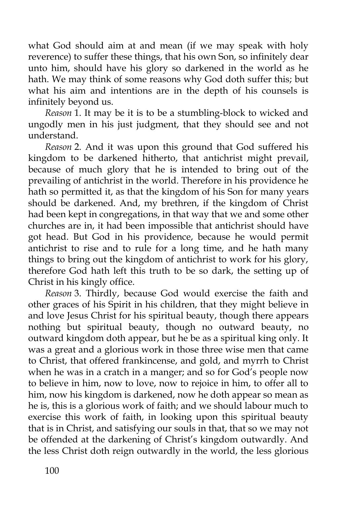what God should aim at and mean (if we may speak with holy reverence) to suffer these things, that his own Son, so infinitely dear unto him, should have his glory so darkened in the world as he hath. We may think of some reasons why God doth suffer this; but what his aim and intentions are in the depth of his counsels is infinitely beyond us.

*Reason* 1. It may be it is to be a stumbling-block to wicked and ungodly men in his just judgment, that they should see and not understand.

*Reason* 2. And it was upon this ground that God suffered his kingdom to be darkened hitherto, that antichrist might prevail, because of much glory that he is intended to bring out of the prevailing of antichrist in the world. Therefore in his providence he hath so permitted it, as that the kingdom of his Son for many years should be darkened. And, my brethren, if the kingdom of Christ had been kept in congregations, in that way that we and some other churches are in, it had been impossible that antichrist should have got head. But God in his providence, because he would permit antichrist to rise and to rule for a long time, and he hath many things to bring out the kingdom of antichrist to work for his glory, therefore God hath left this truth to be so dark, the setting up of Christ in his kingly office.

*Reason* 3. Thirdly, because God would exercise the faith and other graces of his Spirit in his children, that they might believe in and love Jesus Christ for his spiritual beauty, though there appears nothing but spiritual beauty, though no outward beauty, no outward kingdom doth appear, but he be as a spiritual king only. It was a great and a glorious work in those three wise men that came to Christ, that offered frankincense, and gold, and myrrh to Christ when he was in a cratch in a manger; and so for God's people now to believe in him, now to love, now to rejoice in him, to offer all to him, now his kingdom is darkened, now he doth appear so mean as he is, this is a glorious work of faith; and we should labour much to exercise this work of faith, in looking upon this spiritual beauty that is in Christ, and satisfying our souls in that, that so we may not be offended at the darkening of Christ's kingdom outwardly. And the less Christ doth reign outwardly in the world, the less glorious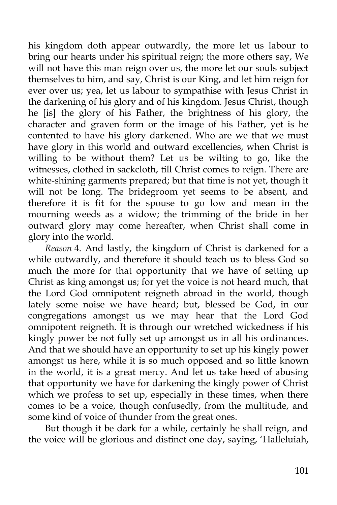his kingdom doth appear outwardly, the more let us labour to bring our hearts under his spiritual reign; the more others say, We will not have this man reign over us, the more let our souls subject themselves to him, and say, Christ is our King, and let him reign for ever over us; yea, let us labour to sympathise with Jesus Christ in the darkening of his glory and of his kingdom. Jesus Christ, though he [is] the glory of his Father, the brightness of his glory, the character and graven form or the image of his Father, yet is he contented to have his glory darkened. Who are we that we must have glory in this world and outward excellencies, when Christ is willing to be without them? Let us be wilting to go, like the witnesses, clothed in sackcloth, till Christ comes to reign. There are white-shining garments prepared; but that time is not yet, though it will not be long. The bridegroom yet seems to be absent, and therefore it is fit for the spouse to go low and mean in the mourning weeds as a widow; the trimming of the bride in her outward glory may come hereafter, when Christ shall come in glory into the world.

*Reason* 4. And lastly, the kingdom of Christ is darkened for a while outwardly, and therefore it should teach us to bless God so much the more for that opportunity that we have of setting up Christ as king amongst us; for yet the voice is not heard much, that the Lord God omnipotent reigneth abroad in the world, though lately some noise we have heard; but, blessed be God, in our congregations amongst us we may hear that the Lord God omnipotent reigneth. It is through our wretched wickedness if his kingly power be not fully set up amongst us in all his ordinances. And that we should have an opportunity to set up his kingly power amongst us here, while it is so much opposed and so little known in the world, it is a great mercy. And let us take heed of abusing that opportunity we have for darkening the kingly power of Christ which we profess to set up, especially in these times, when there comes to be a voice, though confusedly, from the multitude, and some kind of voice of thunder from the great ones.

But though it be dark for a while, certainly he shall reign, and the voice will be glorious and distinct one day, saying, 'Halleluiah,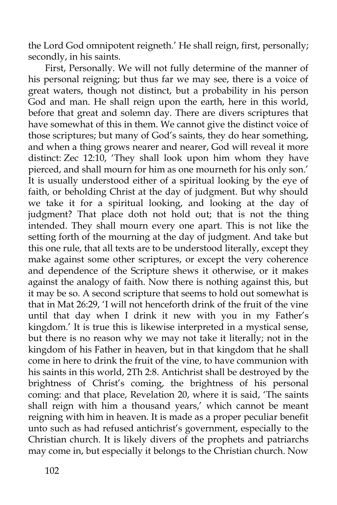the Lord God omnipotent reigneth.' He shall reign, first, personally; secondly, in his saints.

First, Personally. We will not fully determine of the manner of his personal reigning; but thus far we may see, there is a voice of great waters, though not distinct, but a probability in his person God and man. He shall reign upon the earth, here in this world, before that great and solemn day. There are divers scriptures that have somewhat of this in them. We cannot give the distinct voice of those scriptures; but many of God's saints, they do hear something, and when a thing grows nearer and nearer, God will reveal it more distinct: Zec 12:10, 'They shall look upon him whom they have pierced, and shall mourn for him as one mourneth for his only son.' It is usually understood either of a spiritual looking by the eye of faith, or beholding Christ at the day of judgment. But why should we take it for a spiritual looking, and looking at the day of judgment? That place doth not hold out; that is not the thing intended. They shall mourn every one apart. This is not like the setting forth of the mourning at the day of judgment. And take but this one rule, that all texts are to be understood literally, except they make against some other scriptures, or except the very coherence and dependence of the Scripture shews it otherwise, or it makes against the analogy of faith. Now there is nothing against this, but it may be so. A second scripture that seems to hold out somewhat is that in Mat 26:29, 'I will not henceforth drink of the fruit of the vine until that day when I drink it new with you in my Father's kingdom.' It is true this is likewise interpreted in a mystical sense, but there is no reason why we may not take it literally; not in the kingdom of his Father in heaven, but in that kingdom that he shall come in here to drink the fruit of the vine, to have communion with his saints in this world, 2Th 2:8. Antichrist shall be destroyed by the brightness of Christ's coming, the brightness of his personal coming: and that place, Revelation 20, where it is said, 'The saints shall reign with him a thousand years,' which cannot be meant reigning with him in heaven. It is made as a proper peculiar benefit unto such as had refused antichrist's government, especially to the Christian church. It is likely divers of the prophets and patriarchs may come in, but especially it belongs to the Christian church. Now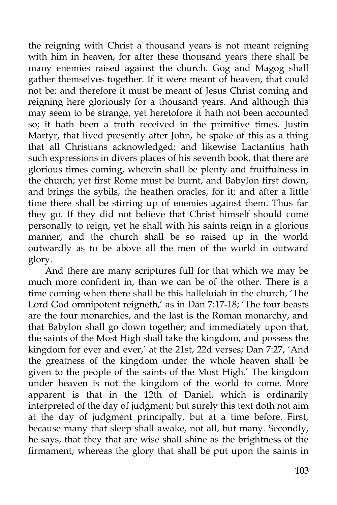the reigning with Christ a thousand years is not meant reigning with him in heaven, for after these thousand years there shall be many enemies raised against the church. Gog and Magog shall gather themselves together. If it were meant of heaven, that could not be; and therefore it must be meant of Jesus Christ coming and reigning here gloriously for a thousand years. And although this may seem to be strange, yet heretofore it hath not been accounted so; it hath been a truth received in the primitive times. Justin Martyr, that lived presently after John, he spake of this as a thing that all Christians acknowledged; and likewise Lactantius hath such expressions in divers places of his seventh book, that there are glorious times coming, wherein shall be plenty and fruitfulness in the church; yet first Rome must be burnt, and Babylon first down, and brings the sybils, the heathen oracles, for it; and after a little time there shall be stirring up of enemies against them. Thus far they go. If they did not believe that Christ himself should come personally to reign, yet he shall with his saints reign in a glorious manner, and the church shall be so raised up in the world outwardly as to be above all the men of the world in outward glory.

And there are many scriptures full for that which we may be much more confident in, than we can be of the other. There is a time coming when there shall be this halleluiah in the church, 'The Lord God omnipotent reigneth,' as in Dan 7:17-18; 'The four beasts are the four monarchies, and the last is the Roman monarchy, and that Babylon shall go down together; and immediately upon that, the saints of the Most High shall take the kingdom, and possess the kingdom for ever and ever,' at the 21st, 22d verses; Dan 7:27, 'And the greatness of the kingdom under the whole heaven shall be given to the people of the saints of the Most High.' The kingdom under heaven is not the kingdom of the world to come. More apparent is that in the 12th of Daniel, which is ordinarily interpreted of the day of judgment; but surely this text doth not aim at the day of judgment principally, but at a time before. First, because many that sleep shall awake, not all, but many. Secondly, he says, that they that are wise shall shine as the brightness of the firmament; whereas the glory that shall be put upon the saints in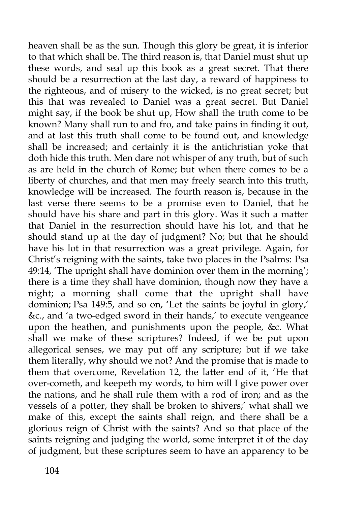heaven shall be as the sun. Though this glory be great, it is inferior to that which shall be. The third reason is, that Daniel must shut up these words, and seal up this book as a great secret. That there should be a resurrection at the last day, a reward of happiness to the righteous, and of misery to the wicked, is no great secret; but this that was revealed to Daniel was a great secret. But Daniel might say, if the book be shut up, How shall the truth come to be known? Many shall run to and fro, and take pains in finding it out, and at last this truth shall come to be found out, and knowledge shall be increased; and certainly it is the antichristian yoke that doth hide this truth. Men dare not whisper of any truth, but of such as are held in the church of Rome; but when there comes to be a liberty of churches, and that men may freely search into this truth, knowledge will be increased. The fourth reason is, because in the last verse there seems to be a promise even to Daniel, that he should have his share and part in this glory. Was it such a matter that Daniel in the resurrection should have his lot, and that he should stand up at the day of judgment? No; but that he should have his lot in that resurrection was a great privilege. Again, for Christ's reigning with the saints, take two places in the Psalms: Psa 49:14, 'The upright shall have dominion over them in the morning'; there is a time they shall have dominion, though now they have a night; a morning shall come that the upright shall have dominion; Psa 149:5, and so on, 'Let the saints be joyful in glory,' &c., and 'a two-edged sword in their hands,' to execute vengeance upon the heathen, and punishments upon the people, &c. What shall we make of these scriptures? Indeed, if we be put upon allegorical senses, we may put off any scripture; but if we take them literally, why should we not? And the promise that is made to them that overcome, Revelation 12, the latter end of it, 'He that over-cometh, and keepeth my words, to him will I give power over the nations, and he shall rule them with a rod of iron; and as the vessels of a potter, they shall be broken to shivers;' what shall we make of this, except the saints shall reign, and there shall be a glorious reign of Christ with the saints? And so that place of the saints reigning and judging the world, some interpret it of the day of judgment, but these scriptures seem to have an apparency to be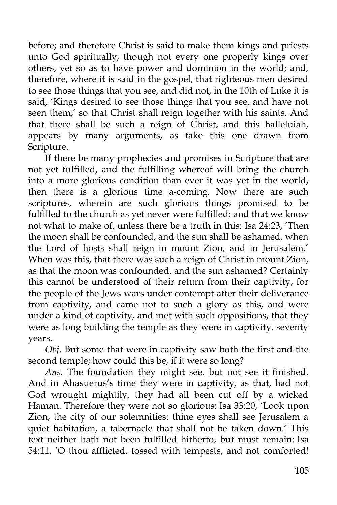before; and therefore Christ is said to make them kings and priests unto God spiritually, though not every one properly kings over others, yet so as to have power and dominion in the world; and, therefore, where it is said in the gospel, that righteous men desired to see those things that you see, and did not, in the 10th of Luke it is said, 'Kings desired to see those things that you see, and have not seen them;' so that Christ shall reign together with his saints. And that there shall be such a reign of Christ, and this halleluiah, appears by many arguments, as take this one drawn from Scripture.

If there be many prophecies and promises in Scripture that are not yet fulfilled, and the fulfilling whereof will bring the church into a more glorious condition than ever it was yet in the world, then there is a glorious time a-coming. Now there are such scriptures, wherein are such glorious things promised to be fulfilled to the church as yet never were fulfilled; and that we know not what to make of, unless there be a truth in this: Isa 24:23, 'Then the moon shall be confounded, and the sun shall be ashamed, when the Lord of hosts shall reign in mount Zion, and in Jerusalem.' When was this, that there was such a reign of Christ in mount Zion, as that the moon was confounded, and the sun ashamed? Certainly this cannot be understood of their return from their captivity, for the people of the Jews wars under contempt after their deliverance from captivity, and came not to such a glory as this, and were under a kind of captivity, and met with such oppositions, that they were as long building the temple as they were in captivity, seventy years.

*Obj*. But some that were in captivity saw both the first and the second temple; how could this be, if it were so long?

*Ans*. The foundation they might see, but not see it finished. And in Ahasuerus's time they were in captivity, as that, had not God wrought mightily, they had all been cut off by a wicked Haman. Therefore they were not so glorious: Isa 33:20, 'Look upon Zion, the city of our solemnities: thine eyes shall see Jerusalem a quiet habitation, a tabernacle that shall not be taken down.' This text neither hath not been fulfilled hitherto, but must remain: Isa 54:11, 'O thou afflicted, tossed with tempests, and not comforted!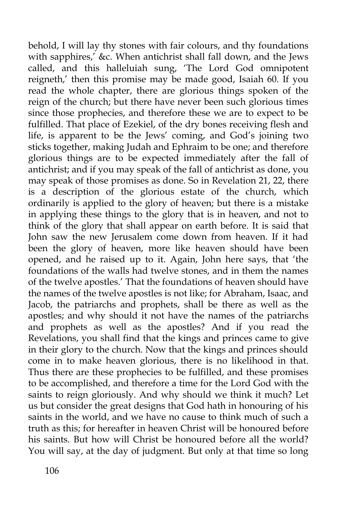behold, I will lay thy stones with fair colours, and thy foundations with sapphires,' &c. When antichrist shall fall down, and the Jews called, and this halleluiah sung, 'The Lord God omnipotent reigneth,' then this promise may be made good, Isaiah 60. If you read the whole chapter, there are glorious things spoken of the reign of the church; but there have never been such glorious times since those prophecies, and therefore these we are to expect to be fulfilled. That place of Ezekiel, of the dry bones receiving flesh and life, is apparent to be the Jews' coming, and God's joining two sticks together, making Judah and Ephraim to be one; and therefore glorious things are to be expected immediately after the fall of antichrist; and if you may speak of the fall of antichrist as done, you may speak of those promises as done. So in Revelation 21, 22, there  $\frac{1}{1}$  is a description of the glorious estate of the church, which ordinarily is applied to the glory of heaven; but there is a mistake in applying these things to the glory that is in heaven, and not to think of the glory that shall appear on earth before. It is said that John saw the new Jerusalem come down from heaven. If it had been the glory of heaven, more like heaven should have been opened, and he raised up to it. Again, John here says, that 'the foundations of the walls had twelve stones, and in them the names of the twelve apostles.' That the foundations of heaven should have the names of the twelve apostles is not like; for Abraham, Isaac, and Jacob, the patriarchs and prophets, shall be there as well as the apostles; and why should it not have the names of the patriarchs and prophets as well as the apostles? And if you read the Revelations, you shall find that the kings and princes came to give in their glory to the church. Now that the kings and princes should come in to make heaven glorious, there is no likelihood in that. Thus there are these prophecies to be fulfilled, and these promises to be accomplished, and therefore a time for the Lord God with the saints to reign gloriously. And why should we think it much? Let us but consider the great designs that God hath in honouring of his saints in the world, and we have no cause to think much of such a truth as this; for hereafter in heaven Christ will be honoured before his saints. But how will Christ be honoured before all the world? You will say, at the day of judgment. But only at that time so long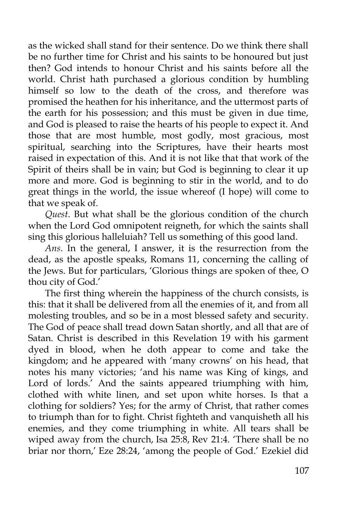as the wicked shall stand for their sentence. Do we think there shall be no further time for Christ and his saints to be honoured but just then? God intends to honour Christ and his saints before all the world. Christ hath purchased a glorious condition by humbling himself so low to the death of the cross, and therefore was promised the heathen for his inheritance, and the uttermost parts of the earth for his possession; and this must be given in due time, and God is pleased to raise the hearts of his people to expect it. And those that are most humble, most godly, most gracious, most spiritual, searching into the Scriptures, have their hearts most raised in expectation of this. And it is not like that that work of the Spirit of theirs shall be in vain; but God is beginning to clear it up more and more. God is beginning to stir in the world, and to do great things in the world, the issue whereof (I hope) will come to that we speak of.

*Quest*. But what shall be the glorious condition of the church when the Lord God omnipotent reigneth, for which the saints shall sing this glorious halleluiah? Tell us something of this good land.

*Ans*. In the general, I answer, it is the resurrection from the dead, as the apostle speaks, Romans 11, concerning the calling of the Jews. But for particulars, 'Glorious things are spoken of thee, O thou city of God.'

The first thing wherein the happiness of the church consists, is this: that it shall be delivered from all the enemies of it, and from all molesting troubles, and so be in a most blessed safety and security. The God of peace shall tread down Satan shortly, and all that are of Satan. Christ is described in this Revelation 19 with his garment dyed in blood, when he doth appear to come and take the kingdom; and he appeared with 'many crowns' on his head, that notes his many victories; 'and his name was King of kings, and Lord of lords.' And the saints appeared triumphing with him, clothed with white linen, and set upon white horses. Is that a clothing for soldiers? Yes; for the army of Christ, that rather comes to triumph than for to fight. Christ fighteth and vanquisheth all his enemies, and they come triumphing in white. All tears shall be wiped away from the church, Isa 25:8, Rev 21:4. 'There shall be no briar nor thorn,' Eze 28:24, 'among the people of God.' Ezekiel did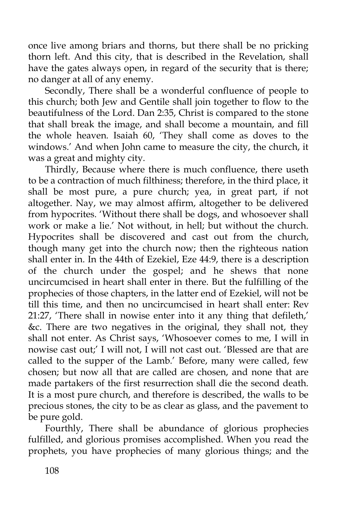once live among briars and thorns, but there shall be no pricking thorn left. And this city, that is described in the Revelation, shall have the gates always open, in regard of the security that is there; no danger at all of any enemy.

Secondly, There shall be a wonderful confluence of people to this church; both Jew and Gentile shall join together to flow to the beautifulness of the Lord. Dan 2:35, Christ is compared to the stone that shall break the image, and shall become a mountain, and fill the whole heaven. Isaiah 60, 'They shall come as doves to the windows.' And when John came to measure the city, the church, it was a great and mighty city.

Thirdly, Because where there is much confluence, there useth to be a contraction of much filthiness; therefore, in the third place, it shall be most pure, a pure church; yea, in great part, if not altogether. Nay, we may almost affirm, altogether to be delivered from hypocrites. 'Without there shall be dogs, and whosoever shall work or make a lie.' Not without, in hell; but without the church. Hypocrites shall be discovered and cast out from the church, though many get into the church now; then the righteous nation shall enter in. In the 44th of Ezekiel, Eze 44:9, there is a description of the church under the gospel; and he shews that none uncircumcised in heart shall enter in there. But the fulfilling of the prophecies of those chapters, in the latter end of Ezekiel, will not be till this time, and then no uncircumcised in heart shall enter: Rev 21:27, 'There shall in nowise enter into it any thing that defileth,' &c. There are two negatives in the original, they shall not, they shall not enter. As Christ says, 'Whosoever comes to me, I will in nowise cast out;' I will not, I will not cast out. 'Blessed are that are called to the supper of the Lamb.' Before, many were called, few chosen; but now all that are called are chosen, and none that are made partakers of the first resurrection shall die the second death. It is a most pure church, and therefore is described, the walls to be precious stones, the city to be as clear as glass, and the pavement to be pure gold.

Fourthly, There shall be abundance of glorious prophecies fulfilled, and glorious promises accomplished. When you read the prophets, you have prophecies of many glorious things; and the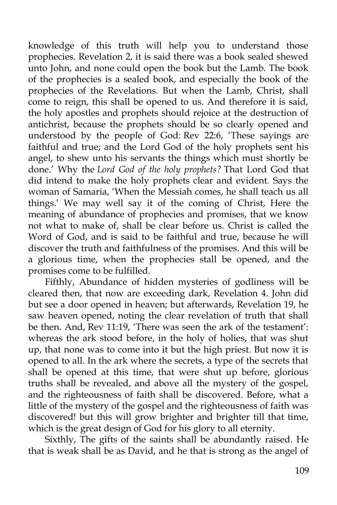knowledge of this truth will help you to understand those prophecies. Revelation 2, it is said there was a book sealed shewed unto John, and none could open the book but the Lamb. The book of the prophecies is a sealed book, and especially the book of the prophecies of the Revelations. But when the Lamb, Christ, shall come to reign, this shall be opened to us. And therefore it is said, the holy apostles and prophets should rejoice at the destruction of antichrist, because the prophets should be so clearly opened and understood by the people of God: Rev 22:6, 'These sayings are faithful and true; and the Lord God of the holy prophets sent his angel, to shew unto his servants the things which must shortly be done.' Why the *Lord God of the holy prophets?* That Lord God that did intend to make the holy prophets clear and evident. Says the woman of Samaria, 'When the Messiah comes, he shall teach us all things.' We may well say it of the coming of Christ, Here the meaning of abundance of prophecies and promises, that we know not what to make of, shall be clear before us. Christ is called the Word of God, and is said to be faithful and true, because he will discover the truth and faithfulness of the promises. And this will be a glorious time, when the prophecies stall be opened, and the promises come to be fulfilled.

Fifthly, Abundance of hidden mysteries of godliness will be cleared then, that now are exceeding dark, Revelation 4. John did but see a door opened in heaven; but afterwards, Revelation 19, he saw heaven opened, noting the clear revelation of truth that shall be then. And, Rev 11:19, 'There was seen the ark of the testament': whereas the ark stood before, in the holy of holies, that was shut up, that none was to come into it but the high priest. But now it is opened to all. In the ark where the secrets, a type of the secrets that shall be opened at this time, that were shut up before, glorious truths shall be revealed, and above all the mystery of the gospel, and the righteousness of faith shall be discovered. Before, what a little of the mystery of the gospel and the righteousness of faith was discovered! but this will grow brighter and brighter till that time, which is the great design of God for his glory to all eternity.

Sixthly, The gifts of the saints shall be abundantly raised. He that is weak shall be as David, and he that is strong as the angel of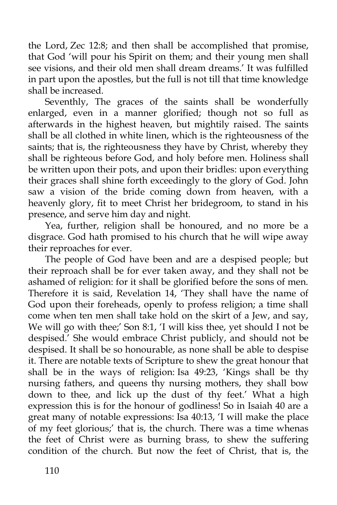the Lord, Zec 12:8; and then shall be accomplished that promise, that God 'will pour his Spirit on them; and their young men shall see visions, and their old men shall dream dreams.' It was fulfilled in part upon the apostles, but the full is not till that time knowledge shall be increased.

Seventhly, The graces of the saints shall be wonderfully enlarged, even in a manner glorified; though not so full as afterwards in the highest heaven, but mightily raised. The saints shall be all clothed in white linen, which is the righteousness of the saints; that is, the righteousness they have by Christ, whereby they shall be righteous before God, and holy before men. Holiness shall be written upon their pots, and upon their bridles: upon everything their graces shall shine forth exceedingly to the glory of God. John saw a vision of the bride coming down from heaven, with a heavenly glory, fit to meet Christ her bridegroom, to stand in his presence, and serve him day and night.

Yea, further, religion shall be honoured, and no more be a disgrace. God hath promised to his church that he will wipe away their reproaches for ever.

The people of God have been and are a despised people; but their reproach shall be for ever taken away, and they shall not be ashamed of religion: for it shall be glorified before the sons of men. Therefore it is said, Revelation 14, 'They shall have the name of God upon their foreheads, openly to profess religion; a time shall come when ten men shall take hold on the skirt of a Jew, and say, We will go with thee;' Son 8:1, 'I will kiss thee, yet should I not be despised.' She would embrace Christ publicly, and should not be despised. It shall be so honourable, as none shall be able to despise it. There are notable texts of Scripture to shew the great honour that shall be in the ways of religion: Isa 49:23, 'Kings shall be thy nursing fathers, and queens thy nursing mothers, they shall bow down to thee, and lick up the dust of thy feet.' What a high expression this is for the honour of godliness! So in Isaiah 40 are a great many of notable expressions: Isa 40:13, 'I will make the place of my feet glorious;' that is, the church. There was a time whenas the feet of Christ were as burning brass, to shew the suffering condition of the church. But now the feet of Christ, that is, the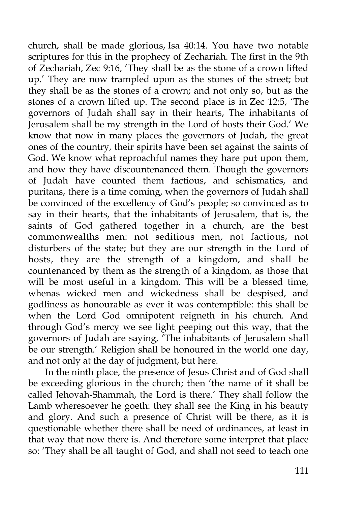church, shall be made glorious, Isa 40:14. You have two notable scriptures for this in the prophecy of Zechariah. The first in the 9th of Zechariah, Zec 9:16, 'They shall be as the stone of a crown lifted up.' They are now trampled upon as the stones of the street; but they shall be as the stones of a crown; and not only so, but as the stones of a crown lifted up. The second place is in Zec 12:5, 'The governors of Judah shall say in their hearts, The inhabitants of Jerusalem shall be my strength in the Lord of hosts their God.' We know that now in many places the governors of Judah, the great ones of the country, their spirits have been set against the saints of God. We know what reproachful names they hare put upon them, and how they have discountenanced them. Though the governors of Judah have counted them factious, and schismatics, and puritans, there is a time coming, when the governors of Judah shall be convinced of the excellency of God's people; so convinced as to say in their hearts, that the inhabitants of Jerusalem, that is, the saints of God gathered together in a church, are the best commonwealths men: not seditious men, not factious, not disturbers of the state; but they are our strength in the Lord of hosts, they are the strength of a kingdom, and shall be countenanced by them as the strength of a kingdom, as those that will be most useful in a kingdom. This will be a blessed time, whenas wicked men and wickedness shall be despised, and godliness as honourable as ever it was contemptible: this shall be when the Lord God omnipotent reigneth in his church. And through God's mercy we see light peeping out this way, that the governors of Judah are saying, 'The inhabitants of Jerusalem shall be our strength.' Religion shall be honoured in the world one day, and not only at the day of judgment, but here.

In the ninth place, the presence of Jesus Christ and of God shall be exceeding glorious in the church; then 'the name of it shall be called Jehovah-Shammah, the Lord is there.' They shall follow the Lamb wheresoever he goeth: they shall see the King in his beauty and glory. And such a presence of Christ will be there, as it is questionable whether there shall be need of ordinances, at least in that way that now there is. And therefore some interpret that place so: 'They shall be all taught of God, and shall not seed to teach one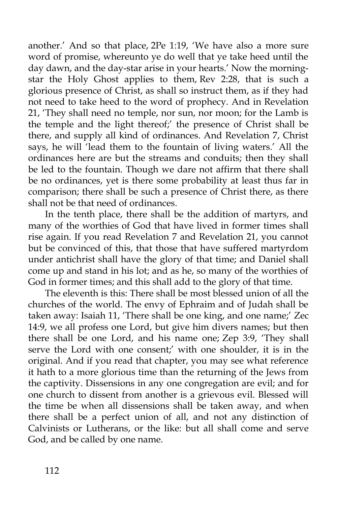another.' And so that place, 2Pe 1:19, 'We have also a more sure word of promise, whereunto ye do well that ye take heed until the day dawn, and the day-star arise in your hearts.' Now the morningstar the Holy Ghost applies to them, Rev 2:28, that is such a glorious presence of Christ, as shall so instruct them, as if they had not need to take heed to the word of prophecy. And in Revelation 21, 'They shall need no temple, nor sun, nor moon; for the Lamb is the temple and the light thereof;' the presence of Christ shall be there, and supply all kind of ordinances. And Revelation 7, Christ says, he will 'lead them to the fountain of living waters.' All the ordinances here are but the streams and conduits; then they shall be led to the fountain. Though we dare not affirm that there shall be no ordinances, yet is there some probability at least thus far in comparison; there shall be such a presence of Christ there, as there shall not be that need of ordinances.

In the tenth place, there shall be the addition of martyrs, and many of the worthies of God that have lived in former times shall rise again. If you read Revelation 7 and Revelation 21, you cannot but be convinced of this, that those that have suffered martyrdom under antichrist shall have the glory of that time; and Daniel shall come up and stand in his lot; and as he, so many of the worthies of God in former times; and this shall add to the glory of that time.

The eleventh is this: There shall be most blessed union of all the churches of the world. The envy of Ephraim and of Judah shall be taken away: Isaiah 11, 'There shall be one king, and one name;' Zec 14:9, we all profess one Lord, but give him divers names; but then there shall be one Lord, and his name one; Zep 3:9, 'They shall serve the Lord with one consent;' with one shoulder, it is in the original. And if you read that chapter, you may see what reference it hath to a more glorious time than the returning of the Jews from the captivity. Dissensions in any one congregation are evil; and for one church to dissent from another is a grievous evil. Blessed will the time be when all dissensions shall be taken away, and when there shall be a perfect union of all, and not any distinction of Calvinists or Lutherans, or the like: but all shall come and serve God, and be called by one name.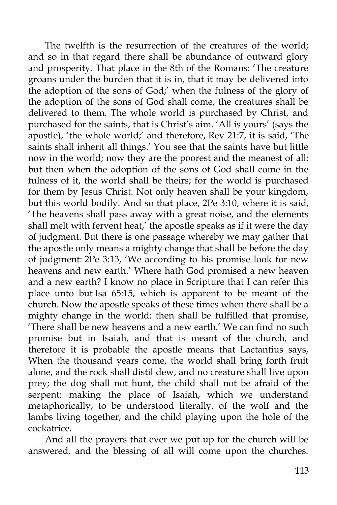The twelfth is the resurrection of the creatures of the world; and so in that regard there shall be abundance of outward glory and prosperity. That place in the 8th of the Romans: 'The creature groans under the burden that it is in, that it may be delivered into the adoption of the sons of God;' when the fulness of the glory of the adoption of the sons of God shall come, the creatures shall be delivered to them. The whole world is purchased by Christ, and purchased for the saints, that is Christ's aim. 'All is yours' (says the apostle), 'the whole world;' and therefore, Rev 21:7, it is said, 'The saints shall inherit all things.' You see that the saints have but little now in the world; now they are the poorest and the meanest of all; but then when the adoption of the sons of God shall come in the fulness of it, the world shall be theirs; for the world is purchased for them by Jesus Christ. Not only heaven shall be your kingdom, but this world bodily. And so that place, 2Pe 3:10, where it is said, 'The heavens shall pass away with a great noise, and the elements shall melt with fervent heat,' the apostle speaks as if it were the day of judgment. But there is one passage whereby we may gather that the apostle only means a mighty change that shall be before the day of judgment: 2Pe 3:13, 'We according to his promise look for new heavens and new earth.' Where hath God promised a new heaven and a new earth? I know no place in Scripture that I can refer this place unto but Isa 65:15, which is apparent to be meant of the church. Now the apostle speaks of these times when there shall be a mighty change in the world: then shall be fulfilled that promise, 'There shall be new heavens and a new earth.' We can find no such promise but in Isaiah, and that is meant of the church, and therefore it is probable the apostle means that Lactantius says, When the thousand years come, the world shall bring forth fruit alone, and the rock shall distil dew, and no creature shall live upon prey; the dog shall not hunt, the child shall not be afraid of the serpent: making the place of Isaiah, which we understand metaphorically, to be understood literally, of the wolf and the lambs living together, and the child playing upon the hole of the cockatrice.

And all the prayers that ever we put up for the church will be answered, and the blessing of all will come upon the churches.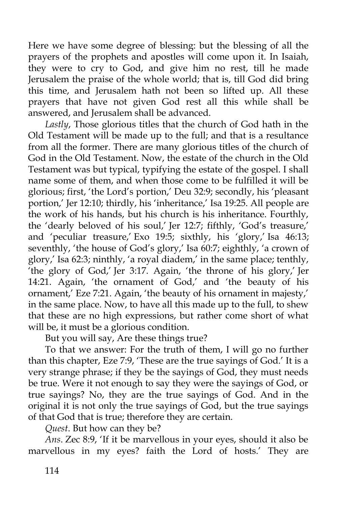Here we have some degree of blessing: but the blessing of all the prayers of the prophets and apostles will come upon it. In Isaiah, they were to cry to God, and give him no rest, till he made Jerusalem the praise of the whole world; that is, till God did bring this time, and Jerusalem hath not been so lifted up. All these prayers that have not given God rest all this while shall be answered, and Jerusalem shall be advanced.

*Lastly*, Those glorious titles that the church of God hath in the Old Testament will be made up to the full; and that is a resultance from all the former. There are many glorious titles of the church of God in the Old Testament. Now, the estate of the church in the Old Testament was but typical, typifying the estate of the gospel. I shall name some of them, and when those come to be fulfilled it will be glorious; first, 'the Lord's portion,' Deu 32:9; secondly, his 'pleasant portion,' Jer 12:10; thirdly, his 'inheritance,' Isa 19:25. All people are the work of his hands, but his church is his inheritance. Fourthly, the 'dearly beloved of his soul,' Jer 12:7; fifthly, 'God's treasure,' and 'peculiar treasure,' Exo 19:5; sixthly, his 'glory,' Isa 46:13; seventhly, 'the house of God's glory,' Isa 60:7; eighthly, 'a crown of glory,' Isa 62:3; ninthly, 'a royal diadem,' in the same place; tenthly, 'the glory of God,' Jer 3:17. Again, 'the throne of his glory,' Jer 14:21. Again, 'the ornament of God,' and 'the beauty of his ornament,' Eze 7:21. Again, 'the beauty of his ornament in majesty,' in the same place. Now, to have all this made up to the full, to shew that these are no high expressions, but rather come short of what will be, it must be a glorious condition.

But you will say, Are these things true?

To that we answer: For the truth of them, I will go no further than this chapter, Eze 7:9, 'These are the true sayings of God.' It is a very strange phrase; if they be the sayings of God, they must needs be true. Were it not enough to say they were the sayings of God, or true sayings? No, they are the true sayings of God. And in the original it is not only the true sayings of God, but the true sayings of that God that is true; therefore they are certain.

*Quest*. But how can they be?

*Ans*. Zec 8:9, 'If it be marvellous in your eyes, should it also be marvellous in my eyes? faith the Lord of hosts.' They are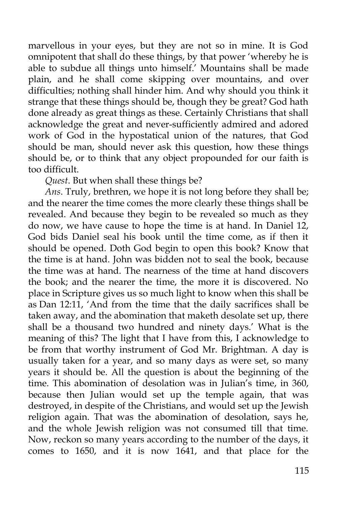marvellous in your eyes, but they are not so in mine. It is God omnipotent that shall do these things, by that power 'whereby he is able to subdue all things unto himself.' Mountains shall be made plain, and he shall come skipping over mountains, and over difficulties; nothing shall hinder him. And why should you think it strange that these things should be, though they be great? God hath done already as great things as these. Certainly Christians that shall acknowledge the great and never-sufficiently admired and adored work of God in the hypostatical union of the natures, that God should be man, should never ask this question, how these things should be, or to think that any object propounded for our faith is too difficult.

*Quest*. But when shall these things be?

*Ans*. Truly, brethren, we hope it is not long before they shall be; and the nearer the time comes the more clearly these things shall be revealed. And because they begin to be revealed so much as they do now, we have cause to hope the time is at hand. In Daniel 12, God bids Daniel seal his book until the time come, as if then it should be opened. Doth God begin to open this book? Know that the time is at hand. John was bidden not to seal the book, because the time was at hand. The nearness of the time at hand discovers the book; and the nearer the time, the more it is discovered. No place in Scripture gives us so much light to know when this shall be as Dan 12:11, 'And from the time that the daily sacrifices shall be taken away, and the abomination that maketh desolate set up, there shall be a thousand two hundred and ninety days.' What is the meaning of this? The light that I have from this, I acknowledge to be from that worthy instrument of God Mr. Brightman. A day is usually taken for a year, and so many days as were set, so many years it should be. All the question is about the beginning of the time. This abomination of desolation was in Julian's time, in 360, because then Julian would set up the temple again, that was destroyed, in despite of the Christians, and would set up the Jewish religion again. That was the abomination of desolation, says he, and the whole Jewish religion was not consumed till that time. Now, reckon so many years according to the number of the days, it comes to 1650, and it is now 1641, and that place for the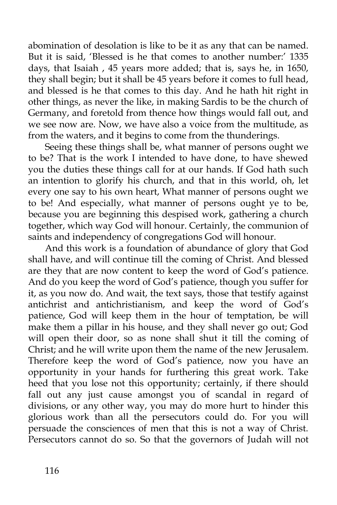abomination of desolation is like to be it as any that can be named. But it is said, 'Blessed is he that comes to another number:' 1335 days, that Isaiah , 45 years more added; that is, says he, in 1650, they shall begin; but it shall be 45 years before it comes to full head, and blessed is he that comes to this day. And he hath hit right in other things, as never the like, in making Sardis to be the church of Germany, and foretold from thence how things would fall out, and we see now are. Now, we have also a voice from the multitude, as from the waters, and it begins to come from the thunderings.

Seeing these things shall be, what manner of persons ought we to be? That is the work I intended to have done, to have shewed you the duties these things call for at our hands. If God hath such an intention to glorify his church, and that in this world, oh, let every one say to his own heart, What manner of persons ought we to be! And especially, what manner of persons ought ye to be, because you are beginning this despised work, gathering a church together, which way God will honour. Certainly, the communion of saints and independency of congregations God will honour.

And this work is a foundation of abundance of glory that God shall have, and will continue till the coming of Christ. And blessed are they that are now content to keep the word of God's patience. And do you keep the word of God's patience, though you suffer for it, as you now do. And wait, the text says, those that testify against antichrist and antichristianism, and keep the word of God's patience, God will keep them in the hour of temptation, be will make them a pillar in his house, and they shall never go out; God will open their door, so as none shall shut it till the coming of Christ; and he will write upon them the name of the new Jerusalem. Therefore keep the word of God's patience, now you have an opportunity in your hands for furthering this great work. Take heed that you lose not this opportunity; certainly, if there should fall out any just cause amongst you of scandal in regard of divisions, or any other way, you may do more hurt to hinder this glorious work than all the persecutors could do. For you will persuade the consciences of men that this is not a way of Christ. Persecutors cannot do so. So that the governors of Judah will not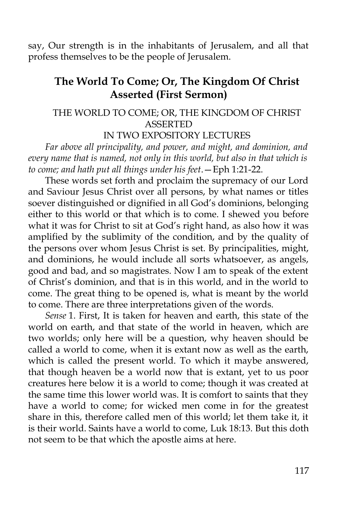say, Our strength is in the inhabitants of Jerusalem, and all that profess themselves to be the people of Jerusalem.

# **The World To Come; Or, The Kingdom Of Christ Asserted (First Sermon)**

#### THE WORLD TO COME; OR, THE KINGDOM OF CHRIST ASSERTED

#### IN TWO EXPOSITORY LECTURES

*Far above all principality, and power, and might, and dominion, and every name that is named, not only in this world, but also in that which is to come; and hath put all things under his feet*.—Eph 1:21-22.

These words set forth and proclaim the supremacy of our Lord and Saviour Jesus Christ over all persons, by what names or titles soever distinguished or dignified in all God's dominions, belonging either to this world or that which is to come. I shewed you before what it was for Christ to sit at God's right hand, as also how it was amplified by the sublimity of the condition, and by the quality of the persons over whom Jesus Christ is set. By principalities, might, and dominions, he would include all sorts whatsoever, as angels, good and bad, and so magistrates. Now I am to speak of the extent of Christ's dominion, and that is in this world, and in the world to come. The great thing to be opened is, what is meant by the world to come. There are three interpretations given of the words.

*Sense* 1. First, It is taken for heaven and earth, this state of the world on earth, and that state of the world in heaven, which are two worlds; only here will be a question, why heaven should be called a world to come, when it is extant now as well as the earth, which is called the present world. To which it maybe answered, that though heaven be a world now that is extant, yet to us poor creatures here below it is a world to come; though it was created at the same time this lower world was. It is comfort to saints that they have a world to come; for wicked men come in for the greatest share in this, therefore called men of this world; let them take it, it is their world. Saints have a world to come, Luk 18:13. But this doth not seem to be that which the apostle aims at here.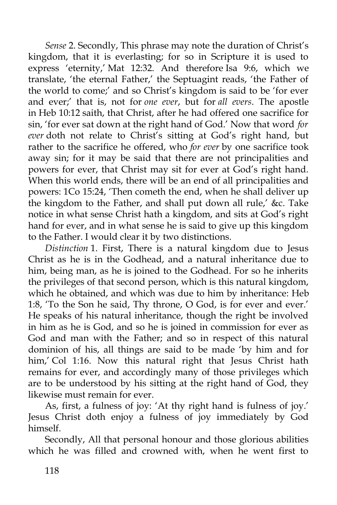*Sense* 2. Secondly, This phrase may note the duration of Christ's kingdom, that it is everlasting; for so in Scripture it is used to express 'eternity,' Mat 12:32. And therefore Isa 9:6, which we translate, 'the eternal Father,' the Septuagint reads, 'the Father of the world to come;' and so Christ's kingdom is said to be 'for ever and ever;' that is, not for *one ever*, but for *all evers*. The apostle in Heb 10:12 saith, that Christ, after he had offered one sacrifice for sin, 'for ever sat down at the right hand of God.' Now that word *for ever* doth not relate to Christ's sitting at God's right hand, but rather to the sacrifice he offered, who *for ever* by one sacrifice took away sin; for it may be said that there are not principalities and powers for ever, that Christ may sit for ever at God's right hand. When this world ends, there will be an end of all principalities and powers: 1Co 15:24, 'Then cometh the end, when he shall deliver up the kingdom to the Father, and shall put down all rule,' &c. Take notice in what sense Christ hath a kingdom, and sits at God's right hand for ever, and in what sense he is said to give up this kingdom to the Father. I would clear it by two distinctions.

*Distinction* 1. First, There is a natural kingdom due to Jesus Christ as he is in the Godhead, and a natural inheritance due to him, being man, as he is joined to the Godhead. For so he inherits the privileges of that second person, which is this natural kingdom, which he obtained, and which was due to him by inheritance: Heb 1:8, 'To the Son he said, Thy throne, O God, is for ever and ever.' He speaks of his natural inheritance, though the right be involved in him as he is God, and so he is joined in commission for ever as God and man with the Father; and so in respect of this natural dominion of his, all things are said to be made 'by him and for him,' Col 1:16. Now this natural right that Jesus Christ hath remains for ever, and accordingly many of those privileges which are to be understood by his sitting at the right hand of God, they likewise must remain for ever.

As, first, a fulness of joy: 'At thy right hand is fulness of joy.' Jesus Christ doth enjoy a fulness of joy immediately by God himself.

Secondly, All that personal honour and those glorious abilities which he was filled and crowned with, when he went first to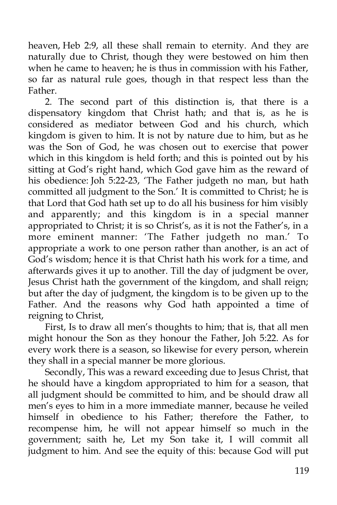heaven, Heb 2:9, all these shall remain to eternity. And they are naturally due to Christ, though they were bestowed on him then when he came to heaven; he is thus in commission with his Father, so far as natural rule goes, though in that respect less than the Father.

2. The second part of this distinction is, that there is a dispensatory kingdom that Christ hath; and that is, as he is considered as mediator between God and his church, which kingdom is given to him. It is not by nature due to him, but as he was the Son of God, he was chosen out to exercise that power which in this kingdom is held forth; and this is pointed out by his sitting at God's right hand, which God gave him as the reward of his obedience: Joh 5:22-23, 'The Father judgeth no man, but hath committed all judgment to the Son.' It is committed to Christ; he is that Lord that God hath set up to do all his business for him visibly and apparently; and this kingdom is in a special manner appropriated to Christ; it is so Christ's, as it is not the Father's, in a more eminent manner: 'The Father judgeth no man.' To appropriate a work to one person rather than another, is an act of God's wisdom; hence it is that Christ hath his work for a time, and afterwards gives it up to another. Till the day of judgment be over, Jesus Christ hath the government of the kingdom, and shall reign; but after the day of judgment, the kingdom is to be given up to the Father. And the reasons why God hath appointed a time of reigning to Christ,

First, Is to draw all men's thoughts to him; that is, that all men might honour the Son as they honour the Father, Joh 5:22. As for every work there is a season, so likewise for every person, wherein they shall in a special manner be more glorious.

Secondly, This was a reward exceeding due to Jesus Christ, that he should have a kingdom appropriated to him for a season, that all judgment should be committed to him, and be should draw all men's eyes to him in a more immediate manner, because he veiled himself in obedience to his Father; therefore the Father, to recompense him, he will not appear himself so much in the government; saith he, Let my Son take it, I will commit all judgment to him. And see the equity of this: because God will put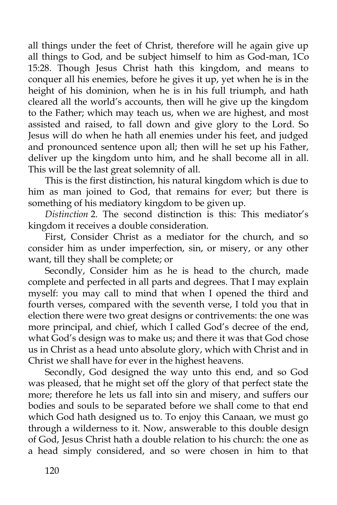all things under the feet of Christ, therefore will he again give up all things to God, and be subject himself to him as God-man, 1Co 15:28. Though Jesus Christ hath this kingdom, and means to conquer all his enemies, before he gives it up, yet when he is in the height of his dominion, when he is in his full triumph, and hath cleared all the world's accounts, then will he give up the kingdom to the Father; which may teach us, when we are highest, and most assisted and raised, to fall down and give glory to the Lord. So Jesus will do when he hath all enemies under his feet, and judged and pronounced sentence upon all; then will he set up his Father, deliver up the kingdom unto him, and he shall become all in all. This will be the last great solemnity of all.

This is the first distinction, his natural kingdom which is due to him as man joined to God, that remains for ever; but there is something of his mediatory kingdom to be given up.

*Distinction* 2. The second distinction is this: This mediator's kingdom it receives a double consideration.

First, Consider Christ as a mediator for the church, and so consider him as under imperfection, sin, or misery, or any other want, till they shall be complete; or

Secondly, Consider him as he is head to the church, made complete and perfected in all parts and degrees. That I may explain myself: you may call to mind that when I opened the third and fourth verses, compared with the seventh verse, I told you that in election there were two great designs or contrivements: the one was more principal, and chief, which I called God's decree of the end, what God's design was to make us; and there it was that God chose us in Christ as a head unto absolute glory, which with Christ and in Christ we shall have for ever in the highest heavens.

Secondly, God designed the way unto this end, and so God was pleased, that he might set off the glory of that perfect state the more; therefore he lets us fall into sin and misery, and suffers our bodies and souls to be separated before we shall come to that end which God hath designed us to. To enjoy this Canaan, we must go through a wilderness to it. Now, answerable to this double design of God, Jesus Christ hath a double relation to his church: the one as a head simply considered, and so were chosen in him to that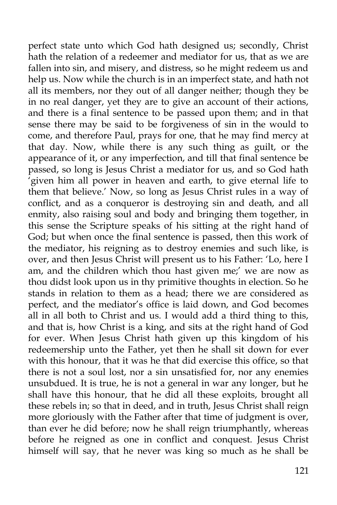perfect state unto which God hath designed us; secondly, Christ hath the relation of a redeemer and mediator for us, that as we are fallen into sin, and misery, and distress, so he might redeem us and help us. Now while the church is in an imperfect state, and hath not all its members, nor they out of all danger neither; though they be in no real danger, yet they are to give an account of their actions, and there is a final sentence to be passed upon them; and in that sense there may be said to be forgiveness of sin in the would to come, and therefore Paul, prays for one, that he may find mercy at that day. Now, while there is any such thing as guilt, or the appearance of it, or any imperfection, and till that final sentence be passed, so long is Jesus Christ a mediator for us, and so God hath 'given him all power in heaven and earth, to give eternal life to them that believe.' Now, so long as Jesus Christ rules in a way of conflict, and as a conqueror is destroying sin and death, and all enmity, also raising soul and body and bringing them together, in this sense the Scripture speaks of his sitting at the right hand of God; but when once the final sentence is passed, then this work of the mediator, his reigning as to destroy enemies and such like, is over, and then Jesus Christ will present us to his Father: 'Lo, here I am, and the children which thou hast given me;' we are now as thou didst look upon us in thy primitive thoughts in election. So he stands in relation to them as a head; there we are considered as perfect, and the mediator's office is laid down, and God becomes all in all both to Christ and us. I would add a third thing to this, and that is, how Christ is a king, and sits at the right hand of God for ever. When Jesus Christ hath given up this kingdom of his redeemership unto the Father, yet then he shall sit down for ever with this honour, that it was he that did exercise this office, so that there is not a soul lost, nor a sin unsatisfied for, nor any enemies unsubdued. It is true, he is not a general in war any longer, but he shall have this honour, that he did all these exploits, brought all these rebels in; so that in deed, and in truth, Jesus Christ shall reign more gloriously with the Father after that time of judgment is over, than ever he did before; now he shall reign triumphantly, whereas before he reigned as one in conflict and conquest. Jesus Christ himself will say, that he never was king so much as he shall be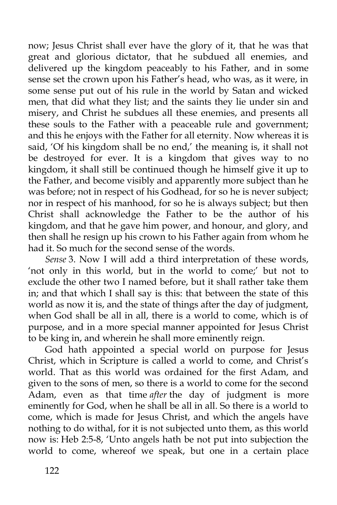now; Jesus Christ shall ever have the glory of it, that he was that great and glorious dictator, that he subdued all enemies, and delivered up the kingdom peaceably to his Father, and in some sense set the crown upon his Father's head, who was, as it were, in some sense put out of his rule in the world by Satan and wicked men, that did what they list; and the saints they lie under sin and misery, and Christ he subdues all these enemies, and presents all these souls to the Father with a peaceable rule and government; and this he enjoys with the Father for all eternity. Now whereas it is said, 'Of his kingdom shall be no end,' the meaning is, it shall not be destroyed for ever. It is a kingdom that gives way to no kingdom, it shall still be continued though he himself give it up to the Father, and become visibly and apparently more subject than he was before; not in respect of his Godhead, for so he is never subject; nor in respect of his manhood, for so he is always subject; but then Christ shall acknowledge the Father to be the author of his kingdom, and that he gave him power, and honour, and glory, and then shall he resign up his crown to his Father again from whom he had it. So much for the second sense of the words.

*Sense* 3. Now I will add a third interpretation of these words, 'not only in this world, but in the world to come;' but not to exclude the other two I named before, but it shall rather take them in; and that which I shall say is this: that between the state of this world as now it is, and the state of things after the day of judgment, when God shall be all in all, there is a world to come, which is of purpose, and in a more special manner appointed for Jesus Christ to be king in, and wherein he shall more eminently reign.

God hath appointed a special world on purpose for Jesus Christ, which in Scripture is called a world to come, and Christ's world. That as this world was ordained for the first Adam, and given to the sons of men, so there is a world to come for the second Adam, even as that time *after* the day of judgment is more eminently for God, when he shall be all in all. So there is a world to come, which is made for Jesus Christ, and which the angels have nothing to do withal, for it is not subjected unto them, as this world now is: Heb 2:5-8, 'Unto angels hath be not put into subjection the world to come, whereof we speak, but one in a certain place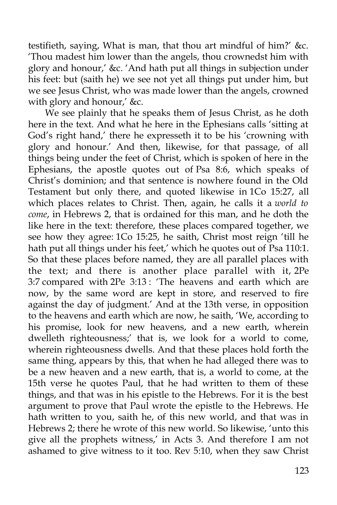testifieth, saying, What is man, that thou art mindful of him?' &c. 'Thou madest him lower than the angels, thou crownedst him with glory and honour,' &c. 'And hath put all things in subjection under his feet: but (saith he) we see not yet all things put under him, but we see Jesus Christ, who was made lower than the angels, crowned with glory and honour,' &c.

We see plainly that he speaks them of Jesus Christ, as he doth here in the text. And what he here in the Ephesians calls 'sitting at God's right hand,' there he expresseth it to be his 'crowning with glory and honour.' And then, likewise, for that passage, of all things being under the feet of Christ, which is spoken of here in the Ephesians, the apostle quotes out of Psa 8:6, which speaks of Christ's dominion; and that sentence is nowhere found in the Old Testament but only there, and quoted likewise in 1Co 15:27, all which places relates to Christ. Then, again, he calls it a *world to come*, in Hebrews 2, that is ordained for this man, and he doth the like here in the text: therefore, these places compared together, we see how they agree: 1Co 15:25, he saith, Christ most reign 'till he hath put all things under his feet,' which he quotes out of Psa 110:1. So that these places before named, they are all parallel places with the text; and there is another place parallel with it, 2Pe 3:7 compared with 2Pe 3:13 : 'The heavens and earth which are now, by the same word are kept in store, and reserved to fire against the day of judgment.' And at the 13th verse, in opposition to the heavens and earth which are now, he saith, 'We, according to his promise, look for new heavens, and a new earth, wherein dwelleth righteousness;' that is, we look for a world to come, wherein righteousness dwells. And that these places hold forth the same thing, appears by this, that when he had alleged there was to be a new heaven and a new earth, that is, a world to come, at the 15th verse he quotes Paul, that he had written to them of these things, and that was in his epistle to the Hebrews. For it is the best argument to prove that Paul wrote the epistle to the Hebrews. He hath written to you, saith he, of this new world, and that was in Hebrews 2; there he wrote of this new world. So likewise, 'unto this give all the prophets witness,' in Acts 3. And therefore I am not ashamed to give witness to it too. Rev 5:10, when they saw Christ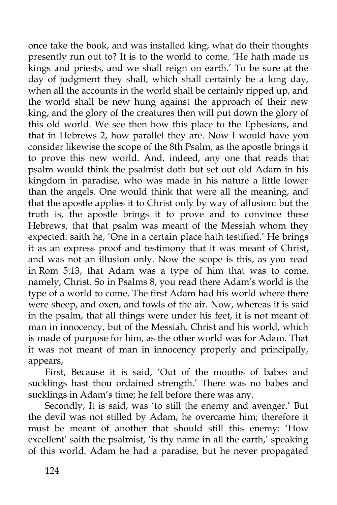once take the book, and was installed king, what do their thoughts presently run out to? It is to the world to come. 'He hath made us kings and priests, and we shall reign on earth.' To be sure at the day of judgment they shall, which shall certainly be a long day, when all the accounts in the world shall be certainly ripped up, and the world shall be new hung against the approach of their new king, and the glory of the creatures then will put down the glory of this old world. We see then how this place to the Ephesians, and that in Hebrews 2, how parallel they are. Now I would have you consider likewise the scope of the 8th Psalm, as the apostle brings it to prove this new world. And, indeed, any one that reads that psalm would think the psalmist doth but set out old Adam in his kingdom in paradise, who was made in his nature a little lower than the angels. One would think that were all the meaning, and that the apostle applies it to Christ only by way of allusion: but the truth is, the apostle brings it to prove and to convince these Hebrews, that that psalm was meant of the Messiah whom they expected: saith he, 'One in a certain place hath testified.' He brings it as an express proof and testimony that it was meant of Christ, and was not an illusion only. Now the scope is this, as you read in Rom 5:13, that Adam was a type of him that was to come, namely, Christ. So in Psalms 8, you read there Adam's world is the type of a world to come. The first Adam had his world where there were sheep, and oxen, and fowls of the air. Now, whereas it is said in the psalm, that all things were under his feet, it is not meant of man in innocency, but of the Messiah, Christ and his world, which is made of purpose for him, as the other world was for Adam. That it was not meant of man in innocency properly and principally, appears,

First, Because it is said, 'Out of the mouths of babes and sucklings hast thou ordained strength.' There was no babes and sucklings in Adam's time; he fell before there was any.

Secondly, It is said, was 'to still the enemy and avenger.' But the devil was not stilled by Adam, he overcame him; therefore it must be meant of another that should still this enemy: 'How excellent' saith the psalmist, 'is thy name in all the earth,' speaking of this world. Adam he had a paradise, but he never propagated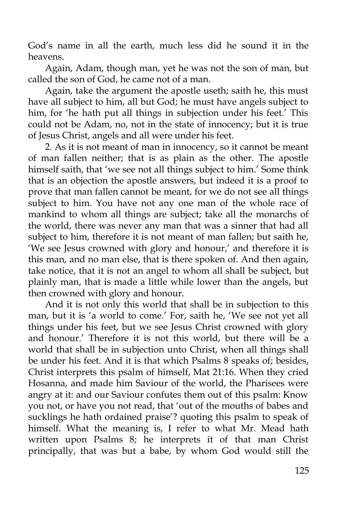God's name in all the earth, much less did he sound it in the heavens.

Again, Adam, though man, yet he was not the son of man, but called the son of God, he came not of a man.

Again, take the argument the apostle useth; saith he, this must have all subject to him, all but God; he must have angels subject to him, for 'he hath put all things in subjection under his feet.' This could not be Adam, no, not in the state of innocency; but it is true of Jesus Christ, angels and all were under his feet.

2. As it is not meant of man in innocency, so it cannot be meant of man fallen neither; that is as plain as the other. The apostle himself saith, that 'we see not all things subject to him.' Some think that is an objection the apostle answers, but indeed it is a proof to prove that man fallen cannot be meant, for we do not see all things subject to him. You have not any one man of the whole race of mankind to whom all things are subject; take all the monarchs of the world, there was never any man that was a sinner that had all subject to him, therefore it is not meant of man fallen; but saith he, 'We see Jesus crowned with glory and honour,' and therefore it is this man, and no man else, that is there spoken of. And then again, take notice, that it is not an angel to whom all shall be subject, but plainly man, that is made a little while lower than the angels, but then crowned with glory and honour.

And it is not only this world that shall be in subjection to this man, but it is 'a world to come.' For, saith he, 'We see not yet all things under his feet, but we see Jesus Christ crowned with glory and honour.' Therefore it is not this world, but there will be a world that shall be in subjection unto Christ, when all things shall be under his feet. And it is that which Psalms 8 speaks of; besides, Christ interprets this psalm of himself, Mat 21:16. When they cried Hosanna, and made him Saviour of the world, the Pharisees were angry at it: and our Saviour confutes them out of this psalm: Know you not, or have you not read, that 'out of the mouths of babes and sucklings he hath ordained praise'? quoting this psalm to speak of himself. What the meaning is, I refer to what Mr. Mead hath written upon Psalms 8; he interprets it of that man Christ principally, that was but a babe, by whom God would still the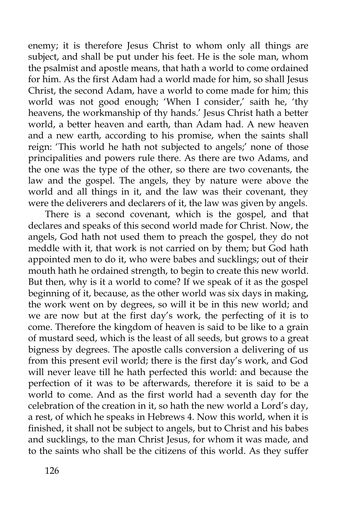enemy; it is therefore Jesus Christ to whom only all things are subject, and shall be put under his feet. He is the sole man, whom the psalmist and apostle means, that hath a world to come ordained for him. As the first Adam had a world made for him, so shall Jesus Christ, the second Adam, have a world to come made for him; this world was not good enough; 'When I consider,' saith he, 'thy heavens, the workmanship of thy hands.' Jesus Christ hath a better world, a better heaven and earth, than Adam had. A new heaven and a new earth, according to his promise, when the saints shall reign: 'This world he hath not subjected to angels;' none of those principalities and powers rule there. As there are two Adams, and the one was the type of the other, so there are two covenants, the law and the gospel. The angels, they by nature were above the world and all things in it, and the law was their covenant, they were the deliverers and declarers of it, the law was given by angels.

There is a second covenant, which is the gospel, and that declares and speaks of this second world made for Christ. Now, the angels, God hath not used them to preach the gospel, they do not meddle with it, that work is not carried on by them; but God hath appointed men to do it, who were babes and sucklings; out of their mouth hath he ordained strength, to begin to create this new world. But then, why is it a world to come? If we speak of it as the gospel beginning of it, because, as the other world was six days in making, the work went on by degrees, so will it be in this new world; and we are now but at the first day's work, the perfecting of it is to come. Therefore the kingdom of heaven is said to be like to a grain of mustard seed, which is the least of all seeds, but grows to a great bigness by degrees. The apostle calls conversion a delivering of us from this present evil world; there is the first day's work, and God will never leave till he hath perfected this world: and because the perfection of it was to be afterwards, therefore it is said to be a world to come. And as the first world had a seventh day for the celebration of the creation in it, so hath the new world a Lord's day, a rest, of which he speaks in Hebrews 4. Now this world, when it is finished, it shall not be subject to angels, but to Christ and his babes and sucklings, to the man Christ Jesus, for whom it was made, and to the saints who shall be the citizens of this world. As they suffer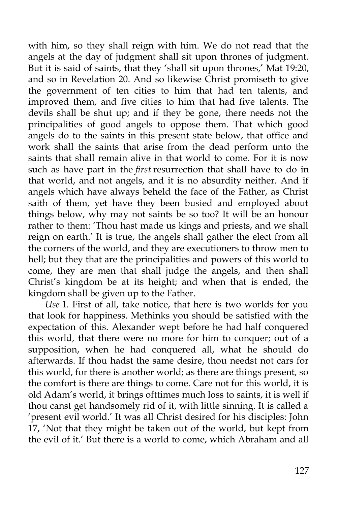with him, so they shall reign with him. We do not read that the angels at the day of judgment shall sit upon thrones of judgment. But it is said of saints, that they 'shall sit upon thrones,' Mat 19:20, and so in Revelation 20. And so likewise Christ promiseth to give the government of ten cities to him that had ten talents, and improved them, and five cities to him that had five talents. The devils shall be shut up; and if they be gone, there needs not the principalities of good angels to oppose them. That which good angels do to the saints in this present state below, that office and work shall the saints that arise from the dead perform unto the saints that shall remain alive in that world to come. For it is now such as have part in the *first* resurrection that shall have to do in that world, and not angels, and it is no absurdity neither. And if angels which have always beheld the face of the Father, as Christ saith of them, yet have they been busied and employed about things below, why may not saints be so too? It will be an honour rather to them: 'Thou hast made us kings and priests, and we shall reign on earth.' It is true, the angels shall gather the elect from all the corners of the world, and they are executioners to throw men to hell; but they that are the principalities and powers of this world to come, they are men that shall judge the angels, and then shall Christ's kingdom be at its height; and when that is ended, the kingdom shall be given up to the Father.

*Use* 1. First of all, take notice, that here is two worlds for you that look for happiness. Methinks you should be satisfied with the expectation of this. Alexander wept before he had half conquered this world, that there were no more for him to conquer; out of a supposition, when he had conquered all, what he should do afterwards. If thou hadst the same desire, thou needst not cars for this world, for there is another world; as there are things present, so the comfort is there are things to come. Care not for this world, it is old Adam's world, it brings ofttimes much loss to saints, it is well if thou canst get handsomely rid of it, with little sinning. It is called a 'present evil world.' It was all Christ desired for his disciples: John 17, 'Not that they might be taken out of the world, but kept from the evil of it.' But there is a world to come, which Abraham and all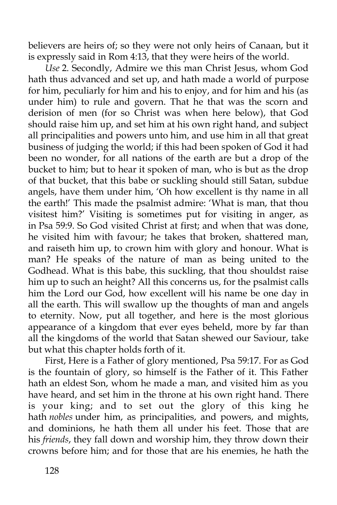believers are heirs of; so they were not only heirs of Canaan, but it is expressly said in Rom 4:13, that they were heirs of the world.

*Use* 2. Secondly, Admire we this man Christ Jesus, whom God hath thus advanced and set up, and hath made a world of purpose for him, peculiarly for him and his to enjoy, and for him and his (as under him) to rule and govern. That he that was the scorn and derision of men (for so Christ was when here below), that God should raise him up, and set him at his own right hand, and subject all principalities and powers unto him, and use him in all that great business of judging the world; if this had been spoken of God it had been no wonder, for all nations of the earth are but a drop of the bucket to him; but to hear it spoken of man, who is but as the drop of that bucket, that this babe or suckling should still Satan, subdue angels, have them under him, 'Oh how excellent is thy name in all the earth!' This made the psalmist admire: 'What is man, that thou visitest him?' Visiting is sometimes put for visiting in anger, as in Psa 59:9. So God visited Christ at first; and when that was done, he visited him with favour; he takes that broken, shattered man, and raiseth him up, to crown him with glory and honour. What is man? He speaks of the nature of man as being united to the Godhead. What is this babe, this suckling, that thou shouldst raise him up to such an height? All this concerns us, for the psalmist calls him the Lord our God, how excellent will his name be one day in all the earth. This will swallow up the thoughts of man and angels to eternity. Now, put all together, and here is the most glorious appearance of a kingdom that ever eyes beheld, more by far than all the kingdoms of the world that Satan shewed our Saviour, take but what this chapter holds forth of it.

First, Here is a Father of glory mentioned, Psa 59:17. For as God is the fountain of glory, so himself is the Father of it. This Father hath an eldest Son, whom he made a man, and visited him as you have heard, and set him in the throne at his own right hand. There is your king; and to set out the glory of this king he hath *nobles* under him, as principalities, and powers, and mights, and dominions, he hath them all under his feet. Those that are his *friends*, they fall down and worship him, they throw down their crowns before him; and for those that are his enemies, he hath the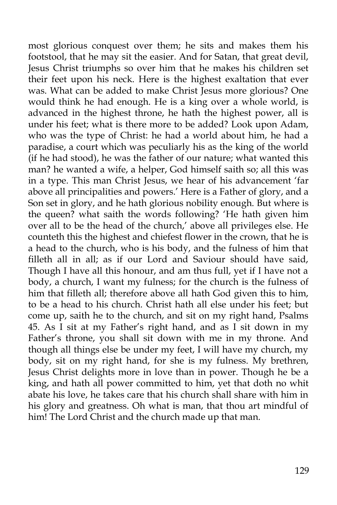most glorious conquest over them; he sits and makes them his footstool, that he may sit the easier. And for Satan, that great devil, Jesus Christ triumphs so over him that he makes his children set their feet upon his neck. Here is the highest exaltation that ever was. What can be added to make Christ Jesus more glorious? One would think he had enough. He is a king over a whole world, is advanced in the highest throne, he hath the highest power, all is under his feet; what is there more to be added? Look upon Adam, who was the type of Christ: he had a world about him, he had a paradise, a court which was peculiarly his as the king of the world (if he had stood), he was the father of our nature; what wanted this man? he wanted a wife, a helper, God himself saith so; all this was in a type. This man Christ Jesus, we hear of his advancement 'far above all principalities and powers.' Here is a Father of glory, and a Son set in glory, and he hath glorious nobility enough. But where is the queen? what saith the words following? 'He hath given him over all to be the head of the church,' above all privileges else. He counteth this the highest and chiefest flower in the crown, that he is a head to the church, who is his body, and the fulness of him that filleth all in all; as if our Lord and Saviour should have said, Though I have all this honour, and am thus full, yet if I have not a body, a church, I want my fulness; for the church is the fulness of him that filleth all; therefore above all hath God given this to him, to be a head to his church. Christ hath all else under his feet; but come up, saith he to the church, and sit on my right hand, Psalms 45. As I sit at my Father's right hand, and as I sit down in my Father's throne, you shall sit down with me in my throne. And though all things else be under my feet, I will have my church, my body, sit on my right hand, for she is my fulness. My brethren, Jesus Christ delights more in love than in power. Though he be a king, and hath all power committed to him, yet that doth no whit abate his love, he takes care that his church shall share with him in his glory and greatness. Oh what is man, that thou art mindful of him! The Lord Christ and the church made up that man.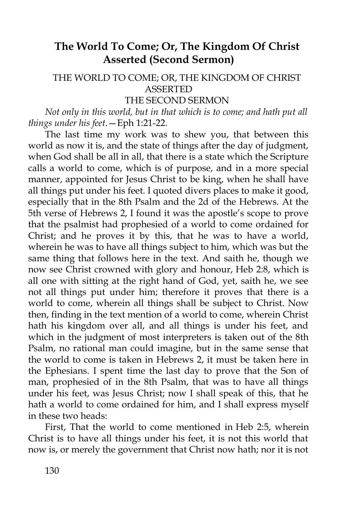# **The World To Come; Or, The Kingdom Of Christ Asserted (Second Sermon)**

# THE WORLD TO COME; OR, THE KINGDOM OF CHRIST ASSERTED

THE SECOND SERMON

*Not only in this world, but in that which is to come; and hath put all things under his feet*.—Eph 1:21-22.

The last time my work was to shew you, that between this world as now it is, and the state of things after the day of judgment, when God shall be all in all, that there is a state which the Scripture calls a world to come, which is of purpose, and in a more special manner, appointed for Jesus Christ to be king, when he shall have all things put under his feet. I quoted divers places to make it good, especially that in the 8th Psalm and the 2d of the Hebrews. At the 5th verse of Hebrews 2, I found it was the apostle's scope to prove that the psalmist had prophesied of a world to come ordained for Christ; and he proves it by this, that he was to have a world, wherein he was to have all things subject to him, which was but the same thing that follows here in the text. And saith he, though we now see Christ crowned with glory and honour, Heb 2:8, which is all one with sitting at the right hand of God, yet, saith he, we see not all things put under him; therefore it proves that there is a world to come, wherein all things shall be subject to Christ. Now then, finding in the text mention of a world to come, wherein Christ hath his kingdom over all, and all things is under his feet, and which in the judgment of most interpreters is taken out of the 8th Psalm, no rational man could imagine, but in the same sense that the world to come is taken in Hebrews 2, it must be taken here in the Ephesians. I spent time the last day to prove that the Son of man, prophesied of in the 8th Psalm, that was to have all things under his feet, was Jesus Christ; now I shall speak of this, that he hath a world to come ordained for him, and I shall express myself in these two heads:

First, That the world to come mentioned in Heb 2:5, wherein Christ is to have all things under his feet, it is not this world that now is, or merely the government that Christ now hath; nor it is not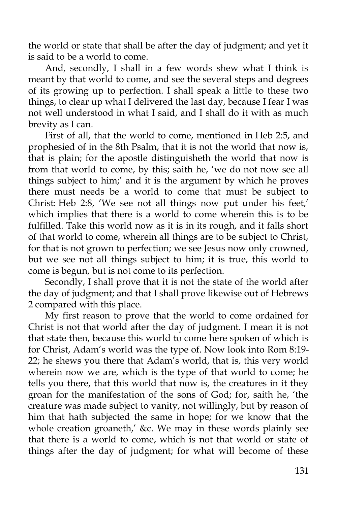the world or state that shall be after the day of judgment; and yet it is said to be a world to come.

And, secondly, I shall in a few words shew what I think is meant by that world to come, and see the several steps and degrees of its growing up to perfection. I shall speak a little to these two things, to clear up what I delivered the last day, because I fear I was not well understood in what I said, and I shall do it with as much brevity as I can.

First of all, that the world to come, mentioned in Heb 2:5, and prophesied of in the 8th Psalm, that it is not the world that now is, that is plain; for the apostle distinguisheth the world that now is from that world to come, by this; saith he, 'we do not now see all things subject to him;' and it is the argument by which he proves there must needs be a world to come that must be subject to Christ: Heb 2:8, 'We see not all things now put under his feet,' which implies that there is a world to come wherein this is to be fulfilled. Take this world now as it is in its rough, and it falls short of that world to come, wherein all things are to be subject to Christ, for that is not grown to perfection; we see Jesus now only crowned, but we see not all things subject to him; it is true, this world to come is begun, but is not come to its perfection.

Secondly, I shall prove that it is not the state of the world after the day of judgment; and that I shall prove likewise out of Hebrews 2 compared with this place.

My first reason to prove that the world to come ordained for Christ is not that world after the day of judgment. I mean it is not that state then, because this world to come here spoken of which is for Christ, Adam's world was the type of. Now look into Rom 8:19- 22; he shews you there that Adam's world, that is, this very world wherein now we are, which is the type of that world to come; he tells you there, that this world that now is, the creatures in it they groan for the manifestation of the sons of God; for, saith he, 'the creature was made subject to vanity, not willingly, but by reason of him that hath subjected the same in hope; for we know that the whole creation groaneth,' &c. We may in these words plainly see that there is a world to come, which is not that world or state of things after the day of judgment; for what will become of these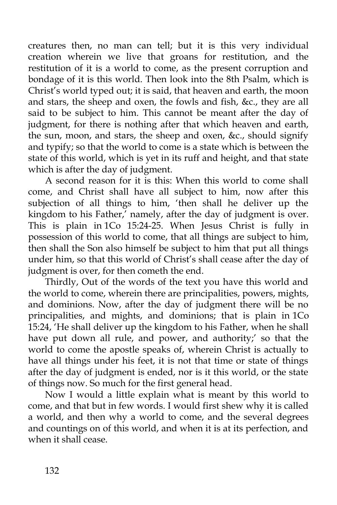creatures then, no man can tell; but it is this very individual creation wherein we live that groans for restitution, and the restitution of it is a world to come, as the present corruption and bondage of it is this world. Then look into the 8th Psalm, which is Christ's world typed out; it is said, that heaven and earth, the moon and stars, the sheep and oxen, the fowls and fish, &c., they are all said to be subject to him. This cannot be meant after the day of judgment, for there is nothing after that which heaven and earth, the sun, moon, and stars, the sheep and oxen, &c., should signify and typify; so that the world to come is a state which is between the state of this world, which is yet in its ruff and height, and that state which is after the day of judgment.

A second reason for it is this: When this world to come shall come, and Christ shall have all subject to him, now after this subjection of all things to him, 'then shall he deliver up the kingdom to his Father,' namely, after the day of judgment is over. This is plain in 1Co 15:24-25. When Jesus Christ is fully in possession of this world to come, that all things are subject to him, then shall the Son also himself be subject to him that put all things under him, so that this world of Christ's shall cease after the day of judgment is over, for then cometh the end.

Thirdly, Out of the words of the text you have this world and the world to come, wherein there are principalities, powers, mights, and dominions. Now, after the day of judgment there will be no principalities, and mights, and dominions; that is plain in 1Co 15:24, 'He shall deliver up the kingdom to his Father, when he shall have put down all rule, and power, and authority;' so that the world to come the apostle speaks of, wherein Christ is actually to have all things under his feet, it is not that time or state of things after the day of judgment is ended, nor is it this world, or the state of things now. So much for the first general head.

Now I would a little explain what is meant by this world to come, and that but in few words. I would first shew why it is called a world, and then why a world to come, and the several degrees and countings on of this world, and when it is at its perfection, and when it shall cease.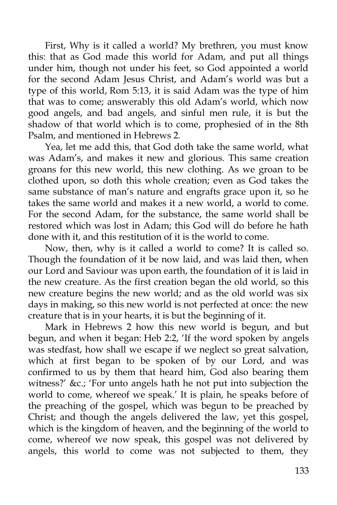First, Why is it called a world? My brethren, you must know this: that as God made this world for Adam, and put all things under him, though not under his feet, so God appointed a world for the second Adam Jesus Christ, and Adam's world was but a type of this world, Rom 5:13, it is said Adam was the type of him that was to come; answerably this old Adam's world, which now good angels, and bad angels, and sinful men rule, it is but the shadow of that world which is to come, prophesied of in the 8th Psalm, and mentioned in Hebrews 2.

Yea, let me add this, that God doth take the same world, what was Adam's, and makes it new and glorious. This same creation groans for this new world, this new clothing. As we groan to be clothed upon, so doth this whole creation; even as God takes the same substance of man's nature and engrafts grace upon it, so he takes the same world and makes it a new world, a world to come. For the second Adam, for the substance, the same world shall be restored which was lost in Adam; this God will do before he hath done with it, and this restitution of it is the world to come.

Now, then, why is it called a world to come? It is called so. Though the foundation of it be now laid, and was laid then, when our Lord and Saviour was upon earth, the foundation of it is laid in the new creature. As the first creation began the old world, so this new creature begins the new world; and as the old world was six days in making, so this new world is not perfected at once: the new creature that is in your hearts, it is but the beginning of it.

Mark in Hebrews 2 how this new world is begun, and but begun, and when it began: Heb 2:2, 'If the word spoken by angels was stedfast, how shall we escape if we neglect so great salvation, which at first began to be spoken of by our Lord, and was confirmed to us by them that heard him, God also bearing them witness?' &c.; 'For unto angels hath he not put into subjection the world to come, whereof we speak.' It is plain, he speaks before of the preaching of the gospel, which was begun to be preached by Christ; and though the angels delivered the law, yet this gospel, which is the kingdom of heaven, and the beginning of the world to come, whereof we now speak, this gospel was not delivered by angels, this world to come was not subjected to them, they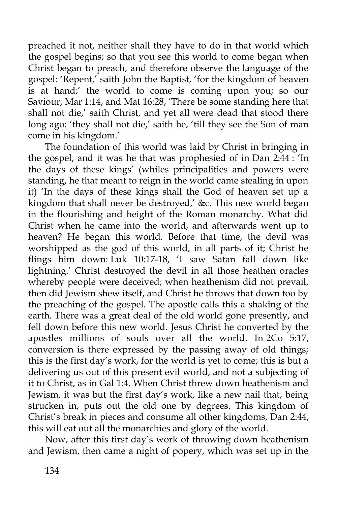preached it not, neither shall they have to do in that world which the gospel begins; so that you see this world to come began when Christ began to preach, and therefore observe the language of the gospel: 'Repent,' saith John the Baptist, 'for the kingdom of heaven is at hand;' the world to come is coming upon you; so our Saviour, Mar 1:14, and Mat 16:28, 'There be some standing here that shall not die,' saith Christ, and yet all were dead that stood there long ago: 'they shall not die,' saith he, 'till they see the Son of man come in his kingdom.'

The foundation of this world was laid by Christ in bringing in the gospel, and it was he that was prophesied of in Dan 2:44 : 'In the days of these kings' (whiles principalities and powers were standing, he that meant to reign in the world came stealing in upon it) 'In the days of these kings shall the God of heaven set up a kingdom that shall never be destroyed,' &c. This new world began in the flourishing and height of the Roman monarchy. What did Christ when he came into the world, and afterwards went up to heaven? He began this world. Before that time, the devil was worshipped as the god of this world, in all parts of it; Christ he flings him down: Luk 10:17-18, 'I saw Satan fall down like lightning.' Christ destroyed the devil in all those heathen oracles whereby people were deceived; when heathenism did not prevail, then did Jewism shew itself, and Christ he throws that down too by the preaching of the gospel. The apostle calls this a shaking of the earth. There was a great deal of the old world gone presently, and fell down before this new world. Jesus Christ he converted by the apostles millions of souls over all the world. In  $2Co$  5:17, conversion is there expressed by the passing away of old things; this is the first day's work, for the world is yet to come; this is but a delivering us out of this present evil world, and not a subjecting of it to Christ, as in Gal 1:4. When Christ threw down heathenism and Jewism, it was but the first day's work, like a new nail that, being strucken in, puts out the old one by degrees. This kingdom of Christ's break in pieces and consume all other kingdoms, Dan 2:44, this will eat out all the monarchies and glory of the world.

Now, after this first day's work of throwing down heathenism and Jewism, then came a night of popery, which was set up in the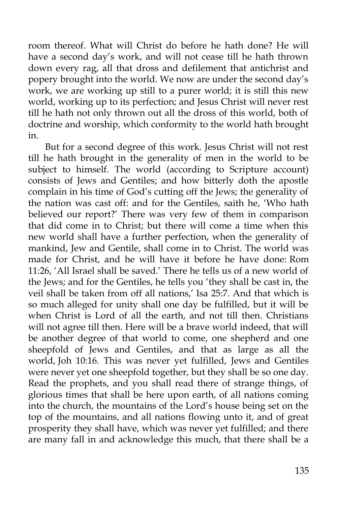room thereof. What will Christ do before he hath done? He will have a second day's work, and will not cease till he hath thrown down every rag, all that dross and defilement that antichrist and popery brought into the world. We now are under the second day's work, we are working up still to a purer world; it is still this new world, working up to its perfection; and Jesus Christ will never rest till he hath not only thrown out all the dross of this world, both of doctrine and worship, which conformity to the world hath brought in.

But for a second degree of this work. Jesus Christ will not rest till he hath brought in the generality of men in the world to be subject to himself. The world (according to Scripture account) consists of Jews and Gentiles; and how bitterly doth the apostle complain in his time of God's cutting off the Jews; the generality of the nation was cast off: and for the Gentiles, saith he, 'Who hath believed our report?' There was very few of them in comparison that did come in to Christ; but there will come a time when this new world shall have a further perfection, when the generality of mankind, Jew and Gentile, shall come in to Christ. The world was made for Christ, and he will have it before he have done: Rom 11:26, 'All Israel shall be saved.' There he tells us of a new world of the Jews; and for the Gentiles, he tells you 'they shall be cast in, the veil shall be taken from off all nations,' Isa 25:7. And that which is so much alleged for unity shall one day be fulfilled, but it will be when Christ is Lord of all the earth, and not till then. Christians will not agree till then. Here will be a brave world indeed, that will be another degree of that world to come, one shepherd and one sheepfold of Jews and Gentiles, and that as large as all the world, Joh 10:16. This was never yet fulfilled, Jews and Gentiles were never yet one sheepfold together, but they shall be so one day. Read the prophets, and you shall read there of strange things, of glorious times that shall be here upon earth, of all nations coming into the church, the mountains of the Lord's house being set on the top of the mountains, and all nations flowing unto it, and of great prosperity they shall have, which was never yet fulfilled; and there are many fall in and acknowledge this much, that there shall be a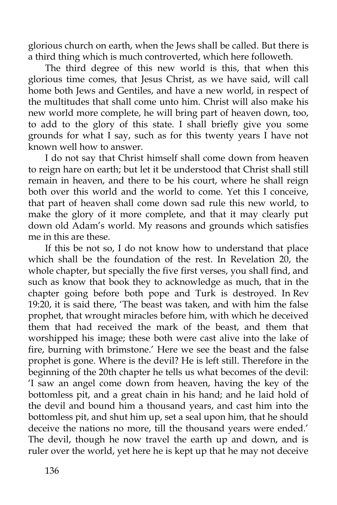glorious church on earth, when the Jews shall be called. But there is a third thing which is much controverted, which here followeth.

The third degree of this new world is this, that when this glorious time comes, that Jesus Christ, as we have said, will call home both Jews and Gentiles, and have a new world, in respect of the multitudes that shall come unto him. Christ will also make his new world more complete, he will bring part of heaven down, too, to add to the glory of this state. I shall briefly give you some grounds for what I say, such as for this twenty years I have not known well how to answer.

I do not say that Christ himself shall come down from heaven to reign hare on earth; but let it be understood that Christ shall still remain in heaven, and there to be his court, where he shall reign both over this world and the world to come. Yet this I conceive, that part of heaven shall come down sad rule this new world, to make the glory of it more complete, and that it may clearly put down old Adam's world. My reasons and grounds which satisfies me in this are these.

If this be not so, I do not know how to understand that place which shall be the foundation of the rest. In Revelation 20, the whole chapter, but specially the five first verses, you shall find, and such as know that book they to acknowledge as much, that in the chapter going before both pope and Turk is destroyed. In Rev 19:20, it is said there, 'The beast was taken, and with him the false prophet, that wrought miracles before him, with which he deceived them that had received the mark of the beast, and them that worshipped his image; these both were cast alive into the lake of fire, burning with brimstone.' Here we see the beast and the false prophet is gone. Where is the devil? He is left still. Therefore in the beginning of the 20th chapter he tells us what becomes of the devil: 'I saw an angel come down from heaven, having the key of the bottomless pit, and a great chain in his hand; and he laid hold of the devil and bound him a thousand years, and cast him into the bottomless pit, and shut him up, set a seal upon him, that he should deceive the nations no more, till the thousand years were ended.' The devil, though he now travel the earth up and down, and is ruler over the world, yet here he is kept up that he may not deceive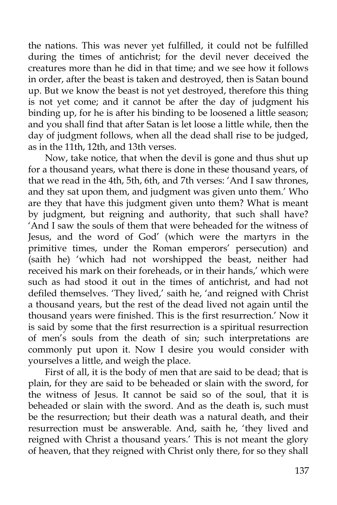the nations. This was never yet fulfilled, it could not be fulfilled during the times of antichrist; for the devil never deceived the creatures more than he did in that time; and we see how it follows in order, after the beast is taken and destroyed, then is Satan bound up. But we know the beast is not yet destroyed, therefore this thing is not yet come; and it cannot be after the day of judgment his binding up, for he is after his binding to be loosened a little season; and you shall find that after Satan is let loose a little while, then the day of judgment follows, when all the dead shall rise to be judged, as in the 11th, 12th, and 13th verses.

Now, take notice, that when the devil is gone and thus shut up for a thousand years, what there is done in these thousand years, of that we read in the 4th, 5th, 6th, and 7th verses: 'And I saw thrones, and they sat upon them, and judgment was given unto them.' Who are they that have this judgment given unto them? What is meant by judgment, but reigning and authority, that such shall have? 'And I saw the souls of them that were beheaded for the witness of Jesus, and the word of God' (which were the martyrs in the primitive times, under the Roman emperors' persecution) and (saith he) 'which had not worshipped the beast, neither had received his mark on their foreheads, or in their hands,' which were such as had stood it out in the times of antichrist, and had not defiled themselves. 'They lived,' saith he, 'and reigned with Christ a thousand years, but the rest of the dead lived not again until the thousand years were finished. This is the first resurrection.' Now it is said by some that the first resurrection is a spiritual resurrection of men's souls from the death of sin; such interpretations are commonly put upon it. Now I desire you would consider with yourselves a little, and weigh the place.

First of all, it is the body of men that are said to be dead; that is plain, for they are said to be beheaded or slain with the sword, for the witness of Jesus. It cannot be said so of the soul, that it is beheaded or slain with the sword. And as the death is, such must be the resurrection; but their death was a natural death, and their resurrection must be answerable. And, saith he, 'they lived and reigned with Christ a thousand years.' This is not meant the glory of heaven, that they reigned with Christ only there, for so they shall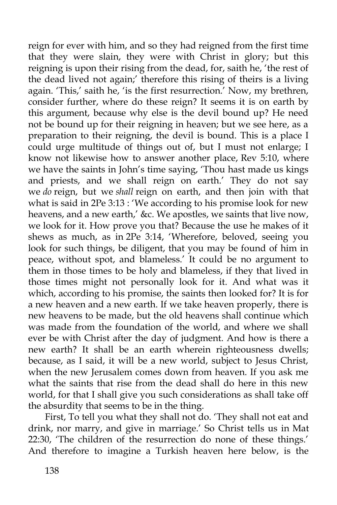reign for ever with him, and so they had reigned from the first time that they were slain, they were with Christ in glory; but this reigning is upon their rising from the dead, for, saith he, 'the rest of the dead lived not again;' therefore this rising of theirs is a living again. 'This,' saith he, 'is the first resurrection.' Now, my brethren, consider further, where do these reign? It seems it is on earth by this argument, because why else is the devil bound up? He need not be bound up for their reigning in heaven; but we see here, as a preparation to their reigning, the devil is bound. This is a place I could urge multitude of things out of, but I must not enlarge; I know not likewise how to answer another place, Rev 5:10, where we have the saints in John's time saying, 'Thou hast made us kings and priests, and we shall reign on earth.' They do not say we *do* reign, but we *shall* reign on earth, and then join with that what is said in 2Pe 3:13 : 'We according to his promise look for new heavens, and a new earth,' &c. We apostles, we saints that live now, we look for it. How prove you that? Because the use he makes of it shews as much, as in 2Pe 3:14, 'Wherefore, beloved, seeing you look for such things, be diligent, that you may be found of him in peace, without spot, and blameless.' It could be no argument to them in those times to be holy and blameless, if they that lived in those times might not personally look for it. And what was it which, according to his promise, the saints then looked for? It is for a new heaven and a new earth. If we take heaven properly, there is new heavens to be made, but the old heavens shall continue which was made from the foundation of the world, and where we shall ever be with Christ after the day of judgment. And how is there a new earth? It shall be an earth wherein righteousness dwells; because, as I said, it will be a new world, subject to Jesus Christ, when the new Jerusalem comes down from heaven. If you ask me what the saints that rise from the dead shall do here in this new world, for that I shall give you such considerations as shall take off the absurdity that seems to be in the thing.

First, To tell you what they shall not do. 'They shall not eat and drink, nor marry, and give in marriage.' So Christ tells us in Mat 22:30, 'The children of the resurrection do none of these things.' And therefore to imagine a Turkish heaven here below, is the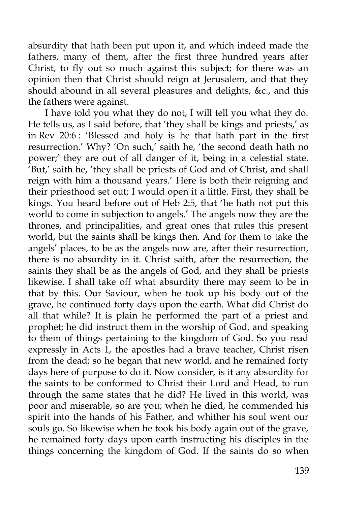absurdity that hath been put upon it, and which indeed made the fathers, many of them, after the first three hundred years after Christ, to fly out so much against this subject; for there was an opinion then that Christ should reign at Jerusalem, and that they should abound in all several pleasures and delights, &c., and this the fathers were against.

I have told you what they do not, I will tell you what they do. He tells us, as I said before, that 'they shall be kings and priests,' as in Rev 20:6 : 'Blessed and holy is he that hath part in the first resurrection.' Why? 'On such,' saith he, 'the second death hath no power;' they are out of all danger of it, being in a celestial state. 'But,' saith he, 'they shall be priests of God and of Christ, and shall reign with him a thousand years.' Here is both their reigning and their priesthood set out; I would open it a little. First, they shall be kings. You heard before out of Heb 2:5, that 'he hath not put this world to come in subjection to angels.' The angels now they are the thrones, and principalities, and great ones that rules this present world, but the saints shall be kings then. And for them to take the angels' places, to be as the angels now are, after their resurrection, there is no absurdity in it. Christ saith, after the resurrection, the saints they shall be as the angels of God, and they shall be priests likewise. I shall take off what absurdity there may seem to be in that by this. Our Saviour, when he took up his body out of the grave, he continued forty days upon the earth. What did Christ do all that while? It is plain he performed the part of a priest and prophet; he did instruct them in the worship of God, and speaking to them of things pertaining to the kingdom of God. So you read expressly in Acts 1, the apostles had a brave teacher, Christ risen from the dead; so he began that new world, and he remained forty days here of purpose to do it. Now consider, is it any absurdity for the saints to be conformed to Christ their Lord and Head, to run through the same states that he did? He lived in this world, was poor and miserable, so are you; when he died, he commended his spirit into the hands of his Father, and whither his soul went our souls go. So likewise when he took his body again out of the grave, he remained forty days upon earth instructing his disciples in the things concerning the kingdom of God. If the saints do so when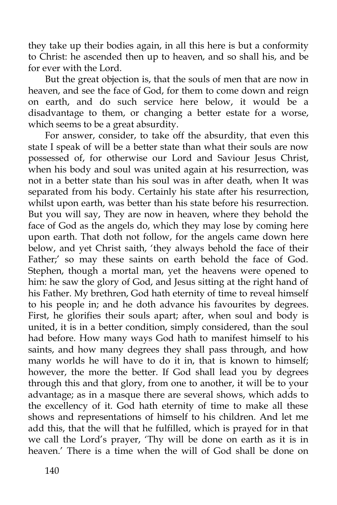they take up their bodies again, in all this here is but a conformity to Christ: he ascended then up to heaven, and so shall his, and be for ever with the Lord.

But the great objection is, that the souls of men that are now in heaven, and see the face of God, for them to come down and reign on earth, and do such service here below, it would be a disadvantage to them, or changing a better estate for a worse, which seems to be a great absurdity.

For answer, consider, to take off the absurdity, that even this state I speak of will be a better state than what their souls are now possessed of, for otherwise our Lord and Saviour Jesus Christ, when his body and soul was united again at his resurrection, was not in a better state than his soul was in after death, when It was separated from his body. Certainly his state after his resurrection, whilst upon earth, was better than his state before his resurrection. But you will say, They are now in heaven, where they behold the face of God as the angels do, which they may lose by coming here upon earth. That doth not follow, for the angels came down here below, and yet Christ saith, 'they always behold the face of their Father;' so may these saints on earth behold the face of God. Stephen, though a mortal man, yet the heavens were opened to him: he saw the glory of God, and Jesus sitting at the right hand of his Father. My brethren, God hath eternity of time to reveal himself to his people in; and he doth advance his favourites by degrees. First, he glorifies their souls apart; after, when soul and body is united, it is in a better condition, simply considered, than the soul had before. How many ways God hath to manifest himself to his saints, and how many degrees they shall pass through, and how many worlds he will have to do it in, that is known to himself; however, the more the better. If God shall lead you by degrees through this and that glory, from one to another, it will be to your advantage; as in a masque there are several shows, which adds to the excellency of it. God hath eternity of time to make all these shows and representations of himself to his children. And let me add this, that the will that he fulfilled, which is prayed for in that we call the Lord's prayer, 'Thy will be done on earth as it is in heaven.' There is a time when the will of God shall be done on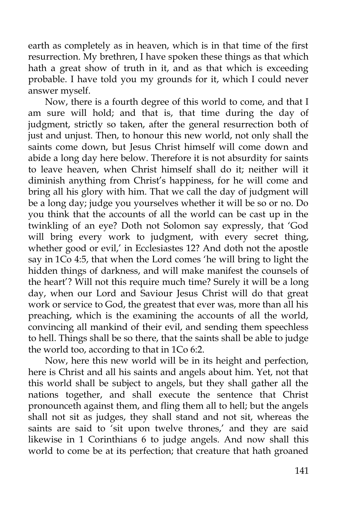earth as completely as in heaven, which is in that time of the first resurrection. My brethren, I have spoken these things as that which hath a great show of truth in it, and as that which is exceeding probable. I have told you my grounds for it, which I could never answer myself.

Now, there is a fourth degree of this world to come, and that I am sure will hold; and that is, that time during the day of judgment, strictly so taken, after the general resurrection both of just and unjust. Then, to honour this new world, not only shall the saints come down, but Jesus Christ himself will come down and abide a long day here below. Therefore it is not absurdity for saints to leave heaven, when Christ himself shall do it; neither will it diminish anything from Christ's happiness, for he will come and bring all his glory with him. That we call the day of judgment will be a long day; judge you yourselves whether it will be so or no. Do you think that the accounts of all the world can be cast up in the twinkling of an eye? Doth not Solomon say expressly, that 'God will bring every work to judgment, with every secret thing, whether good or evil,' in Ecclesiastes 12? And doth not the apostle say in 1Co 4:5, that when the Lord comes 'he will bring to light the hidden things of darkness, and will make manifest the counsels of the heart'? Will not this require much time? Surely it will be a long day, when our Lord and Saviour Jesus Christ will do that great work or service to God, the greatest that ever was, more than all his preaching, which is the examining the accounts of all the world, convincing all mankind of their evil, and sending them speechless to hell. Things shall be so there, that the saints shall be able to judge the world too, according to that in 1Co 6:2.

Now, here this new world will be in its height and perfection, here is Christ and all his saints and angels about him. Yet, not that this world shall be subject to angels, but they shall gather all the nations together, and shall execute the sentence that Christ pronounceth against them, and fling them all to hell; but the angels shall not sit as judges, they shall stand and not sit, whereas the saints are said to 'sit upon twelve thrones,' and they are said likewise in 1 Corinthians 6 to judge angels. And now shall this world to come be at its perfection; that creature that hath groaned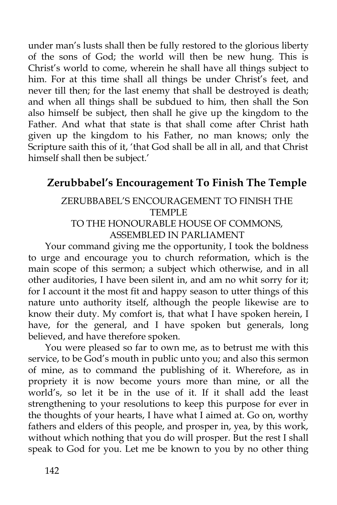under man's lusts shall then be fully restored to the glorious liberty of the sons of God; the world will then be new hung. This is Christ's world to come, wherein he shall have all things subject to him. For at this time shall all things be under Christ's feet, and never till then; for the last enemy that shall be destroyed is death; and when all things shall be subdued to him, then shall the Son also himself be subject, then shall he give up the kingdom to the Father. And what that state is that shall come after Christ hath given up the kingdom to his Father, no man knows; only the Scripture saith this of it, 'that God shall be all in all, and that Christ himself shall then be subject.'

# **Zerubbabel's Encouragement To Finish The Temple**

#### ZERUBBABEL'S ENCOURAGEMENT TO FINISH THE TEMPLE TO THE HONOURABLE HOUSE OF COMMONS,

ASSEMBLED IN PARLIAMENT

Your command giving me the opportunity, I took the boldness to urge and encourage you to church reformation, which is the main scope of this sermon; a subject which otherwise, and in all other auditories, I have been silent in, and am no whit sorry for it; for I account it the most fit and happy season to utter things of this nature unto authority itself, although the people likewise are to know their duty. My comfort is, that what I have spoken herein, I have, for the general, and I have spoken but generals, long believed, and have therefore spoken.

You were pleased so far to own me, as to betrust me with this service, to be God's mouth in public unto you; and also this sermon of mine, as to command the publishing of it. Wherefore, as in propriety it is now become yours more than mine, or all the world's, so let it be in the use of it. If it shall add the least strengthening to your resolutions to keep this purpose for ever in the thoughts of your hearts, I have what I aimed at. Go on, worthy fathers and elders of this people, and prosper in, yea, by this work, without which nothing that you do will prosper. But the rest I shall speak to God for you. Let me be known to you by no other thing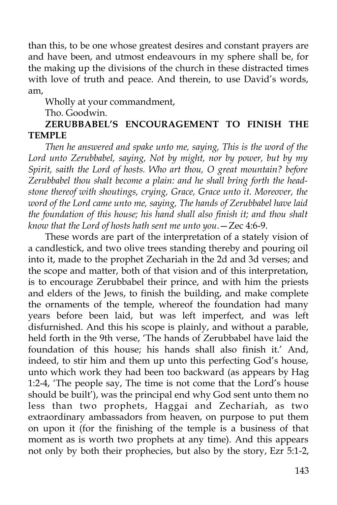than this, to be one whose greatest desires and constant prayers are and have been, and utmost endeavours in my sphere shall be, for the making up the divisions of the church in these distracted times with love of truth and peace. And therein, to use David's words, am,

Wholly at your commandment,

Tho. Goodwin.

#### **ZERUBBABEL'S ENCOURAGEMENT TO FINISH THE TEMPLE**

*Then he answered and spake unto me, saying, This is the word of the Lord unto Zerubbabel, saying, Not by might, nor by power, but by my Spirit, saith the Lord of hosts. Who art thou, O great mountain? before Zerubbabel thou shalt become a plain: and he shall bring forth the headstone thereof with shoutings, crying, Grace, Grace unto it. Moreover, the word of the Lord came unto me, saying, The hands of Zerubbabel have laid the foundation of this house; his hand shall also finish it; and thou shalt know that the Lord of hosts hath sent me unto you*.—Zec 4:6-9.

These words are part of the interpretation of a stately vision of a candlestick, and two olive trees standing thereby and pouring oil into it, made to the prophet Zechariah in the 2d and 3d verses; and the scope and matter, both of that vision and of this interpretation, is to encourage Zerubbabel their prince, and with him the priests and elders of the Jews, to finish the building, and make complete the ornaments of the temple, whereof the foundation had many years before been laid, but was left imperfect, and was left disfurnished. And this his scope is plainly, and without a parable, held forth in the 9th verse, 'The hands of Zerubbabel have laid the foundation of this house; his hands shall also finish it.' And, indeed, to stir him and them up unto this perfecting God's house, unto which work they had been too backward (as appears by Hag 1:2-4, 'The people say, The time is not come that the Lord's house should be built'), was the principal end why God sent unto them no less than two prophets, Haggai and Zechariah, as two extraordinary ambassadors from heaven, on purpose to put them on upon it (for the finishing of the temple is a business of that moment as is worth two prophets at any time). And this appears not only by both their prophecies, but also by the story, Ezr 5:1-2,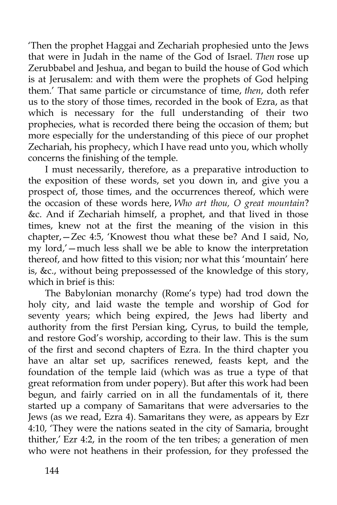'Then the prophet Haggai and Zechariah prophesied unto the Jews that were in Judah in the name of the God of Israel. *Then* rose up Zerubbabel and Jeshua, and began to build the house of God which is at Jerusalem: and with them were the prophets of God helping them.' That same particle or circumstance of time, *then*, doth refer us to the story of those times, recorded in the book of Ezra, as that which is necessary for the full understanding of their two prophecies, what is recorded there being the occasion of them; but more especially for the understanding of this piece of our prophet Zechariah, his prophecy, which I have read unto you, which wholly concerns the finishing of the temple.

I must necessarily, therefore, as a preparative introduction to the exposition of these words, set you down in, and give you a prospect of, those times, and the occurrences thereof, which were the occasion of these words here, *Who art thou, O great mountain*? &c. And if Zechariah himself, a prophet, and that lived in those times, knew not at the first the meaning of the vision in this chapter,—Zec 4:5, 'Knowest thou what these be? And I said, No, my lord,'—much less shall we be able to know the interpretation thereof, and how fitted to this vision; nor what this 'mountain' here is, &c., without being prepossessed of the knowledge of this story, which in brief is this:

The Babylonian monarchy (Rome's type) had trod down the holy city, and laid waste the temple and worship of God for seventy years; which being expired, the Jews had liberty and authority from the first Persian king, Cyrus, to build the temple, and restore God's worship, according to their law. This is the sum of the first and second chapters of Ezra. In the third chapter you have an altar set up, sacrifices renewed, feasts kept, and the foundation of the temple laid (which was as true a type of that great reformation from under popery). But after this work had been begun, and fairly carried on in all the fundamentals of it, there started up a company of Samaritans that were adversaries to the Jews (as we read, Ezra 4). Samaritans they were, as appears by Ezr 4:10, 'They were the nations seated in the city of Samaria, brought thither,' Ezr 4:2, in the room of the ten tribes; a generation of men who were not heathens in their profession, for they professed the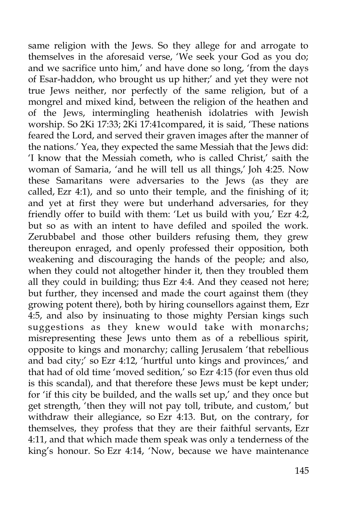same religion with the Jews. So they allege for and arrogate to themselves in the aforesaid verse, 'We seek your God as you do; and we sacrifice unto him,' and have done so long, 'from the days of Esar-haddon, who brought us up hither;' and yet they were not true Jews neither, nor perfectly of the same religion, but of a mongrel and mixed kind, between the religion of the heathen and of the Jews, intermingling heathenish idolatries with Jewish worship. So 2Ki 17:33; 2Ki 17:41compared, it is said, 'These nations feared the Lord, and served their graven images after the manner of the nations.' Yea, they expected the same Messiah that the Jews did: 'I know that the Messiah cometh, who is called Christ,' saith the woman of Samaria, 'and he will tell us all things,' Joh 4:25. Now these Samaritans were adversaries to the Jews (as they are called, Ezr 4:1), and so unto their temple, and the finishing of it; and yet at first they were but underhand adversaries, for they friendly offer to build with them: 'Let us build with you,' Ezr 4:2, but so as with an intent to have defiled and spoiled the work. Zerubbabel and those other builders refusing them, they grew thereupon enraged, and openly professed their opposition, both weakening and discouraging the hands of the people; and also, when they could not altogether hinder it, then they troubled them all they could in building; thus Ezr 4:4. And they ceased not here; but further, they incensed and made the court against them (they growing potent there), both by hiring counsellors against them, Ezr 4:5, and also by insinuating to those mighty Persian kings such suggestions as they knew would take with monarchs; misrepresenting these Jews unto them as of a rebellious spirit, opposite to kings and monarchy; calling Jerusalem 'that rebellious and bad city;' so Ezr 4:12, 'hurtful unto kings and provinces,' and that had of old time 'moved sedition,' so Ezr 4:15 (for even thus old is this scandal), and that therefore these Jews must be kept under; for 'if this city be builded, and the walls set up,' and they once but get strength, 'then they will not pay toll, tribute, and custom,' but withdraw their allegiance, so Ezr 4:13. But, on the contrary, for themselves, they profess that they are their faithful servants, Ezr 4:11, and that which made them speak was only a tenderness of the king's honour. So Ezr 4:14, 'Now, because we have maintenance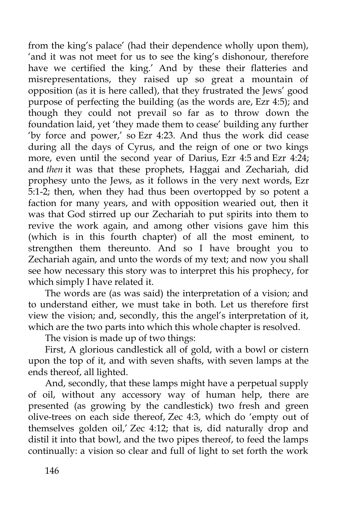from the king's palace' (had their dependence wholly upon them), 'and it was not meet for us to see the king's dishonour, therefore have we certified the king.' And by these their flatteries and misrepresentations, they raised up so great a mountain of opposition (as it is here called), that they frustrated the Jews' good purpose of perfecting the building (as the words are, Ezr 4:5); and though they could not prevail so far as to throw down the foundation laid, yet 'they made them to cease' building any further 'by force and power,' so Ezr 4:23. And thus the work did cease during all the days of Cyrus, and the reign of one or two kings more, even until the second year of Darius, Ezr 4:5 and Ezr 4:24; and *then* it was that these prophets, Haggai and Zechariah, did prophesy unto the Jews, as it follows in the very next words, Ezr 5:1-2; then, when they had thus been overtopped by so potent a faction for many years, and with opposition wearied out, then it was that God stirred up our Zechariah to put spirits into them to revive the work again, and among other visions gave him this (which is in this fourth chapter) of all the most eminent, to strengthen them thereunto. And so I have brought you to Zechariah again, and unto the words of my text; and now you shall see how necessary this story was to interpret this his prophecy, for which simply I have related it.

The words are (as was said) the interpretation of a vision; and to understand either, we must take in both. Let us therefore first view the vision; and, secondly, this the angel's interpretation of it, which are the two parts into which this whole chapter is resolved.

The vision is made up of two things:

First, A glorious candlestick all of gold, with a bowl or cistern upon the top of it, and with seven shafts, with seven lamps at the ends thereof, all lighted.

And, secondly, that these lamps might have a perpetual supply of oil, without any accessory way of human help, there are presented (as growing by the candlestick) two fresh and green olive-trees on each side thereof, Zec 4:3, which do 'empty out of themselves golden oil,' Zec 4:12; that is, did naturally drop and distil it into that bowl, and the two pipes thereof, to feed the lamps continually: a vision so clear and full of light to set forth the work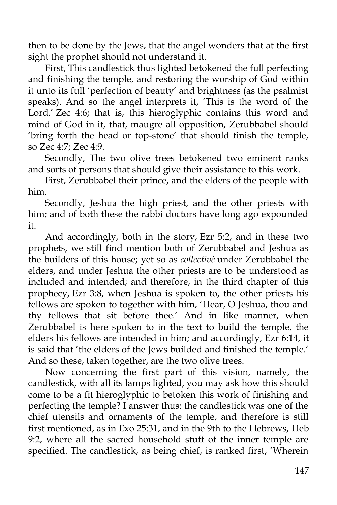then to be done by the Jews, that the angel wonders that at the first sight the prophet should not understand it.

First, This candlestick thus lighted betokened the full perfecting and finishing the temple, and restoring the worship of God within it unto its full 'perfection of beauty' and brightness (as the psalmist speaks). And so the angel interprets it, 'This is the word of the Lord,' Zec 4:6; that is, this hieroglyphic contains this word and mind of God in it, that, maugre all opposition, Zerubbabel should 'bring forth the head or top-stone' that should finish the temple, so Zec 4:7; Zec 4:9.

Secondly, The two olive trees betokened two eminent ranks and sorts of persons that should give their assistance to this work.

First, Zerubbabel their prince, and the elders of the people with him.

Secondly, Jeshua the high priest, and the other priests with him; and of both these the rabbi doctors have long ago expounded it.

And accordingly, both in the story, Ezr 5:2, and in these two prophets, we still find mention both of Zerubbabel and Jeshua as the builders of this house; yet so as *collectivè* under Zerubbabel the elders, and under Jeshua the other priests are to be understood as included and intended; and therefore, in the third chapter of this prophecy, Ezr 3:8, when Jeshua is spoken to, the other priests his fellows are spoken to together with him, 'Hear, O Jeshua, thou and thy fellows that sit before thee.' And in like manner, when Zerubbabel is here spoken to in the text to build the temple, the elders his fellows are intended in him; and accordingly, Ezr 6:14, it is said that 'the elders of the Jews builded and finished the temple.' And so these, taken together, are the two olive trees.

Now concerning the first part of this vision, namely, the candlestick, with all its lamps lighted, you may ask how this should come to be a fit hieroglyphic to betoken this work of finishing and perfecting the temple? I answer thus: the candlestick was one of the chief utensils and ornaments of the temple, and therefore is still first mentioned, as in Exo 25:31, and in the 9th to the Hebrews, Heb 9:2, where all the sacred household stuff of the inner temple are specified. The candlestick, as being chief, is ranked first, 'Wherein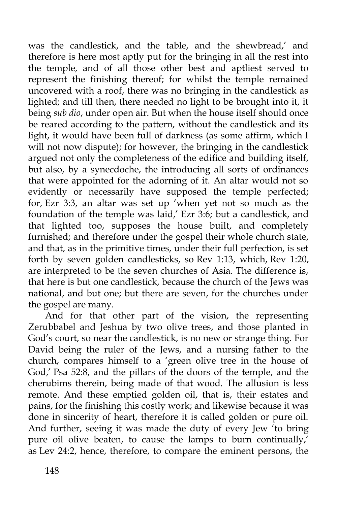was the candlestick, and the table, and the shewbread,' and therefore is here most aptly put for the bringing in all the rest into the temple, and of all those other best and aptliest served to represent the finishing thereof; for whilst the temple remained uncovered with a roof, there was no bringing in the candlestick as lighted; and till then, there needed no light to be brought into it, it being *sub dio*, under open air. But when the house itself should once be reared according to the pattern, without the candlestick and its light, it would have been full of darkness (as some affirm, which I will not now dispute); for however, the bringing in the candlestick argued not only the completeness of the edifice and building itself, but also, by a synecdoche, the introducing all sorts of ordinances that were appointed for the adorning of it. An altar would not so evidently or necessarily have supposed the temple perfected; for, Ezr 3:3, an altar was set up 'when yet not so much as the foundation of the temple was laid,' Ezr 3:6; but a candlestick, and that lighted too, supposes the house built, and completely furnished; and therefore under the gospel their whole church state, and that, as in the primitive times, under their full perfection, is set forth by seven golden candlesticks, so Rev 1:13, which, Rev 1:20, are interpreted to be the seven churches of Asia. The difference is, that here is but one candlestick, because the church of the Jews was national, and but one; but there are seven, for the churches under the gospel are many.

And for that other part of the vision, the representing Zerubbabel and Jeshua by two olive trees, and those planted in God's court, so near the candlestick, is no new or strange thing. For David being the ruler of the Jews, and a nursing father to the church, compares himself to a 'green olive tree in the house of God,' Psa 52:8, and the pillars of the doors of the temple, and the cherubims therein, being made of that wood. The allusion is less remote. And these emptied golden oil, that is, their estates and pains, for the finishing this costly work; and likewise because it was done in sincerity of heart, therefore it is called golden or pure oil. And further, seeing it was made the duty of every Jew 'to bring pure oil olive beaten, to cause the lamps to burn continually,' as Lev 24:2, hence, therefore, to compare the eminent persons, the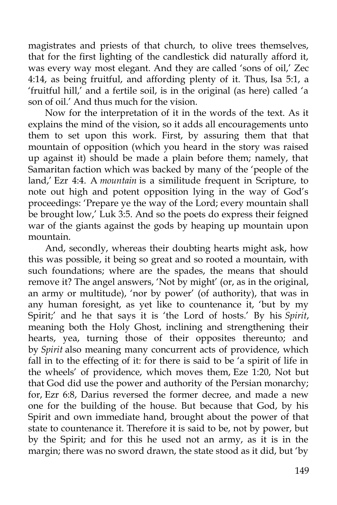magistrates and priests of that church, to olive trees themselves, that for the first lighting of the candlestick did naturally afford it, was every way most elegant. And they are called 'sons of oil,' Zec 4:14, as being fruitful, and affording plenty of it. Thus, Isa 5:1, a 'fruitful hill,' and a fertile soil, is in the original (as here) called 'a son of oil.' And thus much for the vision.

Now for the interpretation of it in the words of the text. As it explains the mind of the vision, so it adds all encouragements unto them to set upon this work. First, by assuring them that that mountain of opposition (which you heard in the story was raised up against it) should be made a plain before them; namely, that Samaritan faction which was backed by many of the 'people of the land,' Ezr 4:4. A *mountain* is a similitude frequent in Scripture, to note out high and potent opposition lying in the way of God's proceedings: 'Prepare ye the way of the Lord; every mountain shall be brought low,' Luk 3:5. And so the poets do express their feigned war of the giants against the gods by heaping up mountain upon mountain.

And, secondly, whereas their doubting hearts might ask, how this was possible, it being so great and so rooted a mountain, with such foundations; where are the spades, the means that should remove it? The angel answers, 'Not by might' (or, as in the original, an army or multitude), 'nor by power' (of authority), that was in any human foresight, as yet like to countenance it, 'but by my Spirit;' and he that says it is 'the Lord of hosts.' By his *Spirit*, meaning both the Holy Ghost, inclining and strengthening their hearts, yea, turning those of their opposites thereunto; and by *Spirit* also meaning many concurrent acts of providence, which fall in to the effecting of it: for there is said to be 'a spirit of life in the wheels' of providence, which moves them, Eze 1:20, Not but that God did use the power and authority of the Persian monarchy; for, Ezr 6:8, Darius reversed the former decree, and made a new one for the building of the house. But because that God, by his Spirit and own immediate hand, brought about the power of that state to countenance it. Therefore it is said to be, not by power, but by the Spirit; and for this he used not an army, as it is in the margin; there was no sword drawn, the state stood as it did, but 'by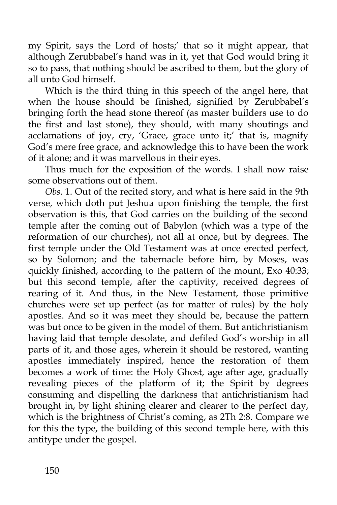my Spirit, says the Lord of hosts;' that so it might appear, that although Zerubbabel's hand was in it, yet that God would bring it so to pass, that nothing should be ascribed to them, but the glory of all unto God himself.

Which is the third thing in this speech of the angel here, that when the house should be finished, signified by Zerubbabel's bringing forth the head stone thereof (as master builders use to do the first and last stone), they should, with many shoutings and acclamations of joy, cry, 'Grace, grace unto it;' that is, magnify God's mere free grace, and acknowledge this to have been the work of it alone; and it was marvellous in their eyes.

Thus much for the exposition of the words. I shall now raise some observations out of them.

*Obs*. 1. Out of the recited story, and what is here said in the 9th verse, which doth put Jeshua upon finishing the temple, the first observation is this, that God carries on the building of the second temple after the coming out of Babylon (which was a type of the reformation of our churches), not all at once, but by degrees. The first temple under the Old Testament was at once erected perfect, so by Solomon; and the tabernacle before him, by Moses, was quickly finished, according to the pattern of the mount, Exo 40:33; but this second temple, after the captivity, received degrees of rearing of it. And thus, in the New Testament, those primitive churches were set up perfect (as for matter of rules) by the holy apostles. And so it was meet they should be, because the pattern was but once to be given in the model of them. But antichristianism having laid that temple desolate, and defiled God's worship in all parts of it, and those ages, wherein it should be restored, wanting apostles immediately inspired, hence the restoration of them becomes a work of time: the Holy Ghost, age after age, gradually revealing pieces of the platform of it; the Spirit by degrees consuming and dispelling the darkness that antichristianism had brought in, by light shining clearer and clearer to the perfect day, which is the brightness of Christ's coming, as 2Th 2:8. Compare we for this the type, the building of this second temple here, with this antitype under the gospel.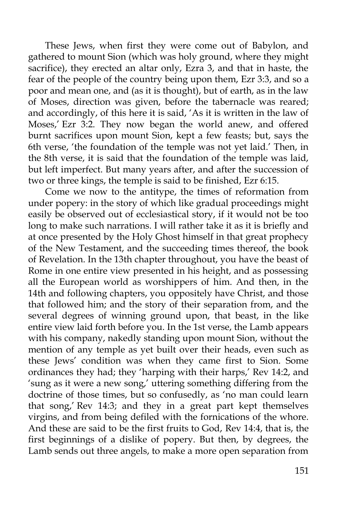These Jews, when first they were come out of Babylon, and gathered to mount Sion (which was holy ground, where they might sacrifice), they erected an altar only, Ezra 3, and that in haste, the fear of the people of the country being upon them, Ezr 3:3, and so a poor and mean one, and (as it is thought), but of earth, as in the law of Moses, direction was given, before the tabernacle was reared; and accordingly, of this here it is said, 'As it is written in the law of Moses,' Ezr 3:2. They now began the world anew, and offered burnt sacrifices upon mount Sion, kept a few feasts; but, says the 6th verse, 'the foundation of the temple was not yet laid.' Then, in the 8th verse, it is said that the foundation of the temple was laid, but left imperfect. But many years after, and after the succession of two or three kings, the temple is said to be finished, Ezr 6:15.

Come we now to the antitype, the times of reformation from under popery: in the story of which like gradual proceedings might easily be observed out of ecclesiastical story, if it would not be too long to make such narrations. I will rather take it as it is briefly and at once presented by the Holy Ghost himself in that great prophecy of the New Testament, and the succeeding times thereof, the book of Revelation. In the 13th chapter throughout, you have the beast of Rome in one entire view presented in his height, and as possessing all the European world as worshippers of him. And then, in the 14th and following chapters, you oppositely have Christ, and those that followed him; and the story of their separation from, and the several degrees of winning ground upon, that beast, in the like entire view laid forth before you. In the 1st verse, the Lamb appears with his company, nakedly standing upon mount Sion, without the mention of any temple as yet built over their heads, even such as these Jews' condition was when they came first to Sion. Some ordinances they had; they 'harping with their harps,' Rev 14:2, and 'sung as it were a new song,' uttering something differing from the doctrine of those times, but so confusedly, as 'no man could learn that song,' Rev 14:3; and they in a great part kept themselves virgins, and from being defiled with the fornications of the whore. And these are said to be the first fruits to God, Rev 14:4, that is, the first beginnings of a dislike of popery. But then, by degrees, the Lamb sends out three angels, to make a more open separation from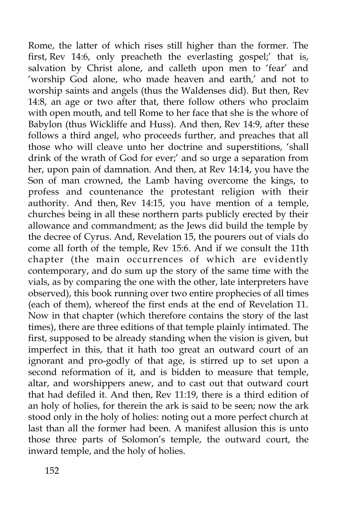Rome, the latter of which rises still higher than the former. The first, Rev 14:6, only preacheth the everlasting gospel;' that is, salvation by Christ alone, and calleth upon men to 'fear' and 'worship God alone, who made heaven and earth,' and not to worship saints and angels (thus the Waldenses did). But then, Rev 14:8, an age or two after that, there follow others who proclaim with open mouth, and tell Rome to her face that she is the whore of Babylon (thus Wickliffe and Huss). And then, Rev 14:9, after these follows a third angel, who proceeds further, and preaches that all those who will cleave unto her doctrine and superstitions, 'shall drink of the wrath of God for ever;' and so urge a separation from her, upon pain of damnation. And then, at Rev 14:14, you have the Son of man crowned, the Lamb having overcome the kings, to profess and countenance the protestant religion with their authority. And then, Rev 14:15, you have mention of a temple, churches being in all these northern parts publicly erected by their allowance and commandment; as the Jews did build the temple by the decree of Cyrus. And, Revelation 15, the pourers out of vials do come all forth of the temple, Rev 15:6. And if we consult the 11th chapter (the main occurrences of which are evidently contemporary, and do sum up the story of the same time with the vials, as by comparing the one with the other, late interpreters have observed), this book running over two entire prophecies of all times (each of them), whereof the first ends at the end of Revelation 11. Now in that chapter (which therefore contains the story of the last times), there are three editions of that temple plainly intimated. The first, supposed to be already standing when the vision is given, but imperfect in this, that it hath too great an outward court of an ignorant and pro-godly of that age, is stirred up to set upon a second reformation of it, and is bidden to measure that temple, altar, and worshippers anew, and to cast out that outward court that had defiled it. And then, Rev 11:19, there is a third edition of an holy of holies, for therein the ark is said to be seen; now the ark stood only in the holy of holies: noting out a more perfect church at last than all the former had been. A manifest allusion this is unto those three parts of Solomon's temple, the outward court, the inward temple, and the holy of holies.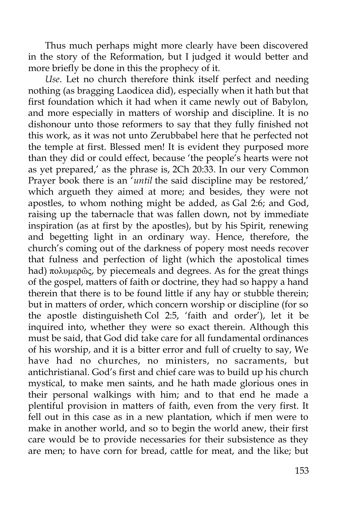Thus much perhaps might more clearly have been discovered in the story of the Reformation, but I judged it would better and more briefly be done in this the prophecy of it.

*Use*. Let no church therefore think itself perfect and needing nothing (as bragging Laodicea did), especially when it hath but that first foundation which it had when it came newly out of Babylon, and more especially in matters of worship and discipline. It is no dishonour unto those reformers to say that they fully finished not this work, as it was not unto Zerubbabel here that he perfected not the temple at first. Blessed men! It is evident they purposed more than they did or could effect, because 'the people's hearts were not as yet prepared,' as the phrase is, 2Ch 20:33. In our very Common Prayer book there is an '*until* the said discipline may be restored,' which argueth they aimed at more; and besides, they were not apostles, to whom nothing might be added, as Gal 2:6; and God, raising up the tabernacle that was fallen down, not by immediate inspiration (as at first by the apostles), but by his Spirit, renewing and begetting light in an ordinary way. Hence, therefore, the church's coming out of the darkness of popery most needs recover that fulness and perfection of light (which the apostolical times had) πολυμερῶς, by piecemeals and degrees. As for the great things of the gospel, matters of faith or doctrine, they had so happy a hand therein that there is to be found little if any hay or stubble therein; but in matters of order, which concern worship or discipline (for so the apostle distinguisheth Col 2:5, 'faith and order'), let it be inquired into, whether they were so exact therein. Although this must be said, that God did take care for all fundamental ordinances of his worship, and it is a bitter error and full of cruelty to say, We have had no churches, no ministers, no sacraments, but antichristianal. God's first and chief care was to build up his church mystical, to make men saints, and he hath made glorious ones in their personal walkings with him; and to that end he made a plentiful provision in matters of faith, even from the very first. It fell out in this case as in a new plantation, which if men were to make in another world, and so to begin the world anew, their first care would be to provide necessaries for their subsistence as they are men; to have corn for bread, cattle for meat, and the like; but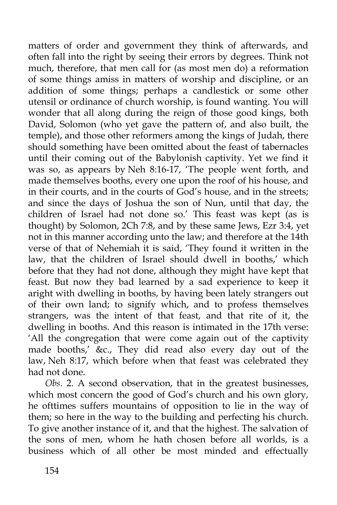matters of order and government they think of afterwards, and often fall into the right by seeing their errors by degrees. Think not much, therefore, that men call for (as most men do) a reformation of some things amiss in matters of worship and discipline, or an addition of some things; perhaps a candlestick or some other utensil or ordinance of church worship, is found wanting. You will wonder that all along during the reign of those good kings, both David, Solomon (who yet gave the pattern of, and also built, the temple), and those other reformers among the kings of Judah, there should something have been omitted about the feast of tabernacles until their coming out of the Babylonish captivity. Yet we find it was so, as appears by Neh 8:16-17, 'The people went forth, and made themselves booths, every one upon the roof of his house, and in their courts, and in the courts of God's house, and in the streets; and since the days of Joshua the son of Nun, until that day, the children of Israel had not done so.' This feast was kept (as is thought) by Solomon, 2Ch 7:8, and by these same Jews, Ezr 3:4, yet not in this manner according unto the law; and therefore at the 14th verse of that of Nehemiah it is said, 'They found it written in the law, that the children of Israel should dwell in booths,' which before that they had not done, although they might have kept that feast. But now they bad learned by a sad experience to keep it aright with dwelling in booths, by having been lately strangers out of their own land; to signify which, and to profess themselves strangers, was the intent of that feast, and that rite of it, the dwelling in booths. And this reason is intimated in the 17th verse: 'All the congregation that were come again out of the captivity made booths,' &c., They did read also every day out of the law, Neh 8:17, which before when that feast was celebrated they had not done.

*Obs*. 2. A second observation, that in the greatest businesses, which most concern the good of God's church and his own glory, he ofttimes suffers mountains of opposition to lie in the way of them; so here in the way to the building and perfecting his church. To give another instance of it, and that the highest. The salvation of the sons of men, whom he hath chosen before all worlds, is a business which of all other be most minded and effectually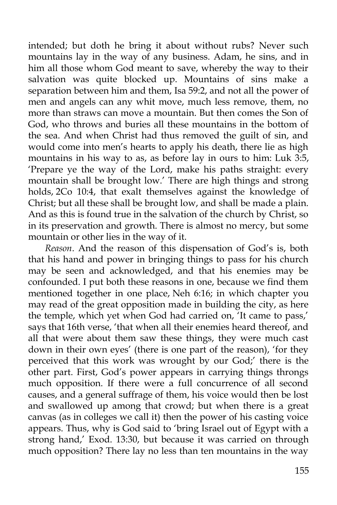intended; but doth he bring it about without rubs? Never such mountains lay in the way of any business. Adam, he sins, and in him all those whom God meant to save, whereby the way to their salvation was quite blocked up. Mountains of sins make a separation between him and them, Isa 59:2, and not all the power of men and angels can any whit move, much less remove, them, no more than straws can move a mountain. But then comes the Son of God, who throws and buries all these mountains in the bottom of the sea. And when Christ had thus removed the guilt of sin, and would come into men's hearts to apply his death, there lie as high mountains in his way to as, as before lay in ours to him: Luk 3:5, 'Prepare ye the way of the Lord, make his paths straight: every mountain shall be brought low.' There are high things and strong holds, 2Co 10:4, that exalt themselves against the knowledge of Christ; but all these shall be brought low, and shall be made a plain. And as this is found true in the salvation of the church by Christ, so in its preservation and growth. There is almost no mercy, but some mountain or other lies in the way of it.

*Reason*. And the reason of this dispensation of God's is, both that his hand and power in bringing things to pass for his church may be seen and acknowledged, and that his enemies may be confounded. I put both these reasons in one, because we find them mentioned together in one place, Neh 6:16; in which chapter you may read of the great opposition made in building the city, as here the temple, which yet when God had carried on, 'It came to pass,' says that 16th verse, 'that when all their enemies heard thereof, and all that were about them saw these things, they were much cast down in their own eyes' (there is one part of the reason), 'for they perceived that this work was wrought by our God;' there is the other part. First, God's power appears in carrying things throngs much opposition. If there were a full concurrence of all second causes, and a general suffrage of them, his voice would then be lost and swallowed up among that crowd; but when there is a great canvas (as in colleges we call it) then the power of his casting voice appears. Thus, why is God said to 'bring Israel out of Egypt with a strong hand,' Exod. 13:30, but because it was carried on through much opposition? There lay no less than ten mountains in the way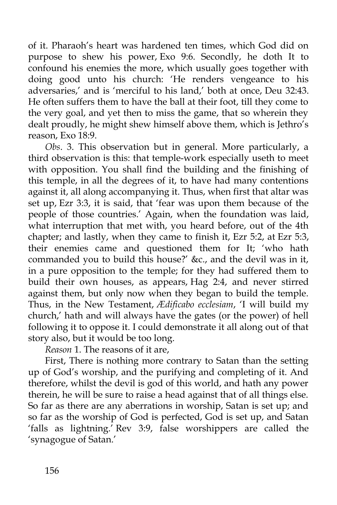of it. Pharaoh's heart was hardened ten times, which God did on purpose to shew his power, Exo 9:6. Secondly, he doth It to confound his enemies the more, which usually goes together with doing good unto his church: 'He renders vengeance to his adversaries,' and is 'merciful to his land,' both at once, Deu 32:43. He often suffers them to have the ball at their foot, till they come to the very goal, and yet then to miss the game, that so wherein they dealt proudly, he might shew himself above them, which is Jethro's reason, Exo 18:9.

*Obs*. 3. This observation but in general. More particularly, a third observation is this: that temple-work especially useth to meet with opposition. You shall find the building and the finishing of this temple, in all the degrees of it, to have had many contentions against it, all along accompanying it. Thus, when first that altar was set up, Ezr 3:3, it is said, that 'fear was upon them because of the people of those countries.' Again, when the foundation was laid, what interruption that met with, you heard before, out of the 4th chapter; and lastly, when they came to finish it, Ezr 5:2, at Ezr 5:3, their enemies came and questioned them for It; 'who hath commanded you to build this house?' &c., and the devil was in it, in a pure opposition to the temple; for they had suffered them to build their own houses, as appears, Hag 2:4, and never stirred against them, but only now when they began to build the temple. Thus, in the New Testament, *Ædificabo ecclesiam*, 'I will build my church,' hath and will always have the gates (or the power) of hell following it to oppose it. I could demonstrate it all along out of that story also, but it would be too long.

*Reason* 1. The reasons of it are,

First, There is nothing more contrary to Satan than the setting up of God's worship, and the purifying and completing of it. And therefore, whilst the devil is god of this world, and hath any power therein, he will be sure to raise a head against that of all things else. So far as there are any aberrations in worship, Satan is set up; and so far as the worship of God is perfected, God is set up, and Satan 'falls as lightning.' Rev 3:9, false worshippers are called the 'synagogue of Satan.'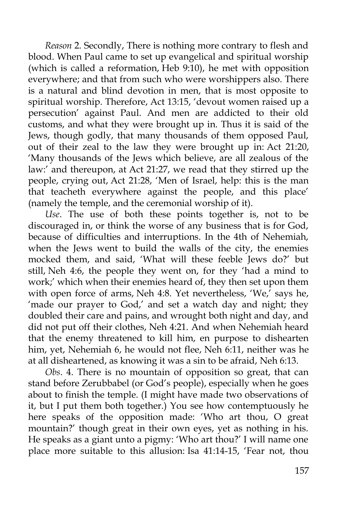*Reason* 2. Secondly, There is nothing more contrary to flesh and blood. When Paul came to set up evangelical and spiritual worship (which is called a reformation, Heb 9:10), he met with opposition everywhere; and that from such who were worshippers also. There is a natural and blind devotion in men, that is most opposite to spiritual worship. Therefore, Act 13:15, 'devout women raised up a persecution' against Paul. And men are addicted to their old customs, and what they were brought up in. Thus it is said of the Jews, though godly, that many thousands of them opposed Paul, out of their zeal to the law they were brought up in: Act 21:20, 'Many thousands of the Jews which believe, are all zealous of the law:' and thereupon, at Act 21:27, we read that they stirred up the people, crying out, Act 21:28, 'Men of Israel, help: this is the man that teacheth everywhere against the people, and this place' (namely the temple, and the ceremonial worship of it).

*Use*. The use of both these points together is, not to be discouraged in, or think the worse of any business that is for God, because of difficulties and interruptions. In the 4th of Nehemiah, when the Jews went to build the walls of the city, the enemies mocked them, and said, 'What will these feeble Jews do?' but still, Neh 4:6, the people they went on, for they 'had a mind to work;' which when their enemies heard of, they then set upon them with open force of arms, Neh 4:8. Yet nevertheless, 'We,' says he, 'made our prayer to God,' and set a watch day and night; they doubled their care and pains, and wrought both night and day, and did not put off their clothes, Neh 4:21. And when Nehemiah heard that the enemy threatened to kill him, en purpose to dishearten him, yet, Nehemiah 6, he would not flee, Neh 6:11, neither was he at all disheartened, as knowing it was a sin to be afraid, Neh 6:13.

*Obs*. 4. There is no mountain of opposition so great, that can stand before Zerubbabel (or God's people), especially when he goes about to finish the temple. (I might have made two observations of it, but I put them both together.) You see how contemptuously he here speaks of the opposition made: 'Who art thou, O great mountain?' though great in their own eyes, yet as nothing in his. He speaks as a giant unto a pigmy: 'Who art thou?' I will name one place more suitable to this allusion: Isa 41:14-15, 'Fear not, thou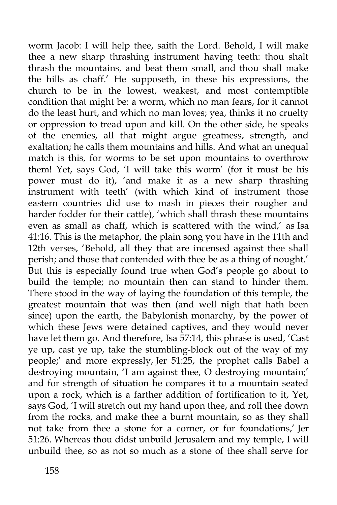worm Jacob: I will help thee, saith the Lord. Behold, I will make thee a new sharp thrashing instrument having teeth: thou shalt thrash the mountains, and beat them small, and thou shall make the hills as chaff.' He supposeth, in these his expressions, the church to be in the lowest, weakest, and most contemptible condition that might be: a worm, which no man fears, for it cannot do the least hurt, and which no man loves; yea, thinks it no cruelty or oppression to tread upon and kill. On the other side, he speaks of the enemies, all that might argue greatness, strength, and exaltation; he calls them mountains and hills. And what an unequal match is this, for worms to be set upon mountains to overthrow them! Yet, says God, 'I will take this worm' (for it must be his power must do it), 'and make it as a new sharp thrashing instrument with teeth' (with which kind of instrument those eastern countries did use to mash in pieces their rougher and harder fodder for their cattle), 'which shall thrash these mountains even as small as chaff, which is scattered with the wind,' as Isa 41:16. This is the metaphor, the plain song you have in the 11th and 12th verses, 'Behold, all they that are incensed against thee shall perish; and those that contended with thee be as a thing of nought.' But this is especially found true when God's people go about to build the temple; no mountain then can stand to hinder them. There stood in the way of laying the foundation of this temple, the greatest mountain that was then (and well nigh that hath been since) upon the earth, the Babylonish monarchy, by the power of which these Jews were detained captives, and they would never have let them go. And therefore, Isa 57:14, this phrase is used, 'Cast ye up, cast ye up, take the stumbling-block out of the way of my people;' and more expressly, Jer 51:25, the prophet calls Babel a destroying mountain, 'I am against thee, O destroying mountain;' and for strength of situation he compares it to a mountain seated upon a rock, which is a farther addition of fortification to it, Yet, says God, 'I will stretch out my hand upon thee, and roll thee down from the rocks, and make thee a burnt mountain, so as they shall not take from thee a stone for a corner, or for foundations,' Jer 51:26. Whereas thou didst unbuild Jerusalem and my temple, I will unbuild thee, so as not so much as a stone of thee shall serve for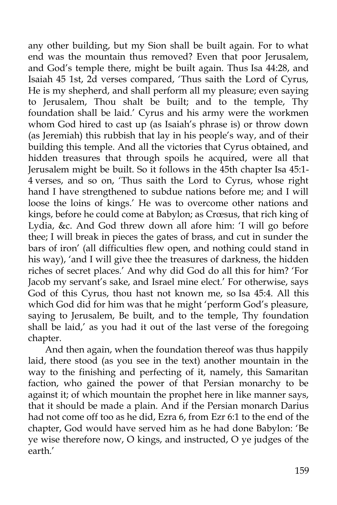any other building, but my Sion shall be built again. For to what end was the mountain thus removed? Even that poor Jerusalem, and God's temple there, might be built again. Thus Isa 44:28, and Isaiah 45 1st, 2d verses compared, 'Thus saith the Lord of Cyrus, He is my shepherd, and shall perform all my pleasure; even saying to Jerusalem, Thou shalt be built; and to the temple, Thy foundation shall be laid.' Cyrus and his army were the workmen whom God hired to cast up (as Isaiah's phrase is) or throw down (as Jeremiah) this rubbish that lay in his people's way, and of their building this temple. And all the victories that Cyrus obtained, and hidden treasures that through spoils he acquired, were all that Jerusalem might be built. So it follows in the 45th chapter Isa 45:1- 4 verses, and so on, 'Thus saith the Lord to Cyrus, whose right hand I have strengthened to subdue nations before me; and I will loose the loins of kings.' He was to overcome other nations and kings, before he could come at Babylon; as Crœsus, that rich king of Lydia, &c. And God threw down all afore him: 'I will go before thee; I will break in pieces the gates of brass, and cut in sunder the bars of iron' (all difficulties flew open, and nothing could stand in his way), 'and I will give thee the treasures of darkness, the hidden riches of secret places.' And why did God do all this for him? 'For Jacob my servant's sake, and Israel mine elect.' For otherwise, says God of this Cyrus, thou hast not known me, so Isa 45:4. All this which God did for him was that he might 'perform God's pleasure, saying to Jerusalem, Be built, and to the temple, Thy foundation shall be laid,' as you had it out of the last verse of the foregoing chapter.

And then again, when the foundation thereof was thus happily laid, there stood (as you see in the text) another mountain in the way to the finishing and perfecting of it, namely, this Samaritan faction, who gained the power of that Persian monarchy to be against it; of which mountain the prophet here in like manner says, that it should be made a plain. And if the Persian monarch Darius had not come off too as he did, Ezra 6, from Ezr 6:1 to the end of the chapter, God would have served him as he had done Babylon: 'Be ye wise therefore now, O kings, and instructed, O ye judges of the earth.'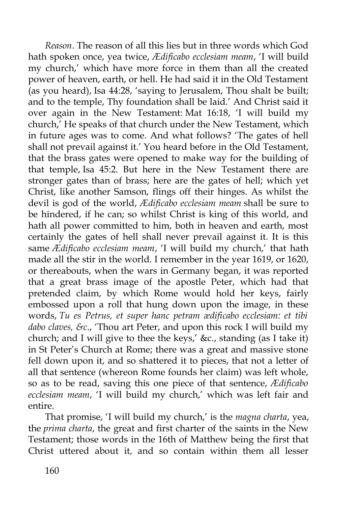*Reason*. The reason of all this lies but in three words which God hath spoken once, yea twice, *Ædificabo ecclesiam meam*, 'I will build my church,' which have more force in them than all the created power of heaven, earth, or hell. He had said it in the Old Testament (as you heard), Isa 44:28, 'saying to Jerusalem, Thou shalt be built; and to the temple, Thy foundation shall be laid.' And Christ said it over again in the New Testament: Mat 16:18, 'I will build my church,' He speaks of that church under the New Testament, which in future ages was to come. And what follows? 'The gates of hell shall not prevail against it.' You heard before in the Old Testament, that the brass gates were opened to make way for the building of that temple, Isa 45:2. But here in the New Testament there are stronger gates than of brass; here are the gates of hell; which yet Christ, like another Samson, flings off their hinges. As whilst the devil is god of the world, *Ædificabo ecclesiam meam* shall be sure to be hindered, if he can; so whilst Christ is king of this world, and hath all power committed to him, both in heaven and earth, most certainly the gates of hell shall never prevail against it. It is this same *Ædificabo ecclesiam meam*, 'I will build my church,' that hath made all the stir in the world. I remember in the year 1619, or 1620, or thereabouts, when the wars in Germany began, it was reported that a great brass image of the apostle Peter, which had that pretended claim, by which Rome would hold her keys, fairly embossed upon a roll that hung down upon the image, in these words, *Tu es Petrus, et super hanc petram ædificabo ecclesiam: et tibi dabo claves, &c*., 'Thou art Peter, and upon this rock I will build my church; and I will give to thee the keys,' &c., standing (as I take it) in St Peter's Church at Rome; there was a great and massive stone fell down upon it, and so shattered it to pieces, that not a letter of all that sentence (whereon Rome founds her claim) was left whole, so as to be read, saving this one piece of that sentence, *Ædificabo ecclesiam meam*, 'I will build my church,' which was left fair and entire.

That promise, 'I will build my church,' is the *magna charta*, yea, the *prima charta*, the great and first charter of the saints in the New Testament; those words in the 16th of Matthew being the first that Christ uttered about it, and so contain within them all lesser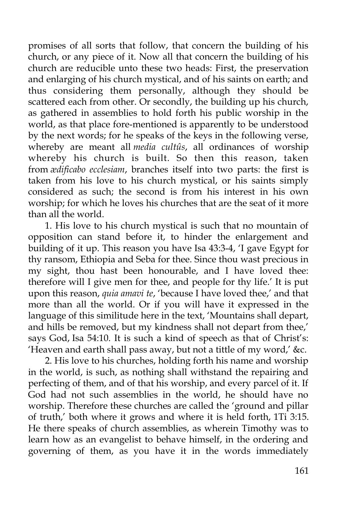promises of all sorts that follow, that concern the building of his church, or any piece of it. Now all that concern the building of his church are reducible unto these two heads: First, the preservation and enlarging of his church mystical, and of his saints on earth; and thus considering them personally, although they should be scattered each from other. Or secondly, the building up his church, as gathered in assemblies to hold forth his public worship in the world, as that place fore-mentioned is apparently to be understood by the next words; for he speaks of the keys in the following verse, whereby are meant all *media cultûs*, all ordinances of worship whereby his church is built. So then this reason, taken from *ædificabo ecclesiam*, branches itself into two parts: the first is taken from his love to his church mystical, or his saints simply considered as such; the second is from his interest in his own worship; for which he loves his churches that are the seat of it more than all the world.

1. His love to his church mystical is such that no mountain of opposition can stand before it, to hinder the enlargement and building of it up. This reason you have Isa 43:3-4, 'I gave Egypt for thy ransom, Ethiopia and Seba for thee. Since thou wast precious in my sight, thou hast been honourable, and I have loved thee: therefore will I give men for thee, and people for thy life.' It is put upon this reason, *quia amavi te*, 'because I have loved thee,' and that more than all the world. Or if you will have it expressed in the language of this similitude here in the text, 'Mountains shall depart, and hills be removed, but my kindness shall not depart from thee,' says God, Isa 54:10. It is such a kind of speech as that of Christ's: 'Heaven and earth shall pass away, but not a tittle of my word,' &c.

2. His love to his churches, holding forth his name and worship in the world, is such, as nothing shall withstand the repairing and perfecting of them, and of that his worship, and every parcel of it. If God had not such assemblies in the world, he should have no worship. Therefore these churches are called the 'ground and pillar of truth,' both where it grows and where it is held forth, 1Ti 3:15. He there speaks of church assemblies, as wherein Timothy was to learn how as an evangelist to behave himself, in the ordering and governing of them, as you have it in the words immediately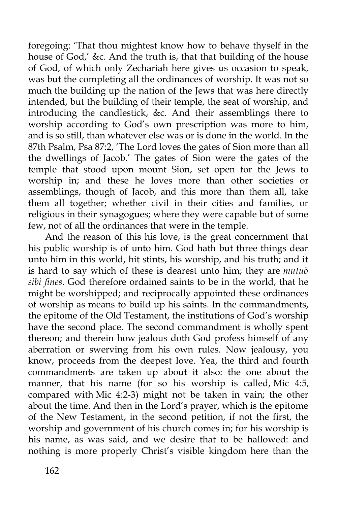foregoing: 'That thou mightest know how to behave thyself in the house of God,' &c. And the truth is, that that building of the house of God, of which only Zechariah here gives us occasion to speak, was but the completing all the ordinances of worship. It was not so much the building up the nation of the Jews that was here directly intended, but the building of their temple, the seat of worship, and introducing the candlestick, &c. And their assemblings there to worship according to God's own prescription was more to him, and is so still, than whatever else was or is done in the world. In the 87th Psalm, Psa 87:2, 'The Lord loves the gates of Sion more than all the dwellings of Jacob.' The gates of Sion were the gates of the temple that stood upon mount Sion, set open for the Jews to worship in; and these he loves more than other societies or assemblings, though of Jacob, and this more than them all, take them all together; whether civil in their cities and families, or religious in their synagogues; where they were capable but of some few, not of all the ordinances that were in the temple.

And the reason of this his love, is the great concernment that his public worship is of unto him. God hath but three things dear unto him in this world, hit stints, his worship, and his truth; and it is hard to say which of these is dearest unto him; they are *mutuò sibi fines*. God therefore ordained saints to be in the world, that he might be worshipped; and reciprocally appointed these ordinances of worship as means to build up his saints. In the commandments, the epitome of the Old Testament, the institutions of God's worship have the second place. The second commandment is wholly spent thereon; and therein how jealous doth God profess himself of any aberration or swerving from his own rules. Now jealousy, you know, proceeds from the deepest love. Yea, the third and fourth commandments are taken up about it also: the one about the manner, that his name (for so his worship is called, Mic 4:5, compared with Mic 4:2-3) might not be taken in vain; the other about the time. And then in the Lord's prayer, which is the epitome of the New Testament, in the second petition, if not the first, the worship and government of his church comes in; for his worship is his name, as was said, and we desire that to be hallowed: and nothing is more properly Christ's visible kingdom here than the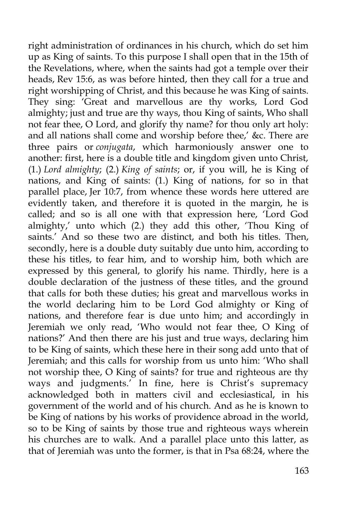right administration of ordinances in his church, which do set him up as King of saints. To this purpose I shall open that in the 15th of the Revelations, where, when the saints had got a temple over their heads, Rev 15:6, as was before hinted, then they call for a true and right worshipping of Christ, and this because he was King of saints. They sing: 'Great and marvellous are thy works, Lord God almighty; just and true are thy ways, thou King of saints, Who shall not fear thee, O Lord, and glorify thy name? for thou only art holy: and all nations shall come and worship before thee,' &c. There are three pairs or *conjugata*, which harmoniously answer one to another: first, here is a double title and kingdom given unto Christ, (1.) *Lord almighty*; (2.) *King of saints*; or, if you will, he is King of nations, and King of saints: (1.) King of nations, for so in that parallel place, Jer 10:7, from whence these words here uttered are evidently taken, and therefore it is quoted in the margin, he is called; and so is all one with that expression here, 'Lord God almighty,' unto which (2.) they add this other, 'Thou King of saints.' And so these two are distinct, and both his titles. Then, secondly, here is a double duty suitably due unto him, according to these his titles, to fear him, and to worship him, both which are expressed by this general, to glorify his name. Thirdly, here is a double declaration of the justness of these titles, and the ground that calls for both these duties; his great and marvellous works in the world declaring him to be Lord God almighty or King of nations, and therefore fear is due unto him; and accordingly in Jeremiah we only read, 'Who would not fear thee, O King of nations?' And then there are his just and true ways, declaring him to be King of saints, which these here in their song add unto that of Jeremiah; and this calls for worship from us unto him: 'Who shall not worship thee, O King of saints? for true and righteous are thy ways and judgments.' In fine, here is Christ's supremacy acknowledged both in matters civil and ecclesiastical, in his government of the world and of his church. And as he is known to be King of nations by his works of providence abroad in the world, so to be King of saints by those true and righteous ways wherein his churches are to walk. And a parallel place unto this latter, as that of Jeremiah was unto the former, is that in Psa 68:24, where the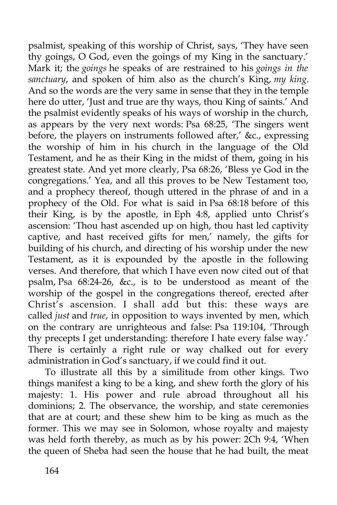psalmist, speaking of this worship of Christ, says, 'They have seen thy goings, O God, even the goings of my King in the sanctuary.' Mark it; the *goings* he speaks of are restrained to his *goings in the sanctuary*, and spoken of him also as the church's King, *my king*. And so the words are the very same in sense that they in the temple here do utter, 'Just and true are thy ways, thou King of saints.' And the psalmist evidently speaks of his ways of worship in the church, as appears by the very next words: Psa 68:25, 'The singers went before, the players on instruments followed after,' &c., expressing the worship of him in his church in the language of the Old Testament, and he as their King in the midst of them, going in his greatest state. And yet more clearly, Psa 68:26, 'Bless ye God in the congregations.' Yea, and all this proves to be New Testament too, and a prophecy thereof, though uttered in the phrase of and in a prophecy of the Old. For what is said in Psa 68:18 before of this their King, is by the apostle, in Eph 4:8, applied unto Christ's ascension: 'Thou hast ascended up on high, thou hast led captivity captive, and hast received gifts for men,' namely, the gifts for building of his church, and directing of his worship under the new Testament, as it is expounded by the apostle in the following verses. And therefore, that which I have even now cited out of that psalm, Psa 68:24-26, &c., is to be understood as meant of the worship of the gospel in the congregations thereof, erected after Christ's ascension. I shall add but this: these ways are called *just* and *true*, in opposition to ways invented by men, which on the contrary are unrighteous and false: Psa 119:104, 'Through thy precepts I get understanding: therefore I hate every false way.' There is certainly a right rule or way chalked out for every administration in God's sanctuary, if we could find it out.

To illustrate all this by a similitude from other kings. Two things manifest a king to be a king, and shew forth the glory of his majesty: 1. His power and rule abroad throughout all his dominions; 2. The observance, the worship, and state ceremonies that are at court; and these shew him to be king as much as the former. This we may see in Solomon, whose royalty and majesty was held forth thereby, as much as by his power: 2Ch 9:4, 'When the queen of Sheba had seen the house that he had built, the meat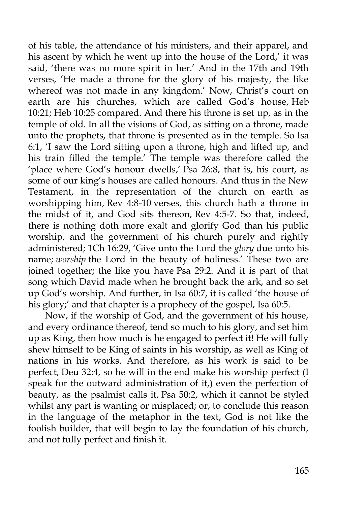of his table, the attendance of his ministers, and their apparel, and his ascent by which he went up into the house of the Lord,' it was said, 'there was no more spirit in her.' And in the 17th and 19th verses, 'He made a throne for the glory of his majesty, the like whereof was not made in any kingdom.' Now, Christ's court on earth are his churches, which are called God's house, Heb 10:21; Heb 10:25 compared. And there his throne is set up, as in the temple of old. In all the visions of God, as sitting on a throne, made unto the prophets, that throne is presented as in the temple. So Isa 6:1, 'I saw the Lord sitting upon a throne, high and lifted up, and his train filled the temple.' The temple was therefore called the 'place where God's honour dwells,' Psa 26:8, that is, his court, as some of our king's houses are called honours. And thus in the New Testament, in the representation of the church on earth as worshipping him, Rev 4:8-10 verses, this church hath a throne in the midst of it, and God sits thereon, Rev 4:5-7. So that, indeed, there is nothing doth more exalt and glorify God than his public worship, and the government of his church purely and rightly administered; 1Ch 16:29, 'Give unto the Lord the *glory* due unto his name; *worship* the Lord in the beauty of holiness.' These two are joined together; the like you have Psa 29:2. And it is part of that song which David made when he brought back the ark, and so set up God's worship. And further, in Isa 60:7, it is called 'the house of his glory;' and that chapter is a prophecy of the gospel, Isa 60:5.

Now, if the worship of God, and the government of his house, and every ordinance thereof, tend so much to his glory, and set him up as King, then how much is he engaged to perfect it! He will fully shew himself to be King of saints in his worship, as well as King of nations in his works. And therefore, as his work is said to be perfect, Deu 32:4, so he will in the end make his worship perfect (I speak for the outward administration of it,) even the perfection of beauty, as the psalmist calls it, Psa 50:2, which it cannot be styled whilst any part is wanting or misplaced; or, to conclude this reason in the language of the metaphor in the text, God is not like the foolish builder, that will begin to lay the foundation of his church, and not fully perfect and finish it.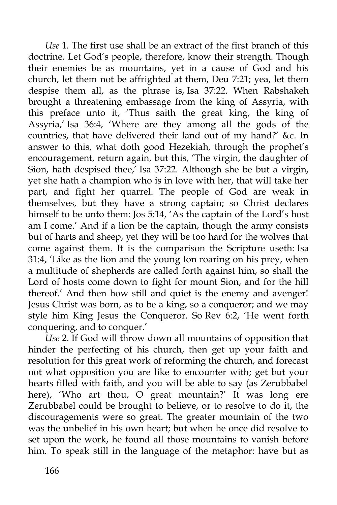*Use* 1. The first use shall be an extract of the first branch of this doctrine. Let God's people, therefore, know their strength. Though their enemies be as mountains, yet in a cause of God and his church, let them not be affrighted at them, Deu 7:21; yea, let them despise them all, as the phrase is, Isa 37:22. When Rabshakeh brought a threatening embassage from the king of Assyria, with this preface unto it, 'Thus saith the great king, the king of Assyria,' Isa 36:4, 'Where are they among all the gods of the countries, that have delivered their land out of my hand?' &c. In answer to this, what doth good Hezekiah, through the prophet's encouragement, return again, but this, 'The virgin, the daughter of Sion, hath despised thee,' Isa 37:22. Although she be but a virgin, yet she hath a champion who is in love with her, that will take her part, and fight her quarrel. The people of God are weak in themselves, but they have a strong captain; so Christ declares himself to be unto them: Jos 5:14, 'As the captain of the Lord's host am I come.' And if a lion be the captain, though the army consists but of harts and sheep, yet they will be too hard for the wolves that come against them. It is the comparison the Scripture useth: Isa 31:4, 'Like as the lion and the young Ion roaring on his prey, when a multitude of shepherds are called forth against him, so shall the Lord of hosts come down to fight for mount Sion, and for the hill thereof.' And then how still and quiet is the enemy and avenger! Jesus Christ was born, as to be a king, so a conqueror; and we may style him King Jesus the Conqueror. So Rev 6:2, 'He went forth conquering, and to conquer.'

*Use* 2. If God will throw down all mountains of opposition that hinder the perfecting of his church, then get up your faith and resolution for this great work of reforming the church, and forecast not what opposition you are like to encounter with; get but your hearts filled with faith, and you will be able to say (as Zerubbabel here), 'Who art thou, O great mountain?' It was long ere Zerubbabel could be brought to believe, or to resolve to do it, the discouragements were so great. The greater mountain of the two was the unbelief in his own heart; but when he once did resolve to set upon the work, he found all those mountains to vanish before him. To speak still in the language of the metaphor: have but as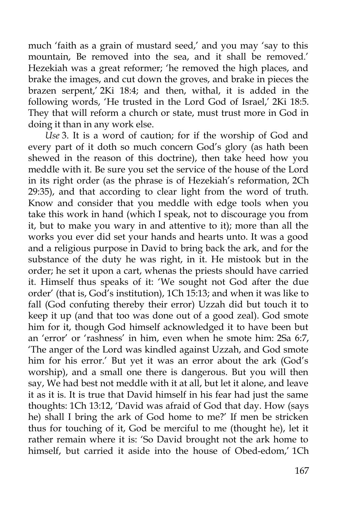much 'faith as a grain of mustard seed,' and you may 'say to this mountain, Be removed into the sea, and it shall be removed.' Hezekiah was a great reformer; 'he removed the high places, and brake the images, and cut down the groves, and brake in pieces the brazen serpent,' 2Ki 18:4; and then, withal, it is added in the following words, 'He trusted in the Lord God of Israel,' 2Ki 18:5. They that will reform a church or state, must trust more in God in doing it than in any work else.

*Use* 3. It is a word of caution; for if the worship of God and every part of it doth so much concern God's glory (as hath been shewed in the reason of this doctrine), then take heed how you meddle with it. Be sure you set the service of the house of the Lord in its right order (as the phrase is of Hezekiah's reformation, 2Ch 29:35), and that according to clear light from the word of truth. Know and consider that you meddle with edge tools when you take this work in hand (which I speak, not to discourage you from it, but to make you wary in and attentive to it); more than all the works you ever did set your hands and hearts unto. It was a good and a religious purpose in David to bring back the ark, and for the substance of the duty he was right, in it. He mistook but in the order; he set it upon a cart, whenas the priests should have carried it. Himself thus speaks of it: 'We sought not God after the due order' (that is, God's institution), 1Ch 15:13; and when it was like to fall (God confuting thereby their error) Uzzah did but touch it to keep it up (and that too was done out of a good zeal). God smote him for it, though God himself acknowledged it to have been but an 'error' or 'rashness' in him, even when he smote him: 2Sa 6:7, 'The anger of the Lord was kindled against Uzzah, and God smote him for his error.' But yet it was an error about the ark (God's worship), and a small one there is dangerous. But you will then say, We had best not meddle with it at all, but let it alone, and leave it as it is. It is true that David himself in his fear had just the same thoughts: 1Ch 13:12, 'David was afraid of God that day. How (says he) shall I bring the ark of God home to me?' If men be stricken thus for touching of it, God be merciful to me (thought he), let it rather remain where it is: 'So David brought not the ark home to himself, but carried it aside into the house of Obed-edom,' 1Ch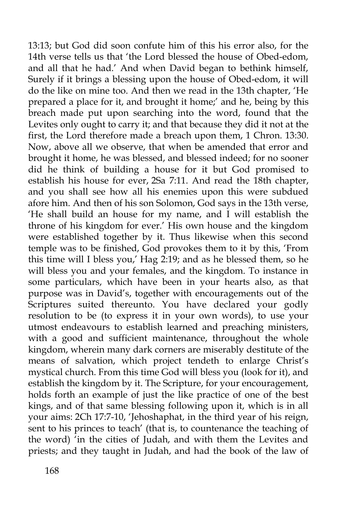13:13; but God did soon confute him of this his error also, for the 14th verse tells us that 'the Lord blessed the house of Obed-edom, and all that he had.' And when David began to bethink himself, Surely if it brings a blessing upon the house of Obed-edom, it will do the like on mine too. And then we read in the 13th chapter, 'He prepared a place for it, and brought it home;' and he, being by this breach made put upon searching into the word, found that the Levites only ought to carry it; and that because they did it not at the first, the Lord therefore made a breach upon them, 1 Chron. 13:30. Now, above all we observe, that when be amended that error and brought it home, he was blessed, and blessed indeed; for no sooner did he think of building a house for it but God promised to establish his house for ever, 2Sa 7:11. And read the 18th chapter, and you shall see how all his enemies upon this were subdued afore him. And then of his son Solomon, God says in the 13th verse, 'He shall build an house for my name, and I will establish the throne of his kingdom for ever.' His own house and the kingdom were established together by it. Thus likewise when this second temple was to be finished, God provokes them to it by this, 'From this time will I bless you,' Hag 2:19; and as he blessed them, so he will bless you and your females, and the kingdom. To instance in some particulars, which have been in your hearts also, as that purpose was in David's, together with encouragements out of the Scriptures suited thereunto. You have declared your godly resolution to be (to express it in your own words), to use your utmost endeavours to establish learned and preaching ministers, with a good and sufficient maintenance, throughout the whole kingdom, wherein many dark corners are miserably destitute of the means of salvation, which project tendeth to enlarge Christ's mystical church. From this time God will bless you (look for it), and establish the kingdom by it. The Scripture, for your encouragement, holds forth an example of just the like practice of one of the best kings, and of that same blessing following upon it, which is in all your aims: 2Ch 17:7-10, 'Jehoshaphat, in the third year of his reign, sent to his princes to teach' (that is, to countenance the teaching of the word) 'in the cities of Judah, and with them the Levites and priests; and they taught in Judah, and had the book of the law of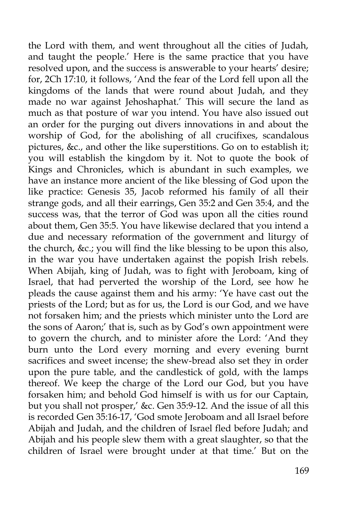the Lord with them, and went throughout all the cities of Judah, and taught the people.' Here is the same practice that you have resolved upon, and the success is answerable to your hearts' desire; for, 2Ch 17:10, it follows, 'And the fear of the Lord fell upon all the kingdoms of the lands that were round about Judah, and they made no war against Jehoshaphat.' This will secure the land as much as that posture of war you intend. You have also issued out an order for the purging out divers innovations in and about the worship of God, for the abolishing of all crucifixes, scandalous pictures, &c., and other the like superstitions. Go on to establish it; you will establish the kingdom by it. Not to quote the book of Kings and Chronicles, which is abundant in such examples, we have an instance more ancient of the like blessing of God upon the like practice: Genesis 35, Jacob reformed his family of all their strange gods, and all their earrings, Gen 35:2 and Gen 35:4, and the success was, that the terror of God was upon all the cities round about them, Gen 35:5. You have likewise declared that you intend a due and necessary reformation of the government and liturgy of the church, &c.; you will find the like blessing to be upon this also, in the war you have undertaken against the popish Irish rebels. When Abijah, king of Judah, was to fight with Jeroboam, king of Israel, that had perverted the worship of the Lord, see how he pleads the cause against them and his army: 'Ye have cast out the priests of the Lord; but as for us, the Lord is our God, and we have not forsaken him; and the priests which minister unto the Lord are the sons of Aaron;' that is, such as by God's own appointment were to govern the church, and to minister afore the Lord: 'And they burn unto the Lord every morning and every evening burnt sacrifices and sweet incense; the shew-bread also set they in order upon the pure table, and the candlestick of gold, with the lamps thereof. We keep the charge of the Lord our God, but you have forsaken him; and behold God himself is with us for our Captain, but you shall not prosper,' &c. Gen 35:9-12. And the issue of all this is recorded Gen 35:16-17, 'God smote Jeroboam and all Israel before Abijah and Judah, and the children of Israel fled before Judah; and Abijah and his people slew them with a great slaughter, so that the children of Israel were brought under at that time.' But on the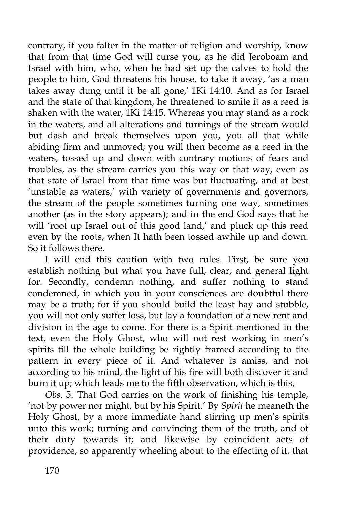contrary, if you falter in the matter of religion and worship, know that from that time God will curse you, as he did Jeroboam and Israel with him, who, when he had set up the calves to hold the people to him, God threatens his house, to take it away, 'as a man takes away dung until it be all gone,' 1Ki 14:10. And as for Israel and the state of that kingdom, he threatened to smite it as a reed is shaken with the water, 1Ki 14:15. Whereas you may stand as a rock in the waters, and all alterations and turnings of the stream would but dash and break themselves upon you, you all that while abiding firm and unmoved; you will then become as a reed in the waters, tossed up and down with contrary motions of fears and troubles, as the stream carries you this way or that way, even as that state of Israel from that time was but fluctuating, and at best 'unstable as waters,' with variety of governments and governors, the stream of the people sometimes turning one way, sometimes another (as in the story appears); and in the end God says that he will 'root up Israel out of this good land,' and pluck up this reed even by the roots, when It hath been tossed awhile up and down. So it follows there.

I will end this caution with two rules. First, be sure you establish nothing but what you have full, clear, and general light for. Secondly, condemn nothing, and suffer nothing to stand condemned, in which you in your consciences are doubtful there may be a truth; for if you should build the least hay and stubble, you will not only suffer loss, but lay a foundation of a new rent and division in the age to come. For there is a Spirit mentioned in the text, even the Holy Ghost, who will not rest working in men's spirits till the whole building be rightly framed according to the pattern in every piece of it. And whatever is amiss, and not according to his mind, the light of his fire will both discover it and burn it up; which leads me to the fifth observation, which is this,

*Obs*. 5. That God carries on the work of finishing his temple, 'not by power nor might, but by his Spirit.' By *Spirit* he meaneth the Holy Ghost, by a more immediate hand stirring up men's spirits unto this work; turning and convincing them of the truth, and of their duty towards it; and likewise by coincident acts of providence, so apparently wheeling about to the effecting of it, that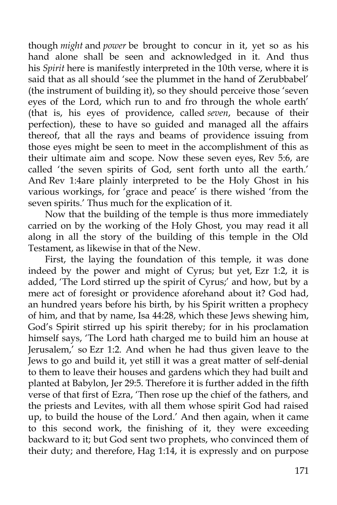though *might* and *power* be brought to concur in it, yet so as his hand alone shall be seen and acknowledged in it. And thus his *Spirit* here is manifestly interpreted in the 10th verse, where it is said that as all should 'see the plummet in the hand of Zerubbabel' (the instrument of building it), so they should perceive those 'seven eyes of the Lord, which run to and fro through the whole earth' (that is, his eyes of providence, called *seven*, because of their perfection), these to have so guided and managed all the affairs thereof, that all the rays and beams of providence issuing from those eyes might be seen to meet in the accomplishment of this as their ultimate aim and scope. Now these seven eyes, Rev 5:6, are called 'the seven spirits of God, sent forth unto all the earth.' And Rev 1:4are plainly interpreted to be the Holy Ghost in his various workings, for 'grace and peace' is there wished 'from the seven spirits.' Thus much for the explication of it.

Now that the building of the temple is thus more immediately carried on by the working of the Holy Ghost, you may read it all along in all the story of the building of this temple in the Old Testament, as likewise in that of the New.

First, the laying the foundation of this temple, it was done indeed by the power and might of Cyrus; but yet, Ezr 1:2, it is added, 'The Lord stirred up the spirit of Cyrus;' and how, but by a mere act of foresight or providence aforehand about it? God had, an hundred years before his birth, by his Spirit written a prophecy of him, and that by name, Isa 44:28, which these Jews shewing him, God's Spirit stirred up his spirit thereby; for in his proclamation himself says, 'The Lord hath charged me to build him an house at Jerusalem,' so Ezr 1:2. And when he had thus given leave to the Jews to go and build it, yet still it was a great matter of self-denial to them to leave their houses and gardens which they had built and planted at Babylon, Jer 29:5. Therefore it is further added in the fifth verse of that first of Ezra, 'Then rose up the chief of the fathers, and the priests and Levites, with all them whose spirit God had raised up, to build the house of the Lord.' And then again, when it came to this second work, the finishing of it, they were exceeding backward to it; but God sent two prophets, who convinced them of their duty; and therefore, Hag 1:14, it is expressly and on purpose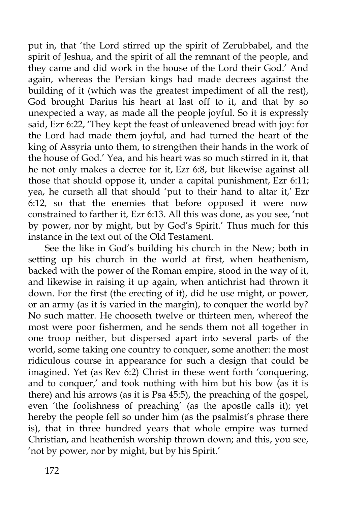put in, that 'the Lord stirred up the spirit of Zerubbabel, and the spirit of Jeshua, and the spirit of all the remnant of the people, and they came and did work in the house of the Lord their God.' And again, whereas the Persian kings had made decrees against the building of it (which was the greatest impediment of all the rest), God brought Darius his heart at last off to it, and that by so unexpected a way, as made all the people joyful. So it is expressly said, Ezr 6:22, 'They kept the feast of unleavened bread with joy: for the Lord had made them joyful, and had turned the heart of the king of Assyria unto them, to strengthen their hands in the work of the house of God.' Yea, and his heart was so much stirred in it, that he not only makes a decree for it, Ezr 6:8, but likewise against all those that should oppose it, under a capital punishment, Ezr 6:11; yea, he curseth all that should 'put to their hand to altar it,' Ezr  $6:12$ , so that the enemies that before opposed it were now constrained to farther it, Ezr 6:13. All this was done, as you see, 'not by power, nor by might, but by God's Spirit.' Thus much for this instance in the text out of the Old Testament.

See the like in God's building his church in the New; both in setting up his church in the world at first, when heathenism, backed with the power of the Roman empire, stood in the way of it, and likewise in raising it up again, when antichrist had thrown it down. For the first (the erecting of it), did he use might, or power, or an army (as it is varied in the margin), to conquer the world by? No such matter. He chooseth twelve or thirteen men, whereof the most were poor fishermen, and he sends them not all together in one troop neither, but dispersed apart into several parts of the world, some taking one country to conquer, some another: the most ridiculous course in appearance for such a design that could be imagined. Yet (as Rev  $6:2$ ) Christ in these went forth 'conquering, and to conquer,' and took nothing with him but his bow (as it is there) and his arrows (as it is Psa 45:5), the preaching of the gospel, even 'the foolishness of preaching' (as the apostle calls it); yet hereby the people fell so under him (as the psalmist's phrase there is), that in three hundred years that whole empire was turned Christian, and heathenish worship thrown down; and this, you see, 'not by power, nor by might, but by his Spirit.'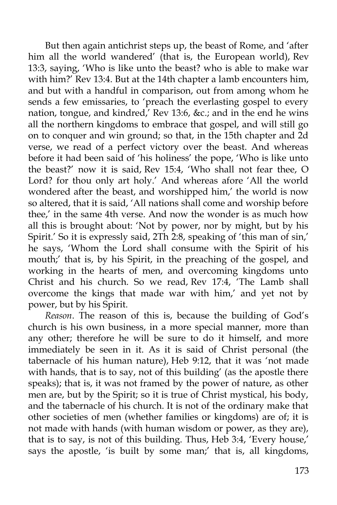But then again antichrist steps up, the beast of Rome, and 'after him all the world wandered' (that is, the European world), Rev 13:3, saying, 'Who is like unto the beast? who is able to make war with him?' Rev 13:4. But at the 14th chapter a lamb encounters him, and but with a handful in comparison, out from among whom he sends a few emissaries, to 'preach the everlasting gospel to every nation, tongue, and kindred,' Rev 13:6, &c.; and in the end he wins all the northern kingdoms to embrace that gospel, and will still go on to conquer and win ground; so that, in the 15th chapter and 2d verse, we read of a perfect victory over the beast. And whereas before it had been said of 'his holiness' the pope, 'Who is like unto the beast?' now it is said, Rev 15:4, 'Who shall not fear thee, O Lord? for thou only art holy.' And whereas afore 'All the world wondered after the beast, and worshipped him,' the world is now so altered, that it is said, 'All nations shall come and worship before thee,' in the same 4th verse. And now the wonder is as much how all this is brought about: 'Not by power, nor by might, but by his Spirit.' So it is expressly said, 2Th 2:8, speaking of 'this man of sin,' he says, 'Whom the Lord shall consume with the Spirit of his mouth;' that is, by his Spirit, in the preaching of the gospel, and working in the hearts of men, and overcoming kingdoms unto Christ and his church. So we read, Rev 17:4, 'The Lamb shall overcome the kings that made war with him,' and yet not by power, but by his Spirit.

*Reason*. The reason of this is, because the building of God's church is his own business, in a more special manner, more than any other; therefore he will be sure to do it himself, and more immediately be seen in it. As it is said of Christ personal (the tabernacle of his human nature), Heb 9:12, that it was 'not made with hands, that is to say, not of this building' (as the apostle there speaks); that is, it was not framed by the power of nature, as other men are, but by the Spirit; so it is true of Christ mystical, his body, and the tabernacle of his church. It is not of the ordinary make that other societies of men (whether families or kingdoms) are of; it is not made with hands (with human wisdom or power, as they are), that is to say, is not of this building. Thus, Heb 3:4, 'Every house,' says the apostle, 'is built by some man;' that is, all kingdoms,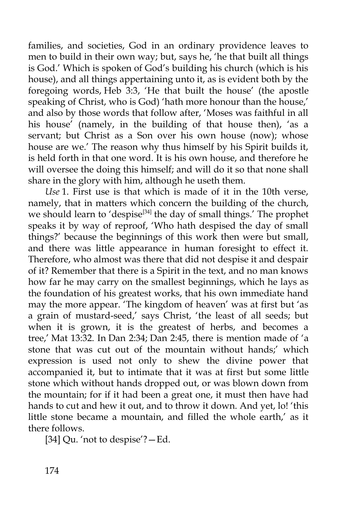families, and societies, God in an ordinary providence leaves to men to build in their own way; but, says he, 'he that built all things is God.' Which is spoken of God's building his church (which is his house), and all things appertaining unto it, as is evident both by the foregoing words, Heb 3:3, 'He that built the house' (the apostle speaking of Christ, who is God) 'hath more honour than the house,' and also by those words that follow after, 'Moses was faithful in all his house' (namely, in the building of that house then), 'as a servant; but Christ as a Son over his own house (now); whose house are we.' The reason why thus himself by his Spirit builds it, is held forth in that one word. It is his own house, and therefore he will oversee the doing this himself; and will do it so that none shall share in the glory with him, although he useth them.

*Use* 1. First use is that which is made of it in the 10th verse, namely, that in matters which concern the building of the church, we should learn to 'despise<sup>[34]</sup> the day of small things.' The prophet speaks it by way of reproof, 'Who hath despised the day of small things?' because the beginnings of this work then were but small, and there was little appearance in human foresight to effect it. Therefore, who almost was there that did not despise it and despair of it? Remember that there is a Spirit in the text, and no man knows how far he may carry on the smallest beginnings, which he lays as the foundation of his greatest works, that his own immediate hand may the more appear. 'The kingdom of heaven' was at first but 'as a grain of mustard-seed,' says Christ, 'the least of all seeds; but when it is grown, it is the greatest of herbs, and becomes a tree,' Mat 13:32. In Dan 2:34; Dan 2:45, there is mention made of 'a stone that was cut out of the mountain without hands;' which expression is used not only to shew the divine power that accompanied it, but to intimate that it was at first but some little stone which without hands dropped out, or was blown down from the mountain; for if it had been a great one, it must then have had hands to cut and hew it out, and to throw it down. And yet, lo! 'this little stone became a mountain, and filled the whole earth,' as it there follows.

[34] Qu. 'not to despise'?—Ed.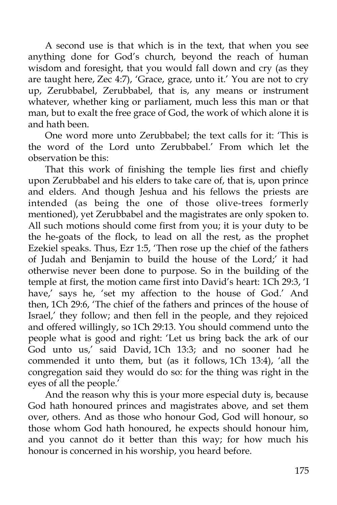A second use is that which is in the text, that when you see anything done for God's church, beyond the reach of human wisdom and foresight, that you would fall down and cry (as they are taught here, Zec 4:7), 'Grace, grace, unto it.' You are not to cry up, Zerubbabel, Zerubbabel, that is, any means or instrument whatever, whether king or parliament, much less this man or that man, but to exalt the free grace of God, the work of which alone it is and hath been.

One word more unto Zerubbabel; the text calls for it: 'This is the word of the Lord unto Zerubbabel.' From which let the observation be this:

That this work of finishing the temple lies first and chiefly upon Zerubbabel and his elders to take care of, that is, upon prince and elders. And though Jeshua and his fellows the priests are intended (as being the one of those olive-trees formerly mentioned), yet Zerubbabel and the magistrates are only spoken to. All such motions should come first from you; it is your duty to be the he-goats of the flock, to lead on all the rest, as the prophet Ezekiel speaks. Thus, Ezr 1:5, 'Then rose up the chief of the fathers of Judah and Benjamin to build the house of the Lord;' it had otherwise never been done to purpose. So in the building of the temple at first, the motion came first into David's heart: 1Ch 29:3, 'I have,' says he, 'set my affection to the house of God.' And then, 1Ch 29:6, 'The chief of the fathers and princes of the house of Israel,' they follow; and then fell in the people, and they rejoiced and offered willingly, so 1Ch 29:13. You should commend unto the people what is good and right: 'Let us bring back the ark of our God unto us,' said David, 1Ch 13:3; and no sooner had he commended it unto them, but (as it follows, 1Ch 13:4), 'all the congregation said they would do so: for the thing was right in the eyes of all the people.'

And the reason why this is your more especial duty is, because God hath honoured princes and magistrates above, and set them over, others. And as those who honour God, God will honour, so those whom God hath honoured, he expects should honour him, and you cannot do it better than this way; for how much his honour is concerned in his worship, you heard before.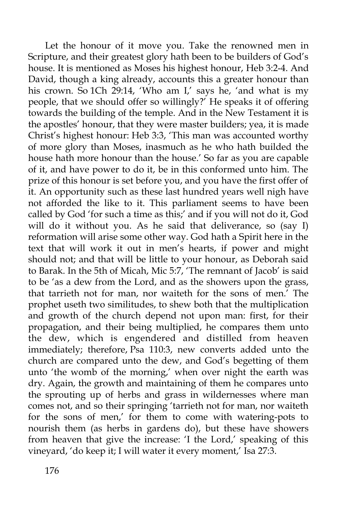Let the honour of it move you. Take the renowned men in Scripture, and their greatest glory hath been to be builders of God's house. It is mentioned as Moses his highest honour, Heb 3:2-4. And David, though a king already, accounts this a greater honour than his crown. So 1Ch 29:14, 'Who am I,' says he, 'and what is my people, that we should offer so willingly?' He speaks it of offering towards the building of the temple. And in the New Testament it is the apostles' honour, that they were master builders; yea, it is made Christ's highest honour: Heb 3:3, 'This man was accounted worthy of more glory than Moses, inasmuch as he who hath builded the house hath more honour than the house.' So far as you are capable of it, and have power to do it, be in this conformed unto him. The prize of this honour is set before you, and you have the first offer of it. An opportunity such as these last hundred years well nigh have not afforded the like to it. This parliament seems to have been called by God 'for such a time as this;' and if you will not do it, God will do it without you. As he said that deliverance, so (say I) reformation will arise some other way. God hath a Spirit here in the text that will work it out in men's hearts, if power and might should not; and that will be little to your honour, as Deborah said to Barak. In the 5th of Micah, Mic 5:7, 'The remnant of Jacob' is said to be 'as a dew from the Lord, and as the showers upon the grass, that tarrieth not for man, nor waiteth for the sons of men.' The prophet useth two similitudes, to shew both that the multiplication and growth of the church depend not upon man: first, for their propagation, and their being multiplied, he compares them unto the dew, which is engendered and distilled from heaven immediately; therefore, Psa 110:3, new converts added unto the church are compared unto the dew, and God's begetting of them unto 'the womb of the morning,' when over night the earth was dry. Again, the growth and maintaining of them he compares unto the sprouting up of herbs and grass in wildernesses where man comes not, and so their springing 'tarrieth not for man, nor waiteth for the sons of men,' for them to come with watering-pots to nourish them (as herbs in gardens do), but these have showers from heaven that give the increase: 'I the Lord,' speaking of this vineyard, 'do keep it; I will water it every moment,' Isa 27:3.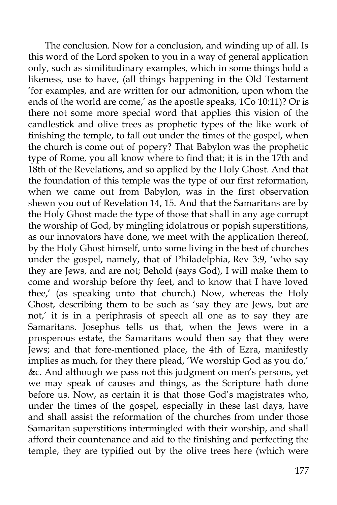The conclusion. Now for a conclusion, and winding up of all. Is this word of the Lord spoken to you in a way of general application only, such as similitudinary examples, which in some things hold a likeness, use to have, (all things happening in the Old Testament 'for examples, and are written for our admonition, upon whom the ends of the world are come,' as the apostle speaks, 1Co 10:11)? Or is there not some more special word that applies this vision of the candlestick and olive trees as prophetic types of the like work of finishing the temple, to fall out under the times of the gospel, when the church is come out of popery? That Babylon was the prophetic type of Rome, you all know where to find that; it is in the 17th and 18th of the Revelations, and so applied by the Holy Ghost. And that the foundation of this temple was the type of our first reformation, when we came out from Babylon, was in the first observation shewn you out of Revelation 14, 15. And that the Samaritans are by the Holy Ghost made the type of those that shall in any age corrupt the worship of God, by mingling idolatrous or popish superstitions, as our innovators have done, we meet with the application thereof, by the Holy Ghost himself, unto some living in the best of churches under the gospel, namely, that of Philadelphia, Rev 3:9, 'who say they are Jews, and are not; Behold (says God), I will make them to come and worship before thy feet, and to know that I have loved thee,' (as speaking unto that church.) Now, whereas the Holy Ghost, describing them to be such as 'say they are Jews, but are not,' it is in a periphrasis of speech all one as to say they are Samaritans. Josephus tells us that, when the Jews were in a prosperous estate, the Samaritans would then say that they were Jews; and that fore-mentioned place, the 4th of Ezra, manifestly implies as much, for they there plead, 'We worship God as you do,' &c. And although we pass not this judgment on men's persons, yet we may speak of causes and things, as the Scripture hath done before us. Now, as certain it is that those God's magistrates who, under the times of the gospel, especially in these last days, have and shall assist the reformation of the churches from under those Samaritan superstitions intermingled with their worship, and shall afford their countenance and aid to the finishing and perfecting the temple, they are typified out by the olive trees here (which were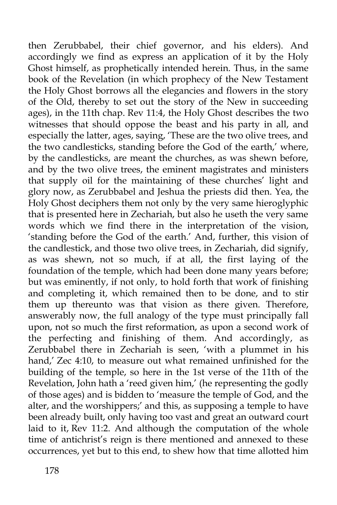then Zerubbabel, their chief governor, and his elders). And accordingly we find as express an application of it by the Holy Ghost himself, as prophetically intended herein. Thus, in the same book of the Revelation (in which prophecy of the New Testament the Holy Ghost borrows all the elegancies and flowers in the story of the Old, thereby to set out the story of the New in succeeding ages), in the 11th chap. Rev 11:4, the Holy Ghost describes the two witnesses that should oppose the beast and his party in all, and especially the latter, ages, saying, 'These are the two olive trees, and the two candlesticks, standing before the God of the earth,' where, by the candlesticks, are meant the churches, as was shewn before, and by the two olive trees, the eminent magistrates and ministers that supply oil for the maintaining of these churches' light and glory now, as Zerubbabel and Jeshua the priests did then. Yea, the Holy Ghost deciphers them not only by the very same hieroglyphic that is presented here in Zechariah, but also he useth the very same words which we find there in the interpretation of the vision, 'standing before the God of the earth.' And, further, this vision of the candlestick, and those two olive trees, in Zechariah, did signify, as was shewn, not so much, if at all, the first laying of the foundation of the temple, which had been done many years before; but was eminently, if not only, to hold forth that work of finishing and completing it, which remained then to be done, and to stir them up thereunto was that vision as there given. Therefore, answerably now, the full analogy of the type must principally fall upon, not so much the first reformation, as upon a second work of the perfecting and finishing of them. And accordingly, as Zerubbabel there in Zechariah is seen, 'with a plummet in his hand,' Zec 4:10, to measure out what remained unfinished for the building of the temple, so here in the 1st verse of the 11th of the Revelation, John hath a 'reed given him,' (he representing the godly of those ages) and is bidden to 'measure the temple of God, and the alter, and the worshippers;' and this, as supposing a temple to have been already built, only having too vast and great an outward court laid to it, Rev 11:2. And although the computation of the whole time of antichrist's reign is there mentioned and annexed to these occurrences, yet but to this end, to shew how that time allotted him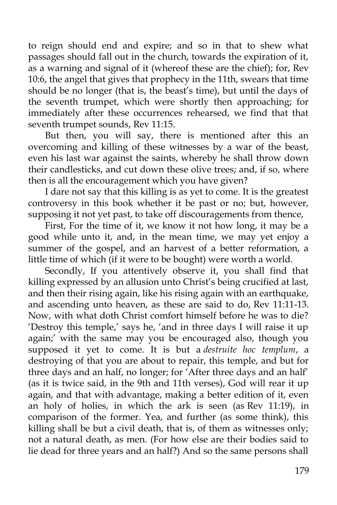to reign should end and expire; and so in that to shew what passages should fall out in the church, towards the expiration of it, as a warning and signal of it (whereof these are the chief); for, Rev 10:6, the angel that gives that prophecy in the 11th, swears that time should be no longer (that is, the beast's time), but until the days of the seventh trumpet, which were shortly then approaching; for immediately after these occurrences rehearsed, we find that that seventh trumpet sounds, Rev 11:15.

But then, you will say, there is mentioned after this an overcoming and killing of these witnesses by a war of the beast, even his last war against the saints, whereby he shall throw down their candlesticks, and cut down these olive trees; and, if so, where then is all the encouragement which you have given?

I dare not say that this killing is as yet to come. It is the greatest controversy in this book whether it be past or no; but, however, supposing it not yet past, to take off discouragements from thence,

First, For the time of it, we know it not how long, it may be a good while unto it, and, in the mean time, we may yet enjoy a summer of the gospel, and an harvest of a better reformation, a little time of which (if it were to be bought) were worth a world.

Secondly, If you attentively observe it, you shall find that killing expressed by an allusion unto Christ's being crucified at last, and then their rising again, like his rising again with an earthquake, and ascending unto heaven, as these are said to do, Rev 11:11-13. Now, with what doth Christ comfort himself before he was to die? 'Destroy this temple,' says he, 'and in three days I will raise it up again;' with the same may you be encouraged also, though you supposed it yet to come. It is but a *destruite hoc templum*, a destroying of that you are about to repair, this temple, and but for three days and an half, no longer; for 'After three days and an half' (as it is twice said, in the 9th and 11th verses), God will rear it up again, and that with advantage, making a better edition of it, even an holy of holies, in which the ark is seen (as Rev 11:19), in comparison of the former. Yea, and further (as some think), this killing shall be but a civil death, that is, of them as witnesses only; not a natural death, as men. (For how else are their bodies said to lie dead for three years and an half?) And so the same persons shall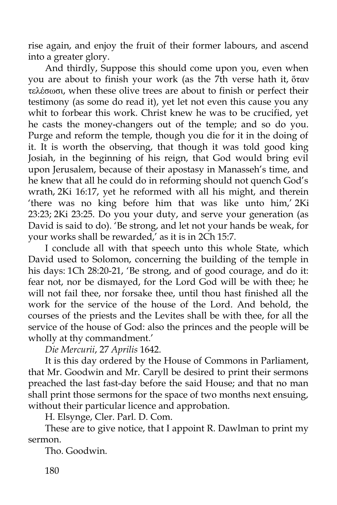rise again, and enjoy the fruit of their former labours, and ascend into a greater glory.

And thirdly, Suppose this should come upon you, even when you are about to finish your work (as the 7th verse hath it, ὅταν τελέσωσι, when these olive trees are about to finish or perfect their testimony (as some do read it), yet let not even this cause you any whit to forbear this work. Christ knew he was to be crucified, yet he casts the money-changers out of the temple; and so do you. Purge and reform the temple, though you die for it in the doing of it. It is worth the observing, that though it was told good king Josiah, in the beginning of his reign, that God would bring evil upon Jerusalem, because of their apostasy in Manasseh's time, and he knew that all he could do in reforming should not quench God's wrath, 2Ki 16:17, yet he reformed with all his might, and therein 'there was no king before him that was like unto him,' 2Ki 23:23; 2Ki 23:25. Do you your duty, and serve your generation (as David is said to do). 'Be strong, and let not your hands be weak, for your works shall be rewarded,' as it is in 2Ch 15:7.

I conclude all with that speech unto this whole State, which David used to Solomon, concerning the building of the temple in his days: 1Ch 28:20-21, 'Be strong, and of good courage, and do it: fear not, nor be dismayed, for the Lord God will be with thee; he will not fail thee, nor forsake thee, until thou hast finished all the work for the service of the house of the Lord. And behold, the courses of the priests and the Levites shall be with thee, for all the service of the house of God: also the princes and the people will be wholly at thy commandment.'

*Die Mercurii*, 27 *Aprilis* 1642.

It is this day ordered by the House of Commons in Parliament, that Mr. Goodwin and Mr. Caryll be desired to print their sermons preached the last fast-day before the said House; and that no man shall print those sermons for the space of two months next ensuing, without their particular licence and approbation.

H. Elsynge, Cler. Parl. D. Com.

These are to give notice, that I appoint R. Dawlman to print my sermon.

Tho. Goodwin.

180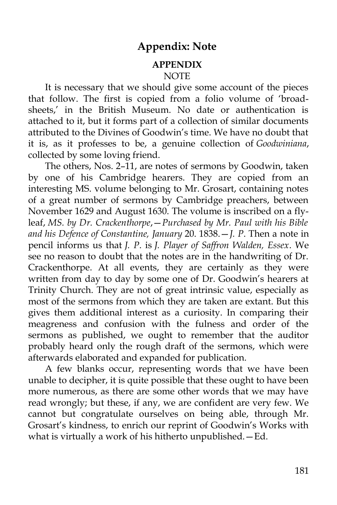#### **Appendix: Note**

#### **APPENDIX NOTE**

It is necessary that we should give some account of the pieces that follow. The first is copied from a folio volume of 'broadsheets,' in the British Museum. No date or authentication is attached to it, but it forms part of a collection of similar documents attributed to the Divines of Goodwin's time. We have no doubt that it is, as it professes to be, a genuine collection of *Goodwiniana*, collected by some loving friend.

The others, Nos. 2–11, are notes of sermons by Goodwin, taken by one of his Cambridge hearers. They are copied from an interesting MS. volume belonging to Mr. Grosart, containing notes of a great number of sermons by Cambridge preachers, between November 1629 and August 1630. The volume is inscribed on a flyleaf, *MS. by Dr. Crackenthorpe*,—*Purchased by Mr. Paul with his Bible and his Defence of Constantine, January* 20. 1838.—*J. P*. Then a note in pencil informs us that *J. P*. is *J. Player of Saffron Walden, Essex*. We see no reason to doubt that the notes are in the handwriting of Dr. Crackenthorpe. At all events, they are certainly as they were written from day to day by some one of Dr. Goodwin's hearers at Trinity Church. They are not of great intrinsic value, especially as most of the sermons from which they are taken are extant. But this gives them additional interest as a curiosity. In comparing their meagreness and confusion with the fulness and order of the sermons as published, we ought to remember that the auditor probably heard only the rough draft of the sermons, which were afterwards elaborated and expanded for publication.

A few blanks occur, representing words that we have been unable to decipher, it is quite possible that these ought to have been more numerous, as there are some other words that we may have read wrongly; but these, if any, we are confident are very few. We cannot but congratulate ourselves on being able, through Mr. Grosart's kindness, to enrich our reprint of Goodwin's Works with what is virtually a work of his hitherto unpublished.—Ed.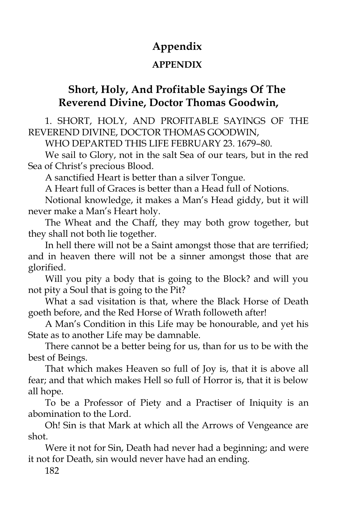# **Appendix**

#### **APPENDIX**

# **Short, Holy, And Profitable Sayings Of The Reverend Divine, Doctor Thomas Goodwin,**

1. SHORT, HOLY, AND PROFITABLE SAYINGS OF THE REVEREND DIVINE, DOCTOR THOMAS GOODWIN,

WHO DEPARTED THIS LIFE FEBRUARY 23. 1679–80.

We sail to Glory, not in the salt Sea of our tears, but in the red Sea of Christ's precious Blood.

A sanctified Heart is better than a silver Tongue.

A Heart full of Graces is better than a Head full of Notions.

Notional knowledge, it makes a Man's Head giddy, but it will never make a Man's Heart holy.

The Wheat and the Chaff, they may both grow together, but they shall not both lie together.

In hell there will not be a Saint amongst those that are terrified; and in heaven there will not be a sinner amongst those that are glorified.

Will you pity a body that is going to the Block? and will you not pity a Soul that is going to the Pit?

What a sad visitation is that, where the Black Horse of Death goeth before, and the Red Horse of Wrath followeth after!

A Man's Condition in this Life may be honourable, and yet his State as to another Life may be damnable.

There cannot be a better being for us, than for us to be with the best of Beings.

That which makes Heaven so full of Joy is, that it is above all fear; and that which makes Hell so full of Horror is, that it is below all hope.

To be a Professor of Piety and a Practiser of Iniquity is an abomination to the Lord.

Oh! Sin is that Mark at which all the Arrows of Vengeance are shot.

Were it not for Sin, Death had never had a beginning; and were it not for Death, sin would never have had an ending.

182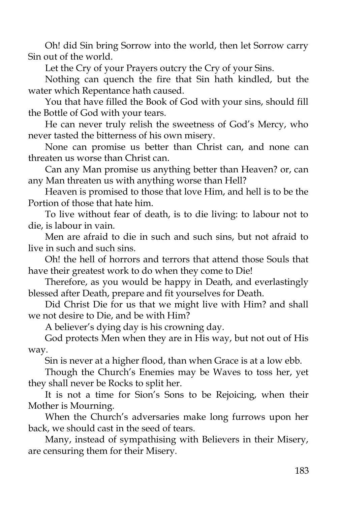Oh! did Sin bring Sorrow into the world, then let Sorrow carry Sin out of the world.

Let the Cry of your Prayers outcry the Cry of your Sins.

Nothing can quench the fire that Sin hath kindled, but the water which Repentance hath caused.

You that have filled the Book of God with your sins, should fill the Bottle of God with your tears.

He can never truly relish the sweetness of God's Mercy, who never tasted the bitterness of his own misery.

None can promise us better than Christ can, and none can threaten us worse than Christ can.

Can any Man promise us anything better than Heaven? or, can any Man threaten us with anything worse than Hell?

Heaven is promised to those that love Him, and hell is to be the Portion of those that hate him.

To live without fear of death, is to die living: to labour not to die, is labour in vain.

Men are afraid to die in such and such sins, but not afraid to live in such and such sins.

Oh! the hell of horrors and terrors that attend those Souls that have their greatest work to do when they come to Die!

Therefore, as you would be happy in Death, and everlastingly blessed after Death, prepare and fit yourselves for Death.

Did Christ Die for us that we might live with Him? and shall we not desire to Die, and be with Him?

A believer's dying day is his crowning day.

God protects Men when they are in His way, but not out of His way.

Sin is never at a higher flood, than when Grace is at a low ebb.

Though the Church's Enemies may be Waves to toss her, yet they shall never be Rocks to split her.

It is not a time for Sion's Sons to be Rejoicing, when their Mother is Mourning.

When the Church's adversaries make long furrows upon her back, we should cast in the seed of tears.

Many, instead of sympathising with Believers in their Misery, are censuring them for their Misery.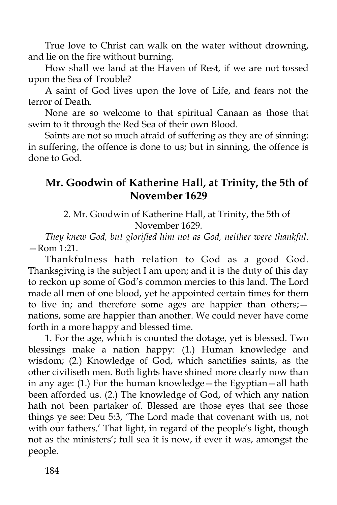True love to Christ can walk on the water without drowning, and lie on the fire without burning.

How shall we land at the Haven of Rest, if we are not tossed upon the Sea of Trouble?

A saint of God lives upon the love of Life, and fears not the terror of Death.

None are so welcome to that spiritual Canaan as those that swim to it through the Red Sea of their own Blood.

Saints are not so much afraid of suffering as they are of sinning: in suffering, the offence is done to us; but in sinning, the offence is done to God.

### **Mr. Goodwin of Katherine Hall, at Trinity, the 5th of November 1629**

2. Mr. Goodwin of Katherine Hall, at Trinity, the 5th of November 1629.

*They knew God, but glorified him not as God, neither were thankful*. —Rom 1:21.

Thankfulness hath relation to God as a good God. Thanksgiving is the subject I am upon; and it is the duty of this day to reckon up some of God's common mercies to this land. The Lord made all men of one blood, yet he appointed certain times for them to live in; and therefore some ages are happier than others; nations, some are happier than another. We could never have come forth in a more happy and blessed time.

1. For the age, which is counted the dotage, yet is blessed. Two blessings make a nation happy: (1.) Human knowledge and wisdom; (2.) Knowledge of God, which sanctifies saints, as the other civiliseth men. Both lights have shined more clearly now than in any age: (1.) For the human knowledge—the Egyptian—all hath been afforded us. (2.) The knowledge of God, of which any nation hath not been partaker of. Blessed are those eyes that see those things ye see: Deu 5:3, 'The Lord made that covenant with us, not with our fathers.' That light, in regard of the people's light, though not as the ministers'; full sea it is now, if ever it was, amongst the people.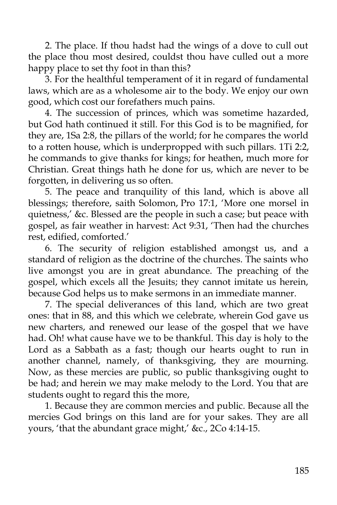2. The place. If thou hadst had the wings of a dove to cull out the place thou most desired, couldst thou have culled out a more happy place to set thy foot in than this?

3. For the healthful temperament of it in regard of fundamental laws, which are as a wholesome air to the body. We enjoy our own good, which cost our forefathers much pains.

4. The succession of princes, which was sometime hazarded, but God hath continued it still. For this God is to be magnified, for they are, 1Sa 2:8, the pillars of the world; for he compares the world to a rotten house, which is underpropped with such pillars. 1Ti 2:2, he commands to give thanks for kings; for heathen, much more for Christian. Great things hath he done for us, which are never to be forgotten, in delivering us so often.

5. The peace and tranquility of this land, which is above all blessings; therefore, saith Solomon, Pro 17:1, 'More one morsel in quietness,' &c. Blessed are the people in such a case; but peace with gospel, as fair weather in harvest: Act 9:31, 'Then had the churches rest, edified, comforted.'

6. The security of religion established amongst us, and a standard of religion as the doctrine of the churches. The saints who live amongst you are in great abundance. The preaching of the gospel, which excels all the Jesuits; they cannot imitate us herein, because God helps us to make sermons in an immediate manner.

7. The special deliverances of this land, which are two great ones: that in 88, and this which we celebrate, wherein God gave us new charters, and renewed our lease of the gospel that we have had. Oh! what cause have we to be thankful. This day is holy to the Lord as a Sabbath as a fast; though our hearts ought to run in another channel, namely, of thanksgiving, they are mourning. Now, as these mercies are public, so public thanksgiving ought to be had; and herein we may make melody to the Lord. You that are students ought to regard this the more,

1. Because they are common mercies and public. Because all the mercies God brings on this land are for your sakes. They are all yours, 'that the abundant grace might,' &c., 2Co 4:14-15.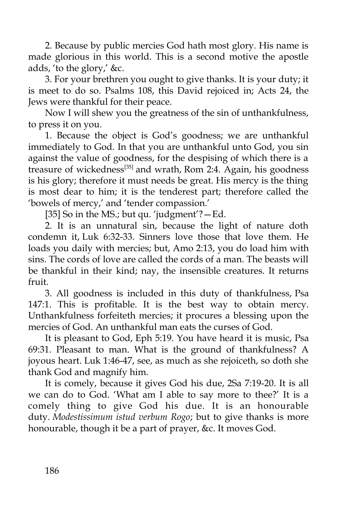2. Because by public mercies God hath most glory. His name is made glorious in this world. This is a second motive the apostle adds, 'to the glory,' &c.

3. For your brethren you ought to give thanks. It is your duty; it is meet to do so. Psalms 108, this David rejoiced in; Acts 24, the Jews were thankful for their peace.

Now I will shew you the greatness of the sin of unthankfulness, to press it on you.

1. Because the object is God's goodness; we are unthankful immediately to God. In that you are unthankful unto God, you sin against the value of goodness, for the despising of which there is a treasure of wickedness<sup>[35]</sup> and wrath, Rom 2:4. Again, his goodness is his glory; therefore it must needs be great. His mercy is the thing is most dear to him; it is the tenderest part; therefore called the 'bowels of mercy,' and 'tender compassion.'

[35] So in the MS.; but qu. 'judgment'?—Ed.

2. It is an unnatural sin, because the light of nature doth condemn it, Luk 6:32-33. Sinners love those that love them. He loads you daily with mercies; but, Amo 2:13, you do load him with sins. The cords of love are called the cords of a man. The beasts will be thankful in their kind; nay, the insensible creatures. It returns fruit.

3. All goodness is included in this duty of thankfulness, Psa 147:1. This is profitable. It is the best way to obtain mercy. Unthankfulness forfeiteth mercies; it procures a blessing upon the mercies of God. An unthankful man eats the curses of God.

It is pleasant to God, Eph 5:19. You have heard it is music, Psa 69:31. Pleasant to man. What is the ground of thankfulness? A joyous heart. Luk 1:46-47, see, as much as she rejoiceth, so doth she thank God and magnify him.

It is comely, because it gives God his due, 2Sa 7:19-20. It is all we can do to God. 'What am I able to say more to thee?' It is a comely thing to give God his due. It is an honourable duty. *Modestissimum istud verbum Rogo*; but to give thanks is more honourable, though it be a part of prayer, &c. It moves God.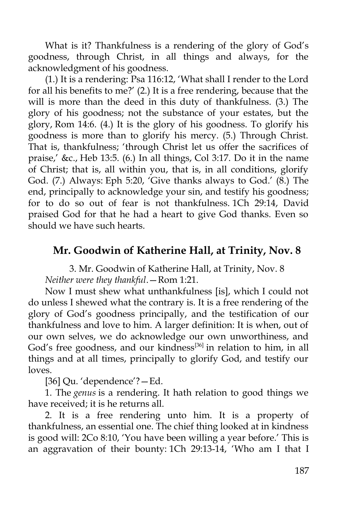What is it? Thankfulness is a rendering of the glory of God's goodness, through Christ, in all things and always, for the acknowledgment of his goodness.

(1.) It is a rendering: Psa 116:12, 'What shall I render to the Lord for all his benefits to me?' (2.) It is a free rendering, because that the will is more than the deed in this duty of thankfulness. (3.) The glory of his goodness; not the substance of your estates, but the glory, Rom 14:6. (4.) It is the glory of his goodness. To glorify his goodness is more than to glorify his mercy. (5.) Through Christ. That is, thankfulness; 'through Christ let us offer the sacrifices of praise,' &c., Heb 13:5. (6.) In all things, Col 3:17. Do it in the name of Christ; that is, all within you, that is, in all conditions, glorify God. (7.) Always: Eph 5:20, 'Give thanks always to God.' (8.) The end, principally to acknowledge your sin, and testify his goodness; for to do so out of fear is not thankfulness. 1Ch 29:14, David praised God for that he had a heart to give God thanks. Even so should we have such hearts.

### **Mr. Goodwin of Katherine Hall, at Trinity, Nov. 8**

3. Mr. Goodwin of Katherine Hall, at Trinity, Nov. 8 *Neither were they thankful*.—Rom 1:21.

Now I must shew what unthankfulness [is], which I could not do unless I shewed what the contrary is. It is a free rendering of the glory of God's goodness principally, and the testification of our thankfulness and love to him. A larger definition: It is when, out of our own selves, we do acknowledge our own unworthiness, and God's free goodness, and our kindness<sup>[36]</sup> in relation to him, in all things and at all times, principally to glorify God, and testify our loves.

[36] Qu. 'dependence'?—Ed.

1. The *genus* is a rendering. It hath relation to good things we have received; it is he returns all.

2. It is a free rendering unto him. It is a property of thankfulness, an essential one. The chief thing looked at in kindness is good will: 2Co 8:10, 'You have been willing a year before.' This is an aggravation of their bounty: 1Ch 29:13-14, 'Who am I that I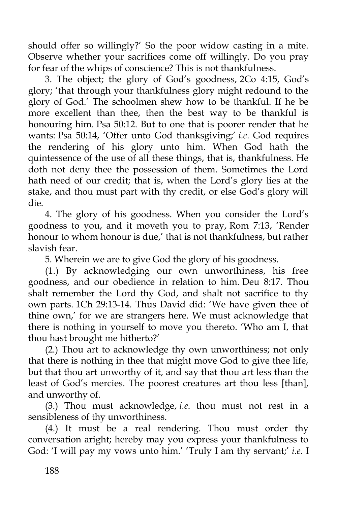should offer so willingly?' So the poor widow casting in a mite. Observe whether your sacrifices come off willingly. Do you pray for fear of the whips of conscience? This is not thankfulness.

3. The object; the glory of God's goodness, 2Co 4:15, God's glory; 'that through your thankfulness glory might redound to the glory of God.' The schoolmen shew how to be thankful. If he be more excellent than thee, then the best way to be thankful is honouring him. Psa 50:12. But to one that is poorer render that he wants: Psa 50:14, 'Offer unto God thanksgiving;' *i.e*. God requires the rendering of his glory unto him. When God hath the quintessence of the use of all these things, that is, thankfulness. He doth not deny thee the possession of them. Sometimes the Lord hath need of our credit; that is, when the Lord's glory lies at the stake, and thou must part with thy credit, or else God's glory will die.

4. The glory of his goodness. When you consider the Lord's goodness to you, and it moveth you to pray, Rom 7:13, 'Render honour to whom honour is due,' that is not thankfulness, but rather slavish fear.

5. Wherein we are to give God the glory of his goodness.

(1.) By acknowledging our own unworthiness, his free goodness, and our obedience in relation to him. Deu 8:17. Thou shalt remember the Lord thy God, and shalt not sacrifice to thy own parts. 1Ch 29:13-14. Thus David did: 'We have given thee of thine own,' for we are strangers here. We must acknowledge that there is nothing in yourself to move you thereto. 'Who am I, that thou hast brought me hitherto?'

(2.) Thou art to acknowledge thy own unworthiness; not only that there is nothing in thee that might move God to give thee life, but that thou art unworthy of it, and say that thou art less than the least of God's mercies. The poorest creatures art thou less [than], and unworthy of.

(3.) Thou must acknowledge, *i.e*. thou must not rest in a sensibleness of thy unworthiness.

(4.) It must be a real rendering. Thou must order thy conversation aright; hereby may you express your thankfulness to God: 'I will pay my vows unto him.' 'Truly I am thy servant;' *i.e.* I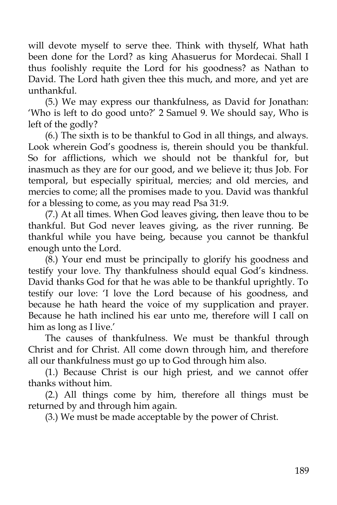will devote myself to serve thee. Think with thyself, What hath been done for the Lord? as king Ahasuerus for Mordecai. Shall I thus foolishly requite the Lord for his goodness? as Nathan to David. The Lord hath given thee this much, and more, and yet are unthankful.

(5.) We may express our thankfulness, as David for Jonathan: 'Who is left to do good unto?' 2 Samuel 9. We should say, Who is left of the godly?

(6.) The sixth is to be thankful to God in all things, and always. Look wherein God's goodness is, therein should you be thankful. So for afflictions, which we should not be thankful for, but inasmuch as they are for our good, and we believe it; thus Job. For temporal, but especially spiritual, mercies; and old mercies, and mercies to come; all the promises made to you. David was thankful for a blessing to come, as you may read Psa 31:9.

(7.) At all times. When God leaves giving, then leave thou to be thankful. But God never leaves giving, as the river running. Be thankful while you have being, because you cannot be thankful enough unto the Lord.

(8.) Your end must be principally to glorify his goodness and testify your love. Thy thankfulness should equal God's kindness. David thanks God for that he was able to be thankful uprightly. To testify our love: 'I love the Lord because of his goodness, and because he hath heard the voice of my supplication and prayer. Because he hath inclined his ear unto me, therefore will I call on him as long as I live.'

The causes of thankfulness. We must be thankful through Christ and for Christ. All come down through him, and therefore all our thankfulness must go up to God through him also.

(1.) Because Christ is our high priest, and we cannot offer thanks without him.

(2.) All things come by him, therefore all things must be returned by and through him again.

(3.) We must be made acceptable by the power of Christ.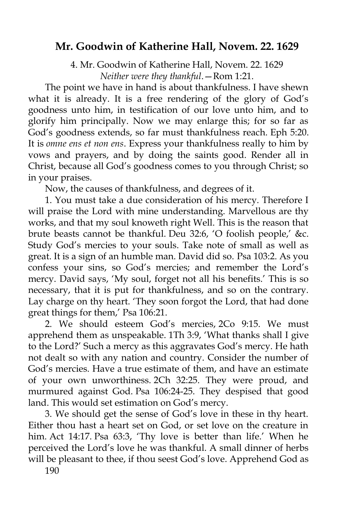### **Mr. Goodwin of Katherine Hall, Novem. 22. 1629**

4. Mr. Goodwin of Katherine Hall, Novem. 22. 1629 *Neither were they thankful*.—Rom 1:21.

The point we have in hand is about thankfulness. I have shewn what it is already. It is a free rendering of the glory of God's goodness unto him, in testification of our love unto him, and to glorify him principally. Now we may enlarge this; for so far as God's goodness extends, so far must thankfulness reach. Eph 5:20. It is *omne ens et non ens*. Express your thankfulness really to him by vows and prayers, and by doing the saints good. Render all in Christ, because all God's goodness comes to you through Christ; so in your praises.

Now, the causes of thankfulness, and degrees of it.

1. You must take a due consideration of his mercy. Therefore I will praise the Lord with mine understanding. Marvellous are thy works, and that my soul knoweth right Well. This is the reason that brute beasts cannot be thankful. Deu 32:6, 'O foolish people,' &c. Study God's mercies to your souls. Take note of small as well as great. It is a sign of an humble man. David did so. Psa 103:2. As you confess your sins, so God's mercies; and remember the Lord's mercy. David says, 'My soul, forget not all his benefits.' This is so necessary, that it is put for thankfulness, and so on the contrary. Lay charge on thy heart. 'They soon forgot the Lord, that had done great things for them,' Psa 106:21.

2. We should esteem God's mercies, 2Co 9:15. We must apprehend them as unspeakable. 1Th 3:9, 'What thanks shall I give to the Lord?' Such a mercy as this aggravates God's mercy. He hath not dealt so with any nation and country. Consider the number of God's mercies. Have a true estimate of them, and have an estimate of your own unworthiness. 2Ch 32:25. They were proud, and murmured against God. Psa 106:24-25. They despised that good land. This would set estimation on God's mercy.

3. We should get the sense of God's love in these in thy heart. Either thou hast a heart set on God, or set love on the creature in him. Act 14:17. Psa 63:3, 'Thy love is better than life.' When he perceived the Lord's love he was thankful. A small dinner of herbs will be pleasant to thee, if thou seest God's love. Apprehend God as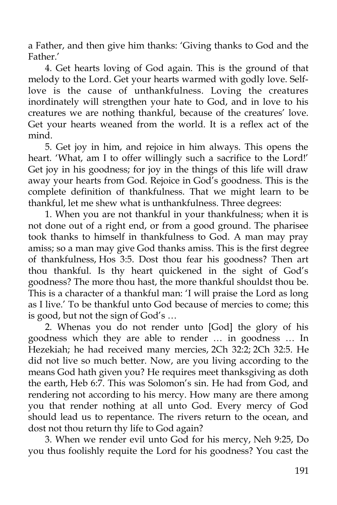a Father, and then give him thanks: 'Giving thanks to God and the Father.'

4. Get hearts loving of God again. This is the ground of that melody to the Lord. Get your hearts warmed with godly love. Selflove is the cause of unthankfulness. Loving the creatures inordinately will strengthen your hate to God, and in love to his creatures we are nothing thankful, because of the creatures' love. Get your hearts weaned from the world. It is a reflex act of the mind.

5. Get joy in him, and rejoice in him always. This opens the heart. 'What, am I to offer willingly such a sacrifice to the Lord!' Get joy in his goodness; for joy in the things of this life will draw away your hearts from God. Rejoice in God's goodness. This is the complete definition of thankfulness. That we might learn to be thankful, let me shew what is unthankfulness. Three degrees:

1. When you are not thankful in your thankfulness; when it is not done out of a right end, or from a good ground. The pharisee took thanks to himself in thankfulness to God. A man may pray amiss; so a man may give God thanks amiss. This is the first degree of thankfulness, Hos 3:5. Dost thou fear his goodness? Then art thou thankful. Is thy heart quickened in the sight of God's goodness? The more thou hast, the more thankful shouldst thou be. This is a character of a thankful man: 'I will praise the Lord as long as I live.' To be thankful unto God because of mercies to come; this is good, but not the sign of God's …

2. Whenas you do not render unto [God] the glory of his goodness which they are able to render … in goodness … In Hezekiah; he had received many mercies, 2Ch 32:2; 2Ch 32:5. He did not live so much better. Now, are you living according to the means God hath given you? He requires meet thanksgiving as doth the earth, Heb 6:7. This was Solomon's sin. He had from God, and rendering not according to his mercy. How many are there among you that render nothing at all unto God. Every mercy of God should lead us to repentance. The rivers return to the ocean, and dost not thou return thy life to God again?

3. When we render evil unto God for his mercy, Neh 9:25, Do you thus foolishly requite the Lord for his goodness? You cast the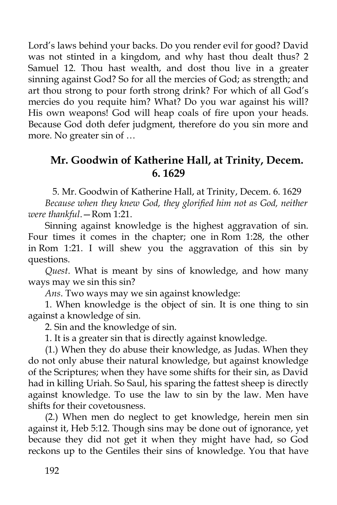Lord's laws behind your backs. Do you render evil for good? David was not stinted in a kingdom, and why hast thou dealt thus? 2 Samuel 12. Thou hast wealth, and dost thou live in a greater sinning against God? So for all the mercies of God; as strength; and art thou strong to pour forth strong drink? For which of all God's mercies do you requite him? What? Do you war against his will? His own weapons! God will heap coals of fire upon your heads. Because God doth defer judgment, therefore do you sin more and more. No greater sin of …

## **Mr. Goodwin of Katherine Hall, at Trinity, Decem. 6. 1629**

5. Mr. Goodwin of Katherine Hall, at Trinity, Decem. 6. 1629

*Because when they knew God, they glorified him not as God, neither were thankful*.—Rom 1:21.

Sinning against knowledge is the highest aggravation of sin. Four times it comes in the chapter; one in Rom 1:28, the other in Rom 1:21. I will shew you the aggravation of this sin by questions.

*Quest*. What is meant by sins of knowledge, and how many ways may we sin this sin?

*Ans*. Two ways may we sin against knowledge:

1. When knowledge is the object of sin. It is one thing to sin against a knowledge of sin.

2. Sin and the knowledge of sin.

1. It is a greater sin that is directly against knowledge.

(1.) When they do abuse their knowledge, as Judas. When they do not only abuse their natural knowledge, but against knowledge of the Scriptures; when they have some shifts for their sin, as David had in killing Uriah. So Saul, his sparing the fattest sheep is directly against knowledge. To use the law to sin by the law. Men have shifts for their covetousness.

(2.) When men do neglect to get knowledge, herein men sin against it, Heb 5:12. Though sins may be done out of ignorance, yet because they did not get it when they might have had, so God reckons up to the Gentiles their sins of knowledge. You that have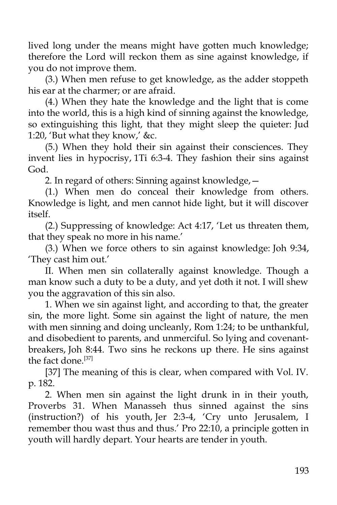lived long under the means might have gotten much knowledge; therefore the Lord will reckon them as sine against knowledge, if you do not improve them.

(3.) When men refuse to get knowledge, as the adder stoppeth his ear at the charmer; or are afraid.

(4.) When they hate the knowledge and the light that is come into the world, this is a high kind of sinning against the knowledge, so extinguishing this light, that they might sleep the quieter: Jud 1:20, 'But what they know,' &c.

(5.) When they hold their sin against their consciences. They invent lies in hypocrisy, 1Ti 6:3-4. They fashion their sins against God.

2. In regard of others: Sinning against knowledge,—

(1.) When men do conceal their knowledge from others. Knowledge is light, and men cannot hide light, but it will discover itself.

(2.) Suppressing of knowledge: Act 4:17, 'Let us threaten them, that they speak no more in his name.'

(3.) When we force others to sin against knowledge: Joh 9:34, 'They cast him out.'

II. When men sin collaterally against knowledge. Though a man know such a duty to be a duty, and yet doth it not. I will shew you the aggravation of this sin also.

1. When we sin against light, and according to that, the greater sin, the more light. Some sin against the light of nature, the men with men sinning and doing uncleanly, Rom 1:24; to be unthankful, and disobedient to parents, and unmerciful. So lying and covenantbreakers, Joh 8:44. Two sins he reckons up there. He sins against the fact done.<sup>[37]</sup>

[37] The meaning of this is clear, when compared with Vol. IV. p. 182.

2. When men sin against the light drunk in in their youth, Proverbs 31. When Manasseh thus sinned against the sins (instruction?) of his youth, Jer 2:3-4, 'Cry unto Jerusalem, I remember thou wast thus and thus.' Pro 22:10, a principle gotten in youth will hardly depart. Your hearts are tender in youth.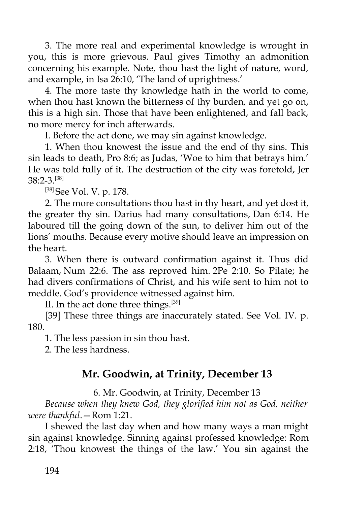3. The more real and experimental knowledge is wrought in you, this is more grievous. Paul gives Timothy an admonition concerning his example. Note, thou hast the light of nature, word, and example, in Isa 26:10, 'The land of uprightness.'

4. The more taste thy knowledge hath in the world to come, when thou hast known the bitterness of thy burden, and yet go on, this is a high sin. Those that have been enlightened, and fall back, no more mercy for inch afterwards.

I. Before the act done, we may sin against knowledge.

1. When thou knowest the issue and the end of thy sins. This sin leads to death, Pro 8:6; as Judas, 'Woe to him that betrays him.' He was told fully of it. The destruction of the city was foretold, Jer 38:2-3.[38]

[38] See Vol. V. p. 178.

2. The more consultations thou hast in thy heart, and yet dost it, the greater thy sin. Darius had many consultations, Dan 6:14. He laboured till the going down of the sun, to deliver him out of the lions' mouths. Because every motive should leave an impression on the heart.

3. When there is outward confirmation against it. Thus did Balaam, Num 22:6. The ass reproved him. 2Pe 2:10. So Pilate; he had divers confirmations of Christ, and his wife sent to him not to meddle. God's providence witnessed against him.

II. In the act done three things.<sup>[39]</sup>

[39] These three things are inaccurately stated. See Vol. IV. p. 180.

1. The less passion in sin thou hast.

2. The less hardness.

## **Mr. Goodwin, at Trinity, December 13**

6. Mr. Goodwin, at Trinity, December 13

*Because when they knew God, they glorified him not as God, neither were thankful*.—Rom 1:21.

I shewed the last day when and how many ways a man might sin against knowledge. Sinning against professed knowledge: Rom 2:18, 'Thou knowest the things of the law.' You sin against the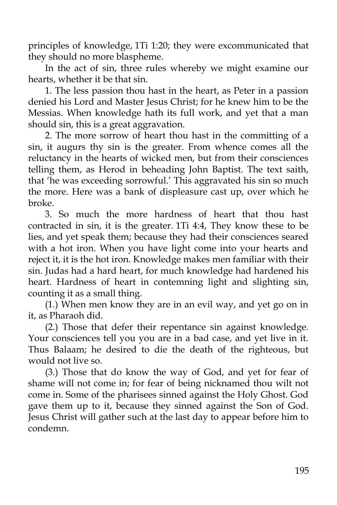principles of knowledge, 1Ti 1:20; they were excommunicated that they should no more blaspheme.

In the act of sin, three rules whereby we might examine our hearts, whether it be that sin.

1. The less passion thou hast in the heart, as Peter in a passion denied his Lord and Master Jesus Christ; for he knew him to be the Messias. When knowledge hath its full work, and yet that a man should sin, this is a great aggravation.

2. The more sorrow of heart thou hast in the committing of a sin, it augurs thy sin is the greater. From whence comes all the reluctancy in the hearts of wicked men, but from their consciences telling them, as Herod in beheading John Baptist. The text saith, that 'he was exceeding sorrowful.' This aggravated his sin so much the more. Here was a bank of displeasure cast up, over which he broke.

3. So much the more hardness of heart that thou hast contracted in sin, it is the greater. 1Ti 4:4, They know these to be lies, and yet speak them; because they had their consciences seared with a hot iron. When you have light come into your hearts and reject it, it is the hot iron. Knowledge makes men familiar with their sin. Judas had a hard heart, for much knowledge had hardened his heart. Hardness of heart in contemning light and slighting sin, counting it as a small thing.

(1.) When men know they are in an evil way, and yet go on in it, as Pharaoh did.

(2.) Those that defer their repentance sin against knowledge. Your consciences tell you you are in a bad case, and yet live in it. Thus Balaam; he desired to die the death of the righteous, but would not live so.

(3.) Those that do know the way of God, and yet for fear of shame will not come in; for fear of being nicknamed thou wilt not come in. Some of the pharisees sinned against the Holy Ghost. God gave them up to it, because they sinned against the Son of God. Jesus Christ will gather such at the last day to appear before him to condemn.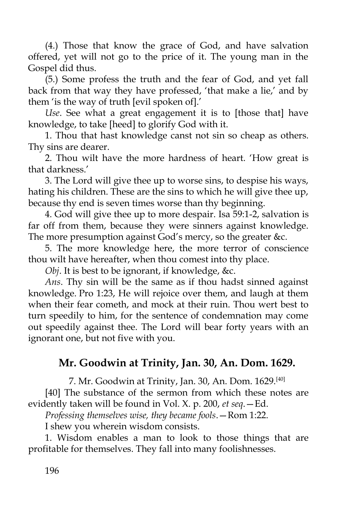(4.) Those that know the grace of God, and have salvation offered, yet will not go to the price of it. The young man in the Gospel did thus.

(5.) Some profess the truth and the fear of God, and yet fall back from that way they have professed, 'that make a lie,' and by them 'is the way of truth [evil spoken of].'

*Use*. See what a great engagement it is to [those that] have knowledge, to take [heed] to glorify God with it.

1. Thou that hast knowledge canst not sin so cheap as others. Thy sins are dearer.

2. Thou wilt have the more hardness of heart. 'How great is that darkness.'

3. The Lord will give thee up to worse sins, to despise his ways, hating his children. These are the sins to which he will give thee up, because thy end is seven times worse than thy beginning.

4. God will give thee up to more despair. Isa 59:1-2, salvation is far off from them, because they were sinners against knowledge. The more presumption against God's mercy, so the greater &c.

5. The more knowledge here, the more terror of conscience thou wilt have hereafter, when thou comest into thy place.

*Obj*. It is best to be ignorant, if knowledge, &c.

*Ans*. Thy sin will be the same as if thou hadst sinned against knowledge. Pro 1:23, He will rejoice over them, and laugh at them when their fear cometh, and mock at their ruin. Thou wert best to turn speedily to him, for the sentence of condemnation may come out speedily against thee. The Lord will bear forty years with an ignorant one, but not five with you.

## **Mr. Goodwin at Trinity, Jan. 30, An. Dom. 1629.**

7. Mr. Goodwin at Trinity, Jan. 30, An. Dom. 1629.[40]

[40] The substance of the sermon from which these notes are evidently taken will be found in Vol. X. p. 200, *et seq*.—Ed.

*Professing themselves wise, they became fools*.—Rom 1:22.

I shew you wherein wisdom consists.

1. Wisdom enables a man to look to those things that are profitable for themselves. They fall into many foolishnesses.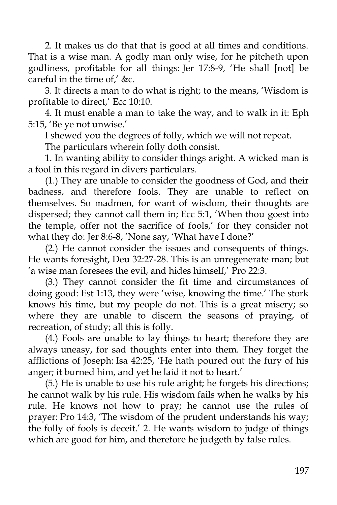2. It makes us do that that is good at all times and conditions. That is a wise man. A godly man only wise, for he pitcheth upon godliness, profitable for all things: Jer 17:8-9, 'He shall [not] be careful in the time of,' &c.

3. It directs a man to do what is right; to the means, 'Wisdom is profitable to direct,' Ecc 10:10.

4. It must enable a man to take the way, and to walk in it: Eph 5:15, 'Be ye not unwise.'

I shewed you the degrees of folly, which we will not repeat.

The particulars wherein folly doth consist.

1. In wanting ability to consider things aright. A wicked man is a fool in this regard in divers particulars.

(1.) They are unable to consider the goodness of God, and their badness, and therefore fools. They are unable to reflect on themselves. So madmen, for want of wisdom, their thoughts are dispersed; they cannot call them in; Ecc 5:1, 'When thou goest into the temple, offer not the sacrifice of fools,' for they consider not what they do: Jer 8:6-8, 'None say, 'What have I done?'

(2.) He cannot consider the issues and consequents of things. He wants foresight, Deu 32:27-28. This is an unregenerate man; but 'a wise man foresees the evil, and hides himself,' Pro 22:3.

(3.) They cannot consider the fit time and circumstances of doing good: Est 1:13, they were 'wise, knowing the time.' The stork knows his time, but my people do not. This is a great misery; so where they are unable to discern the seasons of praying, of recreation, of study; all this is folly.

(4.) Fools are unable to lay things to heart; therefore they are always uneasy, for sad thoughts enter into them. They forget the afflictions of Joseph: Isa 42:25, 'He hath poured out the fury of his anger; it burned him, and yet he laid it not to heart.'

(5.) He is unable to use his rule aright; he forgets his directions; he cannot walk by his rule. His wisdom fails when he walks by his rule. He knows not how to pray; he cannot use the rules of prayer: Pro 14:3, 'The wisdom of the prudent understands his way; the folly of fools is deceit.' 2. He wants wisdom to judge of things which are good for him, and therefore he judgeth by false rules.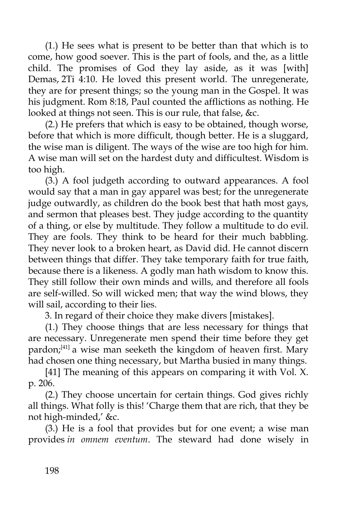(1.) He sees what is present to be better than that which is to come, how good soever. This is the part of fools, and the, as a little child. The promises of God they lay aside, as it was [with] Demas, 2Ti 4:10. He loved this present world. The unregenerate, they are for present things; so the young man in the Gospel. It was his judgment. Rom 8:18, Paul counted the afflictions as nothing. He looked at things not seen. This is our rule, that false, &c.

(2.) He prefers that which is easy to be obtained, though worse, before that which is more difficult, though better. He is a sluggard, the wise man is diligent. The ways of the wise are too high for him. A wise man will set on the hardest duty and difficultest. Wisdom is too high.

(3.) A fool judgeth according to outward appearances. A fool would say that a man in gay apparel was best; for the unregenerate judge outwardly, as children do the book best that hath most gays, and sermon that pleases best. They judge according to the quantity of a thing, or else by multitude. They follow a multitude to do evil. They are fools. They think to be heard for their much babbling. They never look to a broken heart, as David did. He cannot discern between things that differ. They take temporary faith for true faith, because there is a likeness. A godly man hath wisdom to know this. They still follow their own minds and wills, and therefore all fools are self-willed. So will wicked men; that way the wind blows, they will sail, according to their lies.

3. In regard of their choice they make divers [mistakes].

(1.) They choose things that are less necessary for things that are necessary. Unregenerate men spend their time before they get pardon; $[41]$  a wise man seeketh the kingdom of heaven first. Mary had chosen one thing necessary, but Martha busied in many things.

[41] The meaning of this appears on comparing it with Vol. X. p. 206.

(2.) They choose uncertain for certain things. God gives richly all things. What folly is this! 'Charge them that are rich, that they be not high-minded,' &c.

(3.) He is a fool that provides but for one event; a wise man provides *in omnem eventum*. The steward had done wisely in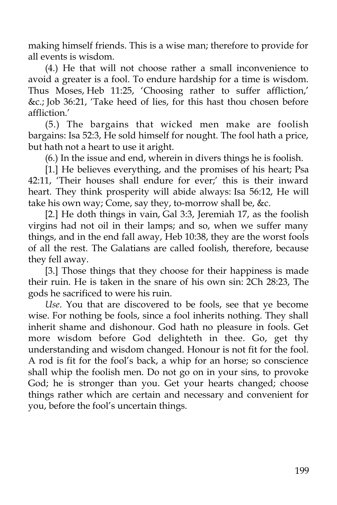making himself friends. This is a wise man; therefore to provide for all events is wisdom.

(4.) He that will not choose rather a small inconvenience to avoid a greater is a fool. To endure hardship for a time is wisdom. Thus Moses, Heb 11:25, 'Choosing rather to suffer affliction,' &c.; Job 36:21, 'Take heed of lies, for this hast thou chosen before affliction.'

(5.) The bargains that wicked men make are foolish bargains: Isa 52:3, He sold himself for nought. The fool hath a price, but hath not a heart to use it aright.

(6.) In the issue and end, wherein in divers things he is foolish.

[1.] He believes everything, and the promises of his heart; Psa 42:11, 'Their houses shall endure for ever;' this is their inward heart. They think prosperity will abide always: Isa 56:12, He will take his own way; Come, say they, to-morrow shall be, &c.

[2.] He doth things in vain, Gal 3:3, Jeremiah 17, as the foolish virgins had not oil in their lamps; and so, when we suffer many things, and in the end fall away, Heb 10:38, they are the worst fools of all the rest. The Galatians are called foolish, therefore, because they fell away.

[3.] Those things that they choose for their happiness is made their ruin. He is taken in the snare of his own sin: 2Ch 28:23, The gods he sacrificed to were his ruin.

*Use*. You that are discovered to be fools, see that ye become wise. For nothing be fools, since a fool inherits nothing. They shall inherit shame and dishonour. God hath no pleasure in fools. Get more wisdom before God delighteth in thee. Go, get thy understanding and wisdom changed. Honour is not fit for the fool. A rod is fit for the fool's back, a whip for an horse; so conscience shall whip the foolish men. Do not go on in your sins, to provoke God; he is stronger than you. Get your hearts changed; choose things rather which are certain and necessary and convenient for you, before the fool's uncertain things.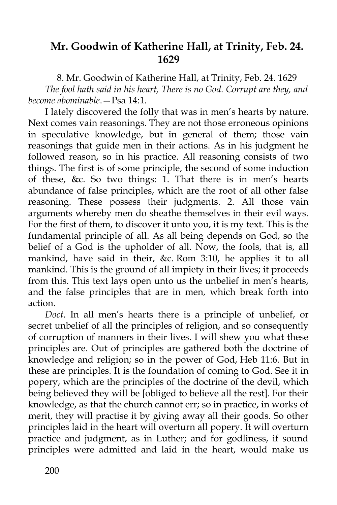#### **Mr. Goodwin of Katherine Hall, at Trinity, Feb. 24. 1629**

8. Mr. Goodwin of Katherine Hall, at Trinity, Feb. 24. 1629 *The fool hath said in his heart, There is no God. Corrupt are they, and become abominable*.—Psa 14:1.

I lately discovered the folly that was in men's hearts by nature. Next comes vain reasonings. They are not those erroneous opinions in speculative knowledge, but in general of them; those vain reasonings that guide men in their actions. As in his judgment he followed reason, so in his practice. All reasoning consists of two things. The first is of some principle, the second of some induction of these, &c. So two things: 1. That there is in men's hearts abundance of false principles, which are the root of all other false reasoning. These possess their judgments. 2. All those vain arguments whereby men do sheathe themselves in their evil ways. For the first of them, to discover it unto you, it is my text. This is the fundamental principle of all. As all being depends on God, so the belief of a God is the upholder of all. Now, the fools, that is, all mankind, have said in their, &c. Rom 3:10, he applies it to all mankind. This is the ground of all impiety in their lives; it proceeds from this. This text lays open unto us the unbelief in men's hearts, and the false principles that are in men, which break forth into action.

*Doct*. In all men's hearts there is a principle of unbelief, or secret unbelief of all the principles of religion, and so consequently of corruption of manners in their lives. I will shew you what these principles are. Out of principles are gathered both the doctrine of knowledge and religion; so in the power of God, Heb 11:6. But in these are principles. It is the foundation of coming to God. See it in popery, which are the principles of the doctrine of the devil, which being believed they will be [obliged to believe all the rest]. For their knowledge, as that the church cannot err; so in practice, in works of merit, they will practise it by giving away all their goods. So other principles laid in the heart will overturn all popery. It will overturn practice and judgment, as in Luther; and for godliness, if sound principles were admitted and laid in the heart, would make us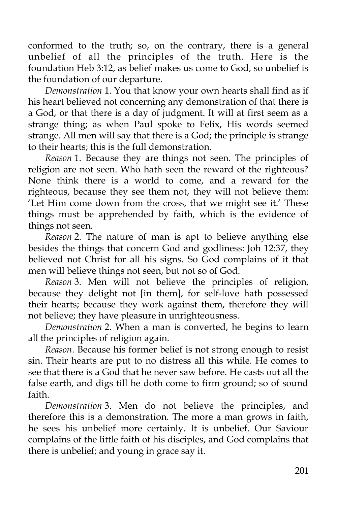conformed to the truth; so, on the contrary, there is a general unbelief of all the principles of the truth. Here is the foundation Heb 3:12, as belief makes us come to God, so unbelief is the foundation of our departure.

*Demonstration* 1. You that know your own hearts shall find as if his heart believed not concerning any demonstration of that there is a God, or that there is a day of judgment. It will at first seem as a strange thing; as when Paul spoke to Felix, His words seemed strange. All men will say that there is a God; the principle is strange to their hearts; this is the full demonstration.

*Reason* 1. Because they are things not seen. The principles of religion are not seen. Who hath seen the reward of the righteous? None think there is a world to come, and a reward for the righteous, because they see them not, they will not believe them: 'Let Him come down from the cross, that we might see it.' These things must be apprehended by faith, which is the evidence of things not seen.

*Reason* 2. The nature of man is apt to believe anything else besides the things that concern God and godliness: Joh 12:37, they believed not Christ for all his signs. So God complains of it that men will believe things not seen, but not so of God.

*Reason* 3. Men will not believe the principles of religion, because they delight not [in them], for self-love hath possessed their hearts; because they work against them, therefore they will not believe; they have pleasure in unrighteousness.

*Demonstration* 2. When a man is converted, he begins to learn all the principles of religion again.

*Reason*. Because his former belief is not strong enough to resist sin. Their hearts are put to no distress all this while. He comes to see that there is a God that he never saw before. He casts out all the false earth, and digs till he doth come to firm ground; so of sound faith.

*Demonstration* 3. Men do not believe the principles, and therefore this is a demonstration. The more a man grows in faith, he sees his unbelief more certainly. It is unbelief. Our Saviour complains of the little faith of his disciples, and God complains that there is unbelief; and young in grace say it.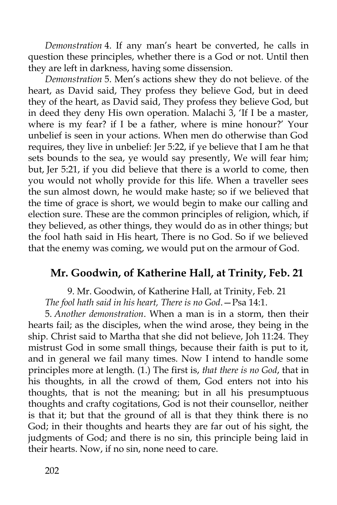*Demonstration* 4. If any man's heart be converted, he calls in question these principles, whether there is a God or not. Until then they are left in darkness, having some dissension.

*Demonstration* 5. Men's actions shew they do not believe. of the heart, as David said, They profess they believe God, but in deed they of the heart, as David said, They profess they believe God, but in deed they deny His own operation. Malachi 3, 'If I be a master, where is my fear? if I be a father, where is mine honour?' Your unbelief is seen in your actions. When men do otherwise than God requires, they live in unbelief: Jer 5:22, if ye believe that I am he that sets bounds to the sea, ye would say presently, We will fear him; but, Jer 5:21, if you did believe that there is a world to come, then you would not wholly provide for this life. When a traveller sees the sun almost down, he would make haste; so if we believed that the time of grace is short, we would begin to make our calling and election sure. These are the common principles of religion, which, if they believed, as other things, they would do as in other things; but the fool hath said in His heart, There is no God. So if we believed that the enemy was coming, we would put on the armour of God.

#### **Mr. Goodwin, of Katherine Hall, at Trinity, Feb. 21**

9. Mr. Goodwin, of Katherine Hall, at Trinity, Feb. 21 *The fool hath said in his heart, There is no God*.—Psa 14:1.

5. *Another demonstration*. When a man is in a storm, then their hearts fail; as the disciples, when the wind arose, they being in the ship. Christ said to Martha that she did not believe, Joh 11:24. They mistrust God in some small things, because their faith is put to it, and in general we fail many times. Now I intend to handle some principles more at length. (1.) The first is, *that there is no God*, that in his thoughts, in all the crowd of them, God enters not into his thoughts, that is not the meaning; but in all his presumptuous thoughts and crafty cogitations, God is not their counsellor, neither is that it; but that the ground of all is that they think there is no God; in their thoughts and hearts they are far out of his sight, the judgments of God; and there is no sin, this principle being laid in their hearts. Now, if no sin, none need to care.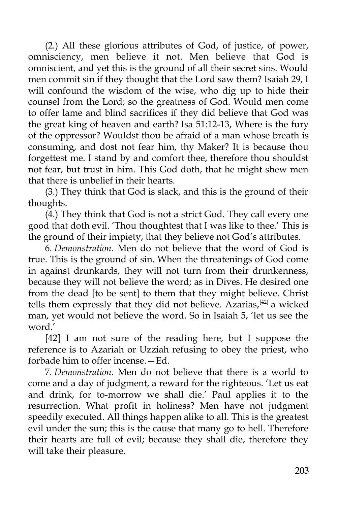(2.) All these glorious attributes of God, of justice, of power, omnisciency, men believe it not. Men believe that God is omniscient, and yet this is the ground of all their secret sins. Would men commit sin if they thought that the Lord saw them? Isaiah 29, I will confound the wisdom of the wise, who dig up to hide their counsel from the Lord; so the greatness of God. Would men come to offer lame and blind sacrifices if they did believe that God was the great king of heaven and earth? Isa 51:12-13, Where is the fury of the oppressor? Wouldst thou be afraid of a man whose breath is consuming, and dost not fear him, thy Maker? It is because thou forgettest me. I stand by and comfort thee, therefore thou shouldst not fear, but trust in him. This God doth, that he might shew men that there is unbelief in their hearts.

(3.) They think that God is slack, and this is the ground of their thoughts.

(4.) They think that God is not a strict God. They call every one good that doth evil. 'Thou thoughtest that I was like to thee.' This is the ground of their impiety, that they believe not God's attributes.

6. *Demonstration*. Men do not believe that the word of God is true. This is the ground of sin. When the threatenings of God come in against drunkards, they will not turn from their drunkenness, because they will not believe the word; as in Dives. He desired one from the dead [to be sent] to them that they might believe. Christ tells them expressly that they did not believe. Azarias,<sup>[42]</sup> a wicked man, yet would not believe the word. So in Isaiah 5, 'let us see the word.'

[42] I am not sure of the reading here, but I suppose the reference is to Azariah or Uzziah refusing to obey the priest, who forbade him to offer incense.—Ed.

7. *Demonstration*. Men do not believe that there is a world to come and a day of judgment, a reward for the righteous. 'Let us eat and drink, for to-morrow we shall die.' Paul applies it to the resurrection. What profit in holiness? Men have not judgment speedily executed. All things happen alike to all. This is the greatest evil under the sun; this is the cause that many go to hell. Therefore their hearts are full of evil; because they shall die, therefore they will take their pleasure.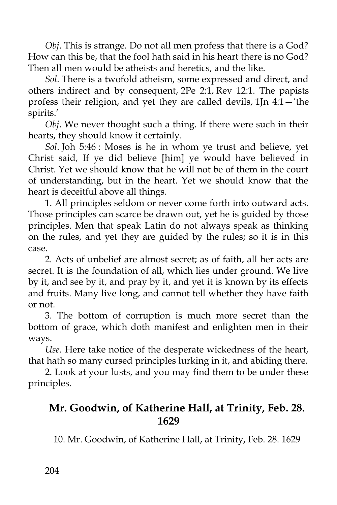*Obj*. This is strange. Do not all men profess that there is a God? How can this be, that the fool hath said in his heart there is no God? Then all men would be atheists and heretics, and the like.

*Sol*. There is a twofold atheism, some expressed and direct, and others indirect and by consequent, 2Pe 2:1, Rev 12:1. The papists profess their religion, and yet they are called devils, 1Jn 4:1—'the spirits.'

*Obj*. We never thought such a thing. If there were such in their hearts, they should know it certainly.

*Sol*. Joh 5:46 : Moses is he in whom ye trust and believe, yet Christ said, If ye did believe [him] ye would have believed in Christ. Yet we should know that he will not be of them in the court of understanding, but in the heart. Yet we should know that the heart is deceitful above all things.

1. All principles seldom or never come forth into outward acts. Those principles can scarce be drawn out, yet he is guided by those principles. Men that speak Latin do not always speak as thinking on the rules, and yet they are guided by the rules; so it is in this case.

2. Acts of unbelief are almost secret; as of faith, all her acts are secret. It is the foundation of all, which lies under ground. We live by it, and see by it, and pray by it, and yet it is known by its effects and fruits. Many live long, and cannot tell whether they have faith or not.

3. The bottom of corruption is much more secret than the bottom of grace, which doth manifest and enlighten men in their ways.

*Use*. Here take notice of the desperate wickedness of the heart, that hath so many cursed principles lurking in it, and abiding there.

2. Look at your lusts, and you may find them to be under these principles.

# **Mr. Goodwin, of Katherine Hall, at Trinity, Feb. 28. 1629**

10. Mr. Goodwin, of Katherine Hall, at Trinity, Feb. 28. 1629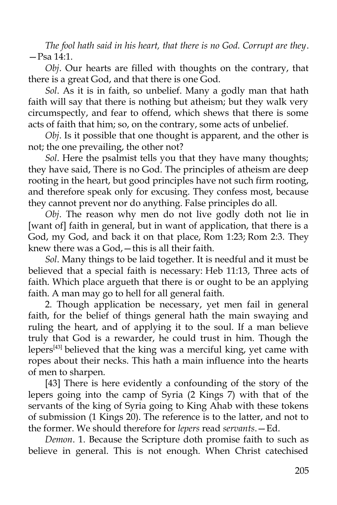*The fool hath said in his heart, that there is no God. Corrupt are they*. —Psa 14:1.

*Obj*. Our hearts are filled with thoughts on the contrary, that there is a great God, and that there is one God.

*Sol*. As it is in faith, so unbelief. Many a godly man that hath faith will say that there is nothing but atheism; but they walk very circumspectly, and fear to offend, which shews that there is some acts of faith that him; so, on the contrary, some acts of unbelief.

*Obj*. Is it possible that one thought is apparent, and the other is not; the one prevailing, the other not?

*Sol*. Here the psalmist tells you that they have many thoughts; they have said, There is no God. The principles of atheism are deep rooting in the heart, but good principles have not such firm rooting, and therefore speak only for excusing. They confess most, because they cannot prevent nor do anything. False principles do all.

*Obj*. The reason why men do not live godly doth not lie in [want of] faith in general, but in want of application, that there is a God, my God, and back it on that place, Rom 1:23; Rom 2:3. They knew there was a God,—this is all their faith.

*Sol*. Many things to be laid together. It is needful and it must be believed that a special faith is necessary: Heb 11:13, Three acts of faith. Which place argueth that there is or ought to be an applying faith. A man may go to hell for all general faith.

2. Though application be necessary, yet men fail in general faith, for the belief of things general hath the main swaying and ruling the heart, and of applying it to the soul. If a man believe truly that God is a rewarder, he could trust in him. Though the lepers<sup>[43]</sup> believed that the king was a merciful king, yet came with ropes about their necks. This hath a main influence into the hearts of men to sharpen.

[43] There is here evidently a confounding of the story of the lepers going into the camp of Syria (2 Kings 7) with that of the servants of the king of Syria going to King Ahab with these tokens of submission (1 Kings 20). The reference is to the latter, and not to the former. We should therefore for *lepers* read *servants*.—Ed.

*Demon*. 1. Because the Scripture doth promise faith to such as believe in general. This is not enough. When Christ catechised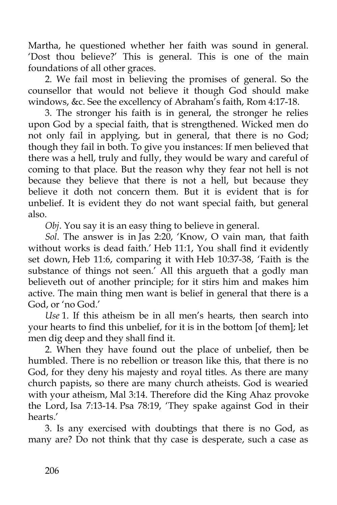Martha, he questioned whether her faith was sound in general. 'Dost thou believe?' This is general. This is one of the main foundations of all other graces.

2. We fail most in believing the promises of general. So the counsellor that would not believe it though God should make windows, &c. See the excellency of Abraham's faith, Rom 4:17-18.

3. The stronger his faith is in general, the stronger he relies upon God by a special faith, that is strengthened. Wicked men do not only fail in applying, but in general, that there is no God; though they fail in both. To give you instances: If men believed that there was a hell, truly and fully, they would be wary and careful of coming to that place. But the reason why they fear not hell is not because they believe that there is not a hell, but because they believe it doth not concern them. But it is evident that is for unbelief. It is evident they do not want special faith, but general also.

*Obj*. You say it is an easy thing to believe in general.

*Sol*. The answer is in Jas 2:20, 'Know, O vain man, that faith without works is dead faith.' Heb 11:1, You shall find it evidently set down, Heb 11:6, comparing it with Heb 10:37-38, 'Faith is the substance of things not seen.' All this argueth that a godly man believeth out of another principle; for it stirs him and makes him active. The main thing men want is belief in general that there is a God, or 'no God.'

*Use* 1. If this atheism be in all men's hearts, then search into your hearts to find this unbelief, for it is in the bottom [of them]; let men dig deep and they shall find it.

2. When they have found out the place of unbelief, then be humbled. There is no rebellion or treason like this, that there is no God, for they deny his majesty and royal titles. As there are many church papists, so there are many church atheists. God is wearied with your atheism, Mal 3:14. Therefore did the King Ahaz provoke the Lord, Isa 7:13-14. Psa 78:19, 'They spake against God in their hearts.'

3. Is any exercised with doubtings that there is no God, as many are? Do not think that thy case is desperate, such a case as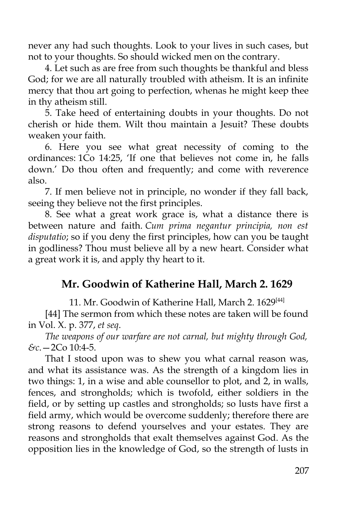never any had such thoughts. Look to your lives in such cases, but not to your thoughts. So should wicked men on the contrary.

4. Let such as are free from such thoughts be thankful and bless God; for we are all naturally troubled with atheism. It is an infinite mercy that thou art going to perfection, whenas he might keep thee in thy atheism still.

5. Take heed of entertaining doubts in your thoughts. Do not cherish or hide them. Wilt thou maintain a Jesuit? These doubts weaken your faith.

6. Here you see what great necessity of coming to the ordinances: 1Co 14:25, 'If one that believes not come in, he falls down.' Do thou often and frequently; and come with reverence also.

7. If men believe not in principle, no wonder if they fall back, seeing they believe not the first principles.

8. See what a great work grace is, what a distance there is between nature and faith. *Cum prima negantur principia, non est disputatio*; so if you deny the first principles, how can you be taught in godliness? Thou must believe all by a new heart. Consider what a great work it is, and apply thy heart to it.

# **Mr. Goodwin of Katherine Hall, March 2. 1629**

11. Mr. Goodwin of Katherine Hall, March 2. 1629<sup>[44]</sup>

[44] The sermon from which these notes are taken will be found in Vol. X. p. 377, *et seq*.

*The weapons of our warfare are not carnal, but mighty through God, &c*.—2Co 10:4-5.

That I stood upon was to shew you what carnal reason was, and what its assistance was. As the strength of a kingdom lies in two things: 1, in a wise and able counsellor to plot, and 2, in walls, fences, and strongholds; which is twofold, either soldiers in the field, or by setting up castles and strongholds; so lusts have first a field army, which would be overcome suddenly; therefore there are strong reasons to defend yourselves and your estates. They are reasons and strongholds that exalt themselves against God. As the opposition lies in the knowledge of God, so the strength of lusts in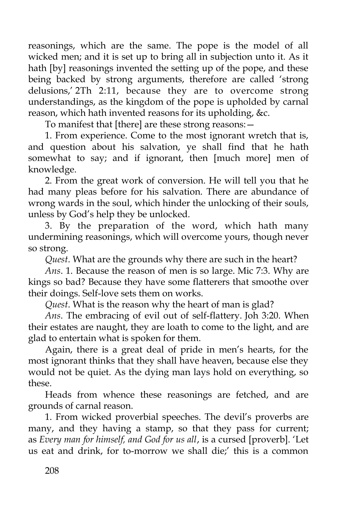reasonings, which are the same. The pope is the model of all wicked men; and it is set up to bring all in subjection unto it. As it hath [by] reasonings invented the setting up of the pope, and these being backed by strong arguments, therefore are called 'strong delusions,' 2Th 2:11, because they are to overcome strong understandings, as the kingdom of the pope is upholded by carnal reason, which hath invented reasons for its upholding, &c.

To manifest that [there] are these strong reasons:—

1. From experience. Come to the most ignorant wretch that is, and question about his salvation, ye shall find that he hath somewhat to say; and if ignorant, then [much more] men of knowledge.

2. From the great work of conversion. He will tell you that he had many pleas before for his salvation. There are abundance of wrong wards in the soul, which hinder the unlocking of their souls, unless by God's help they be unlocked.

3. By the preparation of the word, which hath many undermining reasonings, which will overcome yours, though never so strong.

*Quest*. What are the grounds why there are such in the heart?

*Ans*. 1. Because the reason of men is so large. Mic 7:3. Why are kings so bad? Because they have some flatterers that smoothe over their doings. Self-love sets them on works.

*Quest*. What is the reason why the heart of man is glad?

*Ans*. The embracing of evil out of self-flattery. Joh 3:20. When their estates are naught, they are loath to come to the light, and are glad to entertain what is spoken for them.

Again, there is a great deal of pride in men's hearts, for the most ignorant thinks that they shall have heaven, because else they would not be quiet. As the dying man lays hold on everything, so these.

Heads from whence these reasonings are fetched, and are grounds of carnal reason.

1. From wicked proverbial speeches. The devil's proverbs are many, and they having a stamp, so that they pass for current; as *Every man for himself, and God for us all*, is a cursed [proverb]. 'Let us eat and drink, for to-morrow we shall die;' this is a common